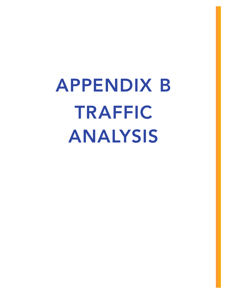APPENDIX B TRAFFIC ANALYSIS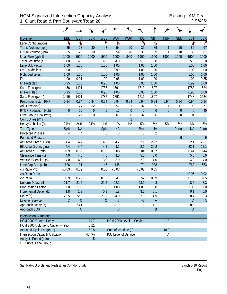|                                           | ৴              |                |                  |                  |                             |                  |             |                |                  |                  |                  |                  |
|-------------------------------------------|----------------|----------------|------------------|------------------|-----------------------------|------------------|-------------|----------------|------------------|------------------|------------------|------------------|
| Movement                                  | EBL            | <b>EBT</b>     | <b>EBR</b>       | <b>WBL</b>       | <b>WBT</b>                  | <b>WBR</b>       | <b>NBL</b>  | <b>NBT</b>     | <b>NBR</b>       | <b>SBL</b>       | <b>SBT</b>       | <b>SBR</b>       |
| Lane Configurations                       | ۲              | Ъ              |                  | ۲                | Ъ                           |                  | ۲           | Ъ              |                  |                  | 4                | ۴                |
| Traffic Volume (vph)                      | 35             | 23             | 30               | 3                | 54                          | 20               | 35          | 89             | 1                | 10               | 85               | 67               |
| Future Volume (vph)                       | 35             | 23             | 30               | 3                | 54                          | 20               | 35          | 89             | $\mathbf{1}$     | 10               | 85               | 67               |
| Ideal Flow (vphpl)                        | 1900           | 1900           | 1900             | 1900             | 1900                        | 1900             | 1900        | 1900           | 1900             | 1900             | 1900             | 1900             |
| Total Lost time (s)                       | 4.0            | 4.0            |                  | 4.0              | 4.0                         |                  | 5.0         | 5.0            |                  |                  | 5.0              | 5.0              |
| Lane Util. Factor                         | 1.00           | 1.00           |                  | 1.00             | 1.00                        |                  | 1.00        | 1.00           |                  |                  | 1.00             | 1.00             |
| Frpb, ped/bikes                           | 1.00           | 1.00           |                  | 1.00             | 0.99                        |                  | 1.00        | 1.00           |                  |                  | 1.00             | 1.00             |
| Flpb, ped/bikes                           | 1.00           | 1.00           |                  | 1.00             | 1.00                        |                  | 1.00        | 1.00           |                  |                  | 1.00             | 1.00             |
| Frt                                       | 1.00           | 0.91           |                  | 1.00             | 0.96                        |                  | 1.00        | 1.00           |                  |                  | 1.00             | 0.85             |
| <b>Flt Protected</b>                      | 0.95           | 1.00           |                  | 0.95             | 1.00                        |                  | 0.95        | 1.00           |                  |                  | 0.99             | 1.00             |
| Satd. Flow (prot)                         | 1456           | 1401           |                  | 1787             | 1791                        |                  | 1719        | 1807           |                  |                  | 1783             | 1524             |
| <b>Flt Permitted</b>                      | 0.95           | 1.00           |                  | 0.95             | 1.00                        |                  | 0.95        | 1.00           |                  |                  | 0.98             | 1.00             |
| Satd. Flow (perm)                         | 1456           | 1401           |                  | 1787             | 1791                        |                  | 1719        | 1807           |                  |                  | 1748             | 1524             |
| Peak-hour factor, PHF                     | 0.94           | 0.94           | 0.94             | 0.94             | 0.94                        | 0.94             | 0.94        | 0.94           | 0.94             | 0.94             | 0.94             | 0.94             |
| Adj. Flow (vph)                           | 37             | 24             | 32               | 3                | 57                          | 21               | 37          | 95             | 1                | 11               | 90               | 71               |
| <b>RTOR Reduction (vph)</b>               | $\overline{0}$ | 29             | $\mathbf 0$      | $\boldsymbol{0}$ | 17                          | $\mathbf{0}$     | $\mathbf 0$ | $\mathbf 0$    | $\boldsymbol{0}$ | $\boldsymbol{0}$ | $\boldsymbol{0}$ | 40               |
| Lane Group Flow (vph)                     | 37             | 27             | $\boldsymbol{0}$ | $\mathfrak{Z}$   | 61                          | $\boldsymbol{0}$ | 37          | 96             | $\mathbf 0$      | $\boldsymbol{0}$ | 101              | 31               |
| Confl. Bikes (#/hr)                       |                |                |                  |                  |                             | $\overline{2}$   |             |                |                  |                  |                  |                  |
| Heavy Vehicles (%)                        | 24%            | 24%            | 24%              | 1%               | 1%                          | 1%               | 5%          | 5%             | 5%               | 6%               | 6%               | 6%               |
| <b>Turn Type</b>                          | Split          | <b>NA</b>      |                  | Split            | <b>NA</b>                   |                  | Prot        | <b>NA</b>      |                  | <b>Perm</b>      | <b>NA</b>        | Perm             |
| <b>Protected Phases</b>                   | $\overline{4}$ | $\overline{4}$ |                  | 8                | 8                           |                  | 5           | $\overline{2}$ |                  |                  | 6                |                  |
| <b>Permitted Phases</b>                   |                |                |                  |                  |                             |                  |             |                |                  | $\boldsymbol{6}$ |                  | $\boldsymbol{6}$ |
| Actuated Green, G (s)                     | 4.4            | 4.4            |                  | 4.2              | 4.2                         |                  | 2.1         | 29.2           |                  |                  | 22.1             | 22.1             |
| Effective Green, g (s)                    | 4.4            | 4.4            |                  | 4.2              | 4.2                         |                  | 2.1         | 29.2           |                  |                  | 22.1             | 22.1             |
| Actuated g/C Ratio                        | 0.09           | 0.09           |                  | 0.08             | 0.08                        |                  | 0.04        | 0.57           |                  |                  | 0.44             | 0.44             |
| Clearance Time (s)                        | 4.0            | 4.0            |                  | 4.0              | 4.0                         |                  | 5.0         | 5.0            |                  |                  | 5.0              | 5.0              |
| Vehicle Extension (s)                     | 4.0            | 4.0            |                  | 3.0              | 3.0                         |                  | 2.0         | 4.0            |                  |                  | 4.0              | 4.0              |
| Lane Grp Cap (vph)                        | 126            | 121            |                  | 147              | 148                         |                  | 71          | 1038           |                  |                  | 760              | 663              |
| v/s Ratio Prot                            | c0.03          | 0.02           |                  | 0.00             | c0.03                       |                  | c0.02       | 0.05           |                  |                  |                  |                  |
| v/s Ratio Perm                            |                |                |                  |                  |                             |                  |             |                |                  |                  | c0.06            | 0.02             |
| v/c Ratio                                 | 0.29           | 0.22           |                  | 0.02             | 0.41                        |                  | 0.52        | 0.09           |                  |                  | 0.13             | 0.05             |
| Uniform Delay, d1                         | 21.7           | 21.6           |                  | 21.4             | 22.1                        |                  | 23.9        | 4.8            |                  |                  | 8.6              | 8.3              |
| Progression Factor                        | 1.00           | 1.00           |                  | 1.00             | 1.00                        |                  | 1.00        | 1.00           |                  |                  | 1.00             | 1.00             |
| Incremental Delay, d2                     | 1.8            | 1.3            |                  | 0.1              | 1.8                         |                  | 3.2         | 0.1            |                  |                  | 0.1              | 0.0              |
| Delay (s)                                 | 23.5           | 22.9           |                  | 21.5             | 24.0                        |                  | 27.0        | 4.9            |                  |                  | 8.7              | 8.3              |
| Level of Service                          | $\mathcal{C}$  | $\mathsf{C}$   |                  | $\mathsf C$      | $\mathsf C$                 |                  | $\mathsf C$ | $\overline{A}$ |                  |                  | $\mathsf A$      | $\overline{A}$   |
| Approach Delay (s)                        |                | 23.1           |                  |                  | 23.9                        |                  |             | 11.1           |                  |                  | 8.5              |                  |
| Approach LOS                              |                | $\mathsf C$    |                  |                  | $\mathsf C$                 |                  |             | B              |                  |                  | $\mathsf{A}$     |                  |
| <b>Intersection Summary</b>               |                |                |                  |                  |                             |                  |             |                |                  |                  |                  |                  |
|                                           |                |                |                  |                  |                             |                  |             |                |                  |                  |                  |                  |
| <b>HCM 2000 Control Delay</b><br>14.7     |                |                |                  |                  | HCM 2000 Level of Service   |                  |             |                | $\mathsf B$      |                  |                  |                  |
| HCM 2000 Volume to Capacity ratio<br>0.21 |                |                |                  |                  |                             |                  |             |                |                  |                  |                  |                  |
| <b>Actuated Cycle Length (s)</b>          |                |                | 50.8             |                  | Sum of lost time (s)        |                  |             |                | 18.0             |                  |                  |                  |
| Intersection Capacity Utilization         |                |                | 40.7%            |                  | <b>ICU Level of Service</b> |                  |             |                | Α                |                  |                  |                  |
| Analysis Period (min)                     |                |                | 15               |                  |                             |                  |             |                |                  |                  |                  |                  |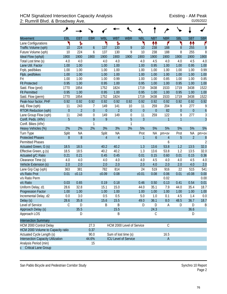## HCM Signalized Intersection Capacity Analysis<br>2: Rumrill Blvd. & Broadway Ave. 
01/05/2022 2: Rumrill Blvd. & Broadway Ave.

| <b>Movement</b>                   | EBL          | <b>EBT</b>     | <b>EBR</b>       | <b>WBL</b>     | <b>WBT</b>           | <b>WBR</b>                  | <b>NBL</b>       | <b>NBT</b>       | <b>NBR</b>   | <b>SBL</b>       | <b>SBT</b>       | <b>SBR</b>       |
|-----------------------------------|--------------|----------------|------------------|----------------|----------------------|-----------------------------|------------------|------------------|--------------|------------------|------------------|------------------|
| Lane Configurations               | ۲            | Ъ              |                  | ۲              | Ъ                    |                             | ۲                | ↟↟               | ۴            | ۲                | ↟↟               | ۴                |
| Traffic Volume (vph)              | 10           | 224            | $\boldsymbol{6}$ | 137            | 130                  | 9                           | 10               | 238              | 188          | 8                | 255              | $\boldsymbol{8}$ |
| Future Volume (vph)               | 10           | 224            | 6                | 137            | 130                  | 9                           | 10               | 238              | 188          | 8                | 255              | 8                |
| Ideal Flow (vphpl)                | 1900         | 1900           | 1900             | 1900           | 1900                 | 1900                        | 1900             | 1900             | 1900         | 1900             | 1900             | 1900             |
| Total Lost time (s)               | 4.0          | 4.0            |                  | 4.0            | 4.0                  |                             | 4.0              | 4.5              | 4.0          | 4.0              | 4.5              | 4.0              |
| Lane Util. Factor                 | 1.00         | 1.00           |                  | 1.00           | 1.00                 |                             | 1.00             | 0.95             | 1.00         | 1.00             | 0.95             | 1.00             |
| Frpb, ped/bikes                   | 1.00         | 1.00           |                  | 1.00           | 1.00                 |                             | 1.00             | 1.00             | 1.00         | 1.00             | 1.00             | 0.99             |
| Flpb, ped/bikes                   | 1.00         | 1.00           |                  | 1.00           | 1.00                 |                             | 1.00             | 1.00             | 1.00         | 1.00             | 1.00             | 1.00             |
| Frt                               | 1.00         | 1.00           |                  | 1.00           | 0.99                 |                             | 1.00             | 1.00             | 0.85         | 1.00             | 1.00             | 0.85             |
| <b>Flt Protected</b>              | 0.95         | 1.00           |                  | 0.95           | 1.00                 |                             | 0.95             | 1.00             | 1.00         | 0.95             | 1.00             | 1.00             |
| Satd. Flow (prot)                 | 1770         | 1854           |                  | 1752           | 1824                 |                             | 1719             | 3438             | 1533         | 1719             | 3438             | 1522             |
| <b>Flt Permitted</b>              | 0.95         | 1.00           |                  | 0.95           | 1.00                 |                             | 0.95             | 1.00             | 1.00         | 0.95             | 1.00             | 1.00             |
| Satd. Flow (perm)                 | 1770         | 1854           |                  | 1752           | 1824                 |                             | 1719             | 3438             | 1533         | 1719             | 3438             | 1522             |
| Peak-hour factor, PHF             | 0.92         | 0.92           | 0.92             | 0.92           | 0.92                 | 0.92                        | 0.92             | 0.92             | 0.92         | 0.92             | 0.92             | 0.92             |
| Adj. Flow (vph)                   | 11           | 243            | 7                | 149            | 141                  | 10                          | 11               | 259              | 204          | 9                | 277              | 9                |
| <b>RTOR Reduction (vph)</b>       | $\mathbf{0}$ | $\overline{2}$ | $\mathbf 0$      | $\theta$       | $\overline{2}$       | $\boldsymbol{0}$            | $\boldsymbol{0}$ | $\boldsymbol{0}$ | 82           | $\boldsymbol{0}$ | $\boldsymbol{0}$ | $\boldsymbol{6}$ |
| Lane Group Flow (vph)             | 11           | 248            | $\boldsymbol{0}$ | 149            | 149                  | $\boldsymbol{0}$            | 11               | 259              | 122          | 9                | 277              | $\sqrt{3}$       |
| Confl. Peds. (#/hr)               | 5            |                | 9                | 9              |                      | $\overline{5}$              | $\overline{3}$   |                  | $\mathbf{1}$ | $\overline{1}$   |                  | $\overline{3}$   |
| Confl. Bikes (#/hr)               |              |                | 1                |                |                      | 1                           |                  |                  |              |                  |                  |                  |
| Heavy Vehicles (%)                | 2%           | 2%             | 2%               | 3%             | 3%                   | 3%                          | 5%               | 5%               | 5%           | 5%               | 5%               | 5%               |
| Turn Type                         | Split        | <b>NA</b>      |                  | Split          | <b>NA</b>            |                             | Prot             | <b>NA</b>        | pm+ov        | Prot             | <b>NA</b>        | pm+ov            |
| <b>Protected Phases</b>           | 8            | 8              |                  | $\overline{4}$ | $\overline{4}$       |                             | $\mathbf{1}$     | 6                | 4            | 5                | $\overline{2}$   | $\boldsymbol{8}$ |
| <b>Permitted Phases</b>           |              |                |                  |                |                      |                             |                  |                  | 6            |                  |                  | $\overline{2}$   |
| Actuated Green, G (s)             | 18.5         | 18.5           |                  | 40.2           | 40.2                 |                             | 1.3              | 13.6             | 53.8         | 1.2              | 13.5             | 32.0             |
| Effective Green, g (s)            | 18.5         | 18.5           |                  | 40.2           | 40.2                 |                             | 1.3              | 13.6             | 53.8         | 1.2              | 13.5             | 32.0             |
| Actuated g/C Ratio                | 0.21         | 0.21           |                  | 0.45           | 0.45                 |                             | 0.01             | 0.15             | 0.60         | 0.01             | 0.15             | 0.36             |
| Clearance Time (s)                | 4.0          | 4.0            |                  | 4.0            | 4.0                  |                             | 4.0              | 4.5              | 4.0          | 4.0              | 4.5              | 4.0              |
| Vehicle Extension (s)             | 2.0          | 2.0            |                  | 2.0            | 2.0                  |                             | 2.0              | 4.0              | 2.0          | 2.0              | 4.0              | 2.0              |
| Lane Grp Cap (vph)                | 363          | 381            |                  | 782            | 814                  |                             | 24               | 519              | 916          | 22               | 515              | 541              |
| v/s Ratio Prot                    | 0.01         | c0.13          |                  | c0.09          | 0.08                 |                             | c0.01            | 0.08             | 0.06         | 0.01             | c0.08            | 0.00             |
| v/s Ratio Perm                    |              |                |                  |                |                      |                             |                  |                  | 0.02         |                  |                  | 0.00             |
| v/c Ratio                         | 0.03         | 0.65           |                  | 0.19           | 0.18                 |                             | 0.46             | 0.50             | 0.13         | 0.41             | 0.54             | 0.01             |
| Uniform Delay, d1                 | 28.6         | 32.8           |                  | 15.1           | 15.0                 |                             | 44.0             | 35.1             | 7.9          | 44.0             | 35.4             | 18.7             |
| <b>Progression Factor</b>         | 1.00         | 1.00           |                  | 1.00           | 1.00                 |                             | 1.00             | 1.00             | 1.00         | 1.00             | 1.00             | 1.00             |
| Incremental Delay, d2             | 0.0          | 3.0            |                  | 0.5            | 0.5                  |                             | 5.0              | 1.0              | 0.1          | 4.5              | 1.4              | 0.0              |
| Delay (s)                         | 28.6         | 35.8           |                  | 15.6           | 15.5                 |                             | 49.0             | 36.1             | 8.0          | 48.5             | 36.7             | 18.7             |
| Level of Service                  | С            | D              |                  | Β              | Β                    |                             | D                | D                | Α            | D                | D                | B                |
| Approach Delay (s)                |              | 35.5           |                  |                | 15.5                 |                             |                  | 24.3             |              |                  | 36.6             |                  |
| Approach LOS                      |              | D              |                  |                | Β                    |                             |                  | C                |              |                  | D                |                  |
| <b>Intersection Summary</b>       |              |                |                  |                |                      |                             |                  |                  |              |                  |                  |                  |
| HCM 2000 Control Delay            |              |                | 27.3             |                |                      | HCM 2000 Level of Service   |                  |                  | $\mathsf C$  |                  |                  |                  |
| HCM 2000 Volume to Capacity ratio |              |                | 0.37             |                |                      |                             |                  |                  |              |                  |                  |                  |
| Actuated Cycle Length (s)         |              |                | 90.0             |                | Sum of lost time (s) |                             |                  |                  | 16.5         |                  |                  |                  |
| Intersection Capacity Utilization |              |                | 44.6%            |                |                      | <b>ICU Level of Service</b> |                  |                  | $\mathsf{A}$ |                  |                  |                  |
| Analysis Period (min)             |              |                | 15               |                |                      |                             |                  |                  |              |                  |                  |                  |
| c Critical Lane Group             |              |                |                  |                |                      |                             |                  |                  |              |                  |                  |                  |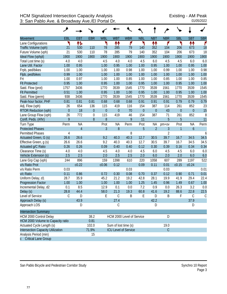| <b>Movement</b>                   | EBL            | <b>EBT</b>     | <b>EBR</b>  | <b>WBL</b>       | <b>WBT</b>           | <b>WBR</b>                  | <b>NBL</b> | <b>NBT</b>     | <b>NBR</b>     | <b>SBL</b>       | <b>SBT</b>       | <b>SBR</b> |
|-----------------------------------|----------------|----------------|-------------|------------------|----------------------|-----------------------------|------------|----------------|----------------|------------------|------------------|------------|
| Lane Configurations               | ۲              | 怍              |             | ۲                | ↟↟                   | ۴                           | ۲          | ₩              | ۴              | ۲                | 11               | ۴          |
| Traffic Volume (vph)              | 21             | 530            | 110         | 78               | 285                  | 79                          | 140        | 352            | 104            | 206              | 673              | 18         |
| Future Volume (vph)               | 21             | 530            | 110         | 78               | 285                  | 79                          | 140        | 352            | 104            | 206              | 673              | 18         |
| Ideal Flow (vphpl)                | 1900           | 1900           | 1900        | 1900             | 1900                 | 1900                        | 1900       | 1900           | 1900           | 1900             | 1900             | 1900       |
| Total Lost time (s)               | 4.0            | 4.0            |             | 4.5              | 4.0                  | 4.0                         | 4.5        | 6.0            | 4.5            | 4.5              | 6.0              | 6.0        |
| Lane Util. Factor                 | 1.00           | 0.95           |             | 1.00             | 0.95                 | 1.00                        | 1.00       | 0.95           | 1.00           | 1.00             | 0.95             | 1.00       |
| Frpb, ped/bikes                   | 1.00           | 1.00           |             | 1.00             | 1.00                 | 0.98                        | 1.00       | 1.00           | 0.99           | 1.00             | 1.00             | 0.98       |
| Flpb, ped/bikes                   | 0.99           | 1.00           |             | 1.00             | 1.00                 | 1.00                        | 1.00       | 1.00           | 1.00           | 1.00             | 1.00             | 1.00       |
| Frt                               | 1.00           | 0.97           |             | 1.00             | 1.00                 | 0.85                        | 1.00       | 1.00           | 0.85           | 1.00             | 1.00             | 0.85       |
| <b>Flt Protected</b>              | 0.95           | 1.00           |             | 0.95             | 1.00                 | 1.00                        | 0.95       | 1.00           | 1.00           | 0.95             | 1.00             | 1.00       |
| Satd. Flow (prot)                 | 1757           | 3436           |             | 1770             | 3539                 | 1545                        | 1770       | 3539           | 1561           | 1770             | 3539             | 1545       |
| <b>Flt Permitted</b>              | 0.51           | 1.00           |             | 0.95             | 1.00                 | 1.00                        | 0.95       | 1.00           | 1.00           | 0.95             | 1.00             | 1.00       |
| Satd. Flow (perm)                 | 938            | 3436           |             | 1770             | 3539                 | 1545                        | 1770       | 3539           | 1561           | 1770             | 3539             | 1545       |
| Peak-hour factor, PHF             | 0.81           | 0.81           | 0.81        | 0.68             | 0.68                 | 0.68                        | 0.91       | 0.91           | 0.91           | 0.79             | 0.79             | 0.79       |
| Adj. Flow (vph)                   | 26             | 654            | 136         | 115              | 419                  | 116                         | 154        | 387            | 114            | 261              | 852              | 23         |
| <b>RTOR Reduction (vph)</b>       | $\overline{0}$ | 18             | $\theta$    | $\boldsymbol{0}$ | $\mathbf{0}$         | 70                          | $\theta$   | $\mathbf 0$    | 43             | $\boldsymbol{0}$ | $\overline{0}$   | 15         |
| Lane Group Flow (vph)             | 26             | 772            | $\mathbf 0$ | 115              | 419                  | 46                          | 154        | 387            | 71             | 261              | 852              | 8          |
| Confl. Peds. (#/hr)               | 9              |                | 8           | 8                |                      | 9                           | 11         |                | 5              | 5                |                  | 11         |
| Turn Type                         | Perm           | <b>NA</b>      |             | Prot             | <b>NA</b>            | Perm                        | Prot       | NA             | $pm+ov$        | Prot             | <b>NA</b>        | Perm       |
| <b>Protected Phases</b>           |                | $\overline{4}$ |             | $\overline{3}$   | 8                    |                             | 5          | $\overline{2}$ | 3              | $\mathbf{1}$     | $\boldsymbol{6}$ |            |
| <b>Permitted Phases</b>           | 4              |                |             |                  |                      | 8                           |            |                | $\overline{2}$ |                  |                  | 6          |
| Actuated Green, G (s)             | 26.6           | 26.6           |             | 9.2              | 40.3                 | 40.3                        | 12.7       | 30.5           | 39.7           | 16.7             | 34.5             | 34.5       |
| Effective Green, g (s)            | 26.6           | 26.6           |             | 9.2              | 40.3                 | 40.3                        | 12.7       | 30.5           | 39.7           | 16.7             | 34.5             | 34.5       |
| Actuated g/C Ratio                | 0.26           | 0.26           |             | 0.09             | 0.40                 | 0.40                        | 0.12       | 0.30           | 0.39           | 0.16             | 0.34             | 0.34       |
| Clearance Time (s)                | 4.0            | 4.0            |             | 4.5              | 4.0                  | 4.0                         | 4.5        | 6.0            | 4.5            | 4.5              | 6.0              | 6.0        |
| Vehicle Extension (s)             | 2.5            | 2.5            |             | 2.0              | 2.5                  | 2.5                         | 2.0        | 6.0            | 2.0            | 2.0              | 6.0              | 6.0        |
| Lane Grp Cap (vph)                | 244            | 896            |             | 159              | 1398                 | 610                         | 220        | 1058           | 607            | 289              | 1197             | 522        |
| v/s Ratio Prot                    |                | c0.22          |             | c0.06            | 0.12                 |                             | 0.09       | 0.11           | 0.01           | c0.15            | c0.24            |            |
| v/s Ratio Perm                    | 0.03           |                |             |                  |                      | 0.03                        |            |                | 0.03           |                  |                  | 0.01       |
| v/c Ratio                         | 0.11           | 0.86           |             | 0.72             | 0.30                 | 0.08                        | 0.70       | 0.37           | 0.12           | 0.90             | 0.71             | 0.01       |
| Uniform Delay, d1                 | 28.7           | 35.9           |             | 45.2             | 21.2                 | 19.2                        | 42.8       | 28.1           | 19.9           | 41.9             | 29.4             | 22.4       |
| <b>Progression Factor</b>         | 1.00           | 1.00           |             | 1.00             | 1.00                 | 1.00                        | 1.25       | 1.45           | 0.96           | 1.49             | 0.67             | 1.00       |
| Incremental Delay, d2             | 0.1            | 8.5            |             | 12.9             | 0.1                  | 0.0                         | 7.2        | 0.9            | 0.0            | 26.3             | 3.2              | 0.0        |
| Delay (s)                         | 28.8           | 44.4           |             | 58.0             | 21.3                 | 19.3                        | 60.8       | 41.6           | 19.2           | 88.6             | 22.8             | 22.5       |
| Level of Service                  | C              | D              |             | E                | $\mathcal{C}$        | B                           | Ε          | D              | Β              | F                | C                | C          |
| Approach Delay (s)                |                | 43.9           |             |                  | 27.4                 |                             |            | 42.2           |                |                  | 37.9             |            |
| Approach LOS                      |                | D              |             |                  | С                    |                             |            | D              |                |                  | D                |            |
| <b>Intersection Summary</b>       |                |                |             |                  |                      |                             |            |                |                |                  |                  |            |
| HCM 2000 Control Delay            |                |                | 38.2        |                  |                      | HCM 2000 Level of Service   |            |                | D              |                  |                  |            |
| HCM 2000 Volume to Capacity ratio |                |                | 0.81        |                  |                      |                             |            |                |                |                  |                  |            |
| Actuated Cycle Length (s)         |                |                | 102.0       |                  | Sum of lost time (s) |                             |            |                | 19.0           |                  |                  |            |
| Intersection Capacity Utilization |                |                | 71.9%       |                  |                      | <b>ICU Level of Service</b> |            |                | $\mathsf C$    |                  |                  |            |
| Analysis Period (min)             |                |                | 15          |                  |                      |                             |            |                |                |                  |                  |            |
| <b>Critical Lane Group</b>        |                |                |             |                  |                      |                             |            |                |                |                  |                  |            |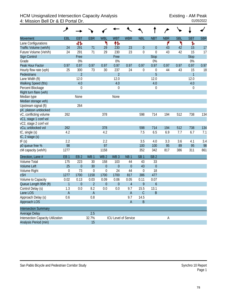## HCM Unsignalized Intersection Capacity Analysis<br>4: Mission Bell Dr & El Portal Dr. 01/05/2022 4: Mission Bell Dr & El Portal Dr.

|                                          | عر               |                 |                 |                 |                 |                             |                  |                  |            |            |                |            |
|------------------------------------------|------------------|-----------------|-----------------|-----------------|-----------------|-----------------------------|------------------|------------------|------------|------------|----------------|------------|
| <b>Movement</b>                          | EBL              | <b>EBT</b>      | <b>EBR</b>      | <b>WBL</b>      | <b>WBT</b>      | <b>WBR</b>                  | <b>NBL</b>       | <b>NBT</b>       | <b>NBR</b> | <b>SBL</b> | <b>SBT</b>     | <b>SBR</b> |
| Lane Configurations                      |                  | 41              |                 | ۲               | ተኈ              |                             |                  |                  | ۴          | ۲          | Ъ              |            |
| Traffic Volume (veh/h)                   | 24               | 291             | 71              | 29              | 230             | 23                          | $\mathbf{0}$     | $\theta$         | 43         | 42         | 15             | 17         |
| Future Volume (Veh/h)                    | 24               | 291             | 71              | 29              | 230             | 23                          | $\boldsymbol{0}$ | $\boldsymbol{0}$ | 43         | 42         | 15             | 17         |
| Sign Control                             |                  | Free            |                 |                 | Free            |                             |                  | <b>Stop</b>      |            |            | <b>Stop</b>    |            |
| Grade                                    |                  | 0%              |                 |                 | 0%              |                             |                  | 0%               |            |            | 0%             |            |
| Peak Hour Factor                         | 0.97             | 0.97            | 0.97            | 0.97            | 0.97            | 0.97                        | 0.97             | 0.97             | 0.97       | 0.97       | 0.97           | 0.97       |
| Hourly flow rate (vph)                   | 25               | 300             | 73              | 30              | 237             | 24                          | 0                | 0                | 44         | 43         | 15             | 18         |
| Pedestrians                              |                  | $\overline{2}$  |                 |                 | $\overline{2}$  |                             |                  | 5                |            |            | $\overline{1}$ |            |
| Lane Width (ft)                          |                  | 12.0            |                 |                 | 12.0            |                             |                  | 12.0             |            |            | 12.0           |            |
| Walking Speed (ft/s)                     |                  | 4.0             |                 |                 | 4.0             |                             |                  | 4.0              |            |            | 4.0            |            |
| Percent Blockage                         |                  | $\mathbf 0$     |                 |                 | $\overline{0}$  |                             |                  | 0                |            |            | 0              |            |
| Right turn flare (veh)                   |                  |                 |                 |                 |                 |                             |                  |                  |            |            |                |            |
| Median type                              |                  | None            |                 |                 | None            |                             |                  |                  |            |            |                |            |
| Median storage veh)                      |                  |                 |                 |                 |                 |                             |                  |                  |            |            |                |            |
| Upstream signal (ft)                     |                  | 264             |                 |                 |                 |                             |                  |                  |            |            |                |            |
| pX, platoon unblocked                    |                  |                 |                 |                 |                 |                             |                  |                  |            |            |                |            |
| vC, conflicting volume                   | 262              |                 |                 | 378             |                 |                             | 598              | 714              | 194        | 512        | 738            | 134        |
| vC1, stage 1 conf vol                    |                  |                 |                 |                 |                 |                             |                  |                  |            |            |                |            |
| vC2, stage 2 conf vol                    |                  |                 |                 |                 |                 |                             |                  |                  |            |            |                |            |
| vCu, unblocked vol                       | 262              |                 |                 | 378             |                 |                             | 598              | 714              | 194        | 512        | 738            | 134        |
| tC, single (s)                           | 4.2              |                 |                 | 4.2             |                 |                             | 7.5              | 6.5              | 6.9        | 7.7        | 6.7            | 7.1        |
| tC, 2 stage (s)                          |                  |                 |                 |                 |                 |                             |                  |                  |            |            |                |            |
| tF(s)                                    | 2.2              |                 |                 | 2.2             |                 |                             | 3.5              | 4.0              | 3.3        | 3.6        | 4.1            | 3.4        |
| p0 queue free %                          | 98               |                 |                 | 97              |                 |                             | 100              | 100              | 95         | 89         | 95             | 98         |
| cM capacity (veh/h)                      | 1277             |                 |                 | 1158            |                 |                             | 352              | 342              | 817        | 386        | 311            | 861        |
| Direction, Lane #                        | EB <sub>1</sub>  | EB <sub>2</sub> | WB <sub>1</sub> | WB <sub>2</sub> | WB <sub>3</sub> | NB <sub>1</sub>             | SB <sub>1</sub>  | SB <sub>2</sub>  |            |            |                |            |
| <b>Volume Total</b>                      | 175              | 223             | 30              | 158             | 103             | 44                          | 43               | 33               |            |            |                |            |
| <b>Volume Left</b>                       | 25               | $\mathbf{0}$    | 30              | $\mathbf{0}$    | $\mathbf{0}$    | $\theta$                    | 43               | $\theta$         |            |            |                |            |
| Volume Right                             | $\boldsymbol{0}$ | 73              | $\mathbf 0$     | $\mathbf 0$     | 24              | 44                          | $\mathbf 0$      | 18               |            |            |                |            |
| cSH                                      | 1277             | 1700            | 1158            | 1700            | 1700            | 817                         | 386              | 477              |            |            |                |            |
| Volume to Capacity                       | 0.02             | 0.13            | 0.03            | 0.09            | 0.06            | 0.05                        | 0.11             | 0.07             |            |            |                |            |
| Queue Length 95th (ft)                   | $\mathbf{1}$     | $\overline{0}$  | $\overline{2}$  | $\overline{0}$  | $\mathbf{0}$    | $\overline{4}$              | 9                | $\boldsymbol{6}$ |            |            |                |            |
| Control Delay (s)                        | 1.3              | 0.0             | 8.2             | 0.0             | 0.0             | 9.7                         | 15.5             | 13.1             |            |            |                |            |
| Lane LOS                                 | $\mathsf A$      |                 | $\mathsf A$     |                 |                 | $\mathsf A$                 | $\mathsf C$      | $\sf B$          |            |            |                |            |
| Approach Delay (s)                       | 0.6              |                 | 0.8             |                 |                 | 9.7                         | 14.5             |                  |            |            |                |            |
| Approach LOS                             |                  |                 |                 |                 |                 | $\mathsf A$                 | $\sf B$          |                  |            |            |                |            |
| <b>Intersection Summary</b>              |                  |                 |                 |                 |                 |                             |                  |                  |            |            |                |            |
| <b>Average Delay</b>                     |                  |                 | 2.5             |                 |                 |                             |                  |                  |            |            |                |            |
| <b>Intersection Capacity Utilization</b> |                  |                 | 32.7%           |                 |                 | <b>ICU Level of Service</b> |                  |                  | A          |            |                |            |
| Analysis Period (min)                    |                  |                 | 15              |                 |                 |                             |                  |                  |            |            |                |            |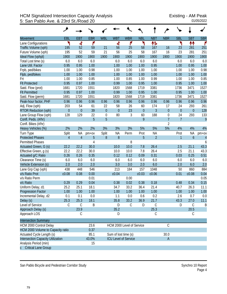## HCM Signalized Intersection Capacity Analysis<br>5: San Pablo Ave. & 23rd St./Road 20<br>01/05/2022 5: San Pablo Ave. & 23rd St./Road 20

|                                   | ۸              |                |            |                      |                             |             |                |                |                  |                |                  |                |
|-----------------------------------|----------------|----------------|------------|----------------------|-----------------------------|-------------|----------------|----------------|------------------|----------------|------------------|----------------|
| Movement                          | EBL            | <b>EBT</b>     | <b>EBR</b> | <b>WBL</b>           | <b>WBT</b>                  | <b>WBR</b>  | <b>NBL</b>     | <b>NBT</b>     | <b>NBR</b>       | <b>SBL</b>     | <b>SBT</b>       | <b>SBR</b>     |
| Lane Configurations               | ۲              | ची             | ۴          |                      | 4                           | ۴           | ۲              | 怍              |                  | ۲              | ↟↟               | ۴              |
| Traffic Volume (vph)              | 195            | 52             | 59         | 21                   | 56                          | 25          | 58             | 167            | 16               | 23             | 281              | 251            |
| Future Volume (vph)               | 195            | 52             | 59         | 21                   | 56                          | 25          | 58             | 167            | 16               | 23             | 281              | 251            |
| Ideal Flow (vphpl)                | 1900           | 1900           | 1900       | 1900                 | 1900                        | 1900        | 1900           | 1900           | 1900             | 1900           | 1900             | 1900           |
| Total Lost time (s)               | 6.0            | 6.0            | 6.0        |                      | 6.0                         | 6.0         | 6.0            | 6.0            |                  | 6.0            | 6.0              | 6.0            |
| Lane Util. Factor                 | 0.95           | 0.95           | 1.00       |                      | 1.00                        | 1.00        | 1.00           | 0.95           |                  | 1.00           | 0.95             | 1.00           |
| Frpb, ped/bikes                   | 1.00           | 1.00           | 0.98       |                      | 1.00                        | 1.00        | 1.00           | 1.00           |                  | 1.00           | 1.00             | 0.98           |
| Flpb, ped/bikes                   | 1.00           | 1.00           | 1.00       |                      | 1.00                        | 1.00        | 1.00           | 1.00           |                  | 1.00           | 1.00             | 1.00           |
| Frt                               | 1.00           | 1.00           | 0.85       |                      | 1.00                        | 0.85        | 1.00           | 0.99           |                  | 1.00           | 1.00             | 0.85           |
| <b>Flt Protected</b>              | 0.95           | 0.97           | 1.00       |                      | 0.99                        | 1.00        | 0.95           | 1.00           |                  | 0.95           | 1.00             | 1.00           |
| Satd. Flow (prot)                 | 1681           | 1720           | 1551       |                      | 1820                        | 1568        | 1719           | 3381           |                  | 1736           | 3471             | 1527           |
| <b>Flt Permitted</b>              | 0.95           | 0.97           | 1.00       |                      | 0.99                        | 1.00        | 0.95           | 1.00           |                  | 0.95           | 1.00             | 1.00           |
| Satd. Flow (perm)                 | 1681           | 1720           | 1551       |                      | 1820                        | 1568        | 1719           | 3381           |                  | 1736           | 3471             | 1527           |
| Peak-hour factor, PHF             | 0.96           | 0.96           | 0.96       | 0.96                 | 0.96                        | 0.96        | 0.96           | 0.96           | 0.96             | 0.96           | 0.96             | 0.96           |
| Adj. Flow (vph)                   | 203            | 54             | 61         | 22                   | 58                          | 26          | 60             | 174            | 17               | 24             | 293              | 261            |
| <b>RTOR Reduction (vph)</b>       | $\overline{0}$ | $\overline{0}$ | 39         | $\theta$             | $\overline{0}$              | 23          | $\overline{0}$ | $\overline{3}$ | $\overline{0}$   | $\overline{0}$ | $\mathbf{0}$     | 128            |
| Lane Group Flow (vph)             | 128            | 129            | 22         | $\mathbf 0$          | 80                          | 3           | 60             | 188            | $\boldsymbol{0}$ | 24             | 293              | 133            |
| Confl. Peds. (#/hr)               |                |                | 5          | 5                    |                             |             | 9              |                | $\overline{1}$   | $\overline{7}$ |                  | 9              |
| Confl. Bikes (#/hr)               |                |                |            |                      |                             |             |                |                | $\overline{2}$   |                |                  |                |
| Heavy Vehicles (%)                | 2%             | 2%             | 2%         | 3%                   | 3%                          | 3%          | 5%             | 5%             | 5%               | 4%             | 4%               | 4%             |
| Turn Type                         | Split          | <b>NA</b>      | $pm+ov$    | Split                | <b>NA</b>                   | Perm        | Prot           | <b>NA</b>      |                  | Prot           | <b>NA</b>        | $pm+ov$        |
| <b>Protected Phases</b>           | $\overline{4}$ | $\overline{4}$ | 5          | $8\,$                | $8\,$                       |             | 5              | $\overline{2}$ |                  | $\mathbf{1}$   | $\boldsymbol{6}$ | $\overline{4}$ |
| <b>Permitted Phases</b>           |                |                | 4          |                      |                             | 8           |                |                |                  |                |                  | 6              |
| Actuated Green, G (s)             | 22.2           | 22.2           | 30.0       |                      | 10.0                        | 10.0        | 7.8            | 26.4           |                  | 2.5            | 21.1             | 43.3           |
| Effective Green, g (s)            | 22.2           | 22.2           | 30.0       |                      | 10.0                        | 10.0        | 7.8            | 26.4           |                  | 2.5            | 21.1             | 43.3           |
| Actuated g/C Ratio                | 0.26           | 0.26           | 0.35       |                      | 0.12                        | 0.12        | 0.09           | 0.31           |                  | 0.03           | 0.25             | 0.51           |
| Clearance Time (s)                | 6.0            | 6.0            | 6.0        |                      | 6.0                         | 6.0         | 6.0            | 6.0            |                  | 6.0            | 6.0              | 6.0            |
| Vehicle Extension (s)             | 2.0            | 2.0            | 2.0        |                      | 3.0                         | 3.0         | 2.0            | 6.0            |                  | 2.0            | 6.0              | 2.0            |
| Lane Grp Cap (vph)                | 438            | 448            | 546        |                      | 213                         | 184         | 157            | 1048           |                  | 50             | 860              | 884            |
| v/s Ratio Prot                    | c0.08          | 0.08           | 0.00       |                      | c0.04                       |             | c0.03          | c0.06          |                  | 0.01           | c0.08            | 0.04           |
| v/s Ratio Perm                    |                |                | 0.01       |                      |                             | 0.00        |                |                |                  |                |                  | 0.05           |
| v/c Ratio                         | 0.29           | 0.29           | 0.04       |                      | 0.38                        | 0.02        | 0.38           | 0.18           |                  | 0.48           | 0.34             | 0.15           |
| Uniform Delay, d1                 | 25.2           | 25.1           | 18.1       |                      | 34.7                        | 33.2        | 36.4           | 21.4           |                  | 40.7           | 26.3             | 11.1           |
| Progression Factor                | 1.00           | 1.00           | 1.00       |                      | 1.00                        | 1.00        | 1.00           | 1.00           |                  | 1.00           | 1.00             | 1.00           |
| Incremental Delay, d2             | 0.1            | 0.1            | 0.0        |                      | 1.1                         | 0.0         | 0.6            | 0.2            |                  | 2.6            | 0.7              | 0.0            |
| Delay (s)                         | 25.3           | 25.3           | 18.1       |                      | 35.8                        | 33.2        | 36.9           | 21.7           |                  | 43.3           | 27.0             | 11.1           |
| Level of Service                  | C              | $\mathsf C$    | Β          |                      | D                           | $\mathsf C$ | D              | $\mathsf C$    |                  | D              | $\mathcal{C}$    | B              |
| Approach Delay (s)                |                | 23.9           |            |                      | 35.2                        |             |                | 25.3           |                  |                | 20.5             |                |
| Approach LOS                      |                | С              |            |                      | D                           |             |                | C              |                  |                | C                |                |
| <b>Intersection Summary</b>       |                |                |            |                      |                             |             |                |                |                  |                |                  |                |
| HCM 2000 Control Delay            |                |                | 23.6       |                      | HCM 2000 Level of Service   |             |                |                | $\mathcal{C}$    |                |                  |                |
| HCM 2000 Volume to Capacity ratio |                |                | 0.37       |                      |                             |             |                |                |                  |                |                  |                |
| Actuated Cycle Length (s)         |                |                | 85.1       | Sum of lost time (s) |                             |             |                |                | 30.0             |                |                  |                |
| Intersection Capacity Utilization |                |                | 43.0%      |                      | <b>ICU Level of Service</b> |             |                |                | $\mathsf A$      |                |                  |                |
| Analysis Period (min)             |                |                | 15         |                      |                             |             |                |                |                  |                |                  |                |
| c Critical Lane Group             |                |                |            |                      |                             |             |                |                |                  |                |                  |                |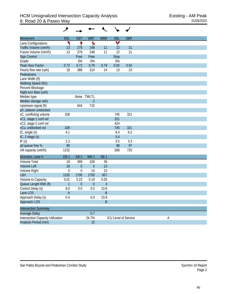| Movement                                 | EBL                       | <b>EBT</b>       | <b>WBT</b>      | <b>WBR</b>      | <b>SBL</b>  | <b>SBR</b>           |   |
|------------------------------------------|---------------------------|------------------|-----------------|-----------------|-------------|----------------------|---|
| Lane Configurations                      | ۲                         | ↟                | Ъ               |                 | v           |                      |   |
| Traffic Volume (veh/h)                   | 13                        | 279              | 248             | 11              | 12          | 21                   |   |
| Future Volume (Veh/h)                    | 13                        | 279              | 248             | 11              | 12          | 21                   |   |
| Sign Control                             |                           | Free             | Free            |                 | <b>Stop</b> |                      |   |
| Grade                                    |                           | 0%               | 0%              |                 | 0%          |                      |   |
| Peak Hour Factor                         | 0.72                      | 0.72             | 0.79            | 0.79            | 0.92        | 0.92                 |   |
| Hourly flow rate (vph)                   | 18                        | 388              | 314             | 14              | 13          | 23                   |   |
| Pedestrians                              |                           |                  |                 |                 |             |                      |   |
| Lane Width (ft)                          |                           |                  |                 |                 |             |                      |   |
| Walking Speed (ft/s)                     |                           |                  |                 |                 |             |                      |   |
| Percent Blockage                         |                           |                  |                 |                 |             |                      |   |
| Right turn flare (veh)                   |                           |                  |                 |                 |             |                      |   |
| Median type                              |                           |                  | None TWLTL      |                 |             |                      |   |
| Median storage veh)                      |                           |                  | $\overline{2}$  |                 |             |                      |   |
| Upstream signal (ft)                     |                           | 644              | 715             |                 |             |                      |   |
| pX, platoon unblocked                    |                           |                  |                 |                 |             |                      |   |
| vC, conflicting volume                   | 328                       |                  |                 |                 | 745         | 321                  |   |
| vC1, stage 1 conf vol                    |                           |                  |                 |                 | 321         |                      |   |
| vC2, stage 2 conf vol                    |                           |                  |                 |                 | 424         |                      |   |
| vCu, unblocked vol                       | 328                       |                  |                 |                 | 745         | 321                  |   |
| tC, single (s)                           | 4.1                       |                  |                 |                 | 6.4         | 6.2                  |   |
| tC, 2 stage (s)                          |                           |                  |                 |                 | 5.4         |                      |   |
| tF(s)                                    | 2.2                       |                  |                 |                 | 3.5         | 3.3                  |   |
| p0 queue free %                          | 99                        |                  |                 |                 | 98          | 97                   |   |
| cM capacity (veh/h)                      | 1232                      |                  |                 |                 | 568         | 720                  |   |
| Direction, Lane #                        | EB <sub>1</sub>           | EB <sub>2</sub>  | WB <sub>1</sub> | SB <sub>1</sub> |             |                      |   |
| Volume Total                             | 18                        | 388              | 328             | 36              |             |                      |   |
| <b>Volume Left</b>                       | 18                        | $\boldsymbol{0}$ | $\theta$        | 13              |             |                      |   |
| Volume Right                             | $\mathbf 0$               | $\boldsymbol{0}$ | 14              | 23              |             |                      |   |
| <b>cSH</b>                               | 1232                      | 1700             | 1700            | 657             |             |                      |   |
| Volume to Capacity                       | 0.01                      | 0.23             | 0.19            | 0.05            |             |                      |   |
| Queue Length 95th (ft)                   | $\mathbf{1}$              | $\boldsymbol{0}$ | $\theta$        | $\overline{4}$  |             |                      |   |
| Control Delay (s)                        | 8.0                       | 0.0              | 0.0             | 10.8            |             |                      |   |
| Lane LOS                                 | $\boldsymbol{\mathsf{A}}$ |                  |                 | $\sf B$         |             |                      |   |
| Approach Delay (s)                       | 0.4                       |                  | 0.0             | 10.8            |             |                      |   |
| Approach LOS                             |                           |                  |                 | $\sf B$         |             |                      |   |
| <b>Intersection Summary</b>              |                           |                  |                 |                 |             |                      |   |
| Average Delay                            |                           |                  | 0.7             |                 |             |                      |   |
| <b>Intersection Capacity Utilization</b> |                           |                  | 24.7%           |                 |             | ICU Level of Service | A |
| Analysis Period (min)                    |                           |                  | 15              |                 |             |                      |   |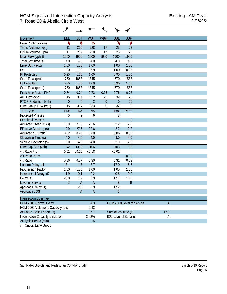| <b>Movement</b>                   | EBL            | <b>EBT</b>     | <b>WBT</b>     | <b>WBR</b> | <b>SBL</b>           | <b>SBR</b>                  |                |  |
|-----------------------------------|----------------|----------------|----------------|------------|----------------------|-----------------------------|----------------|--|
| Lane Configurations               | ۲              | ↟              | Ъ              |            | ۲                    | ۴                           |                |  |
| Traffic Volume (vph)              | 11             | 269            | 228            | 17         | 25                   | 22                          |                |  |
| Future Volume (vph)               | 11             | 269            | 228            | 17         | 25                   | 22                          |                |  |
| Ideal Flow (vphpl)                | 1900           | 1900           | 1900           | 1900       | 1900                 | 1900                        |                |  |
| Total Lost time (s)               | 4.0            | 4.0            | 4.0            |            | 4.0                  | 4.0                         |                |  |
| Lane Util. Factor                 | 1.00           | 1.00           | 1.00           |            | 1.00                 | 1.00                        |                |  |
| Frt                               | 1.00           | 1.00           | 0.99           |            | 1.00                 | 0.85                        |                |  |
| <b>Flt Protected</b>              | 0.95           | 1.00           | 1.00           |            | 0.95                 | 1.00                        |                |  |
| Satd. Flow (prot)                 | 1770           | 1863           | 1845           |            | 1770                 | 1583                        |                |  |
| <b>Flt Permitted</b>              | 0.95           | 1.00           | 1.00           |            | 0.95                 | 1.00                        |                |  |
| Satd. Flow (perm)                 | 1770           | 1863           | 1845           |            | 1770                 | 1583                        |                |  |
| Peak-hour factor, PHF             | 0.74           | 0.74           | 0.73           | 0.73       | 0.78                 | 0.78                        |                |  |
| Adj. Flow (vph)                   | 15             | 364            | 312            | 23         | 32                   | 28                          |                |  |
| <b>RTOR Reduction (vph)</b>       | $\overline{0}$ | $\theta$       | $\overline{2}$ | $\theta$   | $\overline{0}$       | 26                          |                |  |
| Lane Group Flow (vph)             | 15             | 364            | 333            | 0          | 32                   | $\overline{2}$              |                |  |
| <b>Turn Type</b>                  | Prot           | <b>NA</b>      | <b>NA</b>      |            | Prot                 | Perm                        |                |  |
| <b>Protected Phases</b>           | 5              | $\overline{2}$ | 6              |            | 8                    |                             |                |  |
| <b>Permitted Phases</b>           |                |                |                |            |                      | 8                           |                |  |
| Actuated Green, G (s)             | 0.9            | 27.5           | 22.6           |            | 2.2                  | 2.2                         |                |  |
| Effective Green, g (s)            | 0.9            | 27.5           | 22.6           |            | 2.2                  | 2.2                         |                |  |
| Actuated g/C Ratio                | 0.02           | 0.73           | 0.60           |            | 0.06                 | 0.06                        |                |  |
| Clearance Time (s)                | 4.0            | 4.0            | 4.0            |            | 4.0                  | 4.0                         |                |  |
| Vehicle Extension (s)             | 2.0            | 4.0            | 4.0            |            | 2.0                  | 2.0                         |                |  |
| Lane Grp Cap (vph)                | 42             | 1358           | 1106           |            | 103                  | 92                          |                |  |
| v/s Ratio Prot                    | 0.01           | c0.20          | c0.18          |            | c0.02                |                             |                |  |
| v/s Ratio Perm                    |                |                |                |            |                      | 0.00                        |                |  |
| v/c Ratio                         | 0.36           | 0.27           | 0.30           |            | 0.31                 | 0.02                        |                |  |
| Uniform Delay, d1                 | 18.1           | 1.7            | 3.7            |            | 17.0                 | 16.7                        |                |  |
| Progression Factor                | 1.00           | 1.00           | 1.00           |            | 1.00                 | 1.00                        |                |  |
| Incremental Delay, d2             | 1.9            | 0.1            | 0.2            |            | 0.6                  | 0.0                         |                |  |
| Delay (s)                         | 20.0           | 1.9            | 3.9            |            | 17.7                 | 16.8                        |                |  |
| Level of Service                  | $\mathcal{C}$  | $\overline{A}$ | $\overline{A}$ |            | B                    | B                           |                |  |
| Approach Delay (s)                |                | 2.6            | 3.9            |            | 17.2                 |                             |                |  |
| Approach LOS                      |                | A              | $\overline{A}$ |            | R                    |                             |                |  |
| <b>Intersection Summary</b>       |                |                |                |            |                      |                             |                |  |
| <b>HCM 2000 Control Delay</b>     |                |                | 4.3            |            |                      | HCM 2000 Level of Service   | $\overline{A}$ |  |
| HCM 2000 Volume to Capacity ratio |                |                | 0.32           |            |                      |                             |                |  |
| Actuated Cycle Length (s)         |                |                | 37.7           |            | Sum of lost time (s) |                             | 12.0           |  |
| Intersection Capacity Utilization |                |                | 24.2%          |            |                      | <b>ICU Level of Service</b> | Α              |  |
| Analysis Period (min)             |                |                | 15             |            |                      |                             |                |  |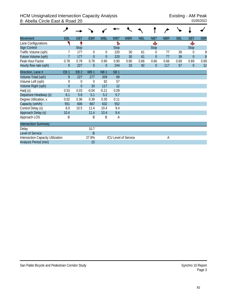| <b>Movement</b>                          | EBL             | <b>EBT</b>      | <b>EBR</b>      | <b>WBL</b>      | <b>WBT</b>      | <b>WBR</b>                  | <b>NBL</b> | <b>NBT</b>     | <b>NBR</b> | <b>SBL</b> | <b>SBT</b>     | <b>SBR</b> |
|------------------------------------------|-----------------|-----------------|-----------------|-----------------|-----------------|-----------------------------|------------|----------------|------------|------------|----------------|------------|
| Lane Configurations                      |                 |                 |                 |                 | Ъ               |                             |            | Ф              |            |            | Ф              |            |
| <b>Sign Control</b>                      |                 | <b>Stop</b>     |                 |                 | <b>Stop</b>     |                             |            | <b>Stop</b>    |            |            | <b>Stop</b>    |            |
| Traffic Volume (vph)                     |                 | 177             | 0               | $\theta$        | 220             | 30                          | 61         | $\Omega$       | 77         | 39         | 0              | 8          |
| Future Volume (vph)                      | $\overline{7}$  | 177             | $\Omega$        | $\overline{0}$  | 220             | 30                          | 61         | $\overline{0}$ | 77         | 39         | $\overline{0}$ | 8          |
| Peak Hour Factor                         | 0.78            | 0.78            | 0.78            | 0.90            | 0.90            | 0.90                        | 0.66       | 0.66           | 0.66       | 0.69       | 0.69           | 0.69       |
| Hourly flow rate (vph)                   | 9               | 227             | $\theta$        | $\Omega$        | 244             | 33                          | 92         | $\theta$       | 117        | 57         | $\mathbf{0}$   | 12         |
| Direction, Lane #                        | EB <sub>1</sub> | EB <sub>2</sub> | WB <sub>1</sub> | NB <sub>1</sub> | SB <sub>1</sub> |                             |            |                |            |            |                |            |
| Volume Total (vph)                       | 9               | 227             | 277             | 209             | 69              |                             |            |                |            |            |                |            |
| Volume Left (vph)                        | 9               | $\mathbf 0$     | 0               | 92              | 57              |                             |            |                |            |            |                |            |
| Volume Right (vph)                       | $\overline{0}$  | $\mathbf{0}$    | 33              | 117             | 12              |                             |            |                |            |            |                |            |
| Hadj (s)                                 | 0.53            | 0.03            | $-0.04$         | $-0.21$         | 0.09            |                             |            |                |            |            |                |            |
| Departure Headway (s)                    | 6.1             | 5.6             | 5.1             | 5.2             | 5.7             |                             |            |                |            |            |                |            |
| Degree Utilization, x                    | 0.02            | 0.36            | 0.39            | 0.30            | 0.11            |                             |            |                |            |            |                |            |
| Capacity (veh/h)                         | 551             | 606             | 667             | 632             | 552             |                             |            |                |            |            |                |            |
| Control Delay (s)                        | 8.0             | 10.5            | 11.4            | 10.4            | 9.4             |                             |            |                |            |            |                |            |
| Approach Delay (s)                       | 10.4            |                 | 11.4            | 10.4            | 9.4             |                             |            |                |            |            |                |            |
| Approach LOS                             | Β               |                 | B               | B               | A               |                             |            |                |            |            |                |            |
| <b>Intersection Summary</b>              |                 |                 |                 |                 |                 |                             |            |                |            |            |                |            |
| Delay                                    |                 |                 | 10.7            |                 |                 |                             |            |                |            |            |                |            |
| Level of Service                         |                 |                 | B               |                 |                 |                             |            |                |            |            |                |            |
| <b>Intersection Capacity Utilization</b> |                 |                 | 27.8%           |                 |                 | <b>ICU Level of Service</b> |            |                | А          |            |                |            |
| Analysis Period (min)                    |                 |                 | 15              |                 |                 |                             |            |                |            |            |                |            |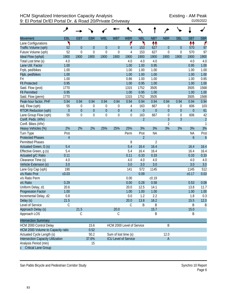|                                   | حر               |                  |                |                  |                      |                             |                |                  |                  |                  |                  |                     |
|-----------------------------------|------------------|------------------|----------------|------------------|----------------------|-----------------------------|----------------|------------------|------------------|------------------|------------------|---------------------|
| <b>Movement</b>                   | EBL              | <b>EBT</b>       | <b>EBR</b>     | <b>WBL</b>       | <b>WBT</b>           | <b>WBR</b>                  | <b>NBL</b>     | <b>NBT</b>       | <b>NBR</b>       | <b>SBL</b>       | <b>SBT</b>       | <b>SBR</b>          |
| Lane Configurations               | ۲                |                  |                |                  |                      | ۴                           | ۲              | ↟↟               |                  |                  | ↟↟               | ۴                   |
| Traffic Volume (vph)              | 52               | $\theta$         | $\overline{0}$ | $\theta$         | $\overline{0}$       | 4                           | 153            | 627              | $\overline{0}$   | $\overline{0}$   | 570              | 97                  |
| Future Volume (vph)               | 52               | $\mathbf 0$      | $\mathbf 0$    | $\mathbf 0$      | 0                    | 4                           | 153            | 627              | $\boldsymbol{0}$ | 0                | 570              | 97                  |
| Ideal Flow (vphpl)                | 1900             | 1900             | 1900           | 1900             | 1900                 | 1900                        | 1900           | 1900             | 1900             | 1900             | 1900             | 1900                |
| Total Lost time (s)               | 4.0              |                  |                |                  |                      | 4.0                         | 4.0            | 4.0              |                  |                  | 4.0              | 4.0                 |
| Lane Util. Factor                 | 1.00             |                  |                |                  |                      | 1.00                        | 1.00           | 0.95             |                  |                  | 0.95             | 1.00                |
| Frpb, ped/bikes                   | 1.00             |                  |                |                  |                      | 1.00                        | 1.00           | 1.00             |                  |                  | 1.00             | 1.00                |
| Flpb, ped/bikes                   | 1.00             |                  |                |                  |                      | 1.00                        | 1.00           | 1.00             |                  |                  | 1.00             | 1.00                |
| Frt                               | 1.00             |                  |                |                  |                      | 0.86                        | 1.00           | 1.00             |                  |                  | 1.00             | 0.85                |
| <b>Flt Protected</b>              | 0.95             |                  |                |                  |                      | 1.00                        | 0.95           | 1.00             |                  |                  | 1.00             | 1.00                |
| Satd. Flow (prot)                 | 1770             |                  |                |                  |                      | 1315                        | 1752           | 3505             |                  |                  | 3505             | 1568                |
| <b>Flt Permitted</b>              | 0.95             |                  |                |                  |                      | 1.00                        | 0.95           | 1.00             |                  |                  | 1.00             | 1.00                |
| Satd. Flow (perm)                 | 1770             |                  |                |                  |                      | 1315                        | 1752           | 3505             |                  |                  | 3505             | 1568                |
| Peak-hour factor, PHF             | 0.94             | 0.94             | 0.94           | 0.94             | 0.94                 | 0.94                        | 0.94           | 0.94             | 0.94             | 0.94             | 0.94             | 0.94                |
| Adj. Flow (vph)                   | 55               | 0                | 0              | 0                | 0                    | 4                           | 163            | 667              | 0                | 0                | 606              | 103                 |
| <b>RTOR Reduction (vph)</b>       | $\boldsymbol{0}$ | $\boldsymbol{0}$ | $\theta$       | $\boldsymbol{0}$ | $\overline{0}$       | $\overline{4}$              | $\theta$       | $\boldsymbol{0}$ | $\boldsymbol{0}$ | $\boldsymbol{0}$ | $\mathbf{0}$     | 61                  |
| Lane Group Flow (vph)             | 55               | $\boldsymbol{0}$ | 0              | $\boldsymbol{0}$ | 0                    | $\boldsymbol{0}$            | 163            | 667              | 0                | 0                | 606              | 42                  |
| Confl. Peds. (#/hr)               |                  |                  |                |                  |                      |                             | $\overline{2}$ |                  | $\overline{3}$   | $\overline{3}$   |                  | $\overline{c}$      |
| Confl. Bikes (#/hr)               |                  |                  |                |                  |                      |                             |                |                  | $\overline{2}$   |                  |                  | $\mathbf{1}$        |
| Heavy Vehicles (%)                | 2%               | 2%               | 2%             | 25%              | 25%                  | 25%                         | 3%             | 3%               | 3%               | 3%               | 3%               | 3%                  |
| Turn Type                         | Prot             |                  |                |                  |                      | Perm                        | Prot           | <b>NA</b>        |                  |                  | <b>NA</b>        | Prot                |
| <b>Protected Phases</b>           | $\overline{4}$   |                  |                |                  |                      |                             | $\overline{2}$ |                  |                  |                  | $\boldsymbol{6}$ | $\ddot{\mathbf{6}}$ |
| <b>Permitted Phases</b>           |                  |                  |                |                  |                      | 8                           |                | $\overline{2}$   |                  |                  |                  |                     |
| Actuated Green, G (s)             | 5.4              |                  |                |                  |                      | 5.4                         | 16.4           | 16.4             |                  |                  | 16.4             | 16.4                |
| Effective Green, g (s)            | 5.4              |                  |                |                  |                      | 5.4                         | 16.4           | 16.4             |                  |                  | 16.4             | 16.4                |
| Actuated g/C Ratio                | 0.11             |                  |                |                  |                      | 0.11                        | 0.33           | 0.33             |                  |                  | 0.33             | 0.33                |
| Clearance Time (s)                | 4.0              |                  |                |                  |                      | 4.0                         | 4.0            | 4.0              |                  |                  | 4.0              | 4.0                 |
| Vehicle Extension (s)             | 3.0              |                  |                |                  |                      | 3.0                         | 3.0            | 3.0              |                  |                  | 3.0              | 3.0                 |
| Lane Grp Cap (vph)                | 190              |                  |                |                  |                      | 141                         | 572            | 1145             |                  |                  | 1145             | 512                 |
| v/s Ratio Prot                    | c0.03            |                  |                |                  |                      |                             | 0.09           |                  |                  |                  | c0.17            | 0.03                |
| v/s Ratio Perm                    |                  |                  |                |                  |                      | 0.00                        |                | c0.19            |                  |                  |                  |                     |
| v/c Ratio                         | 0.29             |                  |                |                  |                      | 0.00                        | 0.28           | 0.58             |                  |                  | 0.53             | 0.08                |
| Uniform Delay, d1                 | 20.6             |                  |                |                  |                      | 20.0                        | 12.5           | 14.1             |                  |                  | 13.8             | 11.7                |
| <b>Progression Factor</b>         | 1.00             |                  |                |                  |                      | 1.00                        | 1.00           | 1.00             |                  |                  | 1.00             | 1.00                |
| Incremental Delay, d2             | 0.8              |                  |                |                  |                      | 0.0                         | 1.2            | 2.2              |                  |                  | 1.8              | 0.3                 |
| Delay (s)                         | 21.5             |                  |                |                  |                      | 20.0                        | 13.8           | 16.2             |                  |                  | 15.5             | 12.0                |
| Level of Service                  | $\mathcal{C}$    |                  |                |                  |                      | $\mathcal{C}$               | B              | Β                |                  |                  | B                | B                   |
| Approach Delay (s)                |                  | 21.5             |                |                  | 20.0                 |                             |                | 15.7             |                  |                  | 15.0             |                     |
| Approach LOS                      |                  | C                |                |                  | C                    |                             |                | B                |                  |                  | B                |                     |
| <b>Intersection Summary</b>       |                  |                  |                |                  |                      |                             |                |                  |                  |                  |                  |                     |
| HCM 2000 Control Delay            |                  |                  | 15.6           |                  |                      | HCM 2000 Level of Service   |                |                  | B                |                  |                  |                     |
| HCM 2000 Volume to Capacity ratio |                  |                  | 0.52           |                  |                      |                             |                |                  |                  |                  |                  |                     |
| Actuated Cycle Length (s)         |                  |                  | 50.2           |                  | Sum of lost time (s) |                             |                |                  | 12.0             |                  |                  |                     |
| Intersection Capacity Utilization |                  |                  | 37.6%          |                  |                      | <b>ICU Level of Service</b> |                |                  | $\mathsf{A}$     |                  |                  |                     |
| Analysis Period (min)             |                  |                  | 15             |                  |                      |                             |                |                  |                  |                  |                  |                     |
| <b>Critical Lane Group</b>        |                  |                  |                |                  |                      |                             |                |                  |                  |                  |                  |                     |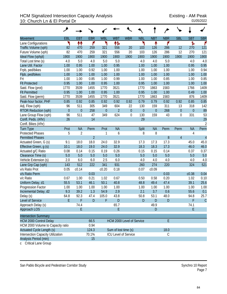## HCM Signalized Intersection Capacity Analysis<br>10: Church Ln & El Portal Dr<br><sup>01/05/2022</sup> 10: Church Ln & El Portal Dr

|                                          | ۶              |                |                |              |                      |                             |                  |             |            |                  |                |                |
|------------------------------------------|----------------|----------------|----------------|--------------|----------------------|-----------------------------|------------------|-------------|------------|------------------|----------------|----------------|
| <b>Movement</b>                          | <b>EBL</b>     | <b>EBT</b>     | <b>EBR</b>     | <b>WBL</b>   | <b>WBT</b>           | <b>WBR</b>                  | <b>NBL</b>       | <b>NBT</b>  | <b>NBR</b> | <b>SBL</b>       | <b>SBT</b>     | <b>SBR</b>     |
| Lane Configurations                      | ۲              | 11             | ۴              | ۲            | ተኈ                   |                             | ኻ                | ↟           | ۴          |                  | ħ              | ۴              |
| Traffic Volume (vph)                     | 82             | 470            | 259            | 321          | 556                  | 20                          | 103              | 126         | 286        | 12               | 270            | 121            |
| Future Volume (vph)                      | 82             | 470            | 259            | 321          | 556                  | 20                          | 103              | 126         | 286        | 12               | 270            | 121            |
| Ideal Flow (vphpl)                       | 1900           | 1900           | 1900           | 1900         | 1900                 | 1900                        | 1900             | 1900        | 1900       | 1900             | 1900           | 1900           |
| Total Lost time (s)                      | 4.0            | 5.0            | 4.0            | 5.0          | 5.0                  |                             | 4.0              | 4.0         | 5.0        |                  | 4.0            | 4.0            |
| Lane Util. Factor                        | 1.00           | 0.95           | 1.00           | 1.00         | 0.95                 |                             | 1.00             | 1.00        | 1.00       |                  | 0.95           | 0.95           |
| Frpb, ped/bikes                          | 1.00           | 1.00           | 0.92           | 1.00         | 1.00                 |                             | 1.00             | 1.00        | 1.00       |                  | 1.00           | 0.94           |
| Flpb, ped/bikes                          | 1.00           | 1.00           | 1.00           | 1.00         | 1.00                 |                             | 1.00             | 1.00        | 1.00       |                  | 1.00           | 1.00           |
| Frt                                      | 1.00           | 1.00           | 0.85           | 1.00         | 0.99                 |                             | 1.00             | 1.00        | 0.85       |                  | 1.00           | 0.85           |
| <b>Flt Protected</b>                     | 0.95           | 1.00           | 1.00           | 0.95         | 1.00                 |                             | 0.95             | 1.00        | 1.00       |                  | 1.00           | 1.00           |
| Satd. Flow (prot)                        | 1770           | 3539           | 1455           | 1770         | 3521                 |                             | 1770             | 1863        | 1583       |                  | 1766           | 1409           |
| <b>Flt Permitted</b>                     | 0.95           | 1.00           | 1.00           | 0.95         | 1.00                 |                             | 0.95             | 1.00        | 1.00       |                  | 0.49           | 1.00           |
| Satd. Flow (perm)                        | 1770           | 3539           | 1455           | 1770         | 3521                 |                             | 1770             | 1863        | 1583       |                  | 876            | 1409           |
| Peak-hour factor, PHF                    | 0.85           | 0.92           | 0.85           | 0.92         | 0.92                 | 0.92                        | 0.79             | 0.79        | 0.92       | 0.92             | 0.85           | 0.85           |
| Adj. Flow (vph)                          | 96             | 511            | 305            | 349          | 604                  | 22                          | 130              | 159         | 311        | 13               | 318            | 142            |
| <b>RTOR Reduction (vph)</b>              | $\overline{0}$ | $\mathbf 0$    | 258            | $\theta$     | $\overline{2}$       | $\boldsymbol{0}$            | $\boldsymbol{0}$ | $\mathbf 0$ | 268        | $\overline{0}$   | $\overline{0}$ | 89             |
| Lane Group Flow (vph)                    | 96             | 511            | 47             | 349          | 624                  | 0                           | 130              | 159         | 43         | $\boldsymbol{0}$ | 331            | 53             |
| Confl. Peds. (#/hr)                      | 26             |                | 14             |              |                      |                             | 29               |             |            |                  |                | 29             |
| Confl. Bikes (#/hr)                      |                |                |                |              |                      |                             |                  |             |            |                  |                | $\overline{2}$ |
| <b>Turn Type</b>                         | Prot           | <b>NA</b>      | Perm           | Prot         | <b>NA</b>            |                             | Split            | <b>NA</b>   | Perm       | Perm             | <b>NA</b>      | Perm           |
| <b>Protected Phases</b>                  | 5              | $\overline{2}$ |                | $\mathbf{1}$ | 6                    |                             | 8                | 8           |            |                  | 4              |                |
| <b>Permitted Phases</b>                  |                |                | $\overline{2}$ |              |                      |                             |                  |             | 8          | $\overline{4}$   |                | $\overline{4}$ |
| Actuated Green, G (s)                    | 9.1            | 18.0           | 18.0           | 24.0         | 32.9                 |                             | 17.3             | 17.3        | 17.3       |                  | 45.0           | 45.0           |
| Effective Green, g (s)                   | 10.1           | 18.0           | 19.0           | 24.0         | 32.9                 |                             | 18.3             | 18.3        | 17.3       |                  | 46.0           | 46.0           |
| Actuated g/C Ratio                       | 0.08           | 0.14           | 0.15           | 0.19         | 0.26                 |                             | 0.15             | 0.15        | 0.14       |                  | 0.37           | 0.37           |
| Clearance Time (s)                       | 5.0            | 5.0            | 5.0            | 5.0          | 5.0                  |                             | 5.0              | 5.0         | 5.0        |                  | 5.0            | 5.0            |
| Vehicle Extension (s)                    | 2.0            | 6.0            | 6.0            | 2.5          | 6.0                  |                             | 4.0              | 4.0         | 4.0        |                  | 4.0            | 4.0            |
| Lane Grp Cap (vph)                       | 143            | 512            | 222            | 341          | 931                  |                             | 260              | 274         | 220        |                  | 324            | 521            |
| v/s Ratio Prot                           | 0.05           | c0.14          |                | c0.20        | 0.18                 |                             | 0.07             | c0.09       |            |                  |                |                |
| v/s Ratio Perm                           |                |                | 0.03           |              |                      |                             |                  |             | 0.03       |                  | c0.38          | 0.04           |
| v/c Ratio                                | 0.67           | 1.00           | 0.21           | 1.02         | 0.67                 |                             | 0.50             | 0.58        | 0.20       |                  | 1.02           | 0.10           |
| Uniform Delay, d1                        | 55.5           | 53.1           | 46.1           | 50.1         | 40.8                 |                             | 48.8             | 49.4        | 47.4       |                  | 39.1           | 25.6           |
| Progression Factor                       | 1.00           | 1.00           | 1.00           | 1.00         | 1.00                 |                             | 1.00             | 1.00        | 1.00       |                  | 1.00           | 1.00           |
| Incremental Delay, d2                    | 9.3            | 39.2           | 1.3            | 54.9         | 2.9                  |                             | 2.1              | 3.7         | 0.6        |                  | 55.6           | 0.1            |
| Delay (s)                                | 64.8           | 92.3           | 47.4           | 105.0        | 43.8                 |                             | 50.8             | 53.1        | 48.0       |                  | 94.8           | 25.7           |
| Level of Service                         | E.             | F              | D              | F            | D                    |                             | D                | D           | D          |                  | F              | $\mathcal{C}$  |
| Approach Delay (s)                       |                | 74.4           |                |              | 65.7                 |                             |                  | 49.9        |            |                  | 74.1           |                |
| Approach LOS                             |                | E              |                |              | E                    |                             |                  | D           |            |                  | E              |                |
| <b>Intersection Summary</b>              |                |                |                |              |                      |                             |                  |             |            |                  |                |                |
| <b>HCM 2000 Control Delay</b>            |                |                | 66.5           |              |                      | HCM 2000 Level of Service   |                  |             | E          |                  |                |                |
| HCM 2000 Volume to Capacity ratio        |                |                | 0.94           |              |                      |                             |                  |             |            |                  |                |                |
| <b>Actuated Cycle Length (s)</b>         |                |                | 124.3          |              | Sum of lost time (s) |                             |                  |             | 18.0       |                  |                |                |
| <b>Intersection Capacity Utilization</b> |                |                | 70.1%          |              |                      | <b>ICU Level of Service</b> |                  |             | C          |                  |                |                |
| Analysis Period (min)                    |                |                | 15             |              |                      |                             |                  |             |            |                  |                |                |

c Critical Lane Group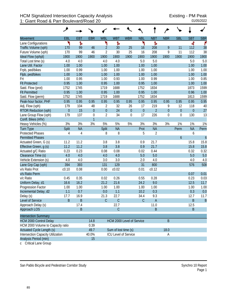|                                          | ৴                |                |                |                           |              |                             |                  |                |                  |                  |                |                |
|------------------------------------------|------------------|----------------|----------------|---------------------------|--------------|-----------------------------|------------------|----------------|------------------|------------------|----------------|----------------|
| Movement                                 | EBL              | <b>EBT</b>     | <b>EBR</b>     | <b>WBL</b>                | <b>WBT</b>   | <b>WBR</b>                  | <b>NBL</b>       | <b>NBT</b>     | <b>NBR</b>       | <b>SBL</b>       | <b>SBT</b>     | <b>SBR</b>     |
| Lane Configurations                      | ۲                | ħ              |                | ۲                         | ħ            |                             | ۲                | ħ              |                  |                  | 4              | ۴              |
| Traffic Volume (vph)                     | 170              | 99             | 46             | $\overline{2}$            | 30           | 25                          | 16               | 208            | 9                | 11               | 112            | 38             |
| Future Volume (vph)                      | 170              | 99             | 46             | $\overline{2}$            | 30           | 25                          | 16               | 208            | 9                | 11               | 112            | 38             |
| Ideal Flow (vphpl)                       | 1900             | 1900           | 1900           | 1900                      | 1900         | 1900                        | 1900             | 1900           | 1900             | 1900             | 1900           | 1900           |
| Total Lost time (s)                      | 4.0              | 4.0            |                | 4.0                       | 4.0          |                             | 5.0              | 5.0            |                  |                  | 5.0            | 5.0            |
| Lane Util. Factor                        | 1.00             | 1.00           |                | 1.00                      | 1.00         |                             | 1.00             | 1.00           |                  |                  | 1.00           | 1.00           |
| Frpb, ped/bikes                          | 1.00             | 0.99           |                | 1.00                      | 1.00         |                             | 1.00             | 1.00           |                  |                  | 1.00           | 1.00           |
| Flpb, ped/bikes                          | 1.00             | 1.00           |                | 1.00                      | 1.00         |                             | 1.00             | 1.00           |                  |                  | 1.00           | 1.00           |
| Frt                                      | 1.00             | 0.95           |                | 1.00                      | 0.93         |                             | 1.00             | 0.99           |                  |                  | 1.00           | 0.85           |
| <b>Flt Protected</b>                     | 0.95             | 1.00           |                | 0.95                      | 1.00         |                             | 0.95             | 1.00           |                  |                  | 1.00           | 1.00           |
| Satd. Flow (prot)                        | 1752             | 1745           |                | 1719                      | 1688         |                             | 1752             | 1834           |                  |                  | 1873           | 1599           |
| <b>Flt Permitted</b>                     | 0.95             | 1.00           |                | 0.95                      | 1.00         |                             | 0.95             | 1.00           |                  |                  | 0.96           | 1.00           |
| Satd. Flow (perm)                        | 1752             | 1745           |                | 1719                      | 1688         |                             | 1752             | 1834           |                  |                  | 1813           | 1599           |
| Peak-hour factor, PHF                    | 0.95             | 0.95           | 0.95           | 0.95                      | 0.95         | 0.95                        | 0.95             | 0.95           | 0.95             | 0.95             | 0.95           | 0.95           |
| Adj. Flow (vph)                          | 179              | 104            | 48             | $\overline{2}$            | 32           | 26                          | 17               | 219            | 9                | 12               | 118            | 40             |
| RTOR Reduction (vph)                     | $\boldsymbol{0}$ | 15             | $\mathbf 0$    | $\boldsymbol{0}$          | 24           | $\boldsymbol{0}$            | $\boldsymbol{0}$ | $\overline{2}$ | $\boldsymbol{0}$ | $\overline{0}$   | $\overline{0}$ | 27             |
| Lane Group Flow (vph)                    | 179              | 137            | $\mathbf{0}$   | $\overline{2}$            | 34           | $\mathbf 0$                 | 17               | 226            | $\mathbf 0$      | $\boldsymbol{0}$ | 130            | 13             |
| Confl. Bikes (#/hr)                      |                  |                | $\overline{1}$ |                           |              |                             |                  |                |                  |                  |                |                |
| Heavy Vehicles (%)                       | 3%               | 3%             | 3%             | 5%                        | 5%           | 5%                          | 3%               | 3%             | 3%               | 1%               | 1%             | 1%             |
| <b>Turn Type</b>                         | Split            | <b>NA</b>      |                | Split                     | <b>NA</b>    |                             | Prot             | <b>NA</b>      |                  | Perm             | <b>NA</b>      | Perm           |
| <b>Protected Phases</b>                  | $\overline{4}$   | $\overline{4}$ |                | 8                         | 8            |                             | 5                | $\overline{2}$ |                  |                  | 6              |                |
| <b>Permitted Phases</b>                  |                  |                |                |                           |              |                             |                  |                |                  | $\boldsymbol{6}$ |                | $\overline{6}$ |
| Actuated Green, G (s)                    | 11.2             | 11.2           |                | 3.8                       | 3.8          |                             | 0.9              | 21.7           |                  |                  | 15.8           | 15.8           |
| Effective Green, g (s)                   | 11.2             | 11.2           |                | 3.8                       | 3.8          |                             | 0.9              | 21.7           |                  |                  | 15.8           | 15.8           |
| Actuated g/C Ratio                       | 0.23             | 0.23           |                | 0.08                      | 0.08         |                             | 0.02             | 0.44           |                  |                  | 0.32           | 0.32           |
| Clearance Time (s)                       | 4.0              | 4.0            |                | 4.0                       | 4.0          |                             | 5.0              | 5.0            |                  |                  | 5.0            | 5.0            |
| Vehicle Extension (s)                    | 4.0              | 4.0            |                | 3.0                       | 3.0          |                             | 2.0              | 4.0            |                  |                  | 4.0            | 4.0            |
| Lane Grp Cap (vph)                       | 394              | 393            |                | 131                       | 129          |                             | 31               | 800            |                  |                  | 576            | 508            |
| v/s Ratio Prot                           | c0.10            | 0.08           |                | 0.00                      | c0.02        |                             | 0.01             | c0.12          |                  |                  |                |                |
| v/s Ratio Perm                           |                  |                |                |                           |              |                             |                  |                |                  |                  | 0.07           | 0.01           |
| v/c Ratio                                | 0.45             | 0.35           |                | 0.02                      | 0.26         |                             | 0.55             | 0.28           |                  |                  | 0.23           | 0.03           |
| Uniform Delay, d1                        | 16.6             | 16.2           |                | 21.2                      | 21.6         |                             | 24.2             | 9.0            |                  |                  | 12.5           | 11.7           |
| Progression Factor                       | 1.00             | 1.00           |                | 1.00                      | 1.00         |                             | 1.00             | 1.00           |                  |                  | 1.00           | 1.00           |
| Incremental Delay, d2                    | 1.1              | 0.7            |                | 0.0                       | 1.1          |                             | 10.2             | 0.3            |                  |                  | 0.3            | 0.0            |
| Delay (s)                                | 17.7             | 16.9           |                | 21.3                      | 22.7         |                             | 34.4             | 9.3            |                  |                  | 12.7           | 11.7           |
| Level of Service                         | B                | B              |                | C                         | $\mathsf{C}$ |                             | $\mathcal{C}$    | Α              |                  |                  | B              | $\overline{B}$ |
| Approach Delay (s)                       |                  | 17.4           |                |                           | 22.7         |                             |                  | 11.0           |                  |                  | 12.5           |                |
| Approach LOS                             |                  | B              |                |                           | $\mathsf C$  |                             |                  | $\sf B$        |                  |                  | $\sf B$        |                |
| <b>Intersection Summary</b>              |                  |                |                |                           |              |                             |                  |                |                  |                  |                |                |
| <b>HCM 2000 Control Delay</b>            |                  |                | 14.8           |                           |              |                             |                  |                | B                |                  |                |                |
| HCM 2000 Volume to Capacity ratio        |                  |                | 0.39           | HCM 2000 Level of Service |              |                             |                  |                |                  |                  |                |                |
| Actuated Cycle Length (s)                |                  |                | 49.7           | Sum of lost time (s)      |              |                             |                  | 18.0           |                  |                  |                |                |
| <b>Intersection Capacity Utilization</b> |                  |                | 40.0%          |                           |              | <b>ICU Level of Service</b> |                  |                | А                |                  |                |                |
| Analysis Period (min)                    |                  |                | 15             |                           |              |                             |                  |                |                  |                  |                |                |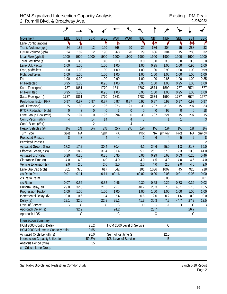## HCM Signalized Intersection Capacity Analysis<br>2: Rumrill Blvd. & Broadway Ave. 
01/05/2022 2: Rumrill Blvd. & Broadway Ave.

|                                   | ۶              |                   |                |                |                             |                  |                  |                  |                |                  |                  |                |
|-----------------------------------|----------------|-------------------|----------------|----------------|-----------------------------|------------------|------------------|------------------|----------------|------------------|------------------|----------------|
| Movement                          | EBL            | <b>EBT</b>        | <b>EBR</b>     | <b>WBL</b>     | <b>WBT</b>                  | <b>WBR</b>       | <b>NBL</b>       | <b>NBT</b>       | <b>NBR</b>     | <b>SBL</b>       | <b>SBT</b>       | <b>SBR</b>     |
| Lane Configurations               | ۲              | Ъ                 |                | ۲              | Ъ                           |                  | ۲                | ↟↟               | ۴              | ۲                | 11               | ۴              |
| Traffic Volume (vph)              | 24             | 182               | 12             | 190            | 268                         | 20               | 29               | 686              | 304            | 15               | 288              | 32             |
| Future Volume (vph)               | 24             | 182               | 12             | 190            | 268                         | 20               | 29               | 686              | 304            | 15               | 288              | 32             |
| Ideal Flow (vphpl)                | 1900           | 1900              | 1900           | 1900           | 1900                        | 1900             | 1900             | 1900             | 1900           | 1900             | 1900             | 1900           |
| Total Lost time (s)               | 3.0            | 3.0               |                | 3.0            | 3.0                         |                  | 3.0              | 3.0              | 3.0            | 3.0              | 3.0              | 3.0            |
| Lane Util. Factor                 | 1.00           | 1.00              |                | 1.00           | 1.00                        |                  | 1.00             | 0.95             | 1.00           | 1.00             | 0.95             | 1.00           |
| Frpb, ped/bikes                   | 1.00           | 1.00              |                | 1.00           | 1.00                        |                  | 1.00             | 1.00             | 0.99           | 1.00             | 1.00             | 0.99           |
| Flpb, ped/bikes                   | 1.00           | 1.00              |                | 1.00           | 1.00                        |                  | 1.00             | 1.00             | 1.00           | 1.00             | 1.00             | 1.00           |
| Frt                               | 1.00           | 0.99              |                | 1.00           | 0.99                        |                  | 1.00             | 1.00             | 0.85           | 1.00             | 1.00             | 0.85           |
| <b>Flt Protected</b>              | 0.95           | 1.00              |                | 0.95           | 1.00                        |                  | 0.95             | 1.00             | 1.00           | 0.95             | 1.00             | 1.00           |
| Satd. Flow (prot)                 | 1787           | 1861              |                | 1770           | 1841                        |                  | 1787             | 3574             | 1590           | 1787             | 3574             | 1577           |
| <b>Flt Permitted</b>              | 0.95           | 1.00              |                | 0.95           | 1.00                        |                  | 0.95             | 1.00             | 1.00           | 0.95             | 1.00             | 1.00           |
| Satd. Flow (perm)                 | 1787           | 1861              |                | 1770           | 1841                        |                  | 1787             | 3574             | 1590           | 1787             | 3574             | 1577           |
| Peak-hour factor, PHF             | 0.97           | 0.97              | 0.97           | 0.97           | 0.97                        | 0.97             | 0.97             | 0.97             | 0.97           | 0.97             | 0.97             | 0.97           |
| Adj. Flow (vph)                   | 25             | 188               | 12             | 196            | 276                         | 21               | 30               | 707              | 313            | 15               | 297              | 33             |
| <b>RTOR Reduction (vph)</b>       | $\overline{0}$ | $\overline{3}$    | $\overline{0}$ | $\theta$       | $\overline{3}$              | $\boldsymbol{0}$ | $\boldsymbol{0}$ | $\mathbf 0$      | 92             | $\boldsymbol{0}$ | $\boldsymbol{0}$ | 18             |
| Lane Group Flow (vph)             | 25             | 197               | $\mathbf 0$    | 196            | 294                         | $\boldsymbol{0}$ | 30               | 707              | 221            | 15               | 297              | 15             |
| Confl. Peds. (#/hr)               | $\overline{4}$ |                   | 14             | 14             |                             | $\overline{4}$   | $\overline{3}$   |                  | $\mathbf{1}$   | 1                |                  | $\overline{3}$ |
| Confl. Bikes (#/hr)               |                |                   | $\overline{2}$ |                |                             | 4                |                  |                  |                |                  |                  |                |
| Heavy Vehicles (%)                | 1%             | 1%                | 1%             | 2%             | 2%                          | 2%               | 1%               | 1%               | 1%             | 1%               | 1%               | 1%             |
| Turn Type                         | Split          | <b>NA</b>         |                | Split          | <b>NA</b>                   |                  | Prot             | <b>NA</b>        | pm+ov          | Prot             | <b>NA</b>        | pm+ov          |
| <b>Protected Phases</b>           | 8              | 8                 |                | $\overline{4}$ | $\overline{4}$              |                  | 1                | $\boldsymbol{6}$ | $\overline{4}$ | 5                | $\overline{2}$   |                |
| <b>Permitted Phases</b>           |                |                   |                |                |                             |                  |                  |                  | 6              |                  |                  | $\frac{8}{2}$  |
| Actuated Green, G (s)             | 17.2           | 17.2              |                | 30.4           | 30.4                        |                  | 4.1              | 24.6             | 55.0           | 1.3              | 21.8             | 39.0           |
| Effective Green, g (s)            | 18.2           | 18.2              |                | 31.4           | 31.4                        |                  | 5.1              | 26.1             | 57.0           | 2.3              | 23.3             | 41.0           |
| Actuated g/C Ratio                | 0.20           | 0.20              |                | 0.35           | 0.35                        |                  | 0.06             | 0.29             | 0.63           | 0.03             | 0.26             | 0.46           |
| Clearance Time (s)                | 4.0            | 4.0               |                | 4.0            | 4.0                         |                  | 4.0              | 4.5              | 4.0            | 4.0              | 4.5              | 4.0            |
| Vehicle Extension (s)             | 2.0            | 2.0               |                | 2.0            | 2.0                         |                  | 2.0              | 4.0              | 2.0            | 2.0              | 4.0              | 2.0            |
| Lane Grp Cap (vph)                | 361            | 376               |                | 617            | 642                         |                  | 101              | 1036             | 1007           | 45               | 925              | 718            |
| v/s Ratio Prot                    | 0.01           | c <sub>0.11</sub> |                | 0.11           | c0.16                       |                  | c0.02            | c0.20            | 0.08           | 0.01             | 0.08             | 0.00           |
| v/s Ratio Perm                    |                |                   |                |                |                             |                  |                  |                  | 0.06           |                  |                  | 0.01           |
| v/c Ratio                         | 0.07           | 0.52              |                | 0.32           | 0.46                        |                  | 0.30             | 0.68             | 0.22           | 0.33             | 0.32             | 0.02           |
| Uniform Delay, d1                 | 29.0           | 32.0              |                | 21.5           | 22.7                        |                  | 40.7             | 28.3             | 7.0            | 43.1             | 27.0             | 13.5           |
| <b>Progression Factor</b>         | 1.00           | 1.00              |                | 1.00           | 1.00                        |                  | 1.00             | 1.00             | 1.00           | 1.00             | 1.00             | 1.00           |
| Incremental Delay, d2             | 0.0            | 0.6               |                | 1.4            | 2.4                         |                  | 0.6              | 2.0              | 0.2            | 1.6              | 0.3              | 0.0            |
| Delay (s)                         | 29.1           | 32.6              |                | 22.8           | 25.1                        |                  | 41.3             | 30.3             | 7.2            | 44.7             | 27.2             | 13.5           |
| Level of Service                  | C              | $\mathsf C$       |                | С              | $\mathsf C$                 |                  | D                | $\mathsf C$      | Α              | D                | C                | B              |
| Approach Delay (s)                |                | 32.2              |                |                | 24.2                        |                  |                  | 23.7             |                |                  | 26.7             |                |
| Approach LOS                      |                | С                 |                |                | C                           |                  |                  | $\mathsf C$      |                |                  | C                |                |
| <b>Intersection Summary</b>       |                |                   |                |                |                             |                  |                  |                  |                |                  |                  |                |
| HCM 2000 Control Delay            |                |                   | 25.2           |                | HCM 2000 Level of Service   |                  |                  |                  | $\mathcal{C}$  |                  |                  |                |
| HCM 2000 Volume to Capacity ratio |                |                   | 0.55           |                |                             |                  |                  |                  |                |                  |                  |                |
| Actuated Cycle Length (s)         |                |                   | 90.0           |                | Sum of lost time (s)        |                  |                  |                  | 12.0           |                  |                  |                |
| Intersection Capacity Utilization |                |                   | 59.2%          |                | <b>ICU Level of Service</b> |                  |                  |                  | B              |                  |                  |                |
| Analysis Period (min)             |                |                   | 15             |                |                             |                  |                  |                  |                |                  |                  |                |
| c Critical Lane Group             |                |                   |                |                |                             |                  |                  |                  |                |                  |                  |                |

San Pablo Bicycle and Pedestrian Corridor Study Synchro 10 Report

Page 2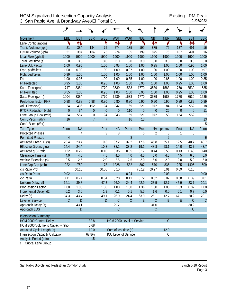|                                           | عر            |            |                |                           |                      |                      |            |                  |                |              |                  |                  |
|-------------------------------------------|---------------|------------|----------------|---------------------------|----------------------|----------------------|------------|------------------|----------------|--------------|------------------|------------------|
| <b>Movement</b>                           | EBL           | <b>EBT</b> | <b>EBR</b>     | <b>WBL</b>                | <b>WBT</b>           | <b>WBR</b>           | <b>NBL</b> | <b>NBT</b>       | <b>NBR</b>     | <b>SBL</b>   | <b>SBT</b>       | <b>SBR</b>       |
| Lane Configurations                       | ٦             | 怍          |                | ۲                         | ↟↟                   | ۴                    | ۲          | ₩                | ۴              | ኻ            | ↟↟               | ۴                |
| Traffic Volume (vph)                      | 21            | 384        | 134            | 75                        | 274                  | 135                  | 199        | 875              | 76             | 137          | 491              | 16               |
| Future Volume (vph)                       | 21            | 384        | 134            | 75                        | 274                  | 135                  | 199        | 875              | 76             | 137          | 491              | 16               |
| Ideal Flow (vphpl)                        | 1900          | 1900       | 1900           | 1900                      | 1900                 | 1900                 | 1900       | 1900             | 1900           | 1900         | 1900             | 1900             |
| Total Lost time (s)                       | 3.0           | 3.0        |                | 3.0                       | 3.0                  | 3.0                  | 3.0        | 3.0              | 3.0            | 3.0          | 3.0              | 3.0              |
| Lane Util. Factor                         | 1.00          | 0.95       |                | 1.00                      | 0.95                 | 1.00                 | 1.00       | 0.95             | 1.00           | 1.00         | 0.95             | 1.00             |
| Frpb, ped/bikes                           | 1.00          | 0.99       |                | 1.00                      | 1.00                 | 0.97                 | 1.00       | 1.00             | 1.00           | 1.00         | 1.00             | 0.97             |
| Flpb, ped/bikes                           | 0.99          | 1.00       |                | 1.00                      | 1.00                 | 1.00                 | 1.00       | 1.00             | 1.00           | 1.00         | 1.00             | 1.00             |
| Frt                                       | 1.00          | 0.96       |                | 1.00                      | 1.00                 | 0.85                 | 1.00       | 1.00             | 0.85           | 1.00         | 1.00             | 0.85             |
| <b>Flt Protected</b>                      | 0.95          | 1.00       |                | 0.95                      | 1.00                 | 1.00                 | 0.95       | 1.00             | 1.00           | 0.95         | 1.00             | 1.00             |
| Satd. Flow (prot)                         | 1747          | 3384       |                | 1770                      | 3539                 | 1533                 | 1770       | 3539             | 1583           | 1770         | 3539             | 1535             |
| <b>Flt Permitted</b>                      | 0.55          | 1.00       |                | 0.95                      | 1.00                 | 1.00                 | 0.95       | 1.00             | 1.00           | 0.95         | 1.00             | 1.00             |
| Satd. Flow (perm)                         | 1004          | 3384       |                | 1770                      | 3539                 | 1533                 | 1770       | 3539             | 1583           | 1770         | 3539             | 1535             |
| Peak-hour factor, PHF                     | 0.88          | 0.88       | 0.88           | 0.80                      | 0.80                 | 0.80                 | 0.90       | 0.90             | 0.90           | 0.89         | 0.89             | 0.89             |
| Adj. Flow (vph)                           | 24            | 436        | 152            | 94                        | 342                  | 169                  | 221        | 972              | 84             | 154          | 552              | 18               |
| <b>RTOR Reduction (vph)</b>               | $\mathbf{0}$  | 34         | $\theta$       | $\boldsymbol{0}$          | $\mathbf{0}$         | 110                  | $\theta$   | $\boldsymbol{0}$ | 26             | $\mathbf{0}$ | $\boldsymbol{0}$ | 11               |
| Lane Group Flow (vph)                     | 24            | 554        | $\mathbf 0$    | 94                        | 343                  | 59                   | 221        | 972              | 58             | 154          | 552              | $\overline{7}$   |
| Confl. Peds. (#/hr)                       | 16            |            | $\overline{7}$ | $\overline{1}$            |                      | 16                   | 13         |                  |                |              |                  | 13               |
| Confl. Bikes (#/hr)                       |               |            |                |                           |                      |                      |            |                  |                |              |                  | 5                |
| <b>Turn Type</b>                          | Perm          | <b>NA</b>  |                | Prot                      | <b>NA</b>            | Perm                 | Prot       | <b>NA</b>        | $pm+ov$        | Prot         | <b>NA</b>        | Perm             |
| <b>Protected Phases</b>                   |               | 4          |                | 3                         | 8                    |                      | 5          | $\overline{2}$   | 3              | 1            | 6                |                  |
| <b>Permitted Phases</b>                   | 4             |            |                |                           |                      | 8                    |            |                  | $\overline{2}$ |              |                  | $\boldsymbol{6}$ |
| Actuated Green, G (s)                     | 23.4          | 23.4       |                | 9.3                       | 37.2                 | 37.2                 | 17.6       | 45.8             | 55.1           | 12.5         | 40.7             | 40.7             |
| Effective Green, g (s)                    | 24.4          | 24.4       |                | 10.8                      | 38.2                 | 38.2                 | 19.1       | 48.8             | 58.1           | 14.0         | 43.7             | 43.7             |
| Actuated g/C Ratio                        | 0.22          | 0.22       |                | 0.10                      | 0.35                 | 0.35                 | 0.17       | 0.44             | 0.53           | 0.13         | 0.40             | 0.40             |
| Clearance Time (s)                        | 4.0           | 4.0        |                | 4.5                       | 4.0                  | 4.0                  | 4.5        | 6.0              | 4.5            | 4.5          | 6.0              | 6.0              |
| Vehicle Extension (s)                     | 2.5           | 2.5        |                | 2.0                       | 2.5                  | 2.5                  | 2.0        | 5.0              | 2.0            | 2.0          | 5.0              | 5.0              |
| Lane Grp Cap (vph)                        | 222           | 750        |                | 173                       | 1228                 | 532                  | 307        | 1570             | 836            | 225          | 1405             | 609              |
| v/s Ratio Prot                            |               | c0.16      |                | c0.05                     | 0.10                 |                      | c0.12      | c0.27            | 0.01           | 0.09         | 0.16             |                  |
| v/s Ratio Perm                            | 0.02          |            |                |                           |                      | 0.04                 |            |                  | 0.03           |              |                  | 0.00             |
| v/c Ratio                                 | 0.11          | 0.74       |                | 0.54                      | 0.28                 | 0.11                 | 0.72       | 0.62             | 0.07           | 0.68         | 0.39             | 0.01             |
| Uniform Delay, d1                         | 34.1          | 39.8       |                | 47.3                      | 26.0                 | 24.4                 | 42.9       | 23.5             | 12.7           | 45.9         | 23.7             | 20.1             |
| Progression Factor                        | 1.00          | 1.00       |                | 1.00                      | 1.00                 | 1.00                 | 1.36       | 1.00             | 1.00           | 1.33         | 0.82             | 1.00             |
| Incremental Delay, d2                     | 0.2           | 3.6        |                | 1.9                       | 0.1                  | 0.1                  | 5.6        | 1.6              | 0.0            | 6.1          | 0.7              | 0.0              |
| Delay (s)                                 | 34.3          | 43.4       |                | 49.1                      | 26.0                 | 24.4                 | 63.9       | 25.1             | 12.7           | 67.1         | 20.2             | 20.1             |
| Level of Service                          | $\mathcal{C}$ | D          |                | ${\sf D}$                 | $\mathsf{C}$         | $\mathsf C$          | E          | $\mathsf C$      | B              | E.           | $\mathsf C$      | $\mathcal{C}$    |
| Approach Delay (s)                        |               | 43.1       |                |                           | 29.2                 |                      |            | 31.0             |                |              | 30.2             |                  |
| Approach LOS                              |               | D          |                |                           | $\mathsf C$          |                      |            | $\mathsf C$      |                |              | $\mathsf{C}$     |                  |
|                                           |               |            |                |                           |                      |                      |            |                  |                |              |                  |                  |
| <b>Intersection Summary</b>               |               |            |                |                           |                      |                      |            |                  |                |              |                  |                  |
| <b>HCM 2000 Control Delay</b>             |               |            | 32.8           | HCM 2000 Level of Service |                      |                      |            |                  | $\mathcal{C}$  |              |                  |                  |
| HCM 2000 Volume to Capacity ratio<br>0.68 |               |            |                |                           |                      |                      |            |                  |                |              |                  |                  |
| Actuated Cycle Length (s)<br>110.0        |               |            |                |                           | Sum of lost time (s) |                      |            |                  | 12.0           |              |                  |                  |
| <b>Intersection Capacity Utilization</b>  |               |            | 67.8%          |                           |                      | ICU Level of Service |            |                  | C              |              |                  |                  |
| Analysis Period (min)                     |               |            | 15             |                           |                      |                      |            |                  |                |              |                  |                  |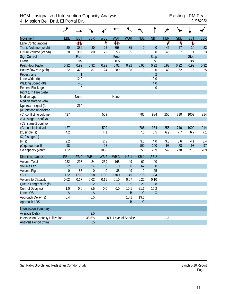## HCM Unsignalized Intersection Capacity Analysis<br>4: Mission Bell Dr & El Portal Dr. 01/05/2022 4: Mission Bell Dr & El Portal Dr.

|                                          | ۸                |                 |                 |                 |                 |                      |                  |                  |            |            |             |            |
|------------------------------------------|------------------|-----------------|-----------------|-----------------|-----------------|----------------------|------------------|------------------|------------|------------|-------------|------------|
| <b>Movement</b>                          | EBL              | <b>EBT</b>      | <b>EBR</b>      | <b>WBL</b>      | <b>WBT</b>      | <b>WBR</b>           | <b>NBL</b>       | <b>NBT</b>       | <b>NBR</b> | <b>SBL</b> | <b>SBT</b>  | <b>SBR</b> |
| Lane Configurations                      |                  | 412             |                 | ۲               | ተኈ              |                      |                  |                  | ۴          | ኻ          | Ъ           |            |
| Traffic Volume (veh/h)                   | 20               | 386             | 80              | 22              | 358             | 35                   | $\boldsymbol{0}$ | $\boldsymbol{0}$ | 45         | 57         | 14          | 23         |
| Future Volume (Veh/h)                    | 20               | 386             | 80              | 22              | 358             | 35                   | $\boldsymbol{0}$ | $\boldsymbol{0}$ | 45         | 57         | 14          | 23         |
| <b>Sign Control</b>                      |                  | Free            |                 |                 | Free            |                      |                  | <b>Stop</b>      |            |            | <b>Stop</b> |            |
| Grade                                    |                  | 0%              |                 |                 | 0%              |                      |                  | 0%               |            |            | 0%          |            |
| Peak Hour Factor                         | 0.92             | 0.92            | 0.92            | 0.92            | 0.92            | 0.92                 | 0.92             | 0.92             | 0.92       | 0.92       | 0.92        | 0.92       |
| Hourly flow rate (vph)                   | 22               | 420             | 87              | 24              | 389             | 38                   | $\boldsymbol{0}$ | $\boldsymbol{0}$ | 49         | 62         | 15          | 25         |
| Pedestrians                              |                  | $\mathbf{1}$    |                 |                 |                 |                      |                  | $\overline{2}$   |            |            |             |            |
| Lane Width (ft)                          |                  | 12.0            |                 |                 |                 |                      |                  | 12.0             |            |            |             |            |
| Walking Speed (ft/s)                     |                  | 4.0             |                 |                 |                 |                      |                  | 4.0              |            |            |             |            |
| Percent Blockage                         |                  | $\mathbf 0$     |                 |                 |                 |                      |                  | $\boldsymbol{0}$ |            |            |             |            |
| Right turn flare (veh)                   |                  |                 |                 |                 |                 |                      |                  |                  |            |            |             |            |
| Median type                              |                  | None            |                 |                 | None            |                      |                  |                  |            |            |             |            |
| Median storage veh)                      |                  |                 |                 |                 |                 |                      |                  |                  |            |            |             |            |
| Upstream signal (ft)                     |                  | 264             |                 |                 |                 |                      |                  |                  |            |            |             |            |
| pX, platoon unblocked                    |                  |                 |                 |                 |                 |                      |                  |                  |            |            |             |            |
| vC, conflicting volume                   | 427              |                 |                 | 509             |                 |                      | 786              | 984              | 256        | 710        | 1009        | 214        |
| vC1, stage 1 conf vol                    |                  |                 |                 |                 |                 |                      |                  |                  |            |            |             |            |
| vC2, stage 2 conf vol                    |                  |                 |                 |                 |                 |                      |                  |                  |            |            |             |            |
| vCu, unblocked vol                       | 427              |                 |                 | 509             |                 |                      | 786              | 984              | 256        | 710        | 1009        | 214        |
| tC, single (s)                           | 4.2              |                 |                 | 4.1             |                 |                      | 7.5              | 6.5              | 6.9        | 7.7        | 6.7         | 7.1        |
| $tC$ , 2 stage $(s)$                     |                  |                 |                 |                 |                 |                      |                  |                  |            |            |             |            |
| tF(s)                                    | 2.2              |                 |                 | 2.2             |                 |                      | 3.5              | 4.0              | 3.3        | 3.6        | 4.1         | 3.4        |
| p0 queue free %                          | 98               |                 |                 | 98              |                 |                      | 100              | 100              | 93         | 78         | 93          | 97         |
| cM capacity (veh/h)                      | 1122             |                 |                 | 1058            |                 |                      | 253              | 239              | 749        | 278        | 218         | 769        |
| Direction, Lane #                        | EB <sub>1</sub>  | EB <sub>2</sub> | WB <sub>1</sub> | WB <sub>2</sub> | WB <sub>3</sub> | NB <sub>1</sub>      | SB <sub>1</sub>  | SB <sub>2</sub>  |            |            |             |            |
| <b>Volume Total</b>                      | 232              | 297             | 24              | 259             | 168             | 49                   | 62               | 40               |            |            |             |            |
| <b>Volume Left</b>                       | 22               | $\theta$        | 24              | $\theta$        | $\theta$        | $\boldsymbol{0}$     | 62               | $\mathbf 0$      |            |            |             |            |
| Volume Right                             | $\boldsymbol{0}$ | 87              | $\mathbf 0$     | $\mathbf 0$     | 38              | 49                   | $\mathbf 0$      | 25               |            |            |             |            |
| <b>cSH</b>                               | 1122             | 1700            | 1058            | 1700            | 1700            | 749                  | 278              | 394              |            |            |             |            |
| Volume to Capacity                       | 0.02             | 0.17            | 0.02            | 0.15            | 0.10            | 0.07                 | 0.22             | 0.10             |            |            |             |            |
| Queue Length 95th (ft)                   | $\mathbf{1}$     | $\theta$        | $\overline{2}$  | $\theta$        | $\theta$        | 5                    | 21               | 8                |            |            |             |            |
| Control Delay (s)                        | 1.0              | 0.0             | 8.5             | 0.0             | 0.0             | 10.1                 | 21.6             | 15.2             |            |            |             |            |
| Lane LOS                                 | $\mathsf A$      |                 | $\mathsf{A}$    |                 |                 | B                    | $\mathsf C$      | С                |            |            |             |            |
| Approach Delay (s)                       | 0.4              |                 | 0.5             |                 |                 | 10.1                 | 19.1             |                  |            |            |             |            |
| Approach LOS                             |                  |                 |                 |                 |                 | $\sf B$              | $\mathsf C$      |                  |            |            |             |            |
| <b>Intersection Summary</b>              |                  |                 |                 |                 |                 |                      |                  |                  |            |            |             |            |
| Average Delay                            |                  |                 | 2.5             |                 |                 |                      |                  |                  |            |            |             |            |
| <b>Intersection Capacity Utilization</b> |                  |                 | 38.5%           |                 |                 | ICU Level of Service |                  |                  | А          |            |             |            |
| Analysis Period (min)                    |                  |                 | 15              |                 |                 |                      |                  |                  |            |            |             |            |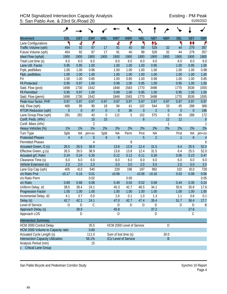## HCM Signalized Intersection Capacity Analysis<br>5: San Pablo Ave. & 23rd St./Road 20<br>01/05/2022 5: San Pablo Ave. & 23rd St./Road 20

|                                          | هر             |                |                |                      |                             |            |             |                |                  |                  |                  |                |
|------------------------------------------|----------------|----------------|----------------|----------------------|-----------------------------|------------|-------------|----------------|------------------|------------------|------------------|----------------|
| <b>Movement</b>                          | EBL            | <b>EBT</b>     | <b>EBR</b>     | <b>WBL</b>           | <b>WBT</b>                  | <b>WBR</b> | <b>NBL</b>  | <b>NBT</b>     | <b>NBR</b>       | <b>SBL</b>       | <b>SBT</b>       | <b>SBR</b>     |
| Lane Configurations                      | ۲              | 4              | ۴              |                      | 4                           | ۴          | ۲           | 怍              |                  | ۳                | ↟↟               | ۴              |
| Traffic Volume (vph)                     | 454            | 92             | 87             | 17                   | 91                          | 40         | 99          | 528            | 32               | 44               | 279              | 357            |
| Future Volume (vph)                      | 454            | 92             | 87             | 17                   | 91                          | 40         | 99          | 528            | 32               | 44               | 279              | 357            |
| Ideal Flow (vphpl)                       | 1900           | 1900           | 1900           | 1900                 | 1900                        | 1900       | 1900        | 1900           | 1900             | 1900             | 1900             | 1900           |
| Total Lost time (s)                      | 6.0            | 6.0            | 6.0            |                      | 6.0                         | 6.0        | 6.0         | 6.0            |                  | 6.0              | 6.0              | 6.0            |
| Lane Util. Factor                        | 0.95           | 0.95           | 1.00           |                      | 1.00                        | 1.00       | 1.00        | 0.95           |                  | 1.00             | 0.95             | 1.00           |
| Frpb, ped/bikes                          | 1.00           | 1.00           | 0.96           |                      | 1.00                        | 1.00       | 1.00        | 1.00           |                  | 1.00             | 1.00             | 0.98           |
| Flpb, ped/bikes                          | 1.00           | 1.00           | 1.00           |                      | 1.00                        | 1.00       | 1.00        | 1.00           |                  | 1.00             | 1.00             | 1.00           |
| Frt                                      | 1.00           | 1.00           | 0.85           |                      | 1.00                        | 0.85       | 1.00        | 0.99           |                  | 1.00             | 1.00             | 0.85           |
| <b>Flt Protected</b>                     | 0.95           | 0.97           | 1.00           |                      | 0.99                        | 1.00       | 0.95        | 1.00           |                  | 0.95             | 1.00             | 1.00           |
| Satd. Flow (prot)                        | 1698           | 1730           | 1542           |                      | 1848                        | 1583       | 1770        | 3498           |                  | 1770             | 3539             | 1555           |
| <b>Flt Permitted</b>                     | 0.95           | 0.97           | 1.00           |                      | 0.99                        | 1.00       | 0.95        | 1.00           |                  | 0.95             | 1.00             | 1.00           |
| Satd. Flow (perm)                        | 1698           | 1730           | 1542           |                      | 1848                        | 1583       | 1770        | 3498           |                  | 1770             | 3539             | 1555           |
| Peak-hour factor, PHF                    | 0.97           | 0.97           | 0.97           | 0.97                 | 0.97                        | 0.97       | 0.97        | 0.97           | 0.97             | 0.97             | 0.97             | 0.97           |
| Adj. Flow (vph)                          | 468            | 95             | 90             | 18                   | 94                          | 41         | 102         | 544            | 33               | 45               | 288              | 368            |
| <b>RTOR Reduction (vph)</b>              | $\mathbf{0}$   | $\overline{0}$ | 47             | $\overline{0}$       | $\overline{0}$              | 36         | $\mathbf 0$ | $\overline{2}$ | $\overline{0}$   | $\boldsymbol{0}$ | $\overline{0}$   | 196            |
| Lane Group Flow (vph)                    | 281            | 282            | 43             | $\mathbf 0$          | 112                         | 5          | 102         | 575            | $\boldsymbol{0}$ | 45               | 288              | 172            |
| Confl. Peds. (#/hr)                      |                |                | 15             | 15                   |                             |            | 8           |                | 12               | 12               |                  | 8              |
| Confl. Bikes (#/hr)                      |                |                | $\overline{2}$ |                      |                             |            |             |                | 1                |                  |                  |                |
| Heavy Vehicles (%)                       | 1%             | 1%             | 1%             | 2%                   | 2%                          | 2%         | 2%          | 2%             | 2%               | 2%               | 2%               | 2%             |
| Turn Type                                | Split          | NA             | $pm+ov$        | Split                | <b>NA</b>                   | Perm       | Prot        | <b>NA</b>      |                  | Prot             | <b>NA</b>        | $pm+ov$        |
| <b>Protected Phases</b>                  | $\overline{4}$ | $\overline{4}$ | 5              | $8\,$                | $8\,$                       |            | 5           | $\overline{2}$ |                  | 1                | $\boldsymbol{6}$ | $\overline{4}$ |
| <b>Permitted Phases</b>                  |                |                | $\overline{4}$ |                      |                             | 8          |             |                |                  |                  |                  | 6              |
| Actuated Green, G (s)                    | 26.5           | 26.5           | 38.9           |                      | 13.8                        | 13.8       | 12.4        | 31.5           |                  | 6.4              | 25.5             | 52.0           |
| Effective Green, g (s)                   | 26.5           | 26.5           | 38.9           |                      | 13.8                        | 13.8       | 12.4        | 31.5           |                  | 6.4              | 25.5             | 52.0           |
| Actuated g/C Ratio                       | 0.24           | 0.24           | 0.35           |                      | 0.12                        | 0.12       | 0.11        | 0.28           |                  | 0.06             | 0.23             | 0.47           |
| Clearance Time (s)                       | 6.0            | 6.0            | 6.0            |                      | 6.0                         | 6.0        | 6.0         | 6.0            |                  | 6.0              | 6.0              | 6.0            |
| Vehicle Extension (s)                    | 2.0            | 2.0            | 2.0            |                      | 3.0                         | 3.0        | 2.0         | 5.0            |                  | 2.0              | 5.0              | 2.0            |
| Lane Grp Cap (vph)                       | 405            | 413            | 540            |                      | 229                         | 196        | 197         | 992            |                  | 102              | 813              | 728            |
| v/s Ratio Prot                           | c0.17          | 0.16           | 0.01           |                      | c0.06                       |            | c0.06       | c0.16          |                  | 0.03             | 0.08             | 0.06           |
| v/s Ratio Perm                           |                |                | 0.02           |                      |                             | 0.00       |             |                |                  |                  |                  | 0.05           |
| v/c Ratio                                | 0.69           | 0.68           | 0.08           |                      | 0.49                        | 0.03       | 0.52        | 0.58           |                  | 0.44             | 0.35             | 0.24           |
| Uniform Delay, d1                        | 38.5           | 38.4           | 24.1           |                      | 45.3                        | 42.7       | 46.5        | 34.1           |                  | 50.6             | 35.8             | 17.6           |
| Progression Factor                       | 1.00           | 1.00           | 1.00           |                      | 1.00                        | 1.00       | 1.00        | 1.00           |                  | 1.00             | 1.00             | 1.00           |
| Incremental Delay, d2                    | 4.1            | 3.7            | 0.0            |                      | 1.6                         | 0.1        | 1.0         | 1.3            |                  | 1.1              | 0.6              | 0.1            |
| Delay (s)                                | 42.7           | 42.1           | 24.1           |                      | 47.0                        | 42.7       | 47.4        | 35.4           |                  | 51.7             | 36.4             | 17.7           |
| Level of Service                         | D              | D              | С              |                      | D                           | D          | D           | D              |                  | D                | D                | B              |
| Approach Delay (s)                       |                | 39.9           |                |                      | 45.8                        |            |             | 37.2           |                  |                  | 27.6             |                |
| Approach LOS                             |                | D              |                |                      | D                           |            |             | D              |                  |                  | C                |                |
| <b>Intersection Summary</b>              |                |                |                |                      |                             |            |             |                |                  |                  |                  |                |
| HCM 2000 Control Delay                   |                |                | 35.5           |                      | HCM 2000 Level of Service   |            |             |                | D                |                  |                  |                |
| HCM 2000 Volume to Capacity ratio        |                |                | 0.60           |                      |                             |            |             |                |                  |                  |                  |                |
| Actuated Cycle Length (s)                |                |                | 111.0          | Sum of lost time (s) |                             |            |             |                | 30.0             |                  |                  |                |
| <b>Intersection Capacity Utilization</b> |                |                | 56.1%          |                      | <b>ICU Level of Service</b> |            |             |                | B                |                  |                  |                |
| Analysis Period (min)                    |                |                | 15             |                      |                             |            |             |                |                  |                  |                  |                |
| c Critical Lane Group                    |                |                |                |                      |                             |            |             |                |                  |                  |                  |                |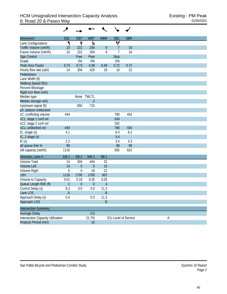| Movement                                 | EBL                       | <b>EBT</b>       | <b>WBT</b>      | <b>WBR</b>      | <b>SBL</b>     | <b>SBR</b>                  |   |
|------------------------------------------|---------------------------|------------------|-----------------|-----------------|----------------|-----------------------------|---|
| Lane Configurations                      | ۲                         | ↟                | Ъ               |                 | v              |                             |   |
| Traffic Volume (veh/h)                   | 10                        | 222              | 204             | 9               | $\overline{7}$ | 16                          |   |
| Future Volume (Veh/h)                    | 10                        | 222              | 204             | 9               | $\overline{1}$ | 16                          |   |
| Sign Control                             |                           | Free             | Free            |                 | <b>Stop</b>    |                             |   |
| Grade                                    |                           | 0%               | 0%              |                 | 0%             |                             |   |
| Peak Hour Factor                         | 0.73                      | 0.73             | 0.48            | 0.48            | 0.72           | 0.72                        |   |
| Hourly flow rate (vph)                   | 14                        | 304              | 425             | 19              | 10             | 22                          |   |
| Pedestrians                              |                           |                  |                 |                 |                |                             |   |
| Lane Width (ft)                          |                           |                  |                 |                 |                |                             |   |
| Walking Speed (ft/s)                     |                           |                  |                 |                 |                |                             |   |
| Percent Blockage                         |                           |                  |                 |                 |                |                             |   |
| Right turn flare (veh)                   |                           |                  |                 |                 |                |                             |   |
| Median type                              |                           |                  | None TWLTL      |                 |                |                             |   |
| Median storage veh)                      |                           |                  | $\overline{2}$  |                 |                |                             |   |
| Upstream signal (ft)                     |                           | 650              | 715             |                 |                |                             |   |
| pX, platoon unblocked                    |                           |                  |                 |                 |                |                             |   |
| vC, conflicting volume                   | 444                       |                  |                 |                 | 766            | 434                         |   |
| vC1, stage 1 conf vol                    |                           |                  |                 |                 | 434            |                             |   |
| vC2, stage 2 conf vol                    |                           |                  |                 |                 | 332            |                             |   |
| vCu, unblocked vol                       | 444                       |                  |                 |                 | 766            | 434                         |   |
| tC, single (s)                           | 4.1                       |                  |                 |                 | 6.4            | 6.2                         |   |
| tC, 2 stage (s)                          |                           |                  |                 |                 | 5.4            |                             |   |
| tF(s)                                    | 2.2                       |                  |                 |                 | 3.5            | 3.3                         |   |
| p0 queue free %                          | 99                        |                  |                 |                 | 98             | 96                          |   |
| cM capacity (veh/h)                      | 1116                      |                  |                 |                 | 562            | 622                         |   |
| Direction, Lane #                        | EB <sub>1</sub>           | EB <sub>2</sub>  | WB <sub>1</sub> | SB <sub>1</sub> |                |                             |   |
| Volume Total                             | 14                        | 304              | 444             | 32              |                |                             |   |
| <b>Volume Left</b>                       | 14                        | $\boldsymbol{0}$ | $\theta$        | 10              |                |                             |   |
| Volume Right                             | $\mathbf 0$               | $\boldsymbol{0}$ | 19              | 22              |                |                             |   |
| <b>cSH</b>                               | 1116                      | 1700             | 1700            | 602             |                |                             |   |
| Volume to Capacity                       | 0.01                      | 0.18             | 0.26            | 0.05            |                |                             |   |
| Queue Length 95th (ft)                   | $\mathbf{1}$              | $\boldsymbol{0}$ | $\theta$        | $\overline{4}$  |                |                             |   |
| Control Delay (s)                        | 8.3                       | 0.0              | 0.0             | 11.3            |                |                             |   |
| Lane LOS                                 | $\boldsymbol{\mathsf{A}}$ |                  |                 | $\sf B$         |                |                             |   |
| Approach Delay (s)                       | 0.4                       |                  | 0.0             | 11.3            |                |                             |   |
| Approach LOS                             |                           |                  |                 | $\sf B$         |                |                             |   |
| <b>Intersection Summary</b>              |                           |                  |                 |                 |                |                             |   |
| Average Delay                            |                           |                  | 0.6             |                 |                |                             |   |
| <b>Intersection Capacity Utilization</b> |                           |                  | 21.7%           |                 |                | <b>ICU Level of Service</b> | A |
| Analysis Period (min)                    |                           |                  | 15              |                 |                |                             |   |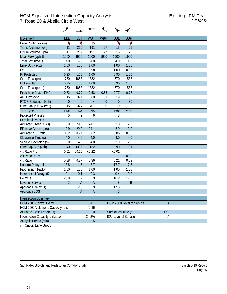| <b>Movement</b>                          | EBL            | <b>EBT</b>     | <b>WBT</b>     | <b>WBR</b>  | <b>SBL</b>           | <b>SBR</b>                |                |  |
|------------------------------------------|----------------|----------------|----------------|-------------|----------------------|---------------------------|----------------|--|
| Lane Configurations                      | ۲              | ↟              | Ъ              |             | ۲                    | ۴                         |                |  |
| Traffic Volume (vph)                     | 11             | 269            | 191            | 27          | 15                   | 25                        |                |  |
| Future Volume (vph)                      | 11             | 269            | 191            | 27          | 15                   | 25                        |                |  |
| Ideal Flow (vphpl)                       | 1900           | 1900           | 1900           | 1900        | 1900                 | 1900                      |                |  |
| Total Lost time (s)                      | 4.0            | 4.0            | 4.0            |             | 4.0                  | 4.0                       |                |  |
| Lane Util. Factor                        | 1.00           | 1.00           | 1.00           |             | 1.00                 | 1.00                      |                |  |
| Frt                                      | 1.00           | 1.00           | 0.98           |             | 1.00                 | 0.85                      |                |  |
| <b>Flt Protected</b>                     | 0.95           | 1.00           | 1.00           |             | 0.95                 | 1.00                      |                |  |
| Satd. Flow (prot)                        | 1770           | 1863           | 1832           |             | 1770                 | 1583                      |                |  |
| <b>Flt Permitted</b>                     | 0.95           | 1.00           | 1.00           |             | 0.95                 | 1.00                      |                |  |
| Satd. Flow (perm)                        | 1770           | 1863           | 1832           |             | 1770                 | 1583                      |                |  |
| Peak-hour factor, PHF                    | 0.72           | 0.72           | 0.53           | 0.53        | 0.77                 | 0.77                      |                |  |
| Adj. Flow (vph)                          | 15             | 374            | 360            | 51          | 19                   | 32                        |                |  |
| <b>RTOR Reduction (vph)</b>              | $\overline{0}$ | $\mathbf{0}$   | $\overline{4}$ | $\theta$    | $\overline{0}$       | 30                        |                |  |
| Lane Group Flow (vph)                    | 15             | 374            | 407            | $\mathbf 0$ | 19                   | 2                         |                |  |
| <b>Turn Type</b>                         | Prot           | <b>NA</b>      | <b>NA</b>      |             | Prot                 | Perm                      |                |  |
| <b>Protected Phases</b>                  | 5              | $\overline{2}$ | 6              |             | 8                    |                           |                |  |
| <b>Permitted Phases</b>                  |                |                |                |             |                      | 8                         |                |  |
| Actuated Green, G (s)                    | 0.9            | 29.0           | 24.1           |             | 2.0                  | 2.0                       |                |  |
| Effective Green, g (s)                   | 0.9            | 29.0           | 24.1           |             | 2.0                  | 2.0                       |                |  |
| Actuated g/C Ratio                       | 0.02           | 0.74           | 0.62           |             | 0.05                 | 0.05                      |                |  |
| Clearance Time (s)                       | 4.0            | 4.0            | 4.0            |             | 4.0                  | 4.0                       |                |  |
| Vehicle Extension (s)                    | 2.0            | 4.0            | 4.0            |             | 2.0                  | 2.0                       |                |  |
| Lane Grp Cap (vph)                       | 40             | 1385           | 1132           |             | 90                   | 81                        |                |  |
| v/s Ratio Prot                           | 0.01           | c0.20          | c0.22          |             | c <sub>0.01</sub>    |                           |                |  |
| v/s Ratio Perm                           |                |                |                |             |                      | 0.00                      |                |  |
| v/c Ratio                                | 0.38           | 0.27           | 0.36           |             | 0.21                 | 0.02                      |                |  |
| Uniform Delay, d1                        | 18.8           | 1.6            | 3.7            |             | 17.7                 | 17.6                      |                |  |
| Progression Factor                       | 1.00           | 1.00           | 1.00           |             | 1.00                 | 1.00                      |                |  |
| Incremental Delay, d2                    | 2.1            | 0.1            | 0.3            |             | 0.4                  | 0.0                       |                |  |
| Delay (s)                                | 20.9           | 1.7            | 3.9            |             | 18.2                 | 17.6                      |                |  |
| Level of Service                         | $\overline{C}$ | $\overline{A}$ | $\overline{A}$ |             | $\sf B$              | $\mathsf B$               |                |  |
| Approach Delay (s)                       |                | 2.5            | 3.9            |             | 17.8                 |                           |                |  |
| Approach LOS                             |                | A              | $\overline{A}$ |             | R                    |                           |                |  |
| <b>Intersection Summary</b>              |                |                |                |             |                      |                           |                |  |
| <b>HCM 2000 Control Delay</b>            |                |                | 4.1            |             |                      | HCM 2000 Level of Service | $\overline{A}$ |  |
| HCM 2000 Volume to Capacity ratio        |                |                | 0.36           |             |                      |                           |                |  |
| Actuated Cycle Length (s)                |                |                | 39.0           |             | Sum of lost time (s) |                           | 12.0           |  |
| <b>Intersection Capacity Utilization</b> |                |                | 24.2%          |             |                      | ICU Level of Service      | A              |  |
| Analysis Period (min)                    |                |                | 15             |             |                      |                           |                |  |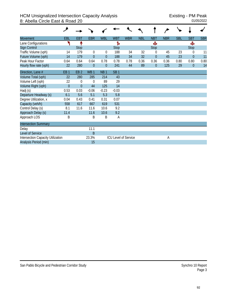|                                   | ۶               |                 |                 |                 |                 |                             |            |             |            |            |                |            |
|-----------------------------------|-----------------|-----------------|-----------------|-----------------|-----------------|-----------------------------|------------|-------------|------------|------------|----------------|------------|
| Movement                          | EBL             | EBT             | <b>EBR</b>      | WBL             | <b>WBT</b>      | <b>WBR</b>                  | <b>NBL</b> | <b>NBT</b>  | <b>NBR</b> | <b>SBL</b> | <b>SBT</b>     | <b>SBR</b> |
| Lane Configurations               |                 |                 |                 |                 | Ъ               |                             |            | Ф           |            |            | Ф              |            |
| Sign Control                      |                 | <b>Stop</b>     |                 |                 | <b>Stop</b>     |                             |            | <b>Stop</b> |            |            | <b>Stop</b>    |            |
| Traffic Volume (vph)              | 14              | 179             | $\mathbf 0$     | 0               | 188             | 34                          | 32         | $\theta$    | 45         | 23         | 0              | 11         |
| Future Volume (vph)               | 14              | 179             | $\overline{0}$  | $\overline{0}$  | 188             | 34                          | 32         | $\theta$    | 45         | 23         | $\overline{0}$ | 11         |
| Peak Hour Factor                  | 0.64            | 0.64            | 0.64            | 0.78            | 0.78            | 0.78                        | 0.36       | 0.36        | 0.36       | 0.80       | 0.80           | 0.80       |
| Hourly flow rate (vph)            | 22              | 280             | $\theta$        | $\theta$        | 241             | 44                          | 89         | $\theta$    | 125        | 29         | $\overline{0}$ | 14         |
| Direction, Lane #                 | EB <sub>1</sub> | EB <sub>2</sub> | WB <sub>1</sub> | NB <sub>1</sub> | SB <sub>1</sub> |                             |            |             |            |            |                |            |
| Volume Total (vph)                | 22              | 280             | 285             | 214             | 43              |                             |            |             |            |            |                |            |
| Volume Left (vph)                 | 22              | $\theta$        | $\Omega$        | 89              | 29              |                             |            |             |            |            |                |            |
| Volume Right (vph)                | $\overline{0}$  | $\overline{0}$  | 44              | 125             | 14              |                             |            |             |            |            |                |            |
| Hadj (s)                          | 0.53            | 0.03            | $-0.06$         | $-0.23$         | $-0.03$         |                             |            |             |            |            |                |            |
| Departure Headway (s)             | 6.1             | 5.6             | 5.1             | 5.3             | 5.8             |                             |            |             |            |            |                |            |
| Degree Utilization, x             | 0.04            | 0.43            | 0.41            | 0.31            | 0.07            |                             |            |             |            |            |                |            |
| Capacity (veh/h)                  | 558             | 617             | 667             | 619             | 531             |                             |            |             |            |            |                |            |
| Control Delay (s)                 | 8.1             | 11.6            | 11.6            | 10.6            | 9.2             |                             |            |             |            |            |                |            |
| Approach Delay (s)                | 11.4            |                 | 11.6            | 10.6            | 9.2             |                             |            |             |            |            |                |            |
| Approach LOS                      | B               |                 | B               | B               | A               |                             |            |             |            |            |                |            |
| <b>Intersection Summary</b>       |                 |                 |                 |                 |                 |                             |            |             |            |            |                |            |
| Delay                             |                 |                 | 11.1            |                 |                 |                             |            |             |            |            |                |            |
| Level of Service                  |                 |                 | B               |                 |                 |                             |            |             |            |            |                |            |
| Intersection Capacity Utilization |                 |                 | 23.3%           |                 |                 | <b>ICU Level of Service</b> |            |             | Α          |            |                |            |
| Analysis Period (min)             |                 |                 | 15              |                 |                 |                             |            |             |            |            |                |            |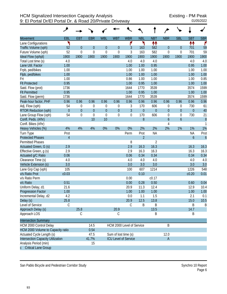|                                   | حر             |                  |             |             |                      |                             |                  |                  |                  |                  |                  |                       |
|-----------------------------------|----------------|------------------|-------------|-------------|----------------------|-----------------------------|------------------|------------------|------------------|------------------|------------------|-----------------------|
| <b>Movement</b>                   | EBL            | <b>EBT</b>       | <b>EBR</b>  | <b>WBL</b>  | <b>WBT</b>           | <b>WBR</b>                  | <b>NBL</b>       | <b>NBT</b>       | <b>NBR</b>       | <b>SBL</b>       | <b>SBT</b>       | <b>SBR</b>            |
| Lane Configurations               | ۲              |                  |             |             |                      | ۴                           | ۲                | ↟↟               |                  |                  | ↟↟               | ۴                     |
| Traffic Volume (vph)              | 52             | $\overline{0}$   | $\theta$    | $\theta$    | $\overline{0}$       | 3                           | 163              | 582              | $\overline{0}$   | 0                | 701              | 59                    |
| Future Volume (vph)               | 52             | $\mathbf 0$      | $\mathbf 0$ | $\mathbf 0$ | $\mathbf 0$          | 3                           | 163              | 582              | $\boldsymbol{0}$ | 0                | 701              | 59                    |
| Ideal Flow (vphpl)                | 1900           | 1900             | 1900        | 1900        | 1900                 | 1900                        | 1900             | 1900             | 1900             | 1900             | 1900             | 1900                  |
| Total Lost time (s)               | 4.0            |                  |             |             |                      | 4.0                         | 4.0              | 4.0              |                  |                  | 4.0              | 4.0                   |
| Lane Util. Factor                 | 1.00           |                  |             |             |                      | 1.00                        | 1.00             | 0.95             |                  |                  | 0.95             | 1.00                  |
| Frpb, ped/bikes                   | 1.00           |                  |             |             |                      | 1.00                        | 1.00             | 1.00             |                  |                  | 1.00             | 1.00                  |
| Flpb, ped/bikes                   | 1.00           |                  |             |             |                      | 1.00                        | 1.00             | 1.00             |                  |                  | 1.00             | 1.00                  |
| Frt                               | 1.00           |                  |             |             |                      | 0.86                        | 1.00             | 1.00             |                  |                  | 1.00             | 0.85                  |
| <b>Flt Protected</b>              | 0.95           |                  |             |             |                      | 1.00                        | 0.95             | 1.00             |                  |                  | 1.00             | 1.00                  |
| Satd. Flow (prot)                 | 1736           |                  |             |             |                      | 1644                        | 1770             | 3539             |                  |                  | 3574             | 1599                  |
| <b>Flt Permitted</b>              | 0.95           |                  |             |             |                      | 1.00                        | 0.95             | 1.00             |                  |                  | 1.00             | 1.00                  |
| Satd. Flow (perm)                 | 1736           |                  |             |             |                      | 1644                        | 1770             | 3539             |                  |                  | 3574             | 1599                  |
| Peak-hour factor, PHF             | 0.96           | 0.96             | 0.96        | 0.96        | 0.96                 | 0.96                        | 0.96             | 0.96             | 0.96             | 0.96             | 0.96             | 0.96                  |
| Adj. Flow (vph)                   | 54             | 0                | 0           | 0           | 0                    | 3                           | 170              | 606              | 0                | 0                | 730              | 61                    |
| <b>RTOR Reduction (vph)</b>       | $\mathbf{0}$   | $\boldsymbol{0}$ | $\theta$    | $\theta$    | $\theta$             | $\overline{3}$              | $\boldsymbol{0}$ | $\boldsymbol{0}$ | $\boldsymbol{0}$ | $\mathbf 0$      | $\mathbf{0}$     | 40                    |
| Lane Group Flow (vph)             | 54             | $\mathbf 0$      | $\Omega$    | $\mathbf 0$ | $\overline{0}$       | $\boldsymbol{0}$            | 170              | 606              | 0                | $\boldsymbol{0}$ | 730              | 21                    |
| Confl. Peds. (#/hr)               |                |                  | 10          | 10          |                      |                             | 8                |                  | 6                | $\boldsymbol{6}$ |                  | $\boldsymbol{\delta}$ |
| Confl. Bikes (#/hr)               |                |                  |             |             |                      |                             |                  |                  | $\overline{4}$   |                  |                  | 1                     |
| Heavy Vehicles (%)                | 4%             | 4%               | 4%          | 0%          | 0%                   | 0%                          | 2%               | 2%               | 2%               | 1%               | 1%               | 1%                    |
| Turn Type                         | Prot           |                  |             |             |                      | Perm                        | Prot             | <b>NA</b>        |                  |                  | <b>NA</b>        | Prot                  |
| <b>Protected Phases</b>           | $\overline{4}$ |                  |             |             |                      |                             | $\overline{2}$   |                  |                  |                  | $\boldsymbol{6}$ | $\boldsymbol{6}$      |
| <b>Permitted Phases</b>           |                |                  |             |             |                      | 8                           |                  | $\overline{2}$   |                  |                  |                  |                       |
| Actuated Green, G (s)             | 2.9            |                  |             |             |                      | 2.9                         | 16.3             | 16.3             |                  |                  | 16.3             | 16.3                  |
| Effective Green, g (s)            | 2.9            |                  |             |             |                      | 2.9                         | 16.3             | 16.3             |                  |                  | 16.3             | 16.3                  |
| Actuated g/C Ratio                | 0.06           |                  |             |             |                      | 0.06                        | 0.34             | 0.34             |                  |                  | 0.34             | 0.34                  |
| Clearance Time (s)                | 4.0            |                  |             |             |                      | 4.0                         | 4.0              | 4.0              |                  |                  | 4.0              | 4.0                   |
| Vehicle Extension (s)             | 3.0            |                  |             |             |                      | 3.0                         | 3.0              | 3.0              |                  |                  | 3.0              | 3.0                   |
| Lane Grp Cap (vph)                | 105            |                  |             |             |                      | 100                         | 607              | 1214             |                  |                  | 1226             | 548                   |
| v/s Ratio Prot                    | c0.03          |                  |             |             |                      |                             | 0.10             |                  |                  |                  | c0.20            | 0.01                  |
| v/s Ratio Perm                    |                |                  |             |             |                      | 0.00                        |                  | c0.17            |                  |                  |                  |                       |
| v/c Ratio                         | 0.51           |                  |             |             |                      | 0.00                        | 0.28             | 0.50             |                  |                  | 0.60             | 0.04                  |
| Uniform Delay, d1                 | 21.6           |                  |             |             |                      | 20.9                        | 11.3             | 12.4             |                  |                  | 12.9             | 10.4                  |
| <b>Progression Factor</b>         | 1.00           |                  |             |             |                      | 1.00                        | 1.00             | 1.00             |                  |                  | 1.00             | 1.00                  |
| Incremental Delay, d2             | 4.2            |                  |             |             |                      | 0.0                         | 1.1              | 1.5              |                  |                  | 2.1              | 0.1                   |
| Delay (s)                         | 25.8           |                  |             |             |                      | 20.9                        | 12.5             | 13.8             |                  |                  | 15.0             | 10.5                  |
| Level of Service                  | C              |                  |             |             |                      | $\mathsf C$                 | B                | B                |                  |                  | B                | B                     |
| Approach Delay (s)                |                | 25.8             |             |             | 20.9                 |                             |                  | 13.5             |                  |                  | 14.7             |                       |
| Approach LOS                      |                | С                |             |             | C                    |                             |                  | Β                |                  |                  | B                |                       |
| <b>Intersection Summary</b>       |                |                  |             |             |                      |                             |                  |                  |                  |                  |                  |                       |
| HCM 2000 Control Delay            |                |                  | 14.5        |             |                      | HCM 2000 Level of Service   |                  |                  | B                |                  |                  |                       |
| HCM 2000 Volume to Capacity ratio |                |                  | 0.54        |             |                      |                             |                  |                  |                  |                  |                  |                       |
| Actuated Cycle Length (s)         |                |                  | 47.5        |             | Sum of lost time (s) |                             |                  |                  | 12.0             |                  |                  |                       |
| Intersection Capacity Utilization |                |                  | 41.7%       |             |                      | <b>ICU Level of Service</b> |                  |                  | $\mathsf{A}$     |                  |                  |                       |
| Analysis Period (min)             |                |                  | 15          |             |                      |                             |                  |                  |                  |                  |                  |                       |
| <b>Critical Lane Group</b>        |                |                  |             |             |                      |                             |                  |                  |                  |                  |                  |                       |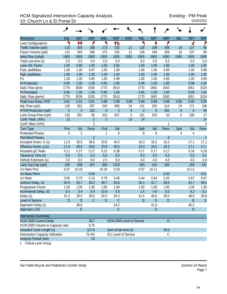## HCM Signalized Intersection Capacity Analysis<br>10: Church Ln & El Portal Dr<br>
01/05/2022 10: Church Ln & El Portal Dr

|                                          | ۶        |                |                |                             |                      |                           |                  |                  |             |                  |              |                |
|------------------------------------------|----------|----------------|----------------|-----------------------------|----------------------|---------------------------|------------------|------------------|-------------|------------------|--------------|----------------|
| <b>Movement</b>                          | EBL      | <b>EBT</b>     | <b>EBR</b>     | <b>WBL</b>                  | <b>WBT</b>           | <b>WBR</b>                | <b>NBL</b>       | <b>NBT</b>       | <b>NBR</b>  | <b>SBL</b>       | <b>SBT</b>   | <b>SBR</b>     |
| Lane Configurations                      | ۲        | 11             | ۴              | ۲                           | ተኈ                   |                           | ۲                | ↟                | ۴           |                  | 4            | ۴              |
| Traffic Volume (vph)                     | 115      | 593            | 188            | 273                         | 532                  | 21                        | 128              | 199              | 308         | 19               | 137          | 85             |
| Future Volume (vph)                      | 115      | 593            | 188            | 273                         | 532                  | 21                        | 128              | 199              | 308         | 19               | 137          | 85             |
| Ideal Flow (vphpl)                       | 1900     | 1900           | 1900           | 1900                        | 1900                 | 1900                      | 1900             | 1900             | 1900        | 1900             | 1900         | 1900           |
| Total Lost time (s)                      | 5.0      | 5.0            | 5.0            | 5.0                         | 5.0                  |                           | 5.0              | 5.0              | 5.0         |                  | 5.0          | 5.0            |
| Lane Util. Factor                        | 1.00     | 0.95           | 1.00           | 1.00                        | 0.95                 |                           | 1.00             | 1.00             | 1.00        |                  | 1.00         | 1.00           |
| Frpb, ped/bikes                          | 1.00     | 1.00           | 0.97           | 1.00                        | 1.00                 |                           | 1.00             | 1.00             | 0.99        |                  | 1.00         | 0.96           |
| Flpb, ped/bikes                          | 1.00     | 1.00           | 1.00           | 1.00                        | 1.00                 |                           | 1.00             | 1.00             | 1.00        |                  | 1.00         | 1.00           |
| Frt                                      | 1.00     | 1.00           | 0.85           | 1.00                        | 0.99                 |                           | 1.00             | 1.00             | 0.85        |                  | 1.00         | 0.85           |
| <b>Flt Protected</b>                     | 0.95     | 1.00           | 1.00           | 0.95                        | 1.00                 |                           | 0.95             | 1.00             | 1.00        |                  | 0.99         | 1.00           |
| Satd. Flow (prot)                        | 1770     | 3539           | 1535           | 1770                        | 3510                 |                           | 1770             | 1863             | 1562        |                  | 1851         | 1524           |
| <b>Flt Permitted</b>                     | 0.95     | 1.00           | 1.00           | 0.95                        | 1.00                 |                           | 0.95             | 1.00             | 1.00        |                  | 0.99         | 1.00           |
| Satd. Flow (perm)                        | 1770     | 3539           | 1535           | 1770                        | 3510                 |                           | 1770             | 1863             | 1562        |                  | 1851         | 1524           |
| Peak-hour factor, PHF                    | 0.91     | 0.91           | 0.91           | 0.88                        | 0.88                 | 0.88                      | 0.98             | 0.98             | 0.98        | 0.80             | 0.80         | 0.80           |
| Adj. Flow (vph)                          | 126      | 652            | 207            | 310                         | 605                  | 24                        | 131              | 203              | 314         | 24               | 171          | 106            |
| <b>RTOR Reduction (vph)</b>              | $\theta$ | $\mathbf 0$    | 152            | $\theta$                    | $\overline{2}$       | $\boldsymbol{0}$          | $\boldsymbol{0}$ | $\boldsymbol{0}$ | 261         | $\boldsymbol{0}$ | $\mathbf{0}$ | 89             |
| Lane Group Flow (vph)                    | 126      | 652            | 55             | 310                         | 627                  | $\boldsymbol{0}$          | 131              | 203              | 53          | $\boldsymbol{0}$ | 195          | 17             |
| Confl. Peds. (#/hr)                      | 13       |                | $\overline{2}$ | $\overline{2}$              |                      | 13                        | 14               |                  |             |                  |              | 14             |
| Confl. Bikes (#/hr)                      |          |                | $\overline{2}$ |                             |                      |                           |                  |                  | 1           |                  |              | 3              |
| Turn Type                                | Prot     | <b>NA</b>      | Perm           | Prot                        | <b>NA</b>            |                           | Split            | <b>NA</b>        | Perm        | Split            | <b>NA</b>    | Perm           |
| <b>Protected Phases</b>                  | 5        | $\overline{2}$ |                | 1                           | 6                    |                           | 8                | 8                |             | 4                | 4            |                |
| <b>Permitted Phases</b>                  |          |                | $\overline{2}$ |                             |                      |                           |                  |                  | 8           |                  |              | $\overline{4}$ |
| Actuated Green, G (s)                    | 11.9     | 28.6           | 28.6           | 23.8                        | 40.5                 |                           | 18.3             | 18.3             | 18.3        |                  | 17.1         | 17.1           |
| Effective Green, g (s)                   | 11.9     | 28.6           | 28.6           | 23.8                        | 40.5                 |                           | 18.3             | 18.3             | 18.3        |                  | 17.1         | 17.1           |
| Actuated g/C Ratio                       | 0.11     | 0.27           | 0.27           | 0.22                        | 0.38                 |                           | 0.17             | 0.17             | 0.17        |                  | 0.16         | 0.16           |
| Clearance Time (s)                       | 5.0      | 5.0            | 5.0            | 5.0                         | 5.0                  |                           | 5.0              | 5.0              | 5.0         |                  | 5.0          | 5.0            |
| Vehicle Extension (s)                    | 2.0      | 6.0            | 6.0            | 2.5                         | 6.0                  |                           | 4.0              | 4.0              | 4.0         |                  | 4.0          | 4.0            |
| Lane Grp Cap (vph)                       | 195      | 938            | 407            | 390                         | 1318                 |                           | 300              | 316              | 265         |                  | 293          | 241            |
| v/s Ratio Prot                           | 0.07     | c0.18          |                | c0.18                       | 0.18                 |                           | 0.07             | c0.11            |             |                  | c0.11        |                |
| v/s Ratio Perm                           |          |                | 0.04           |                             |                      |                           |                  |                  | 0.03        |                  |              | 0.01           |
| v/c Ratio                                | 0.65     | 0.70           | 0.13           | 0.79                        | 0.48                 |                           | 0.44             | 0.64             | 0.20        |                  | 0.67         | 0.07           |
| Uniform Delay, d1                        | 45.9     | 35.7           | 30.2           | 39.7                        | 25.6                 |                           | 40.1             | 41.7             | 38.5        |                  | 42.7         | 38.6           |
| Progression Factor                       | 1.00     | 1.00           | 1.00           | 1.00                        | 1.00                 |                           | 1.00             | 1.00             | 1.00        |                  | 1.00         | 1.00           |
| Incremental Delay, d2                    | 5.4      | 3.4            | 0.4            | 10.4                        | 0.8                  |                           | 1.4              | 4.9              | 0.5         |                  | 6.2          | 0.2            |
| Delay (s)                                | 51.3     | 39.0           | 30.6           | 50.0                        | 26.3                 |                           | 41.5             | 46.6             | 39.0        |                  | 48.8         | 38.8           |
| Level of Service                         | D        | D              | $\mathsf C$    | D                           | $\mathcal{C}$        |                           | D                | $\mathsf{D}$     | D           |                  | D            | D              |
| Approach Delay (s)                       |          | 38.8           |                |                             | 34.2                 |                           |                  | 41.9             |             |                  | 45.3         |                |
| Approach LOS                             |          | D              |                |                             | $\mathsf C$          |                           |                  | D                |             |                  | D            |                |
| <b>Intersection Summary</b>              |          |                |                |                             |                      |                           |                  |                  |             |                  |              |                |
| <b>HCM 2000 Control Delay</b>            |          |                | 38.7           |                             |                      | HCM 2000 Level of Service |                  |                  | D           |                  |              |                |
| HCM 2000 Volume to Capacity ratio        |          |                | 0.70           |                             |                      |                           |                  |                  |             |                  |              |                |
| Actuated Cycle Length (s)                |          |                | 107.8          |                             | Sum of lost time (s) |                           |                  |                  | 20.0        |                  |              |                |
| <b>Intersection Capacity Utilization</b> |          |                | 70.4%          | <b>ICU Level of Service</b> |                      |                           |                  |                  | $\mathsf C$ |                  |              |                |
| Analysis Period (min)                    |          |                | 15             |                             |                      |                           |                  |                  |             |                  |              |                |

c Critical Lane Group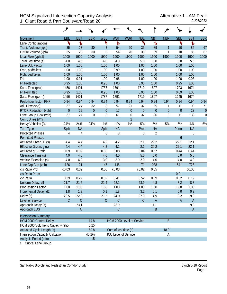|                                   | و                |             |             |                           |                      |                  |                  |                  |                  |                  |              |              |
|-----------------------------------|------------------|-------------|-------------|---------------------------|----------------------|------------------|------------------|------------------|------------------|------------------|--------------|--------------|
| <b>Movement</b>                   | EBL              | <b>EBT</b>  | <b>EBR</b>  | <b>WBL</b>                | <b>WBT</b>           | <b>WBR</b>       | <b>NBL</b>       | <b>NBT</b>       | <b>NBR</b>       | <b>SBL</b>       | <b>SBT</b>   | <b>SBR</b>   |
| Lane Configurations               | ۲                | ħ           |             | ۲                         | Ъ                    |                  | ۲                | Ъ                |                  | ۲                | Ъ            |              |
| Traffic Volume (vph)              | 35               | 23          | 30          | 3                         | 54                   | 20               | 35               | 89               | 1                | 10               | 85           | 67           |
| Future Volume (vph)               | 35               | 23          | 30          | 3                         | 54                   | 20               | 35               | 89               | 1                | 10               | 85           | 67           |
| Ideal Flow (vphpl)                | 1900             | 1900        | 1900        | 1900                      | 1900                 | 1900             | 1900             | 1900             | 1900             | 1900             | 1900         | 1900         |
| Total Lost time (s)               | 4.0              | 4.0         |             | 4.0                       | 4.0                  |                  | 5.0              | 5.0              |                  | 5.0              | 5.0          |              |
| Lane Util. Factor                 | 1.00             | 1.00        |             | 1.00                      | 1.00                 |                  | 1.00             | 1.00             |                  | 1.00             | 1.00         |              |
| Frpb, ped/bikes                   | 1.00             | 1.00        |             | 1.00                      | 0.99                 |                  | 1.00             | 1.00             |                  | 1.00             | 1.00         |              |
| Flpb, ped/bikes                   | 1.00             | 1.00        |             | 1.00                      | 1.00                 |                  | 1.00             | 1.00             |                  | 1.00             | 1.00         |              |
| Frt                               | 1.00             | 0.91        |             | 1.00                      | 0.96                 |                  | 1.00             | 1.00             |                  | 1.00             | 0.93         |              |
| <b>Flt Protected</b>              | 0.95             | 1.00        |             | 0.95                      | 1.00                 |                  | 0.95             | 1.00             |                  | 0.95             | 1.00         |              |
| Satd. Flow (prot)                 | 1456             | 1401        |             | 1787                      | 1791                 |                  | 1719             | 1807             |                  | 1703             | 1674         |              |
| <b>Flt Permitted</b>              | 0.95             | 1.00        |             | 0.95                      | 1.00                 |                  | 0.95             | 1.00             |                  | 0.69             | 1.00         |              |
| Satd. Flow (perm)                 | 1456             | 1401        |             | 1787                      | 1791                 |                  | 1719             | 1807             |                  | 1245             | 1674         |              |
| Peak-hour factor, PHF             | 0.94             | 0.94        | 0.94        | 0.94                      | 0.94                 | 0.94             | 0.94             | 0.94             | 0.94             | 0.94             | 0.94         | 0.94         |
| Adj. Flow (vph)                   | 37               | 24          | 32          | 3                         | 57                   | 21               | 37               | 95               | 1                | 11               | 90           | 71           |
| <b>RTOR Reduction (vph)</b>       | $\boldsymbol{0}$ | 29          | $\theta$    | $\boldsymbol{0}$          | 17                   | $\boldsymbol{0}$ | $\boldsymbol{0}$ | $\boldsymbol{0}$ | $\boldsymbol{0}$ | $\boldsymbol{0}$ | 23           | $\mathbf{0}$ |
| Lane Group Flow (vph)             | 37               | 27          | $\mathbf 0$ | 3                         | 61                   | $\boldsymbol{0}$ | 37               | 96               | $\boldsymbol{0}$ | 11               | 138          | $\mathbf 0$  |
| Confl. Bikes (#/hr)               |                  |             |             |                           |                      | $\overline{2}$   |                  |                  |                  |                  |              |              |
| Heavy Vehicles (%)                | 24%              | 24%         | 24%         | 1%                        | 1%                   | 1%               | 5%               | 5%               | 5%               | 6%               | 6%           | $6\%$        |
| <b>Turn Type</b>                  | Split            | <b>NA</b>   |             | Split                     | <b>NA</b>            |                  | Prot             | <b>NA</b>        |                  | Perm             | <b>NA</b>    |              |
| <b>Protected Phases</b>           | 4                | 4           |             | 8                         | 8                    |                  | 5                | $\overline{2}$   |                  |                  | 6            |              |
| <b>Permitted Phases</b>           |                  |             |             |                           |                      |                  |                  |                  |                  | $\boldsymbol{6}$ |              |              |
| Actuated Green, G (s)             | 4.4              | 4.4         |             | 4.2                       | 4.2                  |                  | 2.1              | 29.2             |                  | 22.1             | 22.1         |              |
| Effective Green, g (s)            | 4.4              | 4.4         |             | 4.2                       | 4.2                  |                  | 2.1              | 29.2             |                  | 22.1             | 22.1         |              |
| Actuated g/C Ratio                | 0.09             | 0.09        |             | 0.08                      | 0.08                 |                  | 0.04             | 0.57             |                  | 0.44             | 0.44         |              |
| Clearance Time (s)                | 4.0              | 4.0         |             | 4.0                       | 4.0                  |                  | 5.0              | 5.0              |                  | 5.0              | 5.0          |              |
| Vehicle Extension (s)             | 4.0              | 4.0         |             | 3.0                       | 3.0                  |                  | 2.0              | 4.0              |                  | 4.0              | 4.0          |              |
| Lane Grp Cap (vph)                | 126              | 121         |             | 147                       | 148                  |                  | 71               | 1038             |                  | 541              | 728          |              |
| v/s Ratio Prot                    | c0.03            | 0.02        |             | 0.00                      | c0.03                |                  | c0.02            | 0.05             |                  |                  | c0.08        |              |
| v/s Ratio Perm                    |                  |             |             |                           |                      |                  |                  |                  |                  | 0.01             |              |              |
| v/c Ratio                         | 0.29             | 0.22        |             | 0.02                      | 0.41                 |                  | 0.52             | 0.09             |                  | 0.02             | 0.19         |              |
| Uniform Delay, d1                 | 21.7             | 21.6        |             | 21.4                      | 22.1                 |                  | 23.9             | 4.8              |                  | 8.2              | 8.8          |              |
| Progression Factor                | 1.00             | 1.00        |             | 1.00                      | 1.00                 |                  | 1.00             | 1.00             |                  | 1.00             | 1.00         |              |
| Incremental Delay, d2             | 1.8              | 1.3         |             | 0.1                       | 1.8                  |                  | 3.2              | 0.1              |                  | 0.0              | 0.2          |              |
| Delay (s)                         | 23.5             | 22.9        |             | 21.5                      | 24.0                 |                  | 27.0             | 4.9              |                  | 8.2              | 9.0          |              |
| Level of Service                  | $\mathsf{C}$     | $\mathsf C$ |             | $\mathsf C$               | $\mathsf C$          |                  | C                | $\mathsf A$      |                  | $\mathsf A$      | $\mathsf{A}$ |              |
| Approach Delay (s)                |                  | 23.1        |             |                           | 23.9                 |                  |                  | 11.1             |                  |                  | 9.0          |              |
| Approach LOS                      |                  | $\mathsf C$ |             |                           | $\mathsf C$          |                  |                  | B                |                  |                  | $\mathsf{A}$ |              |
|                                   |                  |             |             |                           |                      |                  |                  |                  |                  |                  |              |              |
| <b>Intersection Summary</b>       |                  |             |             |                           |                      |                  |                  |                  |                  |                  |              |              |
| <b>HCM 2000 Control Delay</b>     |                  |             | 14.8        | HCM 2000 Level of Service |                      |                  |                  |                  | B                |                  |              |              |
| HCM 2000 Volume to Capacity ratio |                  |             | 0.25        |                           |                      |                  |                  |                  |                  |                  |              |              |
| Actuated Cycle Length (s)         |                  |             | 50.8        |                           | Sum of lost time (s) |                  |                  |                  | 18.0             |                  |              |              |
| Intersection Capacity Utilization |                  |             | 45.2%       |                           | ICU Level of Service |                  |                  |                  | A                |                  |              |              |
| Analysis Period (min)             |                  |             | 15          |                           |                      |                  |                  |                  |                  |                  |              |              |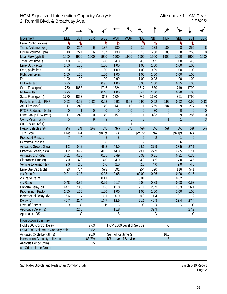## HCM Signalized Intersection Capacity Analysis<br>2: Rumrill Blvd. & Broadway Ave. <br><sup>01/05/2022</sup> 2: Rumrill Blvd. & Broadway Ave.

|                                          | ↗              |                |                  |              |                             |                  |                |                |                |                  |                  |                  |
|------------------------------------------|----------------|----------------|------------------|--------------|-----------------------------|------------------|----------------|----------------|----------------|------------------|------------------|------------------|
| <b>Movement</b>                          | EBL            | <b>EBT</b>     | <b>EBR</b>       | <b>WBL</b>   | <b>WBT</b>                  | <b>WBR</b>       | <b>NBL</b>     | <b>NBT</b>     | <b>NBR</b>     | <b>SBL</b>       | <b>SBT</b>       | <b>SBR</b>       |
| Lane Configurations                      | ۲              | Ъ              |                  | ۲            | Ъ                           |                  | ۲              | Ъ              |                | ۲                | ħ                |                  |
| Traffic Volume (vph)                     | 10             | 224            | $\boldsymbol{6}$ | 137          | 130                         | 9                | 10             | 238            | 188            | $\, 8$           | 255              | $\boldsymbol{8}$ |
| Future Volume (vph)                      | 10             | 224            | 6                | 137          | 130                         | 9                | 10             | 238            | 188            | 8                | 255              | 8                |
| Ideal Flow (vphpl)                       | 1900           | 1900           | 1900             | 1900         | 1900                        | 1900             | 1900           | 1900           | 1900           | 1900             | 1900             | 1900             |
| Total Lost time (s)                      | 4.0            | 4.0            |                  | 4.0          | 4.0                         |                  | 4.0            | 4.5            |                | 4.0              | 4.5              |                  |
| Lane Util. Factor                        | 1.00           | 1.00           |                  | 1.00         | 1.00                        |                  | 1.00           | 1.00           |                | 1.00             | 1.00             |                  |
| Frpb, ped/bikes                          | 1.00           | 1.00           |                  | 1.00         | 1.00                        |                  | 1.00           | 0.99           |                | 1.00             | 1.00             |                  |
| Flpb, ped/bikes                          | 1.00           | 1.00           |                  | 1.00         | 1.00                        |                  | 1.00           | 1.00           |                | 1.00             | 1.00             |                  |
| Frt                                      | 1.00           | 1.00           |                  | 1.00         | 0.99                        |                  | 1.00           | 0.93           |                | 1.00             | 1.00             |                  |
| <b>Flt Protected</b>                     | 0.95           | 1.00           |                  | 0.95         | 1.00                        |                  | 0.95           | 1.00           |                | 0.95             | 1.00             |                  |
| Satd. Flow (prot)                        | 1770           | 1853           |                  | 1746         | 1824                        |                  | 1717           | 1680           |                | 1719             | 1799             |                  |
| <b>Flt Permitted</b>                     | 0.95           | 1.00           |                  | 0.46         | 1.00                        |                  | 0.41           | 1.00           |                | 0.20             | 1.00             |                  |
| Satd. Flow (perm)                        | 1770           | 1853           |                  | 848          | 1824                        |                  | 746            | 1680           |                | 361              | 1799             |                  |
| Peak-hour factor, PHF                    | 0.92           | 0.92           | 0.92             | 0.92         | 0.92                        | 0.92             | 0.92           | 0.92           | 0.92           | 0.92             | 0.92             | 0.92             |
| Adj. Flow (vph)                          | 11             | 243            | 7                | 149          | 141                         | 10               | 11             | 259            | 204            | 9                | 277              | 9                |
| <b>RTOR Reduction (vph)</b>              | $\overline{0}$ | $\mathbf{1}$   | $\overline{0}$   | $\mathbf{0}$ | $\overline{0}$              | $\boldsymbol{0}$ | $\overline{0}$ | 30             | $\overline{0}$ | $\boldsymbol{0}$ | $\overline{0}$   | $\mathbf 0$      |
| Lane Group Flow (vph)                    | 11             | 249            | $\mathbf 0$      | 149          | 151                         | $\boldsymbol{0}$ | 11             | 433            | 0              | 9                | 286              | $\boldsymbol{0}$ |
| Confl. Peds. (#/hr)                      | 5              |                | 9                | 9            |                             | 5                | $\overline{3}$ |                | $\overline{1}$ | $\overline{1}$   |                  | $\overline{3}$   |
| Confl. Bikes (#/hr)                      |                |                | 1                |              |                             | 1                |                |                |                |                  |                  |                  |
| Heavy Vehicles (%)                       | 2%             | 2%             | 2%               | 3%           | 3%                          | 3%               | 5%             | 5%             | 5%             | 5%               | 5%               | 5%               |
| Turn Type                                | Prot           | <b>NA</b>      |                  | pm+pt        | <b>NA</b>                   |                  | pm+pt          | <b>NA</b>      |                | pm+pt            | <b>NA</b>        |                  |
| <b>Protected Phases</b>                  | $\overline{7}$ | $\overline{4}$ |                  | 3            | 8                           |                  | 5              | $\overline{2}$ |                | 1                | $\boldsymbol{6}$ |                  |
| <b>Permitted Phases</b>                  |                |                |                  | 8            |                             |                  | $\overline{2}$ |                |                | 6                |                  |                  |
| Actuated Green, G (s)                    | 1.2            | 34.2           |                  | 49.2         | 44.0                        |                  | 29.1           | 27.9           |                | 27.5             | 27.1             |                  |
| Effective Green, g (s)                   | 1.2            | 34.2           |                  | 49.2         | 44.0                        |                  | 29.1           | 27.9           |                | 27.5             | 27.1             |                  |
| Actuated g/C Ratio                       | 0.01           | 0.38           |                  | 0.55         | 0.49                        |                  | 0.32           | 0.31           |                | 0.31             | 0.30             |                  |
| Clearance Time (s)                       | 4.0            | 4.0            |                  | 4.0          | 4.0                         |                  | 4.0            | 4.5            |                | 4.0              | 4.5              |                  |
| Vehicle Extension (s)                    | 2.0            | 2.0            |                  | 2.0          | 2.0                         |                  | 2.0            | 4.0            |                | 2.0              | 4.0              |                  |
| Lane Grp Cap (vph)                       | 23             | 704            |                  | 573          | 891                         |                  | 254            | 520            |                | 116              | 541              |                  |
| v/s Ratio Prot                           | 0.01           | c0.13          |                  | c0.03        | 0.08                        |                  | c0.00          | c0.26          |                | 0.00             | 0.16             |                  |
| v/s Ratio Perm                           |                |                |                  | 0.11         |                             |                  | 0.01           |                |                | 0.02             |                  |                  |
| v/c Ratio                                | 0.48           | 0.35           |                  | 0.26         | 0.17                        |                  | 0.04           | 0.83           |                | 0.08             | 0.53             |                  |
| Uniform Delay, d1                        | 44.1           | 20.0           |                  | 10.6         | 12.8                        |                  | 21.1           | 28.9           |                | 23.3             | 26.1             |                  |
| Progression Factor                       | 1.00           | 1.00           |                  | 1.00         | 1.00                        |                  | 1.00           | 1.00           |                | 1.00             | 1.00             |                  |
| Incremental Delay, d2                    | 5.6            | 1.4            |                  | 0.1          | 0.0                         |                  | 0.0            | 11.4           |                | 0.1              | 1.2              |                  |
| Delay (s)                                | 49.7           | 21.4           |                  | 10.7         | 12.9                        |                  | 21.1           | 40.3           |                | 23.4             | 27.4             |                  |
| Level of Service                         | D              | C              |                  | Β            | Β                           |                  | С              | D              |                | C                | $\mathsf C$      |                  |
| Approach Delay (s)                       |                | 22.6           |                  |              | 11.8                        |                  |                | 39.9           |                |                  | 27.2             |                  |
| Approach LOS                             |                | C              |                  |              | Β                           |                  |                | D              |                |                  | C                |                  |
| <b>Intersection Summary</b>              |                |                |                  |              |                             |                  |                |                |                |                  |                  |                  |
| HCM 2000 Control Delay                   |                |                | 27.3             |              | HCM 2000 Level of Service   |                  |                |                | $\mathsf C$    |                  |                  |                  |
| HCM 2000 Volume to Capacity ratio        |                |                | 0.52             |              |                             |                  |                |                |                |                  |                  |                  |
| Actuated Cycle Length (s)                |                |                | 90.0             |              | Sum of lost time (s)        |                  |                |                | 16.5           |                  |                  |                  |
| <b>Intersection Capacity Utilization</b> |                |                | 63.7%            |              | <b>ICU Level of Service</b> |                  |                |                | B              |                  |                  |                  |
| Analysis Period (min)                    |                |                | 15               |              |                             |                  |                |                |                |                  |                  |                  |
| c Critical Lane Group                    |                |                |                  |              |                             |                  |                |                |                |                  |                  |                  |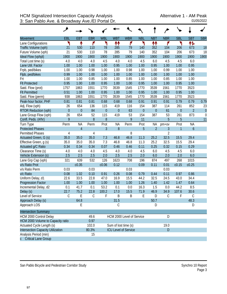|                                    | ۶                                          |                |                  |                  |                      |                             |                  |                  |                |            |                |                  |
|------------------------------------|--------------------------------------------|----------------|------------------|------------------|----------------------|-----------------------------|------------------|------------------|----------------|------------|----------------|------------------|
| <b>Movement</b>                    | EBL                                        | <b>EBT</b>     | <b>EBR</b>       | <b>WBL</b>       | <b>WBT</b>           | <b>WBR</b>                  | <b>NBL</b>       | <b>NBT</b>       | <b>NBR</b>     | <b>SBL</b> | <b>SBT</b>     | <b>SBR</b>       |
| Lane Configurations                | ۲                                          | ↟              | ۴                | ۲                | ↟↟                   | ۴                           | ۲                | 忭                | ۴              | ۲          | 怍              |                  |
| Traffic Volume (vph)               | 21                                         | 530            | 110              | 78               | 285                  | 79                          | 140              | 352              | 104            | 206        | 673            | 18               |
| Future Volume (vph)                | 21                                         | 530            | 110              | 78               | 285                  | 79                          | 140              | 352              | 104            | 206        | 673            | 18               |
| Ideal Flow (vphpl)                 | 1900                                       | 1900           | 1900             | 1900             | 1900                 | 1900                        | 1900             | 1900             | 1900           | 1900       | 1900           | 1900             |
| Total Lost time (s)                | 4.0                                        | 4.0            | 4.0              | 4.5              | 4.0                  | 4.0                         | 4.5              | 6.0              | 4.5            | 4.5        | 6.0            |                  |
| Lane Util. Factor                  | 1.00                                       | 1.00           | 1.00             | 1.00             | 0.95                 | 1.00                        | 1.00             | 0.95             | 1.00           | 1.00       | 0.95           |                  |
| Frpb, ped/bikes                    | 1.00                                       | 1.00           | 0.98             | 1.00             | 1.00                 | 0.98                        | 1.00             | 1.00             | 0.99           | 1.00       | 1.00           |                  |
| Flpb, ped/bikes                    | 0.99                                       | 1.00           | 1.00             | 1.00             | 1.00                 | 1.00                        | 1.00             | 1.00             | 1.00           | 1.00       | 1.00           |                  |
| Frt                                | 1.00                                       | 1.00           | 0.85             | 1.00             | 1.00                 | 0.85                        | 1.00             | 1.00             | 0.85           | 1.00       | 1.00           |                  |
| <b>Flt Protected</b>               | 0.95                                       | 1.00           | 1.00             | 0.95             | 1.00                 | 1.00                        | 0.95             | 1.00             | 1.00           | 0.95       | 1.00           |                  |
| Satd. Flow (prot)                  | 1757                                       | 1863           | 1551             | 1770             | 3539                 | 1545                        | 1770             | 3539             | 1561           | 1770       | 3523           |                  |
| <b>Flt Permitted</b>               | 0.51                                       | 1.00           | 1.00             | 0.95             | 1.00                 | 1.00                        | 0.95             | 1.00             | 1.00           | 0.95       | 1.00           |                  |
| Satd. Flow (perm)                  | 938                                        | 1863           | 1551             | 1770             | 3539                 | 1545                        | 1770             | 3539             | 1561           | 1770       | 3523           |                  |
| Peak-hour factor, PHF              | 0.81                                       | 0.81           | 0.81             | 0.68             | 0.68                 | 0.68                        | 0.91             | 0.91             | 0.91           | 0.79       | 0.79           | 0.79             |
| Adj. Flow (vph)                    | 26                                         | 654            | 136              | 115              | 419                  | 116                         | 154              | 387              | 114            | 261        | 852            | 23               |
| RTOR Reduction (vph)               | $\boldsymbol{0}$                           | $\mathbf{0}$   | 84               | $\boldsymbol{0}$ | $\mathbf{0}$         | 63                          | $\boldsymbol{0}$ | $\boldsymbol{0}$ | 61             | $\theta$   | $\overline{2}$ | $\overline{0}$   |
| Lane Group Flow (vph)              | 26                                         | 654            | 52               | 115              | 419                  | 53                          | 154              | 387              | 53             | 261        | 873            | $\boldsymbol{0}$ |
| Confl. Peds. (#/hr)                | 9                                          |                | $\boldsymbol{8}$ | $\boldsymbol{8}$ |                      | 9                           | 11               |                  | 5              | 5          |                | 11               |
| Turn Type                          | Perm                                       | <b>NA</b>      | Perm             | Prot             | <b>NA</b>            | Perm                        | Prot             | ΝA               | pm+ov          | Prot       | <b>NA</b>      |                  |
| <b>Protected Phases</b>            |                                            | $\overline{4}$ |                  | 3                | $\overline{8}$       |                             | 5                | $\overline{2}$   | 3              | 1          | $\overline{6}$ |                  |
| <b>Permitted Phases</b>            | 4                                          |                | 4                |                  |                      | 8                           |                  |                  | $\overline{2}$ |            |                |                  |
| Actuated Green, G (s)              | 35.0                                       | 35.0           | 35.0             | 7.3              | 46.8                 | 46.8                        | 11.3             | 25.2             | 32.5           | 15.5       | 29.4           |                  |
| Effective Green, g (s)             | 35.0                                       | 35.0           | 35.0             | 7.3              | 46.8                 | 46.8                        | 11.3             | 25.2             | 32.5           | 15.5       | 29.4           |                  |
| Actuated g/C Ratio                 | 0.34                                       | 0.34           | 0.34             | 0.07             | 0.46                 | 0.46                        | 0.11             | 0.25             | 0.32           | 0.15       | 0.29           |                  |
| Clearance Time (s)                 | 4.0                                        | 4.0            | 4.0              | 4.5              | 4.0                  | 4.0                         | 4.5              | 6.0              | 4.5            | 4.5        | 6.0            |                  |
| Vehicle Extension (s)              | 2.5                                        | 2.5            | 2.5              | 2.0              | 2.5                  | 2.5                         | 2.0              | 6.0              | 2.0            | 2.0        | 6.0            |                  |
| Lane Grp Cap (vph)                 | 321                                        | 639            | 532              | 126              | 1623                 | 708                         | 196              | 874              | 497            | 268        | 1015           |                  |
| v/s Ratio Prot                     |                                            | c0.35          |                  | c0.06            | 0.12                 |                             | 0.09             | 0.11             | 0.01           | c0.15      | c0.25          |                  |
| v/s Ratio Perm                     | 0.03                                       |                | 0.03             |                  |                      | 0.03                        |                  |                  | 0.03           |            |                |                  |
| v/c Ratio                          | 0.08                                       | 1.02           | 0.10             | 0.91             | 0.26                 | 0.08                        | 0.79             | 0.44             | 0.11           | 0.97       | 0.86           |                  |
| Uniform Delay, d1                  | 22.6                                       | 33.5           | 22.8             | 47.0             | 16.9                 | 15.5                        | 44.2             | 32.5             | 24.5           | 43.0       | 34.4           |                  |
| Progression Factor                 | 1.00                                       | 1.00           | 1.00             | 1.00             | 1.00                 | 1.00                        | 1.26             | 1.40             | 1.42           | 1.47       | 0.64           |                  |
| Incremental Delay, d2              | 0.1                                        | 41.7           | 0.1              | 53.2             | 0.1                  | 0.0                         | 16.3             | 1.5              | 0.0            | 44.2       | 8.5            |                  |
| Delay (s)                          | 22.7                                       | 75.2           | 22.8             | 100.2            | 17.0                 | 15.5                        | 71.9             | 46.9             | 34.9           | 107.6      | 30.6           |                  |
| Level of Service                   | C                                          | $\mathsf E$    | $\mathsf C$      | F                | B                    | Β                           | Е                | D                | $\mathsf{C}$   | F          | $\mathcal{C}$  |                  |
| Approach Delay (s)                 |                                            | 64.8           |                  |                  | 31.5                 |                             |                  | 50.7             |                |            | 48.3           |                  |
| Approach LOS                       |                                            | Ε              |                  |                  | С                    |                             |                  | D                |                |            | D              |                  |
| <b>Intersection Summary</b>        |                                            |                |                  |                  |                      |                             |                  |                  |                |            |                |                  |
| HCM 2000 Control Delay             |                                            |                | 49.6             |                  |                      | HCM 2000 Level of Service   |                  |                  | D              |            |                |                  |
| HCM 2000 Volume to Capacity ratio  | 0.97                                       |                |                  |                  |                      |                             |                  |                  |                |            |                |                  |
| Actuated Cycle Length (s)<br>102.0 |                                            |                |                  |                  | Sum of lost time (s) |                             |                  |                  | 19.0           |            |                |                  |
|                                    | Intersection Capacity Utilization<br>80.3% |                |                  |                  |                      | <b>ICU Level of Service</b> |                  |                  | D              |            |                |                  |
| Analysis Period (min)              |                                            |                | 15               |                  |                      |                             |                  |                  |                |            |                |                  |
| <b>Critical Lane Group</b>         |                                            |                |                  |                  |                      |                             |                  |                  |                |            |                |                  |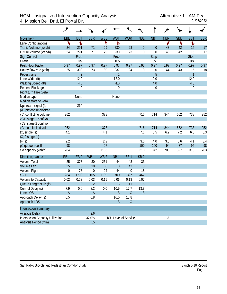# HCM Unsignalized Intersection Capacity Analysis Alternative 1 - AM Peak<br>4: Mission Bell Dr & El Portal Dr. 01/05/2022 4: Mission Bell Dr & El Portal Dr.

|                                          | عر               |                  |                           |                 |                 |                      |                  |                  |            |            |              |            |
|------------------------------------------|------------------|------------------|---------------------------|-----------------|-----------------|----------------------|------------------|------------------|------------|------------|--------------|------------|
| <b>Movement</b>                          | EBL              | <b>EBT</b>       | <b>EBR</b>                | <b>WBL</b>      | <b>WBT</b>      | <b>WBR</b>           | <b>NBL</b>       | <b>NBT</b>       | <b>NBR</b> | <b>SBL</b> | <b>SBT</b>   | <b>SBR</b> |
| Lane Configurations                      | ኻ                | ħ                |                           | ۳               | Ъ               |                      |                  |                  | ۴          | ۲          | Ъ            |            |
| Traffic Volume (veh/h)                   | 24               | 291              | 71                        | 29              | 230             | 23                   | $\overline{0}$   | $\boldsymbol{0}$ | 43         | 42         | 15           | 17         |
| Future Volume (Veh/h)                    | 24               | 291              | 71                        | 29              | 230             | 23                   | $\mathbf 0$      | $\boldsymbol{0}$ | 43         | 42         | 15           | 17         |
| Sign Control                             |                  | Free             |                           |                 | Free            |                      |                  | <b>Stop</b>      |            |            | <b>Stop</b>  |            |
| Grade                                    |                  | 0%               |                           |                 | 0%              |                      |                  | 0%               |            |            | 0%           |            |
| Peak Hour Factor                         | 0.97             | 0.97             | 0.97                      | 0.97            | 0.97            | 0.97                 | 0.97             | 0.97             | 0.97       | 0.97       | 0.97         | 0.97       |
| Hourly flow rate (vph)                   | 25               | 300              | 73                        | 30              | 237             | 24                   | 0                | $\boldsymbol{0}$ | 44         | 43         | 15           | 18         |
| Pedestrians                              |                  | $\overline{2}$   |                           |                 | $\overline{2}$  |                      |                  | 5                |            |            | $\mathbf{1}$ |            |
| Lane Width (ft)                          |                  | 12.0             |                           |                 | 12.0            |                      |                  | 12.0             |            |            | 12.0         |            |
| Walking Speed (ft/s)                     |                  | 4.0              |                           |                 | 4.0             |                      |                  | 4.0              |            |            | 4.0          |            |
| Percent Blockage                         |                  | $\boldsymbol{0}$ |                           |                 | $\mathbf 0$     |                      |                  | $\boldsymbol{0}$ |            |            | 0            |            |
| Right turn flare (veh)                   |                  |                  |                           |                 |                 |                      |                  |                  |            |            |              |            |
| Median type                              |                  | None             |                           |                 | None            |                      |                  |                  |            |            |              |            |
| Median storage veh)                      |                  |                  |                           |                 |                 |                      |                  |                  |            |            |              |            |
| Upstream signal (ft)                     |                  | 264              |                           |                 |                 |                      |                  |                  |            |            |              |            |
| pX, platoon unblocked                    |                  |                  |                           |                 |                 |                      |                  |                  |            |            |              |            |
| vC, conflicting volume                   | 262              |                  |                           | 378             |                 |                      | 716              | 714              | 344        | 662        | 738          | 252        |
| vC1, stage 1 conf vol                    |                  |                  |                           |                 |                 |                      |                  |                  |            |            |              |            |
| vC2, stage 2 conf vol                    |                  |                  |                           |                 |                 |                      |                  |                  |            |            |              |            |
| vCu, unblocked vol                       | 262              |                  |                           | 378             |                 |                      | 716              | 714              | 344        | 662        | 738          | 252        |
| tC, single (s)                           | 4.1              |                  |                           | 4.1             |                 |                      | 7.1              | 6.5              | 6.2        | 7.2        | 6.6          | 6.3        |
| tC, 2 stage (s)                          |                  |                  |                           |                 |                 |                      |                  |                  |            |            |              |            |
| tF(s)                                    | 2.2              |                  |                           | 2.2             |                 |                      | 3.5              | 4.0              | 3.3        | 3.6        | 4.1          | 3.4        |
| p0 queue free %                          | 98               |                  |                           | 97              |                 |                      | 100              | 100              | 94         | 87         | 95           | 98         |
| cM capacity (veh/h)                      | 1284             |                  |                           | 1165            |                 |                      | 313              | 342              | 700        | 327        | 318          | 763        |
| Direction, Lane #                        | EB <sub>1</sub>  | EB <sub>2</sub>  | WB <sub>1</sub>           | WB <sub>2</sub> | NB <sub>1</sub> | SB <sub>1</sub>      | SB <sub>2</sub>  |                  |            |            |              |            |
| <b>Volume Total</b>                      | 25               | 373              | 30                        | 261             | 44              | 43                   | 33               |                  |            |            |              |            |
| <b>Volume Left</b>                       | 25               | $\boldsymbol{0}$ | 30                        | $\theta$        | $\mathbf{0}$    | 43                   | $\mathbf{0}$     |                  |            |            |              |            |
| Volume Right                             | $\boldsymbol{0}$ | 73               | $\boldsymbol{0}$          | 24              | 44              | $\boldsymbol{0}$     | 18               |                  |            |            |              |            |
| cSH                                      | 1284             | 1700             | 1165                      | 1700            | 700             | 327                  | 467              |                  |            |            |              |            |
| Volume to Capacity                       | 0.02             | 0.22             | 0.03                      | 0.15            | 0.06            | 0.13                 | 0.07             |                  |            |            |              |            |
| Queue Length 95th (ft)                   | $\mathbf{1}$     | $\boldsymbol{0}$ | $\overline{2}$            | $\theta$        | 5               | 11                   | $\boldsymbol{6}$ |                  |            |            |              |            |
| Control Delay (s)                        | 7.9              | 0.0              | 8.2                       | 0.0             | 10.5            | 17.7                 | 13.3             |                  |            |            |              |            |
| Lane LOS                                 | $\sf A$          |                  | $\boldsymbol{\mathsf{A}}$ |                 | B               | $\mathsf C$          | $\sf B$          |                  |            |            |              |            |
| Approach Delay (s)                       | 0.5              |                  | 0.8                       |                 | 10.5            | 15.8                 |                  |                  |            |            |              |            |
| Approach LOS                             |                  |                  |                           |                 | $\sf B$         | $\mathsf C$          |                  |                  |            |            |              |            |
| <b>Intersection Summary</b>              |                  |                  |                           |                 |                 |                      |                  |                  |            |            |              |            |
| Average Delay                            |                  |                  | 2.6                       |                 |                 |                      |                  |                  |            |            |              |            |
| <b>Intersection Capacity Utilization</b> |                  |                  | 37.0%                     |                 |                 | ICU Level of Service |                  |                  | А          |            |              |            |
| Analysis Period (min)                    |                  |                  | 15                        |                 |                 |                      |                  |                  |            |            |              |            |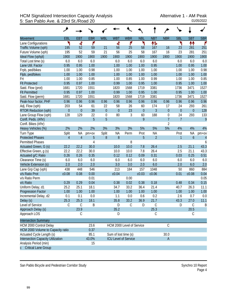## HCM Signalized Intersection Capacity Analysis<br>5: San Pablo Ave. & 23rd St./Road 20 5: San Pablo Ave. & 23rd St./Road 20

|                                   | حر             |                |            |             |                             |                |            |                |                  |                |                  |                |
|-----------------------------------|----------------|----------------|------------|-------------|-----------------------------|----------------|------------|----------------|------------------|----------------|------------------|----------------|
| Movement                          | EBL            | <b>EBT</b>     | <b>EBR</b> | <b>WBL</b>  | <b>WBT</b>                  | <b>WBR</b>     | <b>NBL</b> | <b>NBT</b>     | <b>NBR</b>       | <b>SBL</b>     | <b>SBT</b>       | <b>SBR</b>     |
| Lane Configurations               | ۲              | ची             | ۴          |             | 4                           | ۴              | ۲          | 怍              |                  | ۲              | ተተ               | ۴              |
| Traffic Volume (vph)              | 195            | 52             | 59         | 21          | 56                          | 25             | 58         | 167            | 16               | 23             | 281              | 251            |
| Future Volume (vph)               | 195            | 52             | 59         | 21          | 56                          | 25             | 58         | 167            | 16               | 23             | 281              | 251            |
| Ideal Flow (vphpl)                | 1900           | 1900           | 1900       | 1900        | 1900                        | 1900           | 1900       | 1900           | 1900             | 1900           | 1900             | 1900           |
| Total Lost time (s)               | 6.0            | 6.0            | 6.0        |             | 6.0                         | 6.0            | 6.0        | 6.0            |                  | 6.0            | 6.0              | 6.0            |
| Lane Util. Factor                 | 0.95           | 0.95           | 1.00       |             | 1.00                        | 1.00           | 1.00       | 0.95           |                  | 1.00           | 0.95             | 1.00           |
| Frpb, ped/bikes                   | 1.00           | 1.00           | 0.98       |             | 1.00                        | 1.00           | 1.00       | 1.00           |                  | 1.00           | 1.00             | 0.98           |
| Flpb, ped/bikes                   | 1.00           | 1.00           | 1.00       |             | 1.00                        | 1.00           | 1.00       | 1.00           |                  | 1.00           | 1.00             | 1.00           |
| Frt                               | 1.00           | 1.00           | 0.85       |             | 1.00                        | 0.85           | 1.00       | 0.99           |                  | 1.00           | 1.00             | 0.85           |
| <b>Flt Protected</b>              | 0.95           | 0.97           | 1.00       |             | 0.99                        | 1.00           | 0.95       | 1.00           |                  | 0.95           | 1.00             | 1.00           |
| Satd. Flow (prot)                 | 1681           | 1720           | 1551       |             | 1820                        | 1568           | 1719       | 3381           |                  | 1736           | 3471             | 1527           |
| <b>Flt Permitted</b>              | 0.95           | 0.97           | 1.00       |             | 0.99                        | 1.00           | 0.95       | 1.00           |                  | 0.95           | 1.00             | 1.00           |
| Satd. Flow (perm)                 | 1681           | 1720           | 1551       |             | 1820                        | 1568           | 1719       | 3381           |                  | 1736           | 3471             | 1527           |
| Peak-hour factor, PHF             | 0.96           | 0.96           | 0.96       | 0.96        | 0.96                        | 0.96           | 0.96       | 0.96           | 0.96             | 0.96           | 0.96             | 0.96           |
| Adj. Flow (vph)                   | 203            | 54             | 61         | 22          | 58                          | 26             | 60         | 174            | 17               | 24             | 293              | 261            |
| RTOR Reduction (vph)              | $\overline{0}$ | $\overline{0}$ | 39         | $\theta$    | $\overline{0}$              | 23             | $\theta$   | $\overline{3}$ | $\overline{0}$   | $\overline{0}$ | $\theta$         | 128            |
| Lane Group Flow (vph)             | 128            | 129            | 22         | $\mathbf 0$ | 80                          | $\mathfrak{Z}$ | 60         | 188            | $\boldsymbol{0}$ | 24             | 293              | 133            |
| Confl. Peds. (#/hr)               |                |                | 5          | 5           |                             |                | 9          |                | $\overline{7}$   | $\overline{7}$ |                  | 9              |
| Confl. Bikes (#/hr)               |                |                |            |             |                             |                |            |                | $\overline{2}$   |                |                  |                |
| Heavy Vehicles (%)                | 2%             | 2%             | 2%         | 3%          | 3%                          | 3%             | 5%         | 5%             | 5%               | 4%             | 4%               | 4%             |
| Turn Type                         | Split          | <b>NA</b>      | $pm+ov$    | Split       | <b>NA</b>                   | Perm           | Prot       | <b>NA</b>      |                  | Prot           | <b>NA</b>        | pm+ov          |
| <b>Protected Phases</b>           | $\overline{4}$ | $\overline{4}$ | 5          | 8           | $8\,$                       |                | 5          | $\overline{2}$ |                  | 1              | $\boldsymbol{6}$ | $\overline{4}$ |
| <b>Permitted Phases</b>           |                |                | 4          |             |                             | 8              |            |                |                  |                |                  | 6              |
| Actuated Green, G (s)             | 22.2           | 22.2           | 30.0       |             | 10.0                        | 10.0           | 7.8        | 26.4           |                  | 2.5            | 21.1             | 43.3           |
| Effective Green, g (s)            | 22.2           | 22.2           | 30.0       |             | 10.0                        | 10.0           | 7.8        | 26.4           |                  | 2.5            | 21.1             | 43.3           |
| Actuated g/C Ratio                | 0.26           | 0.26           | 0.35       |             | 0.12                        | 0.12           | 0.09       | 0.31           |                  | 0.03           | 0.25             | 0.51           |
| Clearance Time (s)                | 6.0            | 6.0            | 6.0        |             | 6.0                         | 6.0            | 6.0        | 6.0            |                  | 6.0            | 6.0              | 6.0            |
| Vehicle Extension (s)             | 2.0            | 2.0            | 2.0        |             | 3.0                         | 3.0            | 2.0        | 6.0            |                  | 2.0            | 6.0              | 2.0            |
| Lane Grp Cap (vph)                | 438            | 448            | 546        |             | 213                         | 184            | 157        | 1048           |                  | 50             | 860              | 884            |
| v/s Ratio Prot                    | c0.08          | 0.08           | 0.00       |             | c0.04                       |                | c0.03      | c0.06          |                  | 0.01           | c0.08            | 0.04           |
| v/s Ratio Perm                    |                |                | 0.01       |             |                             | 0.00           |            |                |                  |                |                  | 0.05           |
| v/c Ratio                         | 0.29           | 0.29           | 0.04       |             | 0.38                        | 0.02           | 0.38       | 0.18           |                  | 0.48           | 0.34             | 0.15           |
| Uniform Delay, d1                 | 25.2           | 25.1           | 18.1       |             | 34.7                        | 33.2           | 36.4       | 21.4           |                  | 40.7           | 26.3             | 11.1           |
| Progression Factor                | 1.00           | 1.00           | 1.00       |             | 1.00                        | 1.00           | 1.00       | 1.00           |                  | 1.00           | 1.00             | 1.00           |
| Incremental Delay, d2             | 0.1            | 0.1            | 0.0        |             | 1.1                         | 0.0            | 0.6        | 0.2            |                  | 2.6            | 0.7              | 0.0            |
| Delay (s)                         | 25.3           | 25.3           | 18.1       |             | 35.8                        | 33.2           | 36.9       | 21.7           |                  | 43.3           | 27.0             | 11.1           |
| Level of Service                  | C              | C              | Β          |             | D                           | C              | D          | $\mathsf C$    |                  | D              | $\mathsf{C}$     | B              |
| Approach Delay (s)                |                | 23.9           |            |             | 35.2                        |                |            | 25.3           |                  |                | 20.5             |                |
| Approach LOS                      |                | С              |            |             | D                           |                |            | C              |                  |                | C                |                |
| <b>Intersection Summary</b>       |                |                |            |             |                             |                |            |                |                  |                |                  |                |
| HCM 2000 Control Delay            |                |                | 23.6       |             | HCM 2000 Level of Service   |                |            |                | $\mathsf C$      |                |                  |                |
| HCM 2000 Volume to Capacity ratio |                |                | 0.37       |             |                             |                |            |                |                  |                |                  |                |
| Actuated Cycle Length (s)         |                |                | 85.1       |             | Sum of lost time (s)        |                |            |                | 30.0             |                |                  |                |
| Intersection Capacity Utilization |                |                | 43.0%      |             | <b>ICU Level of Service</b> |                |            |                | $\overline{A}$   |                |                  |                |
| Analysis Period (min)             |                |                | 15         |             |                             |                |            |                |                  |                |                  |                |
| c Critical Lane Group             |                |                |            |             |                             |                |            |                |                  |                |                  |                |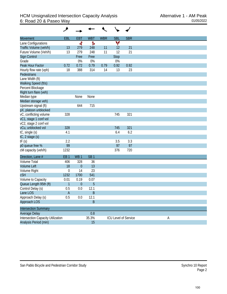| <b>Movement</b>                          | EBL              | <b>EBT</b>       | <b>WBT</b>      | <b>WBR</b> | <b>SBL</b>           | <b>SBR</b> |   |
|------------------------------------------|------------------|------------------|-----------------|------------|----------------------|------------|---|
| Lane Configurations                      |                  | ৰ                | Ъ               |            | ۷                    |            |   |
| Traffic Volume (veh/h)                   | 13               | 279              | 248             | 11         | 12                   | 21         |   |
| Future Volume (Veh/h)                    | 13               | 279              | 248             | 11         | 12                   | 21         |   |
| Sign Control                             |                  | Free             | Free            |            | Stop                 |            |   |
| Grade                                    |                  | 0%               | $0\%$           |            | 0%                   |            |   |
| Peak Hour Factor                         | 0.72             | 0.72             | 0.79            | 0.79       | 0.92                 | 0.92       |   |
| Hourly flow rate (vph)                   | 18               | 388              | 314             | 14         | 13                   | 23         |   |
| Pedestrians                              |                  |                  |                 |            |                      |            |   |
| Lane Width (ft)                          |                  |                  |                 |            |                      |            |   |
| Walking Speed (ft/s)                     |                  |                  |                 |            |                      |            |   |
| Percent Blockage                         |                  |                  |                 |            |                      |            |   |
| Right turn flare (veh)                   |                  |                  |                 |            |                      |            |   |
| Median type                              |                  | None             | None            |            |                      |            |   |
| Median storage veh)                      |                  |                  |                 |            |                      |            |   |
| Upstream signal (ft)                     |                  | 644              | 715             |            |                      |            |   |
| pX, platoon unblocked                    |                  |                  |                 |            |                      |            |   |
| vC, conflicting volume                   | 328              |                  |                 |            | 745                  | 321        |   |
| vC1, stage 1 conf vol                    |                  |                  |                 |            |                      |            |   |
| vC2, stage 2 conf vol                    |                  |                  |                 |            |                      |            |   |
| vCu, unblocked vol                       | 328              |                  |                 |            | 745                  | 321        |   |
| tC, single (s)                           | 4.1              |                  |                 |            | 6.4                  | 6.2        |   |
| tC, 2 stage (s)                          |                  |                  |                 |            |                      |            |   |
| tF(s)                                    | 2.2              |                  |                 |            | 3.5                  | 3.3        |   |
| p0 queue free %                          | 99               |                  |                 |            | 97                   | 97         |   |
| cM capacity (veh/h)                      | 1232             |                  |                 |            | 376                  | 720        |   |
| Direction, Lane #                        | EB <sub>1</sub>  | WB <sub>1</sub>  | SB <sub>1</sub> |            |                      |            |   |
| <b>Volume Total</b>                      | 406              | 328              | 36              |            |                      |            |   |
| <b>Volume Left</b>                       | 18               | $\boldsymbol{0}$ | 13              |            |                      |            |   |
| Volume Right                             | $\boldsymbol{0}$ | 14               | 23              |            |                      |            |   |
| cSH                                      | 1232             | 1700             | 541             |            |                      |            |   |
| Volume to Capacity                       | 0.01             | 0.19             | 0.07            |            |                      |            |   |
| Queue Length 95th (ft)                   | $\mathbf{1}$     | $\boldsymbol{0}$ | 5               |            |                      |            |   |
| Control Delay (s)                        | 0.5              | 0.0              | 12.1            |            |                      |            |   |
| Lane LOS                                 | A                |                  | B               |            |                      |            |   |
| Approach Delay (s)                       | 0.5              | 0.0              | 12.1            |            |                      |            |   |
| Approach LOS                             |                  |                  | $\sf B$         |            |                      |            |   |
| <b>Intersection Summary</b>              |                  |                  |                 |            |                      |            |   |
| Average Delay                            |                  |                  | 0.8             |            |                      |            |   |
| <b>Intersection Capacity Utilization</b> |                  |                  | 35.3%           |            | ICU Level of Service |            | A |
| Analysis Period (min)                    |                  |                  | 15              |            |                      |            |   |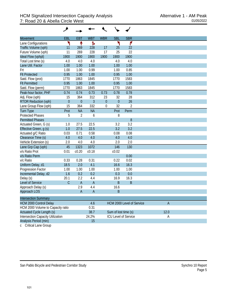| <b>Movement</b>                          | <b>EBL</b>     | <b>EBT</b>       | <b>WBT</b>     | <b>WBR</b> | <b>SBL</b>           | <b>SBR</b>                  |                |  |
|------------------------------------------|----------------|------------------|----------------|------------|----------------------|-----------------------------|----------------|--|
| Lane Configurations                      | ٦              | ↟                | Ъ              |            | ۲                    | ۴                           |                |  |
| Traffic Volume (vph)                     | 11             | 269              | 228            | 17         | 25                   | 22                          |                |  |
| Future Volume (vph)                      | 11             | 269              | 228            | 17         | 25                   | 22                          |                |  |
| Ideal Flow (vphpl)                       | 1900           | 1900             | 1900           | 1900       | 1900                 | 1900                        |                |  |
| Total Lost time (s)                      | 4.0            | 4.0              | 4.0            |            | 4.0                  | 4.0                         |                |  |
| Lane Util. Factor                        | 1.00           | 1.00             | 1.00           |            | 1.00                 | 1.00                        |                |  |
| Frt                                      | 1.00           | 1.00             | 0.99           |            | 1.00                 | 0.85                        |                |  |
| <b>Flt Protected</b>                     | 0.95           | 1.00             | 1.00           |            | 0.95                 | 1.00                        |                |  |
| Satd. Flow (prot)                        | 1770           | 1863             | 1845           |            | 1770                 | 1583                        |                |  |
| <b>Flt Permitted</b>                     | 0.95           | 1.00             | 1.00           |            | 0.95                 | 1.00                        |                |  |
| Satd. Flow (perm)                        | 1770           | 1863             | 1845           |            | 1770                 | 1583                        |                |  |
| Peak-hour factor, PHF                    | 0.74           | 0.74             | 0.73           | 0.73       | 0.78                 | 0.78                        |                |  |
| Adj. Flow (vph)                          | 15             | 364              | 312            | 23         | 32                   | 28                          |                |  |
| <b>RTOR Reduction (vph)</b>              | $\overline{0}$ | $\boldsymbol{0}$ | 3              | $\theta$   | $\overline{0}$       | 26                          |                |  |
| Lane Group Flow (vph)                    | 15             | 364              | 332            | 0          | 32                   | $\overline{2}$              |                |  |
| <b>Turn Type</b>                         | Prot           | <b>NA</b>        | <b>NA</b>      |            | Prot                 | Perm                        |                |  |
| <b>Protected Phases</b>                  | 5              | $\overline{2}$   | 6              |            | 8                    |                             |                |  |
| <b>Permitted Phases</b>                  |                |                  |                |            |                      | 8                           |                |  |
| Actuated Green, G (s)                    | 1.0            | 27.5             | 22.5           |            | 3.2                  | 3.2                         |                |  |
| Effective Green, g (s)                   | 1.0            | 27.5             | 22.5           |            | 3.2                  | 3.2                         |                |  |
| Actuated g/C Ratio                       | 0.03           | 0.71             | 0.58           |            | 0.08                 | 0.08                        |                |  |
| Clearance Time (s)                       | 4.0            | 4.0              | 4.0            |            | 4.0                  | 4.0                         |                |  |
| Vehicle Extension (s)                    | 2.0            | 4.0              | 4.0            |            | 2.0                  | 2.0                         |                |  |
| Lane Grp Cap (vph)                       | 45             | 1323             | 1072           |            | 146                  | 130                         |                |  |
| v/s Ratio Prot                           | 0.01           | c0.20            | c0.18          |            | c0.02                |                             |                |  |
| v/s Ratio Perm                           |                |                  |                |            |                      | 0.00                        |                |  |
| v/c Ratio                                | 0.33           | 0.28             | 0.31           |            | 0.22                 | 0.02                        |                |  |
| Uniform Delay, d1                        | 18.5           | 2.0              | 4.1            |            | 16.6                 | 16.3                        |                |  |
| Progression Factor                       | 1.00           | 1.00             | 1.00           |            | 1.00                 | 1.00                        |                |  |
| Incremental Delay, d2                    | 1.6            | 0.2              | 0.2            |            | 0.3                  | 0.0                         |                |  |
| Delay (s)                                | 20.1           | 2.2              | 4.4            |            | 16.9                 | 16.3                        |                |  |
| Level of Service                         | $\mathsf{C}$   | $\overline{A}$   | $\overline{A}$ |            | B                    | $\sf B$                     |                |  |
| Approach Delay (s)                       |                | 2.9              | 4.4            |            | 16.6                 |                             |                |  |
| Approach LOS                             |                | A                | A              |            | R                    |                             |                |  |
| <b>Intersection Summary</b>              |                |                  |                |            |                      |                             |                |  |
| <b>HCM 2000 Control Delay</b>            |                |                  | 4.6            |            |                      | HCM 2000 Level of Service   | $\overline{A}$ |  |
| HCM 2000 Volume to Capacity ratio        |                |                  | 0.31           |            |                      |                             |                |  |
| Actuated Cycle Length (s)                |                |                  | 38.7           |            | Sum of lost time (s) |                             | 12.0           |  |
| <b>Intersection Capacity Utilization</b> |                |                  | 24.2%          |            |                      | <b>ICU Level of Service</b> | Α              |  |
| Analysis Period (min)                    |                |                  | 15             |            |                      |                             |                |  |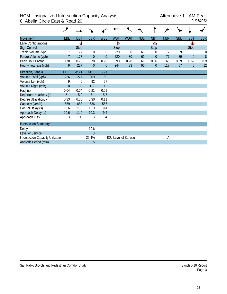#### HCM Unsignalized Intersection Capacity Analysis<br>8: Abella Circle East & Road 20 8: Abella Circle East & Road 20

| <b>Movement</b>                          | EBL             | EBT             | <b>EBR</b>      | <b>WBL</b>      | <b>WBT</b>                  | <b>WBR</b> | <b>NBL</b> | <b>NBT</b>     | <b>NBR</b> | <b>SBL</b> | <b>SBT</b>     | <b>SBR</b> |
|------------------------------------------|-----------------|-----------------|-----------------|-----------------|-----------------------------|------------|------------|----------------|------------|------------|----------------|------------|
| Lane Configurations                      |                 | ৰী              |                 |                 | Ъ                           |            |            | Ф              |            |            | Ф              |            |
| Sign Control                             |                 | <b>Stop</b>     |                 |                 | <b>Stop</b>                 |            |            | <b>Stop</b>    |            |            | Stop           |            |
| Traffic Volume (vph)                     |                 | 177             | $\theta$        | 0               | 220                         | 30         | 61         | 0              | 77         | 39         | 0              | 8          |
| Future Volume (vph)                      | 7               | 177             | $\overline{0}$  | $\overline{0}$  | 220                         | 30         | 61         | $\overline{0}$ | 77         | 39         | $\mathbf{0}$   | 8          |
| Peak Hour Factor                         | 0.78            | 0.78            | 0.78            | 0.90            | 0.90                        | 0.90       | 0.66       | 0.66           | 0.66       | 0.69       | 0.69           | 0.69       |
| Hourly flow rate (vph)                   | 9               | 227             | $\overline{0}$  | $\overline{0}$  | 244                         | 33         | 92         | $\overline{0}$ | 117        | 57         | $\overline{0}$ | 12         |
| Direction, Lane #                        | EB <sub>1</sub> | WB <sub>1</sub> | NB <sub>1</sub> | SB <sub>1</sub> |                             |            |            |                |            |            |                |            |
| Volume Total (vph)                       | 236             | 277             | 209             | 69              |                             |            |            |                |            |            |                |            |
| Volume Left (vph)                        | 9               | $\theta$        | 92              | 57              |                             |            |            |                |            |            |                |            |
| Volume Right (vph)                       | $\theta$        | 33              | 117             | 12              |                             |            |            |                |            |            |                |            |
| Hadj (s)                                 | 0.04            | $-0.04$         | $-0.21$         | 0.09            |                             |            |            |                |            |            |                |            |
| Departure Headway (s)                    | 5.1             | 5.0             | 5.1             | 5.7             |                             |            |            |                |            |            |                |            |
| Degree Utilization, x                    | 0.33            | 0.38            | 0.30            | 0.11            |                             |            |            |                |            |            |                |            |
| Capacity (veh/h)                         | 659             | 683             | 636             | 556             |                             |            |            |                |            |            |                |            |
| Control Delay (s)                        | 10.6            | 11.0            | 10.3            | 9.4             |                             |            |            |                |            |            |                |            |
| Approach Delay (s)                       | 10.6            | 11.0            | 10.3            | 9.4             |                             |            |            |                |            |            |                |            |
| Approach LOS                             | Β               | B               | B               | Α               |                             |            |            |                |            |            |                |            |
| <b>Intersection Summary</b>              |                 |                 |                 |                 |                             |            |            |                |            |            |                |            |
| Delay                                    |                 |                 | 10.6            |                 |                             |            |            |                |            |            |                |            |
| Level of Service                         |                 |                 | B               |                 |                             |            |            |                |            |            |                |            |
| <b>Intersection Capacity Utilization</b> |                 |                 | 29.4%           |                 | <b>ICU Level of Service</b> |            |            |                | А          |            |                |            |
| Analysis Period (min)                    |                 |                 | 15              |                 |                             |            |            |                |            |            |                |            |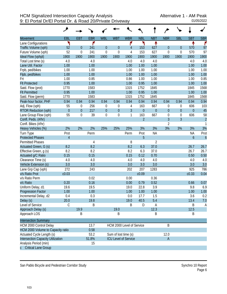|                                          | ۶                |                  |            |                  |                      |                             |                |                |                  |                  |                  |                  |
|------------------------------------------|------------------|------------------|------------|------------------|----------------------|-----------------------------|----------------|----------------|------------------|------------------|------------------|------------------|
| <b>Movement</b>                          | EBL              | <b>EBT</b>       | <b>EBR</b> | <b>WBL</b>       | <b>WBT</b>           | <b>WBR</b>                  | <b>NBL</b>     | <b>NBT</b>     | <b>NBR</b>       | <b>SBL</b>       | <b>SBT</b>       | <b>SBR</b>       |
| Lane Configurations                      | ٦                |                  | ۴          |                  |                      | ۴                           | ኻ              | ቶ              |                  |                  | ቶ                | ۴                |
| Traffic Volume (vph)                     | 52               | $\theta$         | 241        | $\theta$         | $\theta$             | 4                           | 153            | 627            | $\theta$         | $\theta$         | 570              | 97               |
| Future Volume (vph)                      | 52               | $\mathbf 0$      | 241        | $\mathbf 0$      | $\overline{0}$       | 4                           | 153            | 627            | $\mathbf 0$      | $\boldsymbol{0}$ | 570              | 97               |
| Ideal Flow (vphpl)                       | 1900             | 1900             | 1900       | 1900             | 1900                 | 1900                        | 1900           | 1900           | 1900             | 1900             | 1900             | 1900             |
| Total Lost time (s)                      | 4.0              |                  | 4.0        |                  |                      | 4.0                         | 4.0            | 4.0            |                  |                  | 4.0              | 4.0              |
| Lane Util. Factor                        | 1.00             |                  | 1.00       |                  |                      | 1.00                        | 1.00           | 1.00           |                  |                  | 1.00             | 1.00             |
| Frpb, ped/bikes                          | 1.00             |                  | 1.00       |                  |                      | 1.00                        | 1.00           | 1.00           |                  |                  | 1.00             | 1.00             |
| Flpb, ped/bikes                          | 1.00             |                  | 1.00       |                  |                      | 1.00                        | 1.00           | 1.00           |                  |                  | 1.00             | 1.00             |
| Frt                                      | 1.00             |                  | 0.85       |                  |                      | 0.86                        | 1.00           | 1.00           |                  |                  | 1.00             | 0.85             |
| <b>Flt Protected</b>                     | 0.95             |                  | 1.00       |                  |                      | 1.00                        | 0.95           | 1.00           |                  |                  | 1.00             | 1.00             |
| Satd. Flow (prot)                        | 1770             |                  | 1583       |                  |                      | 1315                        | 1752           | 1845           |                  |                  | 1845             | 1568             |
| <b>Flt Permitted</b>                     | 0.95             |                  | 1.00       |                  |                      | 1.00                        | 0.95           | 1.00           |                  |                  | 1.00             | 1.00             |
| Satd. Flow (perm)                        | 1770             |                  | 1583       |                  |                      | 1315                        | 1752           | 1845           |                  |                  | 1845             | 1568             |
| Peak-hour factor, PHF                    | 0.94             | 0.94             | 0.94       | 0.94             | 0.94                 | 0.94                        | 0.94           | 0.94           | 0.94             | 0.94             | 0.94             | 0.94             |
| Adj. Flow (vph)                          | 55               | $\boldsymbol{0}$ | 256        | $\mathbf 0$      | 0                    | 4                           | 163            | 667            | $\boldsymbol{0}$ | 0                | 606              | 103              |
| RTOR Reduction (vph)                     | $\boldsymbol{0}$ | $\mathbf{0}$     | 217        | $\theta$         | $\mathbf 0$          | $\overline{3}$              | $\overline{0}$ | $\theta$       | $\boldsymbol{0}$ | $\mathbf 0$      | $\overline{0}$   | 45               |
| Lane Group Flow (vph)                    | 55               | $\mathbf 0$      | 39         | $\boldsymbol{0}$ | $\mathbf 0$          | $\mathbf{1}$                | 163            | 667            | $\mathbf 0$      | $\boldsymbol{0}$ | 606              | 58               |
| Confl. Peds. (#/hr)                      |                  |                  |            |                  |                      |                             | $\overline{2}$ |                | $\overline{3}$   | $\overline{3}$   |                  | $\overline{c}$   |
| Confl. Bikes (#/hr)                      |                  |                  |            |                  |                      |                             |                |                | 2                |                  |                  | $\mathbf{1}$     |
| Heavy Vehicles (%)                       | 2%               | 2%               | 2%         | 25%              | 25%                  | 25%                         | 3%             | 3%             | 3%               | 3%               | 3%               | 3%               |
| Turn Type                                | Prot             |                  | Perm       |                  |                      | Perm                        | Prot           | <b>NA</b>      |                  |                  | <b>NA</b>        | Prot             |
| <b>Protected Phases</b>                  | $\overline{4}$   |                  |            |                  |                      |                             | 5              |                |                  |                  | $\boldsymbol{6}$ | $\boldsymbol{6}$ |
| <b>Permitted Phases</b>                  |                  |                  | 4          |                  |                      | 8                           |                | $\overline{2}$ |                  |                  |                  |                  |
| Actuated Green, G (s)                    | 8.2              |                  | 8.2        |                  |                      | 8.2                         | 6.3            | 37.0           |                  |                  | 26.7             | 26.7             |
| Effective Green, g (s)                   | 8.2              |                  | 8.2        |                  |                      | 8.2                         | 6.3            | 37.0           |                  |                  | 26.7             | 26.7             |
| Actuated g/C Ratio                       | 0.15             |                  | 0.15       |                  |                      | 0.15                        | 0.12           | 0.70           |                  |                  | 0.50             | 0.50             |
| Clearance Time (s)                       | 4.0              |                  | 4.0        |                  |                      | 4.0                         | 4.0            | 4.0            |                  |                  | 4.0              | 4.0              |
| Vehicle Extension (s)                    | 3.0              |                  | 3.0        |                  |                      | 3.0                         | 3.0            | 3.0            |                  |                  | 3.0              | 3.0              |
| Lane Grp Cap (vph)                       | 272              |                  | 243        |                  |                      | 202                         | 207            | 1283           |                  |                  | 925              | 786              |
| v/s Ratio Prot                           | c0.03            |                  |            |                  |                      |                             | c0.09          |                |                  |                  | c0.33            | 0.04             |
| v/s Ratio Perm                           |                  |                  | 0.02       |                  |                      | 0.00                        |                | 0.36           |                  |                  |                  |                  |
| v/c Ratio                                | 0.20             |                  | 0.16       |                  |                      | 0.00                        | 0.79           | 0.52           |                  |                  | 0.66             | 0.07             |
| Uniform Delay, d1                        | 19.6             |                  | 19.5       |                  |                      | 19.0                        | 22.8           | 3.9            |                  |                  | 9.8              | 6.9              |
| Progression Factor                       | 1.00             |                  | 1.00       |                  |                      | 1.00                        | 1.00           | 1.00           |                  |                  | 1.00             | 1.00             |
| Incremental Delay, d2                    | 0.4              |                  | 0.3        |                  |                      | 0.0                         | 17.7           | 1.5            |                  |                  | 3.6              | 0.2              |
| Delay (s)                                | 20.0             |                  | 19.8       |                  |                      | 19.0                        | 40.5           | 5.4            |                  |                  | 13.4             | 7.0              |
| Level of Service                         | C                |                  | B          |                  |                      | Β                           | D              | Α              |                  |                  | B                | $\mathsf{A}$     |
| Approach Delay (s)                       |                  | 19.9             |            |                  | 19.0                 |                             |                | 12.3           |                  |                  | 12.5             |                  |
| Approach LOS                             |                  | Β                |            |                  | B                    |                             |                | B              |                  |                  | B                |                  |
| <b>Intersection Summary</b>              |                  |                  |            |                  |                      |                             |                |                |                  |                  |                  |                  |
| HCM 2000 Control Delay                   |                  |                  | 13.7       |                  |                      | HCM 2000 Level of Service   |                |                | Β                |                  |                  |                  |
| HCM 2000 Volume to Capacity ratio        |                  |                  | 0.58       |                  |                      |                             |                |                |                  |                  |                  |                  |
| Actuated Cycle Length (s)                |                  |                  | 53.2       |                  | Sum of lost time (s) |                             |                |                | 12.0             |                  |                  |                  |
| <b>Intersection Capacity Utilization</b> |                  |                  | 51.8%      |                  |                      | <b>ICU Level of Service</b> |                |                | $\mathsf A$      |                  |                  |                  |
| Analysis Period (min)                    |                  |                  | 15         |                  |                      |                             |                |                |                  |                  |                  |                  |
| <b>Critical Lane Group</b>               |                  |                  |            |                  |                      |                             |                |                |                  |                  |                  |                  |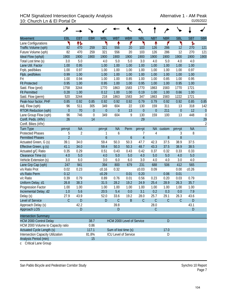## HCM Signalized Intersection Capacity Analysis<br>10: Church Ln & El Portal Dr<br><sup>01/05/2022</sup> 10: Church Ln & El Portal Dr

|                                          | ۶              |                |                  |                  |                             |                  |                |                  |               |                  |            |                  |
|------------------------------------------|----------------|----------------|------------------|------------------|-----------------------------|------------------|----------------|------------------|---------------|------------------|------------|------------------|
| <b>Movement</b>                          | EBL            | <b>EBT</b>     | <b>EBR</b>       | <b>WBL</b>       | <b>WBT</b>                  | <b>WBR</b>       | <b>NBL</b>     | <b>NBT</b>       | <b>NBR</b>    | <b>SBL</b>       | <b>SBT</b> | <b>SBR</b>       |
| Lane Configurations                      | ۲              | 伟              |                  | ۲                | ↟                           | ۴                | ۲              | ↟                | ۴             | ۲                | ħ          |                  |
| Traffic Volume (vph)                     | 82             | 470            | 259              | 321              | 556                         | 20               | 103            | 126              | 286           | 12               | 270        | 121              |
| Future Volume (vph)                      | 82             | 470            | 259              | 321              | 556                         | 20               | 103            | 126              | 286           | 12               | 270        | 121              |
| Ideal Flow (vphpl)                       | 1900           | 1900           | 1900             | 1900             | 1900                        | 1900             | 1900           | 1900             | 1900          | 1900             | 1900       | 1900             |
| Total Lost time (s)                      | 3.0            | 5.0            |                  | 4.0              | 5.0                         | 5.0              | 3.0            | 4.0              | 5.0           | 4.0              | 4.0        |                  |
| Lane Util. Factor                        | 1.00           | 0.95           |                  | 1.00             | 1.00                        | 1.00             | 1.00           | 1.00             | 1.00          | 1.00             | 1.00       |                  |
| Frpb, ped/bikes                          | 1.00           | 0.97           |                  | 1.00             | 1.00                        | 1.00             | 1.00           | 1.00             | 1.00          | 1.00             | 0.97       |                  |
| Flpb, ped/bikes                          | 0.99           | 1.00           |                  | 1.00             | 1.00                        | 1.00             | 1.00           | 1.00             | 1.00          | 1.00             | 1.00       |                  |
| Frt                                      | 1.00           | 0.94           |                  | 1.00             | 1.00                        | 0.85             | 1.00           | 1.00             | 0.85          | 1.00             | 0.95       |                  |
| <b>Flt Protected</b>                     | 0.95           | 1.00           |                  | 0.95             | 1.00                        | 1.00             | 0.95           | 1.00             | 1.00          | 0.95             | 1.00       |                  |
| Satd. Flow (prot)                        | 1758           | 3244           |                  | 1770             | 1863                        | 1583             | 1770           | 1863             | 1583          | 1770             | 1721       |                  |
| <b>Flt Permitted</b>                     | 0.28           | 1.00           |                  | 0.12             | 1.00                        | 1.00             | 0.19           | 1.00             | 1.00          | 0.66             | 1.00       |                  |
| Satd. Flow (perm)                        | 520            | 3244           |                  | 218              | 1863                        | 1583             | 347            | 1863             | 1583          | 1222             | 1721       |                  |
| Peak-hour factor, PHF                    | 0.85           | 0.92           | 0.85             | 0.92             | 0.92                        | 0.92             | 0.79           | 0.79             | 0.92          | 0.92             | 0.85       | 0.85             |
| Adj. Flow (vph)                          | 96             | 511            | 305              | 349              | 604                         | 22               | 130            | 159              | 311           | 13               | 318        | 142              |
| <b>RTOR Reduction (vph)</b>              | $\mathbf{0}$   | 70             | $\overline{0}$   | $\theta$         | $\overline{0}$              | 13               | $\mathbf{0}$   | $\boldsymbol{0}$ | 211           | $\boldsymbol{0}$ | 12         | $\theta$         |
| Lane Group Flow (vph)                    | 96             | 746            | $\boldsymbol{0}$ | 349              | 604                         | 9                | 130            | 159              | 100           | 13               | 448        | $\boldsymbol{0}$ |
| Confl. Peds. (#/hr)                      | 26             |                | 14               |                  |                             |                  | 29             |                  |               |                  |            | 29               |
| Confl. Bikes (#/hr)                      |                |                |                  |                  |                             |                  |                |                  |               |                  |            | $\overline{2}$   |
| <b>Turn Type</b>                         | $pm+pt$        | <b>NA</b>      |                  | $pm+pt$          | <b>NA</b>                   | Perm             | pm+pt          | <b>NA</b>        | custom        | pm+pt            | <b>NA</b>  |                  |
| <b>Protected Phases</b>                  | 5              | $\overline{2}$ |                  | 1                | 6                           |                  | 7              | 4                |               | 3                | 8          |                  |
| <b>Permitted Phases</b>                  | $\overline{2}$ |                |                  | $\boldsymbol{6}$ |                             | $\boldsymbol{6}$ | $\overline{4}$ |                  | 8             | 8                |            |                  |
| Actuated Green, G (s)                    | 39.1           | 34.0           |                  | 59.4             | 50.3                        | 50.3             | 47.7           | 42.3             | 37.5          | 38.9             | 37.5       |                  |
| Effective Green, g (s)                   | 41.1           | 34.0           |                  | 59.4             | 50.3                        | 50.3             | 48.7           | 43.3             | 37.5          | 38.9             | 38.5       |                  |
| Actuated g/C Ratio                       | 0.35           | 0.29           |                  | 0.51             | 0.43                        | 0.43             | 0.42           | 0.37             | 0.32          | 0.33             | 0.33       |                  |
| Clearance Time (s)                       | 4.0            | 5.0            |                  | 4.0              | 5.0                         | 5.0              | 4.0            | 5.0              | 5.0           | 4.0              | 5.0        |                  |
| Vehicle Extension (s)                    | 3.0            | 6.0            |                  | 3.0              | 6.0                         | 6.0              | 3.0            | 4.0              | 4.0           | 3.0              | 4.0        |                  |
| Lane Grp Cap (vph)                       | 247            | 941            |                  | 394              | 800                         | 679              | 231            | 688              | 506           | 412              | 565        |                  |
| v/s Ratio Prot                           | 0.02           | 0.23           |                  | c0.16            | 0.32                        |                  | c0.03          | 0.09             |               | 0.00             | c0.26      |                  |
| v/s Ratio Perm                           | 0.12           |                |                  | c0.29            |                             | 0.01             | 0.20           |                  | 0.06          | 0.01             |            |                  |
| v/c Ratio                                | 0.39           | 0.79           |                  | 0.89             | 0.76                        | 0.01             | 0.56           | 0.23             | 0.20          | 0.03             | 0.79       |                  |
| Uniform Delay, d1                        | 26.8           | 38.3           |                  | 31.5             | 28.2                        | 19.2             | 24.9           | 25.4             | 28.9          | 26.3             | 35.7       |                  |
| Progression Factor                       | 1.00           | 1.00           |                  | 1.00             | 1.00                        | 1.00             | 1.00           | 1.00             | 1.00          | 1.00             | 1.00       |                  |
| Incremental Delay, d2                    | 1.0            | 5.6            |                  | 20.5             | 5.4                         | 0.0              | 3.1            | 0.2              | 0.3           | 0.0              | 7.9        |                  |
| Delay (s)                                | 27.9           | 43.9           |                  | 52.0             | 33.6                        | 19.2             | 28.0           | 25.7             | 29.1          | 26.3             | 43.6       |                  |
| Level of Service                         | $\mathcal{C}$  | D              |                  | D                | $\mathsf C$                 | $\mathsf B$      | $\mathsf C$    | $\mathsf{C}$     | $\mathcal{C}$ | $\mathsf C$      | D          |                  |
| Approach Delay (s)                       |                | 42.2           |                  |                  | 39.8                        |                  |                | 28.0             |               |                  | 43.1       |                  |
| Approach LOS                             |                | D              |                  |                  | D                           |                  |                | $\mathsf C$      |               |                  | D          |                  |
| <b>Intersection Summary</b>              |                |                |                  |                  |                             |                  |                |                  |               |                  |            |                  |
| <b>HCM 2000 Control Delay</b>            |                |                | 38.7             |                  | HCM 2000 Level of Service   |                  |                |                  | D             |                  |            |                  |
| HCM 2000 Volume to Capacity ratio        |                |                | 0.86             |                  |                             |                  |                |                  |               |                  |            |                  |
| <b>Actuated Cycle Length (s)</b>         |                |                | 117.1            |                  | Sum of lost time (s)        |                  |                |                  | 17.0          |                  |            |                  |
| <b>Intersection Capacity Utilization</b> |                |                | 81.8%            |                  | <b>ICU Level of Service</b> |                  |                |                  | D             |                  |            |                  |
| Analysis Period (min)                    |                |                | 15               |                  |                             |                  |                |                  |               |                  |            |                  |

c Critical Lane Group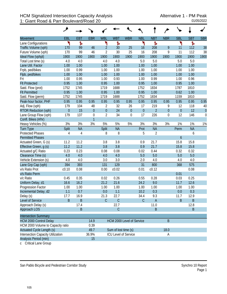|                                          | ◢                |             |                  |                  |                      |                           |                  |                |                  |                  |            |            |
|------------------------------------------|------------------|-------------|------------------|------------------|----------------------|---------------------------|------------------|----------------|------------------|------------------|------------|------------|
| <b>Movement</b>                          | EBL              | <b>EBT</b>  | <b>EBR</b>       | <b>WBL</b>       | <b>WBT</b>           | <b>WBR</b>                | <b>NBL</b>       | <b>NBT</b>     | <b>NBR</b>       | <b>SBL</b>       | <b>SBT</b> | <b>SBR</b> |
| Lane Configurations                      | ۲                | ħ           |                  | ۲                | Ъ                    |                           | ۲                | Ъ              |                  | ۲                | Ъ          |            |
| Traffic Volume (vph)                     | 170              | 99          | 46               | $\overline{2}$   | 30                   | 25                        | 16               | 208            | 9                | 11               | 112        | 38         |
| Future Volume (vph)                      | 170              | 99          | 46               | $\overline{2}$   | 30                   | 25                        | 16               | 208            | 9                | 11               | 112        | 38         |
| Ideal Flow (vphpl)                       | 1900             | 1900        | 1900             | 1900             | 1900                 | 1900                      | 1900             | 1900           | 1900             | 1900             | 1900       | 1900       |
| Total Lost time (s)                      | 4.0              | 4.0         |                  | 4.0              | 4.0                  |                           | 5.0              | 5.0            |                  | 5.0              | 5.0        |            |
| Lane Util. Factor                        | 1.00             | 1.00        |                  | 1.00             | 1.00                 |                           | 1.00             | 1.00           |                  | 1.00             | 1.00       |            |
| Frpb, ped/bikes                          | 1.00             | 0.99        |                  | 1.00             | 1.00                 |                           | 1.00             | 1.00           |                  | 1.00             | 1.00       |            |
| Flpb, ped/bikes                          | 1.00             | 1.00        |                  | 1.00             | 1.00                 |                           | 1.00             | 1.00           |                  | 1.00             | 1.00       |            |
| Frt                                      | 1.00             | 0.95        |                  | 1.00             | 0.93                 |                           | 1.00             | 0.99           |                  | 1.00             | 0.96       |            |
| <b>Flt Protected</b>                     | 0.95             | 1.00        |                  | 0.95             | 1.00                 |                           | 0.95             | 1.00           |                  | 0.95             | 1.00       |            |
| Satd. Flow (prot)                        | 1752             | 1745        |                  | 1719             | 1688                 |                           | 1752             | 1834           |                  | 1787             | 1810       |            |
| <b>Flt Permitted</b>                     | 0.95             | 1.00        |                  | 0.95             | 1.00                 |                           | 0.95             | 1.00           |                  | 0.62             | 1.00       |            |
| Satd. Flow (perm)                        | 1752             | 1745        |                  | 1719             | 1688                 |                           | 1752             | 1834           |                  | 1159             | 1810       |            |
| Peak-hour factor, PHF                    | 0.95             | 0.95        | 0.95             | 0.95             | 0.95                 | 0.95                      | 0.95             | 0.95           | 0.95             | 0.95             | 0.95       | 0.95       |
| Adj. Flow (vph)                          | 179              | 104         | 48               | 2                | 32                   | 26                        | 17               | 219            | 9                | 12               | 118        | 40         |
| <b>RTOR Reduction (vph)</b>              | $\boldsymbol{0}$ | 15          | $\theta$         | $\boldsymbol{0}$ | 24                   | $\boldsymbol{0}$          | $\boldsymbol{0}$ | $\overline{2}$ | $\mathbf{0}$     | $\overline{0}$   | 12         | $\theta$   |
| Lane Group Flow (vph)                    | 179              | 137         | $\boldsymbol{0}$ | $\overline{2}$   | 34                   | $\boldsymbol{0}$          | 17               | 226            | $\boldsymbol{0}$ | 12               | 146        | 0          |
| Confl. Bikes (#/hr)                      |                  |             | $\mathbf{1}$     |                  |                      |                           |                  |                |                  |                  |            |            |
| Heavy Vehicles (%)                       | 3%               | 3%          | 3%               | 5%               | 5%                   | 5%                        | 3%               | 3%             | 3%               | 1%               | 1%         | 1%         |
| <b>Turn Type</b>                         | Split            | <b>NA</b>   |                  | Split            | <b>NA</b>            |                           | Prot             | <b>NA</b>      |                  | <b>Perm</b>      | <b>NA</b>  |            |
| <b>Protected Phases</b>                  | 4                | 4           |                  | 8                | 8                    |                           | 5                | 2              |                  |                  | 6          |            |
| <b>Permitted Phases</b>                  |                  |             |                  |                  |                      |                           |                  |                |                  | $\boldsymbol{6}$ |            |            |
| Actuated Green, G (s)                    | 11.2             | 11.2        |                  | 3.8              | 3.8                  |                           | 0.9              | 21.7           |                  | 15.8             | 15.8       |            |
| Effective Green, g (s)                   | 11.2             | 11.2        |                  | 3.8              | 3.8                  |                           | 0.9              | 21.7           |                  | 15.8             | 15.8       |            |
| Actuated g/C Ratio                       | 0.23             | 0.23        |                  | 0.08             | 0.08                 |                           | 0.02             | 0.44           |                  | 0.32             | 0.32       |            |
| Clearance Time (s)                       | 4.0              | 4.0         |                  | 4.0              | 4.0                  |                           | 5.0              | 5.0            |                  | 5.0              | 5.0        |            |
| Vehicle Extension (s)                    | 4.0              | 4.0         |                  | 3.0              | 3.0                  |                           | 2.0              | 4.0            |                  | 4.0              | 4.0        |            |
| Lane Grp Cap (vph)                       | 394              | 393         |                  | 131              | 129                  |                           | 31               | 800            |                  | 368              | 575        |            |
| v/s Ratio Prot                           | c0.10            | 0.08        |                  | 0.00             | c0.02                |                           | 0.01             | c0.12          |                  |                  | 0.08       |            |
| v/s Ratio Perm                           |                  |             |                  |                  |                      |                           |                  |                |                  | 0.01             |            |            |
| v/c Ratio                                | 0.45             | 0.35        |                  | 0.02             | 0.26                 |                           | 0.55             | 0.28           |                  | 0.03             | 0.25       |            |
| Uniform Delay, d1                        | 16.6             | 16.2        |                  | 21.2             | 21.6                 |                           | 24.2             | 9.0            |                  | 11.7             | 12.6       |            |
| Progression Factor                       | 1.00             | 1.00        |                  | 1.00             | 1.00                 |                           | 1.00             | 1.00           |                  | 1.00             | 1.00       |            |
| Incremental Delay, d2                    | 1.1              | 0.7         |                  | $0.0\,$          | 1.1                  |                           | 10.2             | 0.3            |                  | 0.0              | 0.3        |            |
| Delay (s)                                | 17.7             | 16.9        |                  | 21.3             | 22.7                 |                           | 34.4             | 9.3            |                  | 11.7             | 12.9       |            |
| Level of Service                         | $\sf B$          | $\mathsf B$ |                  | $\mathsf C$      | $\mathsf C$          |                           | $\mathsf C$      | $\mathsf A$    |                  | $\sf B$          | B          |            |
| Approach Delay (s)                       |                  | 17.4        |                  |                  | 22.7                 |                           |                  | 11.0           |                  |                  | 12.8       |            |
| Approach LOS                             |                  | $\sf B$     |                  |                  | $\mathsf C$          |                           |                  | $\sf B$        |                  |                  | B          |            |
| <b>Intersection Summary</b>              |                  |             |                  |                  |                      |                           |                  |                |                  |                  |            |            |
| <b>HCM 2000 Control Delay</b>            |                  |             | 14.9             |                  |                      | HCM 2000 Level of Service |                  |                | $\mathsf B$      |                  |            |            |
| HCM 2000 Volume to Capacity ratio        |                  |             | 0.39             |                  |                      |                           |                  |                |                  |                  |            |            |
| <b>Actuated Cycle Length (s)</b>         |                  |             | 49.7             |                  | Sum of lost time (s) |                           |                  |                | 18.0             |                  |            |            |
| <b>Intersection Capacity Utilization</b> |                  |             | 36.9%            |                  |                      | ICU Level of Service      |                  |                | Α                |                  |            |            |
| Analysis Period (min)                    |                  |             | 15               |                  |                      |                           |                  |                |                  |                  |            |            |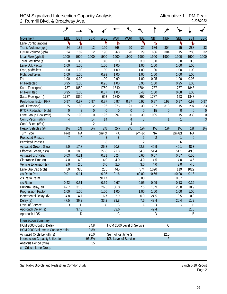## HCM Signalized Intersection Capacity Analysis<br>2: Rumrill Blvd. & Broadway Ave. <br><sup>01/05/2022</sup> 2: Rumrill Blvd. & Broadway Ave.

|                                          | ۸              |                |                |             |                             |                  |                |                |                  |                  |                  |                  |
|------------------------------------------|----------------|----------------|----------------|-------------|-----------------------------|------------------|----------------|----------------|------------------|------------------|------------------|------------------|
| Movement                                 | EBL            | <b>EBT</b>     | <b>EBR</b>     | <b>WBL</b>  | <b>WBT</b>                  | <b>WBR</b>       | <b>NBL</b>     | <b>NBT</b>     | <b>NBR</b>       | <b>SBL</b>       | <b>SBT</b>       | <b>SBR</b>       |
| Lane Configurations                      | ۲              | Ъ              |                | ۲           | Ъ                           |                  | ۲              | Ъ              |                  | ۲                | Ъ                |                  |
| Traffic Volume (vph)                     | 24             | 182            | 12             | 190         | 268                         | 20               | 29             | 686            | 304              | 15               | 288              | 32               |
| Future Volume (vph)                      | 24             | 182            | 12             | 190         | 268                         | 20               | 29             | 686            | 304              | 15               | 288              | 32               |
| Ideal Flow (vphpl)                       | 1900           | 1900           | 1900           | 1900        | 1900                        | 1900             | 1900           | 1900           | 1900             | 1900             | 1900             | 1900             |
| Total Lost time (s)                      | 3.0            | 3.0            |                | 3.0         | 3.0                         |                  | 3.0            | 3.0            |                  | 3.0              | 3.0              |                  |
| Lane Util. Factor                        | 1.00           | 1.00           |                | 1.00        | 1.00                        |                  | 1.00           | 1.00           |                  | 1.00             | 1.00             |                  |
| Frpb, ped/bikes                          | 1.00           | 1.00           |                | 1.00        | 1.00                        |                  | 1.00           | 1.00           |                  | 1.00             | 1.00             |                  |
| Flpb, ped/bikes                          | 1.00           | 1.00           |                | 0.99        | 1.00                        |                  | 1.00           | 1.00           |                  | 1.00             | 1.00             |                  |
| Frt                                      | 1.00           | 0.99           |                | 1.00        | 0.99                        |                  | 1.00           | 0.95           |                  | 1.00             | 0.98             |                  |
| <b>Flt Protected</b>                     | 0.95           | 1.00           |                | 0.95        | 1.00                        |                  | 0.95           | 1.00           |                  | 0.95             | 1.00             |                  |
| Satd. Flow (prot)                        | 1787           | 1859           |                | 1760        | 1840                        |                  | 1784           | 1787           |                  | 1787             | 1848             |                  |
| <b>Flt Permitted</b>                     | 0.95           | 1.00           |                | 0.37        | 1.00                        |                  | 0.48           | 1.00           |                  | 0.08             | 1.00             |                  |
| Satd. Flow (perm)                        | 1787           | 1859           |                | 693         | 1840                        |                  | 897            | 1787           |                  | 153              | 1848             |                  |
| Peak-hour factor, PHF                    | 0.97           | 0.97           | 0.97           | 0.97        | 0.97                        | 0.97             | 0.97           | 0.97           | 0.97             | 0.97             | 0.97             | 0.97             |
| Adj. Flow (vph)                          | 25             | 188            | 12             | 196         | 276                         | 21               | 30             | 707            | 313              | 15               | 297              | 33               |
| <b>RTOR Reduction (vph)</b>              | $\overline{0}$ | $\overline{2}$ | $\mathbf 0$    | $\theta$    | $\boldsymbol{0}$            | $\boldsymbol{0}$ | $\mathbf 0$    | 15             | $\overline{0}$   | $\boldsymbol{0}$ | $\theta$         | $\theta$         |
| Lane Group Flow (vph)                    | 25             | 198            | $\overline{0}$ | 196         | 297                         | $\mathbf 0$      | 30             | 1005           | $\boldsymbol{0}$ | 15               | 330              | $\boldsymbol{0}$ |
| Confl. Peds. (#/hr)                      | $\overline{4}$ |                | 14             | 14          |                             | $\overline{4}$   | $\overline{3}$ |                | $\overline{1}$   | $\overline{1}$   |                  | $\overline{3}$   |
| Confl. Bikes (#/hr)                      |                |                | $\overline{2}$ |             |                             | 4                |                |                |                  |                  |                  |                  |
| Heavy Vehicles (%)                       | 1%             | 1%             | 1%             | 2%          | 2%                          | 2%               | 1%             | 1%             | 1%               | 1%               | 1%               | 1%               |
| Turn Type                                | Prot           | <b>NA</b>      |                | pm+pt       | <b>NA</b>                   |                  | pm+pt          | NA             |                  | pm+pt            | <b>NA</b>        |                  |
| <b>Protected Phases</b>                  | $\overline{7}$ | $\overline{4}$ |                | 3           | 8                           |                  | $\overline{5}$ | $\overline{2}$ |                  | 1                | $\boldsymbol{6}$ |                  |
| <b>Permitted Phases</b>                  |                |                |                | 8           |                             |                  | $\overline{2}$ |                |                  | 6                |                  |                  |
| Actuated Green, G (s)                    | 2.0            | 17.8           |                | 25.8        | 20.8                        |                  | 52.3           | 49.9           |                  | 49.1             | 48.3             |                  |
| Effective Green, g (s)                   | 3.0            | 18.8           |                | 27.8        | 21.8                        |                  | 54.3           | 51.4           |                  | 51.1             | 49.8             |                  |
| Actuated g/C Ratio                       | 0.03           | 0.21           |                | 0.31        | 0.24                        |                  | 0.60           | 0.57           |                  | 0.57             | 0.55             |                  |
| Clearance Time (s)                       | 4.0            | 4.0            |                | 4.0         | 4.0                         |                  | 4.0            | 4.5            |                  | 4.0              | 4.5              |                  |
| Vehicle Extension (s)                    | 3.0            | 2.0            |                | 3.0         | 2.0                         |                  | 3.0            | 4.0            |                  | 3.0              | 4.0              |                  |
| Lane Grp Cap (vph)                       | 59             | 388            |                | 285         | 445                         |                  | 574            | 1020           |                  | 119              | 1022             |                  |
| v/s Ratio Prot                           | 0.01           | 0.11           |                | c0.05       | 0.16                        |                  | c0.00          | c0.56          |                  | c0.00            | 0.18             |                  |
| v/s Ratio Perm                           |                |                |                | c0.17       |                             |                  | 0.03           |                |                  | 0.07             |                  |                  |
| v/c Ratio                                | 0.42           | 0.51           |                | 0.69        | 0.67                        |                  | 0.05           | 0.99           |                  | 0.13             | 0.32             |                  |
| Uniform Delay, d1                        | 42.7           | 31.5           |                | 26.5        | 30.8                        |                  | 7.5            | 18.9           |                  | 20.0             | 10.9             |                  |
| <b>Progression Factor</b>                | 1.00           | 1.00           |                | 1.00        | 1.00                        |                  | 1.00           | 1.00           |                  | 1.00             | 1.00             |                  |
| Incremental Delay, d2                    | 4.8            | 4.7            |                | 6.7         | 2.9                         |                  | 0.0            | 24.5           |                  | 0.5              | 0.3              |                  |
| Delay (s)                                | 47.5           | 36.2           |                | 33.2        | 33.8                        |                  | 7.6            | 43.4           |                  | 20.4             | 11.2             |                  |
| Level of Service                         | D              | $\mathsf D$    |                | $\mathsf C$ | $\mathsf C$                 |                  | Α              | D              |                  | C                | Β                |                  |
| Approach Delay (s)                       |                | 37.5           |                |             | 33.6                        |                  |                | 42.4           |                  |                  | 11.6             |                  |
| Approach LOS                             |                | D              |                |             | $\mathsf C$                 |                  |                | D              |                  |                  | B                |                  |
| <b>Intersection Summary</b>              |                |                |                |             |                             |                  |                |                |                  |                  |                  |                  |
| HCM 2000 Control Delay                   |                |                | 34.8           |             | HCM 2000 Level of Service   |                  |                |                | $\mathcal{C}$    |                  |                  |                  |
| HCM 2000 Volume to Capacity ratio        |                |                | 0.89           |             |                             |                  |                |                |                  |                  |                  |                  |
| Actuated Cycle Length (s)                |                |                | 90.0           |             | Sum of lost time (s)        |                  |                |                | 12.0             |                  |                  |                  |
| <b>Intersection Capacity Utilization</b> |                |                | 96.8%          |             | <b>ICU Level of Service</b> |                  |                |                | F                |                  |                  |                  |
| Analysis Period (min)                    |                |                | 15             |             |                             |                  |                |                |                  |                  |                  |                  |
| <b>Critical Lane Group</b><br>Ċ.         |                |                |                |             |                             |                  |                |                |                  |                  |                  |                  |

San Pablo Bicycle and Pedestrian Corridor Study Synchro 10 Report

Page 2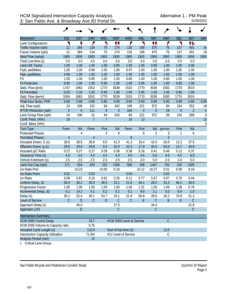|                                          | فر             |             |                |                  |                      |                             |                  |                  |                |                |                |              |
|------------------------------------------|----------------|-------------|----------------|------------------|----------------------|-----------------------------|------------------|------------------|----------------|----------------|----------------|--------------|
| Movement                                 | EBL            | <b>EBT</b>  | <b>EBR</b>     | <b>WBL</b>       | <b>WBT</b>           | <b>WBR</b>                  | <b>NBL</b>       | <b>NBT</b>       | <b>NBR</b>     | <b>SBL</b>     | <b>SBT</b>     | <b>SBR</b>   |
| Lane Configurations                      | ٦              | ↟           | ۴              | ۲                | ↟↟                   | ۴                           | ۲                | 11               | ۴              | ኻ              | 怍              |              |
| Traffic Volume (vph)                     | 21             | 384         | 134            | 75               | 274                  | 135                         | 199              | 875              | 76             | 137            | 491            | 16           |
| Future Volume (vph)                      | 21             | 384         | 134            | 75               | 274                  | 135                         | 199              | 875              | 76             | 137            | 491            | 16           |
| Ideal Flow (vphpl)                       | 1900           | 1900        | 1900           | 1900             | 1900                 | 1900                        | 1900             | 1900             | 1900           | 1900           | 1900           | 1900         |
| Total Lost time (s)                      | 3.0            | 3.0         | 3.0            | 3.0              | 3.0                  | 3.0                         | 3.0              | 3.0              | 3.0            | 3.0            | 3.0            |              |
| Lane Util. Factor                        | 1.00           | 1.00        | 1.00           | 1.00             | 0.95                 | 1.00                        | 1.00             | 0.95             | 1.00           | 1.00           | 0.95           |              |
| Frpb, ped/bikes                          | 1.00           | 1.00        | 0.98           | 1.00             | 1.00                 | 0.97                        | 1.00             | 1.00             | 1.00           | 1.00           | 1.00           |              |
| Flpb, ped/bikes                          | 0.99           | 1.00        | 1.00           | 1.00             | 1.00                 | 1.00                        | 1.00             | 1.00             | 1.00           | 1.00           | 1.00           |              |
| Frt                                      | 1.00           | 1.00        | 0.85           | 1.00             | 1.00                 | 0.85                        | 1.00             | 1.00             | 0.85           | 1.00           | 1.00           |              |
| <b>Flt Protected</b>                     | 0.95           | 1.00        | 1.00           | 0.95             | 1.00                 | 1.00                        | 0.95             | 1.00             | 1.00           | 0.95           | 1.00           |              |
| Satd. Flow (prot)                        | 1747           | 1863        | 1552           | 1770             | 3539                 | 1533                        | 1770             | 3539             | 1583           | 1770           | 3519           |              |
| <b>Flt Permitted</b>                     | 0.55           | 1.00        | 1.00           | 0.95             | 1.00                 | 1.00                        | 0.95             | 1.00             | 1.00           | 0.95           | 1.00           |              |
| Satd. Flow (perm)                        | 1004           | 1863        | 1552           | 1770             | 3539                 | 1533                        | 1770             | 3539             | 1583           | 1770           | 3519           |              |
| Peak-hour factor, PHF                    | 0.88           | 0.88        | 0.88           | 0.80             | 0.80                 | 0.80                        | 0.90             | 0.90             | 0.90           | 0.89           | 0.89           | 0.89         |
| Adj. Flow (vph)                          | 24             | 436         | 152            | 94               | 342                  | 169                         | 221              | 972              | 84             | 154            | 552            | 18           |
| <b>RTOR Reduction (vph)</b>              | $\overline{0}$ | $\mathbf 0$ | 111            | $\boldsymbol{0}$ | $\theta$             | 104                         | $\boldsymbol{0}$ | $\boldsymbol{0}$ | 29             | $\overline{0}$ | $\overline{2}$ | $\mathbf{0}$ |
| Lane Group Flow (vph)                    | 24             | 436         | 41             | 94               | 343                  | 65                          | 221              | 972              | 56             | 154            | 568            | $\mathbf 0$  |
| Confl. Peds. (#/hr)                      | 16             |             | $\overline{7}$ | $\overline{7}$   |                      | 16                          | 13               |                  |                |                |                | 13           |
| Confl. Bikes (#/hr)                      |                |             |                |                  |                      |                             |                  |                  |                |                |                | 5            |
| <b>Turn Type</b>                         | Perm           | <b>NA</b>   | Perm           | Prot             | <b>NA</b>            | Perm                        | Prot             | <b>NA</b>        | $pm+ov$        | Prot           | <b>NA</b>      |              |
| <b>Protected Phases</b>                  |                | 4           |                | 3                | 8                    |                             | 5                | $\overline{2}$   | 3              | 1              | 6              |              |
| <b>Permitted Phases</b>                  | 4              |             | $\overline{4}$ |                  |                      | 8                           |                  |                  | $\overline{2}$ |                |                |              |
| Actuated Green, G (s)                    | 28.8           | 28.8        | 28.8           | 8.0              | 41.3                 | 41.3                        | 16.4             | 42.0             | 50.0           | 12.2           | 37.8           |              |
| Effective Green, g (s)                   | 29.8           | 29.8        | 29.8           | 9.5              | 42.3                 | 42.3                        | 17.9             | 45.0             | 53.0           | 13.7           | 40.8           |              |
| Actuated g/C Ratio                       | 0.27           | 0.27        | 0.27           | 0.09             | 0.38                 | 0.38                        | 0.16             | 0.41             | 0.48           | 0.12           | 0.37           |              |
| Clearance Time (s)                       | 4.0            | 4.0         | 4.0            | 4.5              | 4.0                  | 4.0                         | 4.5              | 6.0              | 4.5            | 4.5            | 6.0            |              |
| Vehicle Extension (s)                    | 2.5            | 2.5         | 2.5            | 2.0              | 2.5                  | 2.5                         | 2.0              | 5.0              | 2.0            | 2.0            | 5.0            |              |
| Lane Grp Cap (vph)                       | 271            | 504         | 420            | 152              | 1360                 | 589                         | 288              | 1447             | 762            | 220            | 1305           |              |
| v/s Ratio Prot                           |                | c0.23       |                | c0.05            | 0.10                 |                             | c0.12            | c0.27            | 0.01           | 0.09           | 0.16           |              |
| v/s Ratio Perm                           | 0.02           |             | 0.03           |                  |                      | 0.04                        |                  |                  | 0.03           |                |                |              |
| v/c Ratio                                | 0.09           | 0.87        | 0.10           | 0.62             | 0.25                 | 0.11                        | 0.77             | 0.67             | 0.07           | 0.70           | 0.44           |              |
| Uniform Delay, d1                        | 30.0           | 38.2        | 30.0           | 48.5             | 23.1                 | 21.8                        | 44.1             | 26.5             | 15.3           | 46.2           | 26.0           |              |
| Progression Factor                       | 1.00           | 1.00        | 1.00           | 1.00             | 1.00                 | 1.00                        | 1.31             | 1.00             | 1.06           | 1.39           | 0.78           |              |
| Incremental Delay, d2                    | 0.1            | 14.2        | 0.1            | 5.2              | 0.1                  | 0.1                         | 9.0              | 2.1              | $0.0\,$        | 6.9            | 1.0            |              |
| Delay (s)                                | 30.1           | 52.4        | 30.1           | 53.7             | 23.1                 | 21.8                        | 66.8             | 28.6             | 16.2           | 70.9           | 21.2           |              |
| Level of Service                         | $\mathcal{C}$  | ${\sf D}$   | $\mathsf C$    | ${\sf D}$        | $\mathsf C$          | $\mathsf C$                 | E                | $\mathsf C$      | B              | E              | $\mathsf C$    |              |
| Approach Delay (s)                       |                | 46.0        |                |                  | 27.5                 |                             |                  | 34.4             |                |                | 31.8           |              |
| Approach LOS                             |                | ${\sf D}$   |                |                  | $\mathsf C$          |                             |                  | $\mathsf C$      |                |                | $\mathsf C$    |              |
| <b>Intersection Summary</b>              |                |             |                |                  |                      |                             |                  |                  |                |                |                |              |
| <b>HCM 2000 Control Delay</b>            |                |             | 34.7           |                  |                      | HCM 2000 Level of Service   |                  |                  | $\mathcal{C}$  |                |                |              |
| HCM 2000 Volume to Capacity ratio        |                |             | 0.76           |                  |                      |                             |                  |                  |                |                |                |              |
| Actuated Cycle Length (s)                |                |             | 110.0          |                  | Sum of lost time (s) |                             |                  |                  | 12.0           |                |                |              |
| <b>Intersection Capacity Utilization</b> |                |             | 71.9%          |                  |                      | <b>ICU Level of Service</b> |                  |                  | $\mathcal{C}$  |                |                |              |
| Analysis Period (min)                    |                |             | 15             |                  |                      |                             |                  |                  |                |                |                |              |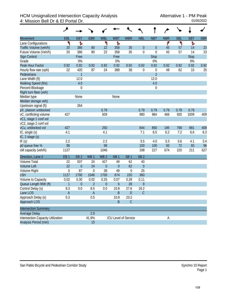## HCM Unsignalized Intersection Capacity Analysis Alternative 1 - PM Peak<br>4: Mission Bell Dr & El Portal Dr. 01/05/2022 4: Mission Bell Dr & El Portal Dr.

|                                          | مر              |                  |                 |                 |                  |                      |                  |                  |            |            |             |            |
|------------------------------------------|-----------------|------------------|-----------------|-----------------|------------------|----------------------|------------------|------------------|------------|------------|-------------|------------|
| <b>Movement</b>                          | EBL             | <b>EBT</b>       | <b>EBR</b>      | <b>WBL</b>      | <b>WBT</b>       | <b>WBR</b>           | <b>NBL</b>       | <b>NBT</b>       | <b>NBR</b> | <b>SBL</b> | <b>SBT</b>  | <b>SBR</b> |
| Lane Configurations                      | ۲               | ħ                |                 | ۲               | Ъ                |                      |                  |                  | ۴          | ۲          | Ъ           |            |
| Traffic Volume (veh/h)                   | 20              | 386              | 80              | 22              | 358              | 35                   | $\boldsymbol{0}$ | $\boldsymbol{0}$ | 45         | 57         | 14          | 23         |
| Future Volume (Veh/h)                    | 20              | 386              | 80              | 22              | 358              | 35                   | $\boldsymbol{0}$ | $\boldsymbol{0}$ | 45         | 57         | 14          | 23         |
| Sign Control                             |                 | Free             |                 |                 | Free             |                      |                  | <b>Stop</b>      |            |            | <b>Stop</b> |            |
| Grade                                    |                 | 0%               |                 |                 | 0%               |                      |                  | 0%               |            |            | 0%          |            |
| Peak Hour Factor                         | 0.92            | 0.92             | 0.92            | 0.92            | 0.92             | 0.92                 | 0.92             | 0.92             | 0.92       | 0.92       | 0.92        | 0.92       |
| Hourly flow rate (vph)                   | 22              | 420              | 87              | 24              | 389              | 38                   | $\mathbf 0$      | $\boldsymbol{0}$ | 49         | 62         | 15          | 25         |
| Pedestrians                              |                 | $\mathbf{1}$     |                 |                 |                  |                      |                  | $\overline{2}$   |            |            |             |            |
| Lane Width (ft)                          |                 | 12.0             |                 |                 |                  |                      |                  | 12.0             |            |            |             |            |
| Walking Speed (ft/s)                     |                 | 4.0              |                 |                 |                  |                      |                  | 4.0              |            |            |             |            |
| Percent Blockage                         |                 | $\boldsymbol{0}$ |                 |                 |                  |                      |                  | $\mathbf 0$      |            |            |             |            |
| Right turn flare (veh)                   |                 |                  |                 |                 |                  |                      |                  |                  |            |            |             |            |
| Median type                              |                 | None             |                 |                 | None             |                      |                  |                  |            |            |             |            |
| Median storage veh)                      |                 |                  |                 |                 |                  |                      |                  |                  |            |            |             |            |
| Upstream signal (ft)                     |                 | 264              |                 |                 |                  |                      |                  |                  |            |            |             |            |
| pX, platoon unblocked                    |                 |                  |                 | 0.79            |                  |                      | 0.79             | 0.79             | 0.79       | 0.79       | 0.79        |            |
| vC, conflicting volume                   | 427             |                  |                 | 509             |                  |                      | 980              | 984              | 466        | 920        | 1009        | 409        |
| vC1, stage 1 conf vol                    |                 |                  |                 |                 |                  |                      |                  |                  |            |            |             |            |
| vC2, stage 2 conf vol                    |                 |                  |                 |                 |                  |                      |                  |                  |            |            |             |            |
| vCu, unblocked vol                       | 427             |                  |                 | 250             |                  |                      | 844              | 850              | 195        | 768        | 881         | 409        |
| tC, single (s)                           | 4.1             |                  |                 | 4.1             |                  |                      | 7.1              | 6.5              | 6.2        | 7.2        | 6.6         | 6.3        |
| tC, 2 stage (s)                          |                 |                  |                 |                 |                  |                      |                  |                  |            |            |             |            |
| tF(s)                                    | 2.2             |                  |                 | 2.2             |                  |                      | 3.5              | 4.0              | 3.3        | 3.6        | 4.1         | 3.4        |
| p0 queue free %                          | 98              |                  |                 | 98              |                  |                      | 100              | 100              | 93         | 72         | 93          | 96         |
| cM capacity (veh/h)                      | 1127            |                  |                 | 1046            |                  |                      | 198              | 227              | 674        | 220        | 211         | 627        |
| Direction, Lane #                        | EB <sub>1</sub> | EB <sub>2</sub>  | WB <sub>1</sub> | WB <sub>2</sub> | NB <sub>1</sub>  | SB <sub>1</sub>      | SB <sub>2</sub>  |                  |            |            |             |            |
| <b>Volume Total</b>                      | 22              | 507              | 24              | 427             | 49               | 62                   | 40               |                  |            |            |             |            |
| <b>Volume Left</b>                       | 22              | $\overline{0}$   | 24              | $\overline{0}$  | $\overline{0}$   | 62                   | $\overline{0}$   |                  |            |            |             |            |
| Volume Right                             | $\mathbf 0$     | 87               | $\mathbf 0$     | 38              | 49               | $\mathbf 0$          | 25               |                  |            |            |             |            |
| <b>cSH</b>                               | 1127            | 1700             | 1046            | 1700            | 674              | 220                  | 360              |                  |            |            |             |            |
| Volume to Capacity                       | 0.02            | 0.30             | 0.02            | 0.25            | 0.07             | 0.28                 | 0.11             |                  |            |            |             |            |
| Queue Length 95th (ft)                   | $\mathbf{1}$    | $\boldsymbol{0}$ | $\overline{2}$  | $\overline{0}$  | $\boldsymbol{6}$ | 28                   | 9                |                  |            |            |             |            |
| Control Delay (s)                        | 8.3             | 0.0              | 8.5             | 0.0             | 10.8             | 27.6                 | 16.2             |                  |            |            |             |            |
| Lane LOS                                 | A               |                  | A               |                 | B                | D                    | C                |                  |            |            |             |            |
| Approach Delay (s)                       | 0.3             |                  | 0.5             |                 | 10.8             | 23.2                 |                  |                  |            |            |             |            |
| Approach LOS                             |                 |                  |                 |                 | B                | $\mathsf C$          |                  |                  |            |            |             |            |
| <b>Intersection Summary</b>              |                 |                  |                 |                 |                  |                      |                  |                  |            |            |             |            |
| <b>Average Delay</b>                     |                 |                  | 2.9             |                 |                  |                      |                  |                  |            |            |             |            |
| <b>Intersection Capacity Utilization</b> |                 |                  | 41.9%           |                 |                  | ICU Level of Service |                  |                  | А          |            |             |            |
| Analysis Period (min)                    |                 |                  | 15              |                 |                  |                      |                  |                  |            |            |             |            |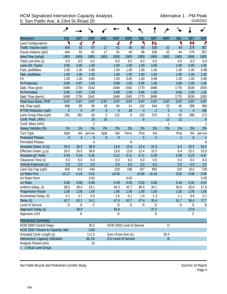## HCM Signalized Intersection Capacity Analysis<br>5: San Pablo Ave. & 23rd St./Road 20 5: San Pablo Ave. & 23rd St./Road 20

|                                   | ↗              |                |                |             |                      |                             |                  |                |                |                  |                  |                  |
|-----------------------------------|----------------|----------------|----------------|-------------|----------------------|-----------------------------|------------------|----------------|----------------|------------------|------------------|------------------|
| <b>Movement</b>                   | EBL            | <b>EBT</b>     | <b>EBR</b>     | <b>WBL</b>  | <b>WBT</b>           | <b>WBR</b>                  | <b>NBL</b>       | <b>NBT</b>     | <b>NBR</b>     | <b>SBL</b>       | <b>SBT</b>       | <b>SBR</b>       |
| Lane Configurations               | ١              | ची             | ۴              |             | 4                    | ۴                           | ۲                | 怍              |                | ۲                | ↟↟               | r                |
| Traffic Volume (vph)              | 454            | 92             | 87             | 17          | 91                   | 40                          | 99               | 528            | 32             | 44               | 279              | 357              |
| Future Volume (vph)               | 454            | 92             | 87             | 17          | 91                   | 40                          | 99               | 528            | 32             | 44               | 279              | 357              |
| Ideal Flow (vphpl)                | 1900           | 1900           | 1900           | 1900        | 1900                 | 1900                        | 1900             | 1900           | 1900           | 1900             | 1900             | 1900             |
| Total Lost time (s)               | 6.0            | 6.0            | 6.0            |             | 6.0                  | 6.0                         | 6.0              | 6.0            |                | 6.0              | 6.0              | 6.0              |
| Lane Util. Factor                 | 0.95           | 0.95           | 1.00           |             | 1.00                 | 1.00                        | 1.00             | 0.95           |                | 1.00             | 0.95             | 1.00             |
| Frpb, ped/bikes                   | 1.00           | 1.00           | 0.96           |             | 1.00                 | 1.00                        | 1.00             | 1.00           |                | 1.00             | 1.00             | 0.98             |
| Flpb, ped/bikes                   | 1.00           | 1.00           | 1.00           |             | 1.00                 | 1.00                        | 1.00             | 1.00           |                | 1.00             | 1.00             | 1.00             |
| Frt                               | 1.00           | 1.00           | 0.85           |             | 1.00                 | 0.85                        | 1.00             | 0.99           |                | 1.00             | 1.00             | 0.85             |
| <b>Flt Protected</b>              | 0.95           | 0.97           | 1.00           |             | 0.99                 | 1.00                        | 0.95             | 1.00           |                | 0.95             | 1.00             | 1.00             |
| Satd. Flow (prot)                 | 1698           | 1730           | 1542           |             | 1848                 | 1583                        | 1770             | 3498           |                | 1770             | 3539             | 1555             |
| <b>Flt Permitted</b>              | 0.95           | 0.97           | 1.00           |             | 0.99                 | 1.00                        | 0.95             | 1.00           |                | 0.95             | 1.00             | 1.00             |
| Satd. Flow (perm)                 | 1698           | 1730           | 1542           |             | 1848                 | 1583                        | 1770             | 3498           |                | 1770             | 3539             | 1555             |
| Peak-hour factor, PHF             | 0.97           | 0.97           | 0.97           | 0.97        | 0.97                 | 0.97                        | 0.97             | 0.97           | 0.97           | 0.97             | 0.97             | 0.97             |
| Adj. Flow (vph)                   | 468            | 95             | 90             | 18          | 94                   | 41                          | 102              | 544            | 33             | 45               | 288              | 368              |
| <b>RTOR Reduction (vph)</b>       | $\mathbf{0}$   | $\mathbf{0}$   | 47             | $\theta$    | $\overline{0}$       | 36                          | $\boldsymbol{0}$ | $\overline{2}$ | $\overline{0}$ | $\boldsymbol{0}$ | $\boldsymbol{0}$ | 196              |
| Lane Group Flow (vph)             | 281            | 282            | 43             | $\mathbf 0$ | 112                  | 5                           | 102              | 575            | 0              | 45               | 288              | 172              |
| Confl. Peds. (#/hr)               |                |                | 15             | 15          |                      |                             | 8                |                | 12             | 12               |                  | $\boldsymbol{8}$ |
| Confl. Bikes (#/hr)               |                |                | $\overline{2}$ |             |                      |                             |                  |                | 1              |                  |                  | 1                |
| Heavy Vehicles (%)                | 1%             | 1%             | 1%             | 2%          | 2%                   | 2%                          | 2%               | 2%             | 2%             | 2%               | 2%               | 2%               |
| Turn Type                         | Split          | <b>NA</b>      | pm+ov          | Split       | <b>NA</b>            | Perm                        | Prot             | <b>NA</b>      |                | Prot             | <b>NA</b>        | pm+ov            |
| <b>Protected Phases</b>           | $\overline{4}$ | $\overline{4}$ | 5              | 8           | 8                    |                             | 5                | $\overline{2}$ |                | 1                | $\mathfrak b$    | $\overline{4}$   |
| <b>Permitted Phases</b>           |                |                | $\overline{4}$ |             |                      | 8                           |                  |                |                |                  |                  | 6                |
| Actuated Green, G (s)             | 26.5           | 26.5           | 38.9           |             | 13.8                 | 13.8                        | 12.4             | 31.5           |                | 6.4              | 25.5             | 52.0             |
| Effective Green, g (s)            | 26.5           | 26.5           | 38.9           |             | 13.8                 | 13.8                        | 12.4             | 31.5           |                | 6.4              | 25.5             | 52.0             |
| Actuated g/C Ratio                | 0.24           | 0.24           | 0.35           |             | 0.12                 | 0.12                        | 0.11             | 0.28           |                | 0.06             | 0.23             | 0.47             |
| Clearance Time (s)                | 6.0            | 6.0            | 6.0            |             | 6.0                  | 6.0                         | 6.0              | 6.0            |                | 6.0              | 6.0              | 6.0              |
| Vehicle Extension (s)             | 2.0            | 2.0            | 2.0            |             | 3.0                  | 3.0                         | 2.0              | 5.0            |                | 2.0              | 5.0              | 2.0              |
| Lane Grp Cap (vph)                | 405            | 413            | 540            |             | 229                  | 196                         | 197              | 992            |                | 102              | 813              | 728              |
| v/s Ratio Prot                    | c0.17          | 0.16           | 0.01           |             | c0.06                |                             | c0.06            | c0.16          |                | 0.03             | 0.08             | 0.06             |
| v/s Ratio Perm                    |                |                | 0.02           |             |                      | 0.00                        |                  |                |                |                  |                  | 0.05             |
| v/c Ratio                         | 0.69           | 0.68           | 0.08           |             | 0.49                 | 0.03                        | 0.52             | 0.58           |                | 0.44             | 0.35             | 0.24             |
| Uniform Delay, d1                 | 38.5           | 38.4           | 24.1           |             | 45.3                 | 42.7                        | 46.5             | 34.1           |                | 50.6             | 35.8             | 17.6             |
| <b>Progression Factor</b>         | 1.00           | 1.00           | 1.00           |             | 1.00                 | 1.00                        | 1.00             | 1.00           |                | 1.00             | 1.00             | 1.00             |
| Incremental Delay, d2             | 4.1            | 3.7            | 0.0            |             | 1.6                  | 0.1                         | 1.0              | 1.3            |                | 1.1              | 0.6              | 0.1              |
| Delay (s)                         | 42.7           | 42.1           | 24.1           |             | 47.0                 | 42.7                        | 47.4             | 35.4           |                | 51.7             | 36.4             | 17.7             |
| Level of Service                  | D              | D              | C              |             | D                    | D                           | D                | D              |                | D                | D                | B                |
| Approach Delay (s)                |                | 39.9           |                |             | 45.8                 |                             |                  | 37.2           |                |                  | 27.6             |                  |
| Approach LOS                      |                | D              |                |             | D                    |                             |                  | D              |                |                  | C                |                  |
| <b>Intersection Summary</b>       |                |                |                |             |                      |                             |                  |                |                |                  |                  |                  |
| HCM 2000 Control Delay            |                |                | 35.5           |             |                      | HCM 2000 Level of Service   |                  |                | D              |                  |                  |                  |
| HCM 2000 Volume to Capacity ratio |                |                | 0.60           |             |                      |                             |                  |                |                |                  |                  |                  |
| Actuated Cycle Length (s)         |                |                | 111.0          |             | Sum of lost time (s) |                             |                  |                | 30.0           |                  |                  |                  |
| Intersection Capacity Utilization |                |                | 56.1%          |             |                      | <b>ICU Level of Service</b> |                  |                | $\mathsf B$    |                  |                  |                  |
| Analysis Period (min)             |                |                | 15             |             |                      |                             |                  |                |                |                  |                  |                  |
| c Critical Lane Group             |                |                |                |             |                      |                             |                  |                |                |                  |                  |                  |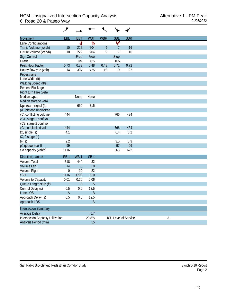| <b>Movement</b>                          | <b>EBL</b>      | <b>EBT</b>      | <b>WBT</b>      | <b>WBR</b> | <b>SBL</b>           | <b>SBR</b> |   |
|------------------------------------------|-----------------|-----------------|-----------------|------------|----------------------|------------|---|
| Lane Configurations                      |                 | बी              | Ъ               |            | ۷                    |            |   |
| Traffic Volume (veh/h)                   | 10              | 222             | 204             | 9          | 7                    | 16         |   |
| Future Volume (Veh/h)                    | 10              | 222             | 204             | 9          | $\overline{7}$       | 16         |   |
| Sign Control                             |                 | Free            | Free            |            | <b>Stop</b>          |            |   |
| Grade                                    |                 | 0%              | 0%              |            | 0%                   |            |   |
| Peak Hour Factor                         | 0.73            | 0.73            | 0.48            | 0.48       | 0.72                 | 0.72       |   |
| Hourly flow rate (vph)                   | 14              | 304             | 425             | 19         | 10                   | 22         |   |
| Pedestrians                              |                 |                 |                 |            |                      |            |   |
| Lane Width (ft)                          |                 |                 |                 |            |                      |            |   |
| Walking Speed (ft/s)                     |                 |                 |                 |            |                      |            |   |
| Percent Blockage                         |                 |                 |                 |            |                      |            |   |
| Right turn flare (veh)                   |                 |                 |                 |            |                      |            |   |
| Median type                              |                 | None            | None            |            |                      |            |   |
| Median storage veh)                      |                 |                 |                 |            |                      |            |   |
| Upstream signal (ft)                     |                 | 650             | 715             |            |                      |            |   |
| pX, platoon unblocked                    |                 |                 |                 |            |                      |            |   |
| vC, conflicting volume                   | 444             |                 |                 |            | 766                  | 434        |   |
| vC1, stage 1 conf vol                    |                 |                 |                 |            |                      |            |   |
| vC2, stage 2 conf vol                    |                 |                 |                 |            |                      |            |   |
| vCu, unblocked vol                       | 444             |                 |                 |            | 766                  | 434        |   |
| tC, single (s)                           | 4.1             |                 |                 |            | 6.4                  | 6.2        |   |
| $tC$ , 2 stage $(s)$                     |                 |                 |                 |            |                      |            |   |
| tF(s)                                    | 2.2             |                 |                 |            | 3.5                  | 3.3        |   |
| p0 queue free %                          | 99              |                 |                 |            | 97                   | 96         |   |
| cM capacity (veh/h)                      | 1116            |                 |                 |            | 366                  | 622        |   |
| Direction, Lane #                        | EB <sub>1</sub> | WB <sub>1</sub> | SB <sub>1</sub> |            |                      |            |   |
| <b>Volume Total</b>                      | 318             | 444             | 32              |            |                      |            |   |
| <b>Volume Left</b>                       | 14              | $\mathbf 0$     | 10              |            |                      |            |   |
| Volume Right                             | $\mathbf 0$     | 19              | 22              |            |                      |            |   |
| <b>cSH</b>                               | 1116            | 1700            | 510             |            |                      |            |   |
| Volume to Capacity                       | 0.01            | 0.26            | 0.06            |            |                      |            |   |
| Queue Length 95th (ft)                   | $\mathbf{1}$    | $\mathbf{0}$    | 5               |            |                      |            |   |
| Control Delay (s)                        | 0.5             | 0.0             | 12.5            |            |                      |            |   |
| Lane LOS                                 | A               |                 | Β               |            |                      |            |   |
| Approach Delay (s)                       | 0.5             | 0.0             | 12.5            |            |                      |            |   |
| Approach LOS                             |                 |                 | B               |            |                      |            |   |
| <b>Intersection Summary</b>              |                 |                 |                 |            |                      |            |   |
| Average Delay                            |                 |                 | 0.7             |            |                      |            |   |
| <b>Intersection Capacity Utilization</b> |                 |                 | 29.8%           |            | ICU Level of Service |            | A |
| Analysis Period (min)                    |                 |                 | 15              |            |                      |            |   |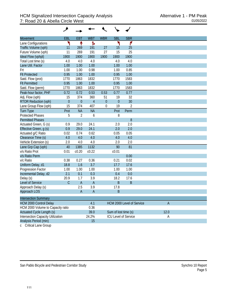| <b>Movement</b>                          | EBL            | <b>EBT</b>     | <b>WBT</b>     | <b>WBR</b>  | <b>SBL</b>           | <b>SBR</b>                |                |  |
|------------------------------------------|----------------|----------------|----------------|-------------|----------------------|---------------------------|----------------|--|
| Lane Configurations                      | ۲              | ↟              | Ъ              |             | ۲                    | ۴                         |                |  |
| Traffic Volume (vph)                     | 11             | 269            | 191            | 27          | 15                   | 25                        |                |  |
| Future Volume (vph)                      | 11             | 269            | 191            | 27          | 15                   | 25                        |                |  |
| Ideal Flow (vphpl)                       | 1900           | 1900           | 1900           | 1900        | 1900                 | 1900                      |                |  |
| Total Lost time (s)                      | 4.0            | 4.0            | 4.0            |             | 4.0                  | 4.0                       |                |  |
| Lane Util. Factor                        | 1.00           | 1.00           | 1.00           |             | 1.00                 | 1.00                      |                |  |
| Frt                                      | 1.00           | 1.00           | 0.98           |             | 1.00                 | 0.85                      |                |  |
| <b>Flt Protected</b>                     | 0.95           | 1.00           | 1.00           |             | 0.95                 | 1.00                      |                |  |
| Satd. Flow (prot)                        | 1770           | 1863           | 1832           |             | 1770                 | 1583                      |                |  |
| <b>Flt Permitted</b>                     | 0.95           | 1.00           | 1.00           |             | 0.95                 | 1.00                      |                |  |
| Satd. Flow (perm)                        | 1770           | 1863           | 1832           |             | 1770                 | 1583                      |                |  |
| Peak-hour factor, PHF                    | 0.72           | 0.72           | 0.53           | 0.53        | 0.77                 | 0.77                      |                |  |
| Adj. Flow (vph)                          | 15             | 374            | 360            | 51          | 19                   | 32                        |                |  |
| <b>RTOR Reduction (vph)</b>              | $\overline{0}$ | $\mathbf{0}$   | $\overline{4}$ | $\theta$    | $\overline{0}$       | 30                        |                |  |
| Lane Group Flow (vph)                    | 15             | 374            | 407            | $\mathbf 0$ | 19                   | 2                         |                |  |
| <b>Turn Type</b>                         | Prot           | <b>NA</b>      | <b>NA</b>      |             | Prot                 | Perm                      |                |  |
| <b>Protected Phases</b>                  | 5              | $\overline{2}$ | 6              |             | 8                    |                           |                |  |
| <b>Permitted Phases</b>                  |                |                |                |             |                      | 8                         |                |  |
| Actuated Green, G (s)                    | 0.9            | 29.0           | 24.1           |             | 2.0                  | 2.0                       |                |  |
| Effective Green, g (s)                   | 0.9            | 29.0           | 24.1           |             | 2.0                  | 2.0                       |                |  |
| Actuated g/C Ratio                       | 0.02           | 0.74           | 0.62           |             | 0.05                 | 0.05                      |                |  |
| Clearance Time (s)                       | 4.0            | 4.0            | 4.0            |             | 4.0                  | 4.0                       |                |  |
| Vehicle Extension (s)                    | 2.0            | 4.0            | 4.0            |             | 2.0                  | 2.0                       |                |  |
| Lane Grp Cap (vph)                       | 40             | 1385           | 1132           |             | 90                   | 81                        |                |  |
| v/s Ratio Prot                           | 0.01           | c0.20          | c0.22          |             | c <sub>0.01</sub>    |                           |                |  |
| v/s Ratio Perm                           |                |                |                |             |                      | 0.00                      |                |  |
| v/c Ratio                                | 0.38           | 0.27           | 0.36           |             | 0.21                 | 0.02                      |                |  |
| Uniform Delay, d1                        | 18.8           | 1.6            | 3.7            |             | 17.7                 | 17.6                      |                |  |
| Progression Factor                       | 1.00           | 1.00           | 1.00           |             | 1.00                 | 1.00                      |                |  |
| Incremental Delay, d2                    | 2.1            | 0.1            | 0.3            |             | 0.4                  | 0.0                       |                |  |
| Delay (s)                                | 20.9           | 1.7            | 3.9            |             | 18.2                 | 17.6                      |                |  |
| Level of Service                         | $\overline{C}$ | $\overline{A}$ | $\overline{A}$ |             | $\sf B$              | $\mathsf B$               |                |  |
| Approach Delay (s)                       |                | 2.5            | 3.9            |             | 17.8                 |                           |                |  |
| Approach LOS                             |                | A              | $\overline{A}$ |             | R                    |                           |                |  |
| <b>Intersection Summary</b>              |                |                |                |             |                      |                           |                |  |
| <b>HCM 2000 Control Delay</b>            |                |                | 4.1            |             |                      | HCM 2000 Level of Service | $\overline{A}$ |  |
| HCM 2000 Volume to Capacity ratio        |                |                | 0.36           |             |                      |                           |                |  |
| Actuated Cycle Length (s)                |                |                | 39.0           |             | Sum of lost time (s) |                           | 12.0           |  |
| <b>Intersection Capacity Utilization</b> |                |                | 24.2%          |             |                      | ICU Level of Service      | A              |  |
| Analysis Period (min)                    |                |                | 15             |             |                      |                           |                |  |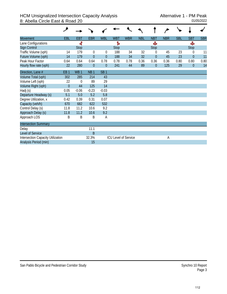#### HCM Unsignalized Intersection Capacity Analysis<br>8: Abella Circle East & Road 20 8: Abella Circle East & Road 20

| <b>Movement</b>                          | EBL             | <b>EBT</b>      | <b>EBR</b>       | <b>WBL</b>      | <b>WBT</b>  | <b>WBR</b>                  | <b>NBL</b> | <b>NBT</b>  | <b>NBR</b> | <b>SBL</b> | <b>SBT</b>       | <b>SBR</b> |
|------------------------------------------|-----------------|-----------------|------------------|-----------------|-------------|-----------------------------|------------|-------------|------------|------------|------------------|------------|
| Lane Configurations                      |                 | 4               |                  |                 | ħ           |                             |            | Ф           |            |            | Ф                |            |
| <b>Sign Control</b>                      |                 | <b>Stop</b>     |                  |                 | <b>Stop</b> |                             |            | <b>Stop</b> |            |            | <b>Stop</b>      |            |
| Traffic Volume (vph)                     | 14              | 179             | $\theta$         | $\theta$        | 188         | 34                          | 32         | $\Omega$    | 45         | 23         | 0                | 11         |
| Future Volume (vph)                      | 14              | 179             | $\overline{0}$   | $\theta$        | 188         | 34                          | 32         | $\theta$    | 45         | 23         | $\overline{0}$   | 11         |
| Peak Hour Factor                         | 0.64            | 0.64            | 0.64             | 0.78            | 0.78        | 0.78                        | 0.36       | 0.36        | 0.36       | 0.80       | 0.80             | 0.80       |
| Hourly flow rate (vph)                   | 22              | 280             | $\boldsymbol{0}$ | $\theta$        | 241         | 44                          | 89         | $\theta$    | 125        | 29         | $\boldsymbol{0}$ | 14         |
| Direction, Lane #                        | EB <sub>1</sub> | WB <sub>1</sub> | NB <sub>1</sub>  | SB <sub>1</sub> |             |                             |            |             |            |            |                  |            |
| Volume Total (vph)                       | 302             | 285             | 214              | 43              |             |                             |            |             |            |            |                  |            |
| Volume Left (vph)                        | 22              | $\theta$        | 89               | 29              |             |                             |            |             |            |            |                  |            |
| Volume Right (vph)                       | $\theta$        | 44              | 125              | 14              |             |                             |            |             |            |            |                  |            |
| Hadj (s)                                 | 0.05            | $-0.06$         | $-0.23$          | $-0.03$         |             |                             |            |             |            |            |                  |            |
| Departure Headway (s)                    | 5.1             | 5.0             | 5.2              | 5.8             |             |                             |            |             |            |            |                  |            |
| Degree Utilization, x                    | 0.42            | 0.39            | 0.31             | 0.07            |             |                             |            |             |            |            |                  |            |
| Capacity (veh/h)                         | 670             | 682             | 622              | 532             |             |                             |            |             |            |            |                  |            |
| Control Delay (s)                        | 11.8            | 11.2            | 10.6             | 9.2             |             |                             |            |             |            |            |                  |            |
| Approach Delay (s)                       | 11.8            | 11.2            | 10.6             | 9.2             |             |                             |            |             |            |            |                  |            |
| Approach LOS                             | B               | B               | B                | Α               |             |                             |            |             |            |            |                  |            |
| <b>Intersection Summary</b>              |                 |                 |                  |                 |             |                             |            |             |            |            |                  |            |
| Delay                                    |                 |                 | 11.1             |                 |             |                             |            |             |            |            |                  |            |
| Level of Service                         |                 |                 | B                |                 |             |                             |            |             |            |            |                  |            |
| <b>Intersection Capacity Utilization</b> |                 |                 | 32.3%            |                 |             | <b>ICU Level of Service</b> |            |             | Α          |            |                  |            |
| Analysis Period (min)                    |                 |                 | 15               |                 |             |                             |            |             |            |            |                  |            |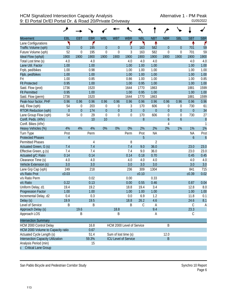|                                   | ۸                |                  |            |                  |                      |                             |             |                |                  |                  |                  |                  |
|-----------------------------------|------------------|------------------|------------|------------------|----------------------|-----------------------------|-------------|----------------|------------------|------------------|------------------|------------------|
| <b>Movement</b>                   | EBL              | <b>EBT</b>       | <b>EBR</b> | <b>WBL</b>       | <b>WBT</b>           | <b>WBR</b>                  | <b>NBL</b>  | <b>NBT</b>     | <b>NBR</b>       | <b>SBL</b>       | <b>SBT</b>       | <b>SBR</b>       |
| Lane Configurations               | ۲                |                  | ۴          |                  |                      | ۴                           | ۲           | ٠              |                  |                  | ቶ                | ۴                |
| Traffic Volume (vph)              | 52               | $\boldsymbol{0}$ | 195        | $\boldsymbol{0}$ | $\overline{0}$       | 3                           | 163         | 582            | $\mathbf{0}$     | $\overline{0}$   | 701              | 59               |
| Future Volume (vph)               | 52               | $\mathbf 0$      | 195        | $\mathbf 0$      | $\mathbf 0$          | 3                           | 163         | 582            | $\mathbf 0$      | $\boldsymbol{0}$ | 701              | 59               |
| Ideal Flow (vphpl)                | 1900             | 1900             | 1900       | 1900             | 1900                 | 1900                        | 1900        | 1900           | 1900             | 1900             | 1900             | 1900             |
| Total Lost time (s)               | 4.0              |                  | 4.0        |                  |                      | 4.0                         | 4.0         | 4.0            |                  |                  | 4.0              | 4.0              |
| Lane Util. Factor                 | 1.00             |                  | 1.00       |                  |                      | 1.00                        | 1.00        | 1.00           |                  |                  | 1.00             | 1.00             |
| Frpb, ped/bikes                   | 1.00             |                  | 0.98       |                  |                      | 1.00                        | 1.00        | 1.00           |                  |                  | 1.00             | 1.00             |
| Flpb, ped/bikes                   | 1.00             |                  | 1.00       |                  |                      | 1.00                        | 1.00        | 1.00           |                  |                  | 1.00             | 1.00             |
| Frt                               | 1.00             |                  | 0.85       |                  |                      | 0.86                        | 1.00        | 1.00           |                  |                  | 1.00             | 0.85             |
| <b>Flt Protected</b>              | 0.95             |                  | 1.00       |                  |                      | 1.00                        | 0.95        | 1.00           |                  |                  | 1.00             | 1.00             |
| Satd. Flow (prot)                 | 1736             |                  | 1520       |                  |                      | 1644                        | 1770        | 1863           |                  |                  | 1881             | 1599             |
| <b>Flt Permitted</b>              | 0.95             |                  | 1.00       |                  |                      | 1.00                        | 0.95        | 1.00           |                  |                  | 1.00             | 1.00             |
| Satd. Flow (perm)                 | 1736             |                  | 1520       |                  |                      | 1644                        | 1770        | 1863           |                  |                  | 1881             | 1599             |
| Peak-hour factor, PHF             | 0.96             | 0.96             | 0.96       | 0.96             | 0.96                 | 0.96                        | 0.96        | 0.96           | 0.96             | 0.96             | 0.96             | 0.96             |
| Adj. Flow (vph)                   | 54               | $\mathbf 0$      | 203        | $\boldsymbol{0}$ | $\boldsymbol{0}$     | 3                           | 170         | 606            | $\boldsymbol{0}$ | 0                | 730              | 61               |
| <b>RTOR Reduction (vph)</b>       | $\boldsymbol{0}$ | $\boldsymbol{0}$ | 174        | $\boldsymbol{0}$ | $\mathbf 0$          | $\overline{3}$              | $\mathbf 0$ | $\mathbf{0}$   | $\boldsymbol{0}$ | $\boldsymbol{0}$ | $\boldsymbol{0}$ | 34               |
| Lane Group Flow (vph)             | 54               | $\boldsymbol{0}$ | 29         | $\boldsymbol{0}$ | $\overline{0}$       | $\boldsymbol{0}$            | 170         | 606            | $\boldsymbol{0}$ | $\boldsymbol{0}$ | 730              | 27               |
| Confl. Peds. (#/hr)               |                  |                  | 10         | 10               |                      |                             | 8           |                | $\boldsymbol{6}$ | $\boldsymbol{6}$ |                  | $\boldsymbol{8}$ |
| Confl. Bikes (#/hr)               |                  |                  |            |                  |                      |                             |             |                | $\overline{4}$   |                  |                  | $\mathbf{1}$     |
| Heavy Vehicles (%)                | 4%               | 4%               | 4%         | 0%               | 0%                   | 0%                          | 2%          | 2%             | 2%               | 1%               | 1%               | 1%               |
| Turn Type                         | Prot             |                  | Perm       |                  |                      | Perm                        | Prot        | <b>NA</b>      |                  |                  | <b>NA</b>        | Prot             |
| <b>Protected Phases</b>           | $\overline{4}$   |                  |            |                  |                      |                             | 5           |                |                  |                  | 6                | $\overline{6}$   |
| <b>Permitted Phases</b>           |                  |                  | 4          |                  |                      | 8                           |             | $\overline{2}$ |                  |                  |                  |                  |
| Actuated Green, G (s)             | 7.4              |                  | 7.4        |                  |                      | 7.4                         | 9.0         | 36.0           |                  |                  | 23.0             | 23.0             |
| Effective Green, g (s)            | 7.4              |                  | 7.4        |                  |                      | 7.4                         | 9.0         | 36.0           |                  |                  | 23.0             | 23.0             |
| Actuated g/C Ratio                | 0.14             |                  | 0.14       |                  |                      | 0.14                        | 0.18        | 0.70           |                  |                  | 0.45             | 0.45             |
| Clearance Time (s)                | 4.0              |                  | 4.0        |                  |                      | 4.0                         | 4.0         | 4.0            |                  |                  | 4.0              | 4.0              |
| Vehicle Extension (s)             | 3.0              |                  | 3.0        |                  |                      | 3.0                         | 3.0         | 3.0            |                  |                  | 3.0              | 3.0              |
| Lane Grp Cap (vph)                | 249              |                  | 218        |                  |                      | 236                         | 309         | 1304           |                  |                  | 841              | 715              |
| v/s Ratio Prot                    | c0.03            |                  |            |                  |                      |                             | c0.10       |                |                  |                  | c0.39            | 0.02             |
| v/s Ratio Perm                    |                  |                  | 0.02       |                  |                      | 0.00                        |             | 0.33           |                  |                  |                  |                  |
| v/c Ratio                         | 0.22             |                  | 0.13       |                  |                      | 0.00                        | 0.55        | 0.46           |                  |                  | 0.87             | 0.04             |
| Uniform Delay, d1                 | 19.4             |                  | 19.2       |                  |                      | 18.8                        | 19.4        | 3.4            |                  |                  | 12.8             | 8.0              |
| Progression Factor                | 1.00             |                  | 1.00       |                  |                      | 1.00                        | 1.00        | 1.00           |                  |                  | 1.00             | 1.00             |
| Incremental Delay, d2             | 0.4              |                  | 0.3        |                  |                      | 0.0                         | 6.9         | 1.2            |                  |                  | 11.8             | 0.1              |
| Delay (s)                         | 19.9             |                  | 19.5       |                  |                      | 18.8                        | 26.2        | 4.6            |                  |                  | 24.6             | 8.1              |
| Level of Service                  | Β                |                  | B          |                  |                      | Β                           | C           | A              |                  |                  | C                | $\mathsf{A}$     |
| Approach Delay (s)                |                  | 19.6             |            |                  | 18.8                 |                             |             | 9.4            |                  |                  | 23.3             |                  |
| Approach LOS                      |                  | B                |            |                  | Β                    |                             |             | Α              |                  |                  | C                |                  |
| <b>Intersection Summary</b>       |                  |                  |            |                  |                      |                             |             |                |                  |                  |                  |                  |
| HCM 2000 Control Delay            |                  |                  | 16.8       |                  |                      | HCM 2000 Level of Service   |             |                | B                |                  |                  |                  |
| HCM 2000 Volume to Capacity ratio |                  |                  | 0.67       |                  |                      |                             |             |                |                  |                  |                  |                  |
| Actuated Cycle Length (s)         |                  |                  | 51.4       |                  | Sum of lost time (s) |                             |             |                | 12.0             |                  |                  |                  |
| Intersection Capacity Utilization |                  |                  | 59.3%      |                  |                      | <b>ICU Level of Service</b> |             |                | B                |                  |                  |                  |
| Analysis Period (min)             |                  |                  | 15         |                  |                      |                             |             |                |                  |                  |                  |                  |
| c Critical Lane Group             |                  |                  |            |                  |                      |                             |             |                |                  |                  |                  |                  |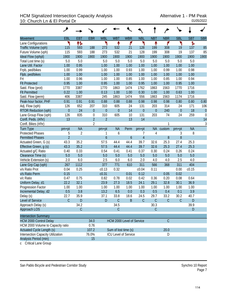## HCM Signalized Intersection Capacity Analysis<br>10: Church Ln & El Portal Dr<br><sup>01/05/2022</sup> 10: Church Ln & El Portal Dr

|                                          | ᢣ                |                |                  |                           |                      |                  |                  |                  |               |                  |            |             |
|------------------------------------------|------------------|----------------|------------------|---------------------------|----------------------|------------------|------------------|------------------|---------------|------------------|------------|-------------|
| <b>Movement</b>                          | EBL              | <b>EBT</b>     | <b>EBR</b>       | <b>WBL</b>                | <b>WBT</b>           | <b>WBR</b>       | <b>NBL</b>       | <b>NBT</b>       | <b>NBR</b>    | <b>SBL</b>       | <b>SBT</b> | <b>SBR</b>  |
| Lane Configurations                      | ۲                | 怍              |                  | ۲                         | ↟                    | ۴                | ۲                | ↟                | ۴             | ۲                | ħ          |             |
| Traffic Volume (vph)                     | 115              | 593            | 188              | 273                       | 532                  | 21               | 128              | 199              | 308           | 19               | 137        | 85          |
| Future Volume (vph)                      | 115              | 593            | 188              | 273                       | 532                  | 21               | 128              | 199              | 308           | 19               | 137        | 85          |
| Ideal Flow (vphpl)                       | 1900             | 1900           | 1900             | 1900                      | 1900                 | 1900             | 1900             | 1900             | 1900          | 1900             | 1900       | 1900        |
| Total Lost time (s)                      | 5.0              | 5.0            |                  | 5.0                       | 5.0                  | 5.0              | 5.0              | 5.0              | 5.0           | 5.0              | 5.0        |             |
| Lane Util. Factor                        | 1.00             | 0.95           |                  | 1.00                      | 1.00                 | 1.00             | 1.00             | 1.00             | 1.00          | 1.00             | 1.00       |             |
| Frpb, ped/bikes                          | 1.00             | 0.99           |                  | 1.00                      | 1.00                 | 0.93             | 1.00             | 1.00             | 0.99          | 1.00             | 0.98       |             |
| Flpb, ped/bikes                          | 1.00             | 1.00           |                  | 1.00                      | 1.00                 | 1.00             | 1.00             | 1.00             | 1.00          | 1.00             | 1.00       |             |
| Frt                                      | 1.00             | 0.96           |                  | 1.00                      | 1.00                 | 0.85             | 1.00             | 1.00             | 0.85          | 1.00             | 0.94       |             |
| <b>Flt Protected</b>                     | 0.95             | 1.00           |                  | 0.95                      | 1.00                 | 1.00             | 0.95             | 1.00             | 1.00          | 0.95             | 1.00       |             |
| Satd. Flow (prot)                        | 1770             | 3387           |                  | 1770                      | 1863                 | 1474             | 1762             | 1863             | 1563          | 1770             | 1716       |             |
| <b>Flt Permitted</b>                     | 0.22             | 1.00           |                  | 0.13                      | 1.00                 | 1.00             | 0.30             | 1.00             | 1.00          | 0.63             | 1.00       |             |
| Satd. Flow (perm)                        | 406              | 3387           |                  | 245                       | 1863                 | 1474             | 556              | 1863             | 1563          | 1174             | 1716       |             |
| Peak-hour factor, PHF                    | 0.91             | 0.91           | 0.91             | 0.88                      | 0.88                 | 0.88             | 0.98             | 0.98             | 0.98          | 0.80             | 0.80       | 0.80        |
| Adj. Flow (vph)                          | 126              | 652            | 207              | 310                       | 605                  | 24               | 131              | 203              | 314           | 24               | 171        | 106         |
| <b>RTOR Reduction (vph)</b>              | $\boldsymbol{0}$ | 24             | $\boldsymbol{0}$ | $\boldsymbol{0}$          | $\overline{0}$       | 14               | $\boldsymbol{0}$ | $\boldsymbol{0}$ | 240           | $\boldsymbol{0}$ | 18         | $\theta$    |
| Lane Group Flow (vph)                    | 126              | 835            | $\boldsymbol{0}$ | 310                       | 605                  | 10               | 131              | 203              | 74            | 24               | 259        | $\mathbf 0$ |
| Confl. Peds. (#/hr)                      | 13               |                | $\overline{2}$   | $\overline{2}$            |                      | 13               | 14               |                  |               |                  |            | 14          |
| Confl. Bikes (#/hr)                      |                  |                | $\overline{2}$   |                           |                      |                  |                  |                  | 1             |                  |            | 3           |
| <b>Turn Type</b>                         | pm+pt            | <b>NA</b>      |                  | pm+pt                     | <b>NA</b>            | Perm             | pm+pt            | <b>NA</b>        | custom        | pm+pt            | <b>NA</b>  |             |
| <b>Protected Phases</b>                  | 5                | $\overline{2}$ |                  | 1                         | 6                    |                  | 7                | 4                |               | 3                | 8          |             |
| <b>Permitted Phases</b>                  | $\overline{2}$   |                |                  | $\overline{6}$            |                      | $\boldsymbol{6}$ | $\overline{4}$   |                  | 8             | 8                |            |             |
| Actuated Green, G (s)                    | 43.3             | 35.2           |                  | 57.5                      | 44.4                 | 44.4             | 39.7             | 32.6             | 25.3          | 27.4             | 25.3       |             |
| Effective Green, g (s)                   | 43.3             | 35.2           |                  | 57.5                      | 44.4                 | 44.4             | 39.7             | 32.6             | 25.3          | 27.4             | 25.3       |             |
| Actuated g/C Ratio                       | 0.40             | 0.33           |                  | 0.54                      | 0.41                 | 0.41             | 0.37             | 0.30             | 0.24          | 0.26             | 0.24       |             |
| Clearance Time (s)                       | 5.0              | 5.0            |                  | 5.0                       | 5.0                  | 5.0              | 5.0              | 5.0              | 5.0           | 5.0              | 5.0        |             |
| Vehicle Extension (s)                    | 2.0              | 6.0            |                  | 2.5                       | 6.0                  | 6.0              | 2.0              | 4.0              | 4.0           | 2.5              | 4.0        |             |
| Lane Grp Cap (vph)                       | 267              | 1112           |                  | 377                       | 771                  | 610              | 311              | 566              | 368           | 311              | 404        |             |
| v/s Ratio Prot                           | 0.04             | 0.25           |                  | c0.13                     | 0.32                 |                  | c0.04            | 0.11             |               | 0.00             | c0.15      |             |
| v/s Ratio Perm                           | 0.15             |                |                  | c0.31                     |                      | 0.01             | 0.12             |                  | 0.05          | 0.02             |            |             |
| v/c Ratio                                | 0.47             | 0.75           |                  | 0.82                      | 0.78                 | 0.02             | 0.42             | 0.36             | 0.20          | 0.08             | 0.64       |             |
| Uniform Delay, d1                        | 22.2             | 32.1           |                  | 23.9                      | 27.3                 | 18.5             | 24.1             | 29.1             | 32.8          | 30.1             | 36.9       |             |
| Progression Factor                       | 1.00             | 1.00           |                  | 1.00                      | 1.00                 | 1.00             | 1.00             | 1.00             | 1.00          | 1.00             | 1.00       |             |
| Incremental Delay, d2                    | 0.5              | 3.8            |                  | 13.2                      | 6.5                  | 0.0              | 0.3              | 0.5              | 0.4           | 0.1              | 3.9        |             |
| Delay (s)                                | 22.7             | 35.9           |                  | 37.1                      | 33.8                 | 18.6             | 24.5             | 29.7             | 33.2          | 30.2             | 40.7       |             |
| Level of Service                         | $\mathsf C$      | ${\sf D}$      |                  | D                         | $\mathcal{C}$        | $\sf B$          | $\mathsf C$      | $\mathsf C$      | $\mathcal{C}$ | $\mathsf C$      | D          |             |
| Approach Delay (s)                       |                  | 34.2           |                  |                           | 34.5                 |                  |                  | 30.3             |               |                  | 39.9       |             |
| Approach LOS                             |                  | $\mathsf C$    |                  |                           | $\mathcal{C}$        |                  |                  | $\mathsf C$      |               |                  | D          |             |
| <b>Intersection Summary</b>              |                  |                |                  |                           |                      |                  |                  |                  |               |                  |            |             |
| <b>HCM 2000 Control Delay</b>            |                  |                | 34.0             | HCM 2000 Level of Service |                      |                  |                  |                  | $\mathsf C$   |                  |            |             |
| HCM 2000 Volume to Capacity ratio        |                  |                | 0.76             |                           |                      |                  |                  |                  |               |                  |            |             |
| Actuated Cycle Length (s)                |                  |                | 107.2            |                           | Sum of lost time (s) |                  |                  |                  | 20.0          |                  |            |             |
| <b>Intersection Capacity Utilization</b> |                  |                | 76.0%            |                           | ICU Level of Service |                  |                  |                  | D             |                  |            |             |
| Analysis Period (min)                    |                  |                | 15               |                           |                      |                  |                  |                  |               |                  |            |             |

c Critical Lane Group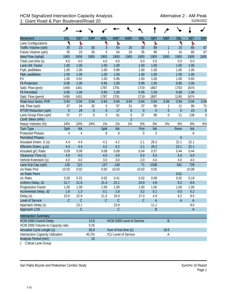| <b>Movement</b>                          | EBL              | <b>EBT</b>  | <b>EBR</b>  | <b>WBL</b>           | <b>WBT</b>                  | <b>WBR</b>       | <b>NBL</b>       | <b>NBT</b>       | <b>NBR</b>       | <b>SBL</b>       | <b>SBT</b>   | <b>SBR</b>     |
|------------------------------------------|------------------|-------------|-------------|----------------------|-----------------------------|------------------|------------------|------------------|------------------|------------------|--------------|----------------|
| Lane Configurations                      | ۲                | ħ           |             | ۲                    | Ъ                           |                  | ۲                | Ъ                |                  | ۳                | ħ            |                |
| Traffic Volume (vph)                     | 35               | 23          | 30          | 3                    | 54                          | 20               | 35               | 89               | $\mathbf{1}$     | 10               | 85           | 67             |
| Future Volume (vph)                      | 35               | 23          | 30          | 3                    | 54                          | 20               | 35               | 89               | 1                | 10               | 85           | 67             |
| Ideal Flow (vphpl)                       | 1900             | 1900        | 1900        | 1900                 | 1900                        | 1900             | 1900             | 1900             | 1900             | 1900             | 1900         | 1900           |
| Total Lost time (s)                      | 4.0              | 4.0         |             | 4.0                  | 4.0                         |                  | 5.0              | 5.0              |                  | 5.0              | 5.0          |                |
| Lane Util. Factor                        | 1.00             | 1.00        |             | 1.00                 | 1.00                        |                  | 1.00             | 1.00             |                  | 1.00             | 1.00         |                |
| Frpb, ped/bikes                          | 1.00             | 1.00        |             | 1.00                 | 0.99                        |                  | 1.00             | 1.00             |                  | 1.00             | 1.00         |                |
| Flpb, ped/bikes                          | 1.00             | 1.00        |             | 1.00                 | 1.00                        |                  | 1.00             | 1.00             |                  | 1.00             | 1.00         |                |
| Frt                                      | 1.00             | 0.91        |             | 1.00                 | 0.96                        |                  | 1.00             | 1.00             |                  | 1.00             | 0.93         |                |
| <b>Flt Protected</b>                     | 0.95             | 1.00        |             | 0.95                 | 1.00                        |                  | 0.95             | 1.00             |                  | 0.95             | 1.00         |                |
| Satd. Flow (prot)                        | 1456             | 1401        |             | 1787                 | 1791                        |                  | 1719             | 1807             |                  | 1703             | 1674         |                |
| <b>Flt Permitted</b>                     | 0.95             | 1.00        |             | 0.95                 | 1.00                        |                  | 0.95             | 1.00             |                  | 0.69             | 1.00         |                |
| Satd. Flow (perm)                        | 1456             | 1401        |             | 1787                 | 1791                        |                  | 1719             | 1807             |                  | 1245             | 1674         |                |
| Peak-hour factor, PHF                    | 0.94             | 0.94        | 0.94        | 0.94                 | 0.94                        | 0.94             | 0.94             | 0.94             | 0.94             | 0.94             | 0.94         | 0.94           |
| Adj. Flow (vph)                          | 37               | 24          | 32          | 3                    | 57                          | 21               | 37               | 95               | 1                | 11               | 90           | 71             |
| RTOR Reduction (vph)                     | $\boldsymbol{0}$ | 29          | $\theta$    | $\boldsymbol{0}$     | 17                          | $\boldsymbol{0}$ | $\boldsymbol{0}$ | $\boldsymbol{0}$ | $\boldsymbol{0}$ | $\boldsymbol{0}$ | 23           | $\overline{0}$ |
| Lane Group Flow (vph)                    | 37               | 27          | $\mathbf 0$ | 3                    | 61                          | $\boldsymbol{0}$ | 37               | 96               | $\boldsymbol{0}$ | 11               | 138          | $\mathbf 0$    |
| Confl. Bikes (#/hr)                      |                  |             |             |                      |                             | $\overline{2}$   |                  |                  |                  |                  |              |                |
| Heavy Vehicles (%)                       | 24%              | 24%         | 24%         | 1%                   | 1%                          | $1\%$            | 5%               | 5%               | 5%               | 6%               | $6\%$        | 6%             |
| Turn Type                                | Split            | <b>NA</b>   |             | Split                | <b>NA</b>                   |                  | Prot             | <b>NA</b>        |                  | Perm             | <b>NA</b>    |                |
| <b>Protected Phases</b>                  | 4                | 4           |             | 8                    | 8                           |                  | 5                | $\overline{2}$   |                  |                  | 6            |                |
| <b>Permitted Phases</b>                  |                  |             |             |                      |                             |                  |                  |                  |                  | $\boldsymbol{6}$ |              |                |
| Actuated Green, G (s)                    | 4.4              | 4.4         |             | 4.2                  | 4.2                         |                  | 2.1              | 29.2             |                  | 22.1             | 22.1         |                |
| Effective Green, g (s)                   | 4.4              | 4.4         |             | 4.2                  | 4.2                         |                  | 2.1              | 29.2             |                  | 22.1             | 22.1         |                |
| Actuated g/C Ratio                       | 0.09             | 0.09        |             | 0.08                 | 0.08                        |                  | 0.04             | 0.57             |                  | 0.44             | 0.44         |                |
| Clearance Time (s)                       | 4.0              | 4.0         |             | 4.0                  | 4.0                         |                  | 5.0              | 5.0              |                  | 5.0              | 5.0          |                |
| Vehicle Extension (s)                    | 4.0              | 4.0         |             | 3.0                  | 3.0                         |                  | 2.0              | 4.0              |                  | 4.0              | 4.0          |                |
| Lane Grp Cap (vph)                       | 126              | 121         |             | 147                  | 148                         |                  | 71               | 1038             |                  | 541              | 728          |                |
| v/s Ratio Prot                           | c0.03            | 0.02        |             | 0.00                 | c0.03                       |                  | c0.02            | 0.05             |                  |                  | c0.08        |                |
| v/s Ratio Perm                           |                  |             |             |                      |                             |                  |                  |                  |                  | 0.01             |              |                |
| v/c Ratio                                | 0.29             | 0.22        |             | 0.02                 | 0.41                        |                  | 0.52             | 0.09             |                  | 0.02             | 0.19         |                |
| Uniform Delay, d1                        | 21.7             | 21.6        |             | 21.4                 | 22.1                        |                  | 23.9             | 4.8              |                  | 8.2              | 8.8          |                |
| Progression Factor                       | 1.00             | 1.00        |             | 1.00                 | 1.00                        |                  | 1.00             | 1.00             |                  | 1.00             | 1.00         |                |
| Incremental Delay, d2                    | 1.8              | 1.3         |             | 0.1                  | 1.8                         |                  | 3.2              | 0.1              |                  | 0.0              | 0.2          |                |
| Delay (s)                                | 23.5             | 22.9        |             | 21.5                 | 24.0                        |                  | 27.0             | 4.9              |                  | 8.2              | 9.0          |                |
| Level of Service                         | $\mathsf C$      | $\mathsf C$ |             | С                    | $\mathsf C$                 |                  | $\mathsf C$      | $\mathsf{A}$     |                  | A                | $\mathsf{A}$ |                |
| Approach Delay (s)                       |                  | 23.1        |             |                      | 23.9                        |                  |                  | 11.1             |                  |                  | 9.0          |                |
| Approach LOS                             |                  | $\mathsf C$ |             |                      | $\mathsf C$                 |                  |                  | B                |                  |                  | $\mathsf{A}$ |                |
|                                          |                  |             |             |                      |                             |                  |                  |                  |                  |                  |              |                |
| <b>Intersection Summary</b>              |                  |             |             |                      |                             |                  |                  |                  |                  |                  |              |                |
| <b>HCM 2000 Control Delay</b>            |                  |             | 14.8        |                      | HCM 2000 Level of Service   |                  |                  |                  | B                |                  |              |                |
| HCM 2000 Volume to Capacity ratio        |                  |             | 0.25        | Sum of lost time (s) |                             |                  |                  |                  |                  |                  |              |                |
| <b>Actuated Cycle Length (s)</b>         |                  |             | 50.8        |                      |                             |                  |                  |                  | 18.0             |                  |              |                |
| <b>Intersection Capacity Utilization</b> |                  |             | 45.2%       |                      | <b>ICU Level of Service</b> |                  |                  |                  | Α                |                  |              |                |
| Analysis Period (min)                    |                  |             | 15          |                      |                             |                  |                  |                  |                  |                  |              |                |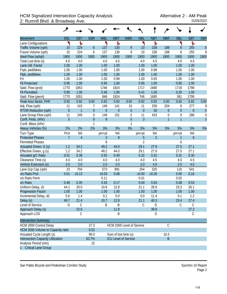## HCM Signalized Intersection Capacity Analysis<br>2: Rumrill Blvd. & Broadway Ave. <br><sup>01/05/2022</sup> 2: Rumrill Blvd. & Broadway Ave.

|                                   | ۶              |                |             |              |                             |                  |                |                |                  |                  |                  |                  |
|-----------------------------------|----------------|----------------|-------------|--------------|-----------------------------|------------------|----------------|----------------|------------------|------------------|------------------|------------------|
| <b>Movement</b>                   | EBL            | <b>EBT</b>     | <b>EBR</b>  | <b>WBL</b>   | <b>WBT</b>                  | <b>WBR</b>       | <b>NBL</b>     | <b>NBT</b>     | <b>NBR</b>       | <b>SBL</b>       | <b>SBT</b>       | <b>SBR</b>       |
| Lane Configurations               | ۲              | Ъ              |             | ۳            | Ъ                           |                  | ۲              | Ъ              |                  | ۲                | Ъ                |                  |
| Traffic Volume (vph)              | 10             | 224            | 6           | 137          | 130                         | 9                | 10             | 238            | 188              | $\, 8$           | 255              | 8                |
| Future Volume (vph)               | 10             | 224            | 6           | 137          | 130                         | 9                | 10             | 238            | 188              | 8                | 255              | 8                |
| Ideal Flow (vphpl)                | 1900           | 1900           | 1900        | 1900         | 1900                        | 1900             | 1900           | 1900           | 1900             | 1900             | 1900             | 1900             |
| Total Lost time (s)               | 4.0            | 4.0            |             | 4.0          | 4.0                         |                  | 4.0            | 4.5            |                  | 4.0              | 4.5              |                  |
| Lane Util. Factor                 | 1.00           | 1.00           |             | 1.00         | 1.00                        |                  | 1.00           | 1.00           |                  | 1.00             | 1.00             |                  |
| Frpb, ped/bikes                   | 1.00           | 1.00           |             | 1.00         | 1.00                        |                  | 1.00           | 0.99           |                  | 1.00             | 1.00             |                  |
| Flpb, ped/bikes                   | 1.00           | 1.00           |             | 1.00         | 1.00                        |                  | 1.00           | 1.00           |                  | 1.00             | 1.00             |                  |
| Frt                               | 1.00           | 1.00           |             | 1.00         | 0.99                        |                  | 1.00           | 0.93           |                  | 1.00             | 1.00             |                  |
| <b>Flt Protected</b>              | 0.95           | 1.00           |             | 0.95         | 1.00                        |                  | 0.95           | 1.00           |                  | 0.95             | 1.00             |                  |
| Satd. Flow (prot)                 | 1770           | 1853           |             | 1746         | 1824                        |                  | 1717           | 1680           |                  | 1719             | 1799             |                  |
| <b>Flt Permitted</b>              | 0.95           | 1.00           |             | 0.46         | 1.00                        |                  | 0.41           | 1.00           |                  | 0.20             | 1.00             |                  |
| Satd. Flow (perm)                 | 1770           | 1853           |             | 848          | 1824                        |                  | 746            | 1680           |                  | 361              | 1799             |                  |
| Peak-hour factor, PHF             | 0.92           | 0.92           | 0.92        | 0.92         | 0.92                        | 0.92             | 0.92           | 0.92           | 0.92             | 0.92             | 0.92             | 0.92             |
| Adj. Flow (vph)                   | 11             | 243            | 7           | 149          | 141                         | 10               | 11             | 259            | 204              | 9                | 277              | 9                |
| <b>RTOR Reduction (vph)</b>       | $\overline{0}$ | 1              | $\theta$    | $\mathbf{0}$ | $\overline{0}$              | $\theta$         | $\mathbf 0$    | 30             | $\overline{0}$   | $\boldsymbol{0}$ | $\overline{0}$   | $\overline{0}$   |
| Lane Group Flow (vph)             | 11             | 249            | $\mathbf 0$ | 149          | 151                         | $\boldsymbol{0}$ | 11             | 433            | $\boldsymbol{0}$ | 9                | 286              | $\boldsymbol{0}$ |
| Confl. Peds. (#/hr)               | 5              |                | 9           | 9            |                             | 5                | $\overline{3}$ |                | $\overline{1}$   | $\overline{1}$   |                  | $\overline{3}$   |
| Confl. Bikes (#/hr)               |                |                | 1           |              |                             | 1                |                |                |                  |                  |                  |                  |
| Heavy Vehicles (%)                | 2%             | 2%             | 2%          | 3%           | 3%                          | 3%               | 5%             | 5%             | 5%               | 5%               | 5%               | 5%               |
| Turn Type                         | Prot           | <b>NA</b>      |             | pm+pt        | <b>NA</b>                   |                  | pm+pt          | <b>NA</b>      |                  | pm+pt            | <b>NA</b>        |                  |
| <b>Protected Phases</b>           | $\overline{7}$ | $\overline{4}$ |             | 3            | 8                           |                  | $\overline{5}$ | $\overline{2}$ |                  | 1                | $\boldsymbol{6}$ |                  |
| <b>Permitted Phases</b>           |                |                |             | 8            |                             |                  | $\overline{2}$ |                |                  | 6                |                  |                  |
| Actuated Green, G (s)             | 1.2            | 34.2           |             | 49.2         | 44.0                        |                  | 29.1           | 27.9           |                  | 27.5             | 27.1             |                  |
| Effective Green, g (s)            | 1.2            | 34.2           |             | 49.2         | 44.0                        |                  | 29.1           | 27.9           |                  | 27.5             | 27.1             |                  |
| Actuated g/C Ratio                | 0.01           | 0.38           |             | 0.55         | 0.49                        |                  | 0.32           | 0.31           |                  | 0.31             | 0.30             |                  |
| Clearance Time (s)                | 4.0            | 4.0            |             | 4.0          | 4.0                         |                  | 4.0            | 4.5            |                  | 4.0              | 4.5              |                  |
| Vehicle Extension (s)             | 2.0            | 2.0            |             | 2.0          | 2.0                         |                  | 2.0            | 4.0            |                  | 2.0              | 4.0              |                  |
| Lane Grp Cap (vph)                | 23             | 704            |             | 573          | 891                         |                  | 254            | 520            |                  | 116              | 541              |                  |
| v/s Ratio Prot                    | 0.01           | c0.13          |             | c0.03        | 0.08                        |                  | c0.00          | c0.26          |                  | 0.00             | 0.16             |                  |
| v/s Ratio Perm                    |                |                |             | 0.11         |                             |                  | 0.01           |                |                  | 0.02             |                  |                  |
| v/c Ratio                         | 0.48           | 0.35           |             | 0.26         | 0.17                        |                  | 0.04           | 0.83           |                  | 0.08             | 0.53             |                  |
| Uniform Delay, d1                 | 44.1           | 20.0           |             | 10.6         | 12.8                        |                  | 21.1           | 28.9           |                  | 23.3             | 26.1             |                  |
| <b>Progression Factor</b>         | 1.00           | 1.00           |             | 1.00         | 1.00                        |                  | 1.00           | 1.00           |                  | 1.00             | 1.00             |                  |
| Incremental Delay, d2             | 5.6            | 1.4            |             | 0.1          | 0.0                         |                  | 0.0            | 11.4           |                  | 0.1              | 1.2              |                  |
| Delay (s)                         | 49.7           | 21.4           |             | 10.7         | 12.9                        |                  | 21.1           | 40.3           |                  | 23.4             | 27.4             |                  |
| Level of Service                  | D              | C              |             | Β            | Β                           |                  | C              | D              |                  | C                | C                |                  |
| Approach Delay (s)                |                | 22.6           |             |              | 11.8                        |                  |                | 39.9           |                  |                  | 27.2             |                  |
| Approach LOS                      |                | C              |             |              | B                           |                  |                | D              |                  |                  | C                |                  |
| <b>Intersection Summary</b>       |                |                |             |              |                             |                  |                |                |                  |                  |                  |                  |
| HCM 2000 Control Delay            |                |                | 27.3        |              | HCM 2000 Level of Service   |                  |                |                | $\mathcal{C}$    |                  |                  |                  |
| HCM 2000 Volume to Capacity ratio |                |                | 0.52        |              |                             |                  |                |                |                  |                  |                  |                  |
| Actuated Cycle Length (s)         |                |                | 90.0        |              | Sum of lost time (s)        |                  |                |                | 16.5             |                  |                  |                  |
| Intersection Capacity Utilization |                |                | 63.7%       |              | <b>ICU Level of Service</b> |                  |                |                | $\mathsf B$      |                  |                  |                  |
| Analysis Period (min)             |                |                | 15          |              |                             |                  |                |                |                  |                  |                  |                  |
| c Critical Lane Group             |                |                |             |              |                             |                  |                |                |                  |                  |                  |                  |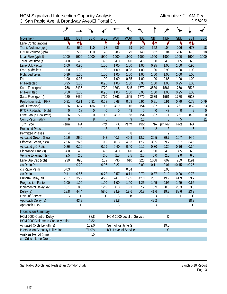|                                          | ◢              |                |                  |                  |                      |                             |                  |                  |                |                  |                |                  |
|------------------------------------------|----------------|----------------|------------------|------------------|----------------------|-----------------------------|------------------|------------------|----------------|------------------|----------------|------------------|
| <b>Movement</b>                          | EBL            | <b>EBT</b>     | <b>EBR</b>       | <b>WBL</b>       | <b>WBT</b>           | <b>WBR</b>                  | <b>NBL</b>       | <b>NBT</b>       | <b>NBR</b>     | <b>SBL</b>       | <b>SBT</b>     | <b>SBR</b>       |
| Lane Configurations                      | ٦              | 怍              |                  | ۲                | ↟                    | ۴                           | ۲                | ₩                | ۴              | ۳                | 怍              |                  |
| Traffic Volume (vph)                     | 21             | 530            | 110              | 78               | 285                  | 79                          | 140              | 352              | 104            | 206              | 673            | 18               |
| Future Volume (vph)                      | 21             | 530            | 110              | 78               | 285                  | 79                          | 140              | 352              | 104            | 206              | 673            | 18               |
| Ideal Flow (vphpl)                       | 1900           | 1900           | 1900             | 1900             | 1900                 | 1900                        | 1900             | 1900             | 1900           | 1900             | 1900           | 1900             |
| Total Lost time (s)                      | 4.0            | 4.0            |                  | 4.5              | 4.0                  | 4.0                         | 4.5              | 6.0              | 4.5            | 4.5              | 6.0            |                  |
| Lane Util. Factor                        | 1.00           | 0.95           |                  | 1.00             | 1.00                 | 1.00                        | 1.00             | 0.95             | 1.00           | 1.00             | 0.95           |                  |
| Frpb, ped/bikes                          | 1.00           | 1.00           |                  | 1.00             | 1.00                 | 0.98                        | 1.00             | 1.00             | 0.99           | 1.00             | 1.00           |                  |
| Flpb, ped/bikes                          | 0.99           | 1.00           |                  | 1.00             | 1.00                 | 1.00                        | 1.00             | 1.00             | 1.00           | 1.00             | 1.00           |                  |
| Frt                                      | 1.00           | 0.97           |                  | 1.00             | 1.00                 | 0.85                        | 1.00             | 1.00             | 0.85           | 1.00             | 1.00           |                  |
| <b>Flt Protected</b>                     | 0.95           | 1.00           |                  | 0.95             | 1.00                 | 1.00                        | 0.95             | 1.00             | 1.00           | 0.95             | 1.00           |                  |
| Satd. Flow (prot)                        | 1758           | 3436           |                  | 1770             | 1863                 | 1545                        | 1770             | 3539             | 1561           | 1770             | 3523           |                  |
| <b>Flt Permitted</b>                     | 0.50           | 1.00           |                  | 0.95             | 1.00                 | 1.00                        | 0.95             | 1.00             | 1.00           | 0.95             | 1.00           |                  |
| Satd. Flow (perm)                        | 920            | 3436           |                  | 1770             | 1863                 | 1545                        | 1770             | 3539             | 1561           | 1770             | 3523           |                  |
| Peak-hour factor, PHF                    | 0.81           | 0.81           | 0.81             | 0.68             | 0.68                 | 0.68                        | 0.91             | 0.91             | 0.91           | 0.79             | 0.79           | 0.79             |
| Adj. Flow (vph)                          | 26             | 654            | 136              | 115              | 419                  | 116                         | 154              | 387              | 114            | 261              | 852            | 23               |
| <b>RTOR Reduction (vph)</b>              | $\overline{0}$ | 18             | $\mathbf 0$      | $\boldsymbol{0}$ | $\mathbf 0$          | 48                          | $\boldsymbol{0}$ | $\boldsymbol{0}$ | 43             | $\boldsymbol{0}$ | $\overline{2}$ | $\theta$         |
| Lane Group Flow (vph)                    | 26             | 772            | $\boldsymbol{0}$ | 115              | 419                  | 68                          | 154              | 387              | 71             | 261              | 873            | $\boldsymbol{0}$ |
| Confl. Peds. (#/hr)                      | 9              |                | 8                | 8                |                      | 9                           | 11               |                  | 5              | 5                |                | 11               |
| Turn Type                                | Perm           | <b>NA</b>      |                  | Prot             | <b>NA</b>            | Perm                        | Prot             | NA               | $pm+ov$        | Prot             | <b>NA</b>      |                  |
| <b>Protected Phases</b>                  |                | $\overline{4}$ |                  | $\overline{3}$   | 8                    |                             | 5                | $\overline{2}$   | $\overline{3}$ | 1                | 6              |                  |
| <b>Permitted Phases</b>                  | 4              |                |                  |                  |                      | 8                           |                  |                  | $\overline{2}$ |                  |                |                  |
| Actuated Green, G (s)                    | 26.6           | 26.6           |                  | 9.2              | 40.3                 | 40.3                        | 12.7             | 30.5             | 39.7           | 16.7             | 34.5           |                  |
| Effective Green, g (s)                   | 26.6           | 26.6           |                  | 9.2              | 40.3                 | 40.3                        | 12.7             | 30.5             | 39.7           | 16.7             | 34.5           |                  |
| Actuated g/C Ratio                       | 0.26           | 0.26           |                  | 0.09             | 0.40                 | 0.40                        | 0.12             | 0.30             | 0.39           | 0.16             | 0.34           |                  |
| Clearance Time (s)                       | 4.0            | 4.0            |                  | 4.5              | 4.0                  | 4.0                         | 4.5              | 6.0              | 4.5            | 4.5              | 6.0            |                  |
| Vehicle Extension (s)                    | 2.5            | 2.5            |                  | 2.0              | 2.5                  | 2.5                         | 2.0              | 6.0              | 2.0            | 2.0              | 6.0            |                  |
| Lane Grp Cap (vph)                       | 239            | 896            |                  | 159              | 736                  | 610                         | 220              | 1058             | 607            | 289              | 1191           |                  |
| v/s Ratio Prot                           |                | c0.22          |                  | c0.06            | 0.22                 |                             | 0.09             | 0.11             | 0.01           | c0.15            | c0.25          |                  |
| v/s Ratio Perm                           | 0.03           |                |                  |                  |                      | 0.04                        |                  |                  | 0.03           |                  |                |                  |
| v/c Ratio                                | 0.11           | 0.86           |                  | 0.72             | 0.57                 | 0.11                        | 0.70             | 0.37             | 0.12           | 0.90             | 0.73           |                  |
| Uniform Delay, d1                        | 28.7           | 35.9           |                  | 45.2             | 24.1                 | 19.5                        | 42.8             | 28.1             | 19.9           | 41.9             | 29.7           |                  |
| <b>Progression Factor</b>                | 1.00           | 1.00           |                  | 1.00             | 1.00                 | 1.00                        | 1.25             | 1.45             | 0.96           | 1.49             | 0.66           |                  |
| Incremental Delay, d2                    | 0.1            | 8.5            |                  | 12.9             | 0.8                  | 0.1                         | 7.2              | 0.9              | 0.0            | 26.3             | 3.6            |                  |
| Delay (s)                                | 28.8           | 44.4           |                  | 58.0             | 24.9                 | 19.6                        | 60.8             | 41.6             | 19.2           | 88.6             | 23.2           |                  |
| Level of Service                         | С              | D              |                  | Е                | C                    | Β                           | Е                | D                | B              | F                | $\mathcal{C}$  |                  |
| Approach Delay (s)                       |                | 43.9           |                  |                  | 29.8                 |                             |                  | 42.2             |                |                  | 38.2           |                  |
| Approach LOS                             |                | D              |                  |                  | C                    |                             |                  | D                |                |                  | D              |                  |
| <b>Intersection Summary</b>              |                |                |                  |                  |                      |                             |                  |                  |                |                  |                |                  |
| HCM 2000 Control Delay                   |                |                | 38.8             |                  |                      | HCM 2000 Level of Service   |                  |                  | D              |                  |                |                  |
| HCM 2000 Volume to Capacity ratio        |                |                | 0.82             |                  |                      |                             |                  |                  |                |                  |                |                  |
| Actuated Cycle Length (s)                |                |                | 102.0            |                  | Sum of lost time (s) |                             |                  |                  | 19.0           |                  |                |                  |
| <b>Intersection Capacity Utilization</b> |                |                | 71.9%            |                  |                      | <b>ICU Level of Service</b> |                  |                  | $\mathcal{C}$  |                  |                |                  |
| Analysis Period (min)                    |                |                | 15               |                  |                      |                             |                  |                  |                |                  |                |                  |
| c Critical Lane Group                    |                |                |                  |                  |                      |                             |                  |                  |                |                  |                |                  |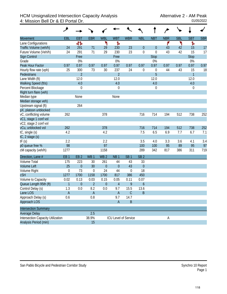## HCM Unsignalized Intersection Capacity Analysis Alternative 2 - AM Peak<br>4: Mission Bell Dr & El Portal Dr. 01/05/2022 4: Mission Bell Dr & El Portal Dr.

|                                          | ۸                         |                  |                 |                  |                  |                             |                  |                  |            |            |                |            |
|------------------------------------------|---------------------------|------------------|-----------------|------------------|------------------|-----------------------------|------------------|------------------|------------|------------|----------------|------------|
| <b>Movement</b>                          | EBL                       | <b>EBT</b>       | <b>EBR</b>      | <b>WBL</b>       | <b>WBT</b>       | <b>WBR</b>                  | <b>NBL</b>       | <b>NBT</b>       | <b>NBR</b> | <b>SBL</b> | <b>SBT</b>     | <b>SBR</b> |
| Lane Configurations                      |                           | 41               |                 | ۳                | Ъ                |                             |                  |                  | ۴          | ኻ          | Ъ              |            |
| Traffic Volume (veh/h)                   | 24                        | 291              | 71              | 29               | 230              | 23                          | $\theta$         | $\theta$         | 43         | 42         | 15             | 17         |
| Future Volume (Veh/h)                    | 24                        | 291              | 71              | 29               | 230              | 23                          | $\mathbf 0$      | $\mathbf 0$      | 43         | 42         | 15             | 17         |
| Sign Control                             |                           | Free             |                 |                  | Free             |                             |                  | <b>Stop</b>      |            |            | <b>Stop</b>    |            |
| Grade                                    |                           | 0%               |                 |                  | 0%               |                             |                  | 0%               |            |            | 0%             |            |
| Peak Hour Factor                         | 0.97                      | 0.97             | 0.97            | 0.97             | 0.97             | 0.97                        | 0.97             | 0.97             | 0.97       | 0.97       | 0.97           | 0.97       |
| Hourly flow rate (vph)                   | 25                        | 300              | 73              | 30               | 237              | 24                          | $\mathbf 0$      | $\boldsymbol{0}$ | 44         | 43         | 15             | 18         |
| Pedestrians                              |                           | $\overline{2}$   |                 |                  | $\overline{2}$   |                             |                  | $\overline{5}$   |            |            | $\overline{1}$ |            |
| Lane Width (ft)                          |                           | 12.0             |                 |                  | 12.0             |                             |                  | 12.0             |            |            | 12.0           |            |
| Walking Speed (ft/s)                     |                           | 4.0              |                 |                  | 4.0              |                             |                  | 4.0              |            |            | 4.0            |            |
| Percent Blockage                         |                           | $\boldsymbol{0}$ |                 |                  | $\boldsymbol{0}$ |                             |                  | $\boldsymbol{0}$ |            |            | 0              |            |
| Right turn flare (veh)                   |                           |                  |                 |                  |                  |                             |                  |                  |            |            |                |            |
| Median type                              |                           | None             |                 |                  | None             |                             |                  |                  |            |            |                |            |
| Median storage veh)                      |                           |                  |                 |                  |                  |                             |                  |                  |            |            |                |            |
| Upstream signal (ft)                     |                           | 264              |                 |                  |                  |                             |                  |                  |            |            |                |            |
| pX, platoon unblocked                    |                           |                  |                 |                  |                  |                             |                  |                  |            |            |                |            |
| vC, conflicting volume                   | 262                       |                  |                 | 378              |                  |                             | 716              | 714              | 194        | 512        | 738            | 252        |
| vC1, stage 1 conf vol                    |                           |                  |                 |                  |                  |                             |                  |                  |            |            |                |            |
| vC2, stage 2 conf vol                    |                           |                  |                 |                  |                  |                             |                  |                  |            |            |                |            |
| vCu, unblocked vol                       | 262                       |                  |                 | 378              |                  |                             | 716              | 714              | 194        | 512        | 738            | 252        |
| tC, single (s)                           | 4.2                       |                  |                 | 4.2              |                  |                             | 7.5              | 6.5              | 6.9        | 7.7        | 6.7            | 7.1        |
| tC, 2 stage (s)                          |                           |                  |                 |                  |                  |                             |                  |                  |            |            |                |            |
| tF(s)                                    | 2.2                       |                  |                 | 2.2              |                  |                             | 3.5              | 4.0              | 3.3        | 3.6        | 4.1            | 3.4        |
| p0 queue free %                          | 98                        |                  |                 | 97               |                  |                             | 100              | 100              | 95         | 89         | 95             | 97         |
| cM capacity (veh/h)                      | 1277                      |                  |                 | 1158             |                  |                             | 289              | 342              | 817        | 386        | 311            | 719        |
| Direction, Lane #                        | EB <sub>1</sub>           | EB <sub>2</sub>  | WB <sub>1</sub> | WB <sub>2</sub>  | NB <sub>1</sub>  | SB <sub>1</sub>             | SB <sub>2</sub>  |                  |            |            |                |            |
| <b>Volume Total</b>                      | 175                       | 223              | 30              | 261              | 44               | 43                          | 33               |                  |            |            |                |            |
| <b>Volume Left</b>                       | 25                        | $\theta$         | 30              | $\theta$         | $\overline{0}$   | 43                          | $\mathbf{0}$     |                  |            |            |                |            |
| Volume Right                             | $\boldsymbol{0}$          | 73               | $\mathbf 0$     | 24               | 44               | $\mathbf 0$                 | 18               |                  |            |            |                |            |
| <b>cSH</b>                               | 1277                      | 1700             | 1158            | 1700             | 817              | 386                         | 450              |                  |            |            |                |            |
| Volume to Capacity                       | 0.02                      | 0.13             | 0.03            | 0.15             | 0.05             | 0.11                        | 0.07             |                  |            |            |                |            |
| Queue Length 95th (ft)                   | $\mathbf{1}$              | $\mathbf 0$      | $\overline{2}$  | $\boldsymbol{0}$ | $\overline{4}$   | 9                           | $\boldsymbol{6}$ |                  |            |            |                |            |
| Control Delay (s)                        | 1.3                       | 0.0              | 8.2             | 0.0              | 9.7              | 15.5                        | 13.6             |                  |            |            |                |            |
| Lane LOS                                 | $\boldsymbol{\mathsf{A}}$ |                  | A               |                  | $\mathsf A$      | $\mathsf C$                 | B                |                  |            |            |                |            |
| Approach Delay (s)                       | 0.6                       |                  | 0.8             |                  | 9.7              | 14.7                        |                  |                  |            |            |                |            |
| Approach LOS                             |                           |                  |                 |                  | $\mathsf{A}$     | $\sf B$                     |                  |                  |            |            |                |            |
| <b>Intersection Summary</b>              |                           |                  |                 |                  |                  |                             |                  |                  |            |            |                |            |
| Average Delay                            |                           |                  | 2.5             |                  |                  |                             |                  |                  |            |            |                |            |
| <b>Intersection Capacity Utilization</b> |                           |                  | 38.9%           |                  |                  | <b>ICU Level of Service</b> |                  |                  | А          |            |                |            |
| Analysis Period (min)                    |                           |                  | 15              |                  |                  |                             |                  |                  |            |            |                |            |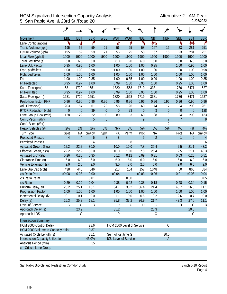## HCM Signalized Intersection Capacity Analysis<br>5: San Pablo Ave. & 23rd St./Road 20 5: San Pablo Ave. & 23rd St./Road 20

|                                   | حر             |                |            |             |                             |            |            |                |                  |                |                  |                |
|-----------------------------------|----------------|----------------|------------|-------------|-----------------------------|------------|------------|----------------|------------------|----------------|------------------|----------------|
| Movement                          | EBL            | <b>EBT</b>     | <b>EBR</b> | <b>WBL</b>  | <b>WBT</b>                  | <b>WBR</b> | <b>NBL</b> | <b>NBT</b>     | <b>NBR</b>       | <b>SBL</b>     | <b>SBT</b>       | <b>SBR</b>     |
| Lane Configurations               | ۲              | ची             | ۴          |             | 4                           | ۴          | ۲          | 怍              |                  | ۲              | ተተ               | ۴              |
| Traffic Volume (vph)              | 195            | 52             | 59         | 21          | 56                          | 25         | 58         | 167            | 16               | 23             | 281              | 251            |
| Future Volume (vph)               | 195            | 52             | 59         | 21          | 56                          | 25         | 58         | 167            | 16               | 23             | 281              | 251            |
| Ideal Flow (vphpl)                | 1900           | 1900           | 1900       | 1900        | 1900                        | 1900       | 1900       | 1900           | 1900             | 1900           | 1900             | 1900           |
| Total Lost time (s)               | 6.0            | 6.0            | 6.0        |             | 6.0                         | 6.0        | 6.0        | 6.0            |                  | 6.0            | 6.0              | 6.0            |
| Lane Util. Factor                 | 0.95           | 0.95           | 1.00       |             | 1.00                        | 1.00       | 1.00       | 0.95           |                  | 1.00           | 0.95             | 1.00           |
| Frpb, ped/bikes                   | 1.00           | 1.00           | 0.98       |             | 1.00                        | 1.00       | 1.00       | 1.00           |                  | 1.00           | 1.00             | 0.98           |
| Flpb, ped/bikes                   | 1.00           | 1.00           | 1.00       |             | 1.00                        | 1.00       | 1.00       | 1.00           |                  | 1.00           | 1.00             | 1.00           |
| Frt                               | 1.00           | 1.00           | 0.85       |             | 1.00                        | 0.85       | 1.00       | 0.99           |                  | 1.00           | 1.00             | 0.85           |
| <b>Flt Protected</b>              | 0.95           | 0.97           | 1.00       |             | 0.99                        | 1.00       | 0.95       | 1.00           |                  | 0.95           | 1.00             | 1.00           |
| Satd. Flow (prot)                 | 1681           | 1720           | 1551       |             | 1820                        | 1568       | 1719       | 3381           |                  | 1736           | 3471             | 1527           |
| <b>Flt Permitted</b>              | 0.95           | 0.97           | 1.00       |             | 0.99                        | 1.00       | 0.95       | 1.00           |                  | 0.95           | 1.00             | 1.00           |
| Satd. Flow (perm)                 | 1681           | 1720           | 1551       |             | 1820                        | 1568       | 1719       | 3381           |                  | 1736           | 3471             | 1527           |
| Peak-hour factor, PHF             | 0.96           | 0.96           | 0.96       | 0.96        | 0.96                        | 0.96       | 0.96       | 0.96           | 0.96             | 0.96           | 0.96             | 0.96           |
| Adj. Flow (vph)                   | 203            | 54             | 61         | 22          | 58                          | 26         | 60         | 174            | 17               | 24             | 293              | 261            |
| RTOR Reduction (vph)              | $\overline{0}$ | $\overline{0}$ | 39         | $\theta$    | $\overline{0}$              | 23         | $\theta$   | $\overline{3}$ | $\overline{0}$   | $\overline{0}$ | $\theta$         | 128            |
| Lane Group Flow (vph)             | 128            | 129            | 22         | $\mathbf 0$ | 80                          | 3          | 60         | 188            | $\boldsymbol{0}$ | 24             | 293              | 133            |
| Confl. Peds. (#/hr)               |                |                | 5          | 5           |                             |            | 9          |                | $\overline{7}$   | $\overline{7}$ |                  | 9              |
| Confl. Bikes (#/hr)               |                |                |            |             |                             |            |            |                | $\overline{2}$   |                |                  |                |
| Heavy Vehicles (%)                | 2%             | 2%             | 2%         | 3%          | 3%                          | 3%         | 5%         | 5%             | 5%               | 4%             | 4%               | 4%             |
| Turn Type                         | Split          | <b>NA</b>      | $pm+ov$    | Split       | <b>NA</b>                   | Perm       | Prot       | <b>NA</b>      |                  | Prot           | <b>NA</b>        | pm+ov          |
| <b>Protected Phases</b>           | $\overline{4}$ | $\overline{4}$ | 5          | 8           | $8\,$                       |            | 5          | $\overline{2}$ |                  | 1              | $\boldsymbol{6}$ | $\overline{4}$ |
| <b>Permitted Phases</b>           |                |                | 4          |             |                             | 8          |            |                |                  |                |                  | 6              |
| Actuated Green, G (s)             | 22.2           | 22.2           | 30.0       |             | 10.0                        | 10.0       | 7.8        | 26.4           |                  | 2.5            | 21.1             | 43.3           |
| Effective Green, g (s)            | 22.2           | 22.2           | 30.0       |             | 10.0                        | 10.0       | 7.8        | 26.4           |                  | 2.5            | 21.1             | 43.3           |
| Actuated g/C Ratio                | 0.26           | 0.26           | 0.35       |             | 0.12                        | 0.12       | 0.09       | 0.31           |                  | 0.03           | 0.25             | 0.51           |
| Clearance Time (s)                | 6.0            | 6.0            | 6.0        |             | 6.0                         | 6.0        | 6.0        | 6.0            |                  | 6.0            | 6.0              | 6.0            |
| Vehicle Extension (s)             | 2.0            | 2.0            | 2.0        |             | 3.0                         | 3.0        | 2.0        | 6.0            |                  | 2.0            | 6.0              | 2.0            |
| Lane Grp Cap (vph)                | 438            | 448            | 546        |             | 213                         | 184        | 157        | 1048           |                  | 50             | 860              | 884            |
| v/s Ratio Prot                    | c0.08          | 0.08           | 0.00       |             | c0.04                       |            | c0.03      | c0.06          |                  | 0.01           | c0.08            | 0.04           |
| v/s Ratio Perm                    |                |                | 0.01       |             |                             | 0.00       |            |                |                  |                |                  | 0.05           |
| v/c Ratio                         | 0.29           | 0.29           | 0.04       |             | 0.38                        | 0.02       | 0.38       | 0.18           |                  | 0.48           | 0.34             | 0.15           |
| Uniform Delay, d1                 | 25.2           | 25.1           | 18.1       |             | 34.7                        | 33.2       | 36.4       | 21.4           |                  | 40.7           | 26.3             | 11.1           |
| Progression Factor                | 1.00           | 1.00           | 1.00       |             | 1.00                        | 1.00       | 1.00       | 1.00           |                  | 1.00           | 1.00             | 1.00           |
| Incremental Delay, d2             | 0.1            | 0.1            | 0.0        |             | 1.1                         | 0.0        | 0.6        | 0.2            |                  | 2.6            | 0.7              | 0.0            |
| Delay (s)                         | 25.3           | 25.3           | 18.1       |             | 35.8                        | 33.2       | 36.9       | 21.7           |                  | 43.3           | 27.0             | 11.1           |
| Level of Service                  | C              | C              | Β          |             | D                           | C          | D          | $\mathsf C$    |                  | D              | $\mathsf{C}$     | B              |
| Approach Delay (s)                |                | 23.9           |            |             | 35.2                        |            |            | 25.3           |                  |                | 20.5             |                |
| Approach LOS                      |                | С              |            |             | D                           |            |            | C              |                  |                | C                |                |
| <b>Intersection Summary</b>       |                |                |            |             |                             |            |            |                |                  |                |                  |                |
| HCM 2000 Control Delay            |                |                | 23.6       |             | HCM 2000 Level of Service   |            |            |                | $\mathsf C$      |                |                  |                |
| HCM 2000 Volume to Capacity ratio |                |                | 0.37       |             |                             |            |            |                |                  |                |                  |                |
| Actuated Cycle Length (s)         |                |                | 85.1       |             | Sum of lost time (s)        |            |            |                | 30.0             |                |                  |                |
| Intersection Capacity Utilization |                |                | 43.0%      |             | <b>ICU Level of Service</b> |            |            |                | $\overline{A}$   |                |                  |                |
| Analysis Period (min)             |                |                | 15         |             |                             |            |            |                |                  |                |                  |                |
| c Critical Lane Group             |                |                |            |             |                             |            |            |                |                  |                |                  |                |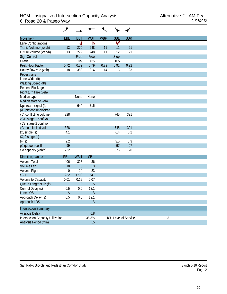| <b>Movement</b>                          | <b>EBL</b>      | <b>EBT</b>      | <b>WBT</b>      | <b>WBR</b> | <b>SBL</b> | <b>SBR</b>           |   |
|------------------------------------------|-----------------|-----------------|-----------------|------------|------------|----------------------|---|
| Lane Configurations                      |                 | ची              | Ъ               |            | Y          |                      |   |
| Traffic Volume (veh/h)                   | 13              | 279             | 248             | 11         | 12         | 21                   |   |
| Future Volume (Veh/h)                    | 13              | 279             | 248             | 11         | 12         | 21                   |   |
| Sign Control                             |                 | Free            | Free            |            | Stop       |                      |   |
| Grade                                    |                 | 0%              | 0%              |            | 0%         |                      |   |
| Peak Hour Factor                         | 0.72            | 0.72            | 0.79            | 0.79       | 0.92       | 0.92                 |   |
| Hourly flow rate (vph)                   | 18              | 388             | 314             | 14         | 13         | 23                   |   |
| Pedestrians                              |                 |                 |                 |            |            |                      |   |
| Lane Width (ft)                          |                 |                 |                 |            |            |                      |   |
| Walking Speed (ft/s)                     |                 |                 |                 |            |            |                      |   |
| Percent Blockage                         |                 |                 |                 |            |            |                      |   |
| Right turn flare (veh)                   |                 |                 |                 |            |            |                      |   |
| Median type                              |                 | None            | None            |            |            |                      |   |
| Median storage veh)                      |                 |                 |                 |            |            |                      |   |
| Upstream signal (ft)                     |                 | 644             | 715             |            |            |                      |   |
| pX, platoon unblocked                    |                 |                 |                 |            |            |                      |   |
| vC, conflicting volume                   | 328             |                 |                 |            | 745        | 321                  |   |
| vC1, stage 1 conf vol                    |                 |                 |                 |            |            |                      |   |
| vC2, stage 2 conf vol                    |                 |                 |                 |            |            |                      |   |
| vCu, unblocked vol                       | 328             |                 |                 |            | 745        | 321                  |   |
| tC, single (s)                           | 4.1             |                 |                 |            | 6.4        | 6.2                  |   |
| tC, 2 stage (s)                          |                 |                 |                 |            |            |                      |   |
| tF(s)                                    | 2.2             |                 |                 |            | 3.5        | 3.3                  |   |
| p0 queue free %                          | 99              |                 |                 |            | 97         | 97                   |   |
| cM capacity (veh/h)                      | 1232            |                 |                 |            | 376        | 720                  |   |
| Direction, Lane #                        | EB <sub>1</sub> | WB <sub>1</sub> | SB <sub>1</sub> |            |            |                      |   |
| <b>Volume Total</b>                      | 406             | 328             | 36              |            |            |                      |   |
| <b>Volume Left</b>                       | 18              | $\mathbf{0}$    | 13              |            |            |                      |   |
| Volume Right                             | $\mathbf 0$     | 14              | 23              |            |            |                      |   |
| <b>cSH</b>                               | 1232            | 1700            | 541             |            |            |                      |   |
| Volume to Capacity                       | 0.01            | 0.19            | 0.07            |            |            |                      |   |
| Queue Length 95th (ft)                   | $\mathbf{1}$    | $\mathbf 0$     | 5               |            |            |                      |   |
| Control Delay (s)                        | 0.5             | 0.0             | 12.1            |            |            |                      |   |
| Lane LOS                                 | A               |                 | Β               |            |            |                      |   |
| Approach Delay (s)                       | 0.5             | 0.0             | 12.1            |            |            |                      |   |
| Approach LOS                             |                 |                 | $\sf B$         |            |            |                      |   |
| <b>Intersection Summary</b>              |                 |                 |                 |            |            |                      |   |
| Average Delay                            |                 |                 | 0.8             |            |            |                      |   |
| <b>Intersection Capacity Utilization</b> |                 |                 | 35.3%           |            |            | ICU Level of Service | A |
| Analysis Period (min)                    |                 |                 | 15              |            |            |                      |   |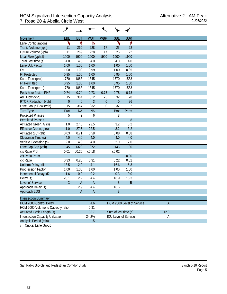| <b>Movement</b>                          | EBL          | EB <sub>1</sub>  | <b>WBT</b>     | <b>WBR</b>  | <b>SBL</b>           | <b>SBR</b>                  |  |
|------------------------------------------|--------------|------------------|----------------|-------------|----------------------|-----------------------------|--|
| Lane Configurations                      | ۳            | ↟                | Ъ              |             | ۲                    | ۴                           |  |
| Traffic Volume (vph)                     | 11           | 269              | 228            | 17          | 25                   | 22                          |  |
| Future Volume (vph)                      | 11           | 269              | 228            | 17          | 25                   | 22                          |  |
| Ideal Flow (vphpl)                       | 1900         | 1900             | 1900           | 1900        | 1900                 | 1900                        |  |
| Total Lost time (s)                      | 4.0          | 4.0              | 4.0            |             | 4.0                  | 4.0                         |  |
| Lane Util. Factor                        | 1.00         | 1.00             | 1.00           |             | 1.00                 | 1.00                        |  |
| Frt                                      | 1.00         | 1.00             | 0.99           |             | 1.00                 | 0.85                        |  |
| <b>Flt Protected</b>                     | 0.95         | 1.00             | 1.00           |             | 0.95                 | 1.00                        |  |
| Satd. Flow (prot)                        | 1770         | 1863             | 1845           |             | 1770                 | 1583                        |  |
| <b>Flt Permitted</b>                     | 0.95         | 1.00             | 1.00           |             | 0.95                 | 1.00                        |  |
| Satd. Flow (perm)                        | 1770         | 1863             | 1845           |             | 1770                 | 1583                        |  |
| Peak-hour factor, PHF                    | 0.74         | 0.74             | 0.73           | 0.73        | 0.78                 | 0.78                        |  |
| Adj. Flow (vph)                          | 15           | 364              | 312            | 23          | 32                   | 28                          |  |
| <b>RTOR Reduction (vph)</b>              | $\mathbf{0}$ | $\boldsymbol{0}$ | $\overline{3}$ | $\theta$    | $\overline{0}$       | 26                          |  |
| Lane Group Flow (vph)                    | 15           | 364              | 332            | $\mathbf 0$ | 32                   | $\overline{2}$              |  |
| <b>Turn Type</b>                         | Prot         | <b>NA</b>        | <b>NA</b>      |             | Prot                 | Perm                        |  |
| <b>Protected Phases</b>                  | 5            | $\overline{2}$   | 6              |             | 8                    |                             |  |
| <b>Permitted Phases</b>                  |              |                  |                |             |                      | 8                           |  |
| Actuated Green, G (s)                    | 1.0          | 27.5             | 22.5           |             | 3.2                  | 3.2                         |  |
| Effective Green, g (s)                   | 1.0          | 27.5             | 22.5           |             | 3.2                  | 3.2                         |  |
| Actuated g/C Ratio                       | 0.03         | 0.71             | 0.58           |             | 0.08                 | 0.08                        |  |
| Clearance Time (s)                       | 4.0          | 4.0              | 4.0            |             | 4.0                  | 4.0                         |  |
| Vehicle Extension (s)                    | 2.0          | 4.0              | 4.0            |             | 2.0                  | 2.0                         |  |
| Lane Grp Cap (vph)                       | 45           | 1323             | 1072           |             | 146                  | 130                         |  |
| v/s Ratio Prot                           | 0.01         | c0.20            | c0.18          |             | c0.02                |                             |  |
| v/s Ratio Perm                           |              |                  |                |             |                      | 0.00                        |  |
| v/c Ratio                                | 0.33         | 0.28             | 0.31           |             | 0.22                 | 0.02                        |  |
| Uniform Delay, d1                        | 18.5         | 2.0              | 4.1            |             | 16.6                 | 16.3                        |  |
| Progression Factor                       | 1.00         | 1.00             | 1.00           |             | 1.00                 | 1.00                        |  |
| Incremental Delay, d2                    | 1.6          | 0.2              | 0.2            |             | 0.3                  | 0.0                         |  |
| Delay (s)                                | 20.1         | 2.2              | 4.4            |             | 16.9                 | 16.3                        |  |
| Level of Service                         | $\mathsf C$  | $\mathsf{A}$     | $\overline{A}$ |             | $\sf B$              | $\mathsf B$                 |  |
| Approach Delay (s)                       |              | 2.9              | 4.4            |             | 16.6                 |                             |  |
| Approach LOS                             |              | $\mathsf A$      | $\mathsf A$    |             | $\sf B$              |                             |  |
| <b>Intersection Summary</b>              |              |                  |                |             |                      |                             |  |
| <b>HCM 2000 Control Delay</b>            |              |                  | 4.6            |             |                      | HCM 2000 Level of Service   |  |
| HCM 2000 Volume to Capacity ratio        |              |                  | 0.31           |             |                      |                             |  |
| Actuated Cycle Length (s)                |              |                  | 38.7           |             | Sum of lost time (s) |                             |  |
| <b>Intersection Capacity Utilization</b> |              |                  | 24.2%          |             |                      | <b>ICU Level of Service</b> |  |
| Analysis Period (min)                    |              |                  | 15             |             |                      |                             |  |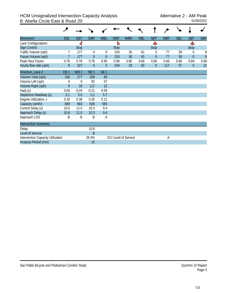## HCM Unsignalized Intersection Capacity Analysis<br>8: Abella Circle East & Road 20<br>01/05/2022 8: Abella Circle East & Road 20

| Movement                                 | EBL             | <b>EBT</b>      | <b>EBR</b>      | <b>WBL</b>      | <b>WBT</b>  | <b>WBR</b>                  | <b>NBL</b> | <b>NBT</b>     | <b>NBR</b> | <b>SBL</b> | <b>SBT</b>       | <b>SBR</b> |
|------------------------------------------|-----------------|-----------------|-----------------|-----------------|-------------|-----------------------------|------------|----------------|------------|------------|------------------|------------|
| Lane Configurations                      |                 | ৰী              |                 |                 | Ъ           |                             |            | Ф              |            |            | Ф                |            |
| <b>Sign Control</b>                      |                 | <b>Stop</b>     |                 |                 | <b>Stop</b> |                             |            | <b>Stop</b>    |            |            | <b>Stop</b>      |            |
| Traffic Volume (vph)                     |                 | 177             | $\theta$        | $\theta$        | 220         | 30                          | 61         | 0              | 77         | 39         | $\theta$         | 8          |
| Future Volume (vph)                      | $\overline{7}$  | 177             | $\overline{0}$  | $\overline{0}$  | 220         | 30                          | 61         | $\overline{0}$ | 77         | 39         | $\boldsymbol{0}$ | 8          |
| Peak Hour Factor                         | 0.78            | 0.78            | 0.78            | 0.90            | 0.90        | 0.90                        | 0.66       | 0.66           | 0.66       | 0.69       | 0.69             | 0.69       |
| Hourly flow rate (vph)                   | 9               | 227             | $\overline{0}$  | $\overline{0}$  | 244         | 33                          | 92         | $\overline{0}$ | 117        | 57         | $\theta$         | 12         |
| Direction, Lane #                        | EB <sub>1</sub> | WB <sub>1</sub> | NB <sub>1</sub> | SB <sub>1</sub> |             |                             |            |                |            |            |                  |            |
| Volume Total (vph)                       | 236             | 277             | 209             | 69              |             |                             |            |                |            |            |                  |            |
| Volume Left (vph)                        | 9               | $\theta$        | 92              | 57              |             |                             |            |                |            |            |                  |            |
| Volume Right (vph)                       | $\theta$        | 33              | 117             | 12              |             |                             |            |                |            |            |                  |            |
| Hadj (s)                                 | 0.04            | $-0.04$         | $-0.21$         | 0.09            |             |                             |            |                |            |            |                  |            |
| Departure Headway (s)                    | 5.1             | 5.0             | 5.1             | 5.7             |             |                             |            |                |            |            |                  |            |
| Degree Utilization, x                    | 0.33            | 0.38            | 0.30            | 0.11            |             |                             |            |                |            |            |                  |            |
| Capacity (veh/h)                         | 659             | 683             | 636             | 556             |             |                             |            |                |            |            |                  |            |
| Control Delay (s)                        | 10.6            | 11.0            | 10.3            | 9.4             |             |                             |            |                |            |            |                  |            |
| Approach Delay (s)                       | 10.6            | 11.0            | 10.3            | 9.4             |             |                             |            |                |            |            |                  |            |
| Approach LOS                             | B               | Β               | B               | Α               |             |                             |            |                |            |            |                  |            |
| <b>Intersection Summary</b>              |                 |                 |                 |                 |             |                             |            |                |            |            |                  |            |
| Delay                                    |                 |                 | 10.6            |                 |             |                             |            |                |            |            |                  |            |
| Level of Service                         |                 |                 | B               |                 |             |                             |            |                |            |            |                  |            |
| <b>Intersection Capacity Utilization</b> |                 |                 | 29.4%           |                 |             | <b>ICU Level of Service</b> |            |                | А          |            |                  |            |
| Analysis Period (min)                    |                 |                 | 15              |                 |             |                             |            |                |            |            |                  |            |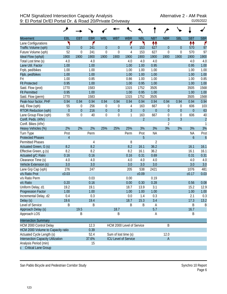|                                          | هر             |             |            |                  |                      |                             |                |                  |                  |                  |                  |                |
|------------------------------------------|----------------|-------------|------------|------------------|----------------------|-----------------------------|----------------|------------------|------------------|------------------|------------------|----------------|
| <b>Movement</b>                          | EBL            | <b>EBT</b>  | <b>EBR</b> | <b>WBL</b>       | <b>WBT</b>           | <b>WBR</b>                  | <b>NBL</b>     | <b>NBT</b>       | <b>NBR</b>       | <b>SBL</b>       | <b>SBT</b>       | <b>SBR</b>     |
| Lane Configurations                      | ۲              |             | ۴          |                  |                      | ۴                           | ۲              | ₩                |                  |                  | ↟↟               | ۴              |
| Traffic Volume (vph)                     | 52             | $\theta$    | 241        | $\theta$         | $\theta$             | 4                           | 153            | 627              | $\boldsymbol{0}$ | $\mathbf 0$      | 570              | 97             |
| Future Volume (vph)                      | 52             | 0           | 241        | $\mathbf 0$      | $\overline{0}$       | 4                           | 153            | 627              | $\mathbf 0$      | 0                | 570              | 97             |
| Ideal Flow (vphpl)                       | 1900           | 1900        | 1900       | 1900             | 1900                 | 1900                        | 1900           | 1900             | 1900             | 1900             | 1900             | 1900           |
| Total Lost time (s)                      | 4.0            |             | 4.0        |                  |                      | 4.0                         | 4.0            | 4.0              |                  |                  | 4.0              | 4.0            |
| Lane Util. Factor                        | 1.00           |             | 1.00       |                  |                      | 1.00                        | 1.00           | 0.95             |                  |                  | 0.95             | 1.00           |
| Frpb, ped/bikes                          | 1.00           |             | 1.00       |                  |                      | 1.00                        | 1.00           | 1.00             |                  |                  | 1.00             | 1.00           |
| Flpb, ped/bikes                          | 1.00           |             | 1.00       |                  |                      | 1.00                        | 1.00           | 1.00             |                  |                  | 1.00             | 1.00           |
| Frt                                      | 1.00           |             | 0.85       |                  |                      | 0.86                        | 1.00           | 1.00             |                  |                  | 1.00             | 0.85           |
| <b>Flt Protected</b>                     | 0.95           |             | 1.00       |                  |                      | 1.00                        | 0.95           | 1.00             |                  |                  | 1.00             | 1.00           |
| Satd. Flow (prot)                        | 1770           |             | 1583       |                  |                      | 1315                        | 1752           | 3505             |                  |                  | 3505             | 1568           |
| <b>Flt Permitted</b>                     | 0.95           |             | 1.00       |                  |                      | 1.00                        | 0.95           | 1.00             |                  |                  | 1.00             | 1.00           |
| Satd. Flow (perm)                        | 1770           |             | 1583       |                  |                      | 1315                        | 1752           | 3505             |                  |                  | 3505             | 1568           |
| Peak-hour factor, PHF                    | 0.94           | 0.94        | 0.94       | 0.94             | 0.94                 | 0.94                        | 0.94           | 0.94             | 0.94             | 0.94             | 0.94             | 0.94           |
| Adj. Flow (vph)                          | 55             | 0           | 256        | 0                | 0                    | 4                           | 163            | 667              | 0                | 0                | 606              | 103            |
| <b>RTOR Reduction (vph)</b>              | $\overline{0}$ | $\mathbf 0$ | 216        | $\boldsymbol{0}$ | $\overline{0}$       | $\overline{3}$              | $\mathbf 0$    | $\boldsymbol{0}$ | $\overline{0}$   | $\boldsymbol{0}$ | $\overline{0}$   | 63             |
| Lane Group Flow (vph)                    | 55             | $\mathbf 0$ | 40         | $\mathbf 0$      | $\overline{0}$       | $\mathbf{1}$                | 163            | 667              | $\mathbf 0$      | $\boldsymbol{0}$ | 606              | 40             |
| Confl. Peds. (#/hr)                      |                |             |            |                  |                      |                             | $\overline{2}$ |                  | $\overline{3}$   | $\overline{3}$   |                  | $\overline{c}$ |
| Confl. Bikes (#/hr)                      |                |             |            |                  |                      |                             |                |                  | $\overline{2}$   |                  |                  | $\mathbf{1}$   |
| Heavy Vehicles (%)                       | 2%             | 2%          | 2%         | 25%              | 25%                  | 25%                         | 3%             | 3%               | 3%               | 3%               | 3%               | 3%             |
| Turn Type                                | Prot           |             | Perm       |                  |                      | Perm                        | Prot           | <b>NA</b>        |                  |                  | <b>NA</b>        | Prot           |
| <b>Protected Phases</b>                  | $\overline{4}$ |             |            |                  |                      |                             | 5              |                  |                  |                  | $\boldsymbol{6}$ | $\overline{6}$ |
| Permitted Phases                         |                |             | 4          |                  |                      | 8                           |                | $\overline{2}$   |                  |                  |                  |                |
| Actuated Green, G (s)                    | 8.2            |             | 8.2        |                  |                      | 8.2                         | 16.1           | 36.2             |                  |                  | 16.1             | 16.1           |
| Effective Green, g (s)                   | 8.2            |             | 8.2        |                  |                      | 8.2                         | 16.1           | 36.2             |                  |                  | 16.1             | 16.1           |
| Actuated g/C Ratio                       | 0.16           |             | 0.16       |                  |                      | 0.16                        | 0.31           | 0.69             |                  |                  | 0.31             | 0.31           |
| Clearance Time (s)                       | 4.0            |             | 4.0        |                  |                      | 4.0                         | 4.0            | 4.0              |                  |                  | 4.0              | 4.0            |
| Vehicle Extension (s)                    | 3.0            |             | 3.0        |                  |                      | 3.0                         | 3.0            | 3.0              |                  |                  | 3.0              | 3.0            |
| Lane Grp Cap (vph)                       | 276            |             | 247        |                  |                      | 205                         | 538            | 2421             |                  |                  | 1076             | 481            |
| v/s Ratio Prot                           | c0.03          |             |            |                  |                      |                             | c0.09          |                  |                  |                  | c0.17            | 0.03           |
| v/s Ratio Perm                           |                |             | 0.03       |                  |                      | 0.00                        |                | 0.19             |                  |                  |                  |                |
| v/c Ratio                                | 0.20           |             | 0.16       |                  |                      | 0.00                        | 0.30           | 0.28             |                  |                  | 0.56             | 0.08           |
| Uniform Delay, d1                        | 19.2           |             | 19.1       |                  |                      | 18.7                        | 13.9           | 3.1              |                  |                  | 15.2             | 12.9           |
| <b>Progression Factor</b>                | 1.00           |             | 1.00       |                  |                      | 1.00                        | 1.00           | 1.00             |                  |                  | 1.00             | 1.00           |
| Incremental Delay, d2                    | 0.4            |             | 0.3        |                  |                      | 0.0                         | 1.4            | 0.3              |                  |                  | 2.1              | 0.3            |
| Delay (s)                                | 19.6           |             | 19.4       |                  |                      | 18.7                        | 15.3           | 3.4              |                  |                  | 17.3             | 13.2           |
| Level of Service                         | Β              |             | B          |                  |                      | B                           | B              | Α                |                  |                  | B                | B              |
| Approach Delay (s)                       |                | 19.5        |            |                  | 18.7                 |                             |                | 5.7              |                  |                  | 16.7             |                |
| Approach LOS                             |                | B           |            |                  | B                    |                             |                | A                |                  |                  | B                |                |
| <b>Intersection Summary</b>              |                |             |            |                  |                      |                             |                |                  |                  |                  |                  |                |
| HCM 2000 Control Delay                   |                |             | 12.3       |                  |                      | HCM 2000 Level of Service   |                |                  | Β                |                  |                  |                |
| HCM 2000 Volume to Capacity ratio        |                |             | 0.39       |                  |                      |                             |                |                  |                  |                  |                  |                |
| Actuated Cycle Length (s)                |                |             | 52.4       |                  | Sum of lost time (s) |                             |                |                  | 12.0             |                  |                  |                |
| <b>Intersection Capacity Utilization</b> |                |             | 37.6%      |                  |                      | <b>ICU Level of Service</b> |                |                  | A                |                  |                  |                |
| Analysis Period (min)                    |                |             | 15         |                  |                      |                             |                |                  |                  |                  |                  |                |
| <b>Critical Lane Group</b>               |                |             |            |                  |                      |                             |                |                  |                  |                  |                  |                |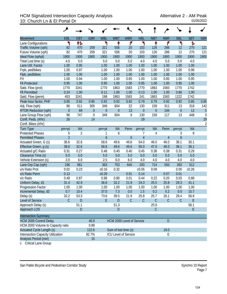## HCM Signalized Intersection Capacity Analysis<br>10: Church Ln & El Portal Dr<br><sup>01/05/2022</sup> 10: Church Ln & El Portal Dr

|                                   | ۶                                        |                |                  |                  |                           |             |                  |                  |                |                  |            |                |
|-----------------------------------|------------------------------------------|----------------|------------------|------------------|---------------------------|-------------|------------------|------------------|----------------|------------------|------------|----------------|
| <b>Movement</b>                   | EBL                                      | <b>EBT</b>     | <b>EBR</b>       | <b>WBL</b>       | <b>WBT</b>                | <b>WBR</b>  | <b>NBL</b>       | <b>NBT</b>       | <b>NBR</b>     | <b>SBL</b>       | <b>SBT</b> | <b>SBR</b>     |
| Lane Configurations               | ۲                                        | 怍              |                  | ۲                | ↟                         | ۴           | ۲                | ↟                | ۴              | ۲                | ħ          |                |
| Traffic Volume (vph)              | 82                                       | 470            | 259              | 321              | 556                       | 20          | 103              | 126              | 286            | 12               | 270        | 121            |
| Future Volume (vph)               | 82                                       | 470            | 259              | 321              | 556                       | 20          | 103              | 126              | 286            | 12               | 270        | 121            |
| Ideal Flow (vphpl)                | 1900                                     | 1900           | 1900             | 1900             | 1900                      | 1900        | 1900             | 1900             | 1900           | 1900             | 1900       | 1900           |
| Total Lost time (s)               | 4.0                                      | 5.0            |                  | 5.0              | 5.0                       | 5.0         | 4.0              | 4.0              | 5.0            | 5.0              | 4.0        |                |
| Lane Util. Factor                 | 1.00                                     | 0.95           |                  | 1.00             | 1.00                      | 1.00        | 1.00             | 1.00             | 1.00           | 1.00             | 1.00       |                |
| Frpb, ped/bikes                   | 1.00                                     | 0.97           |                  | 1.00             | 1.00                      | 1.00        | 1.00             | 1.00             | 1.00           | 1.00             | 0.98       |                |
| Flpb, ped/bikes                   | 1.00                                     | 1.00           |                  | 1.00             | 1.00                      | 1.00        | 1.00             | 1.00             | 1.00           | 1.00             | 1.00       |                |
| Frt                               | 1.00                                     | 0.94           |                  | 1.00             | 1.00                      | 0.85        | 1.00             | 1.00             | 0.85           | 1.00             | 0.95       |                |
| <b>Flt Protected</b>              | 0.95                                     | 1.00           |                  | 0.95             | 1.00                      | 1.00        | 0.95             | 1.00             | 1.00           | 0.95             | 1.00       |                |
| Satd. Flow (prot)                 | 1770                                     | 3241           |                  | 1770             | 1863                      | 1583        | 1770             | 1863             | 1583           | 1770             | 1742       |                |
| <b>Flt Permitted</b>              | 0.24                                     | 1.00           |                  | 0.11             | 1.00                      | 1.00        | 0.13             | 1.00             | 1.00           | 0.66             | 1.00       |                |
| Satd. Flow (perm)                 | 453                                      | 3241           |                  | 198              | 1863                      | 1583        | 241              | 1863             | 1583           | 1222             | 1742       |                |
| Peak-hour factor, PHF             | 0.85                                     | 0.92           | 0.85             | 0.92             | 0.92                      | 0.92        | 0.79             | 0.79             | 0.92           | 0.92             | 0.85       | 0.85           |
| Adj. Flow (vph)                   | 96                                       | 511            | 305              | 349              | 604                       | 22          | 130              | 159              | 311            | 13               | 318        | 142            |
| <b>RTOR Reduction (vph)</b>       | $\overline{0}$                           | 69             | $\theta$         | $\boldsymbol{0}$ | $\overline{0}$            | 13          | $\boldsymbol{0}$ | $\boldsymbol{0}$ | 194            | $\boldsymbol{0}$ | 12         | $\theta$       |
| Lane Group Flow (vph)             | 96                                       | 747            | $\boldsymbol{0}$ | 349              | 604                       | 9           | 130              | 159              | 117            | 13               | 448        | $\mathbf 0$    |
| Confl. Peds. (#/hr)               | 26                                       |                | 14               |                  |                           |             | 29               |                  |                |                  |            | 29             |
| Confl. Bikes (#/hr)               |                                          |                |                  |                  |                           |             |                  |                  |                |                  |            | $\overline{2}$ |
| <b>Turn Type</b>                  | pm+pt                                    | <b>NA</b>      |                  | pm+pt            | <b>NA</b>                 | Perm        | pm+pt            | <b>NA</b>        | Perm           | pm+pt            | <b>NA</b>  |                |
| <b>Protected Phases</b>           | 5                                        | $\overline{2}$ |                  | 1                | 6                         |             | 7                | 4                |                | 3                | 8          |                |
| <b>Permitted Phases</b>           | $\overline{2}$                           |                |                  | $\boldsymbol{6}$ |                           | 6           | $\overline{4}$   |                  | $\overline{4}$ | 8                |            |                |
| Actuated Green, G (s)             | 36.6                                     | 32.6           |                  | 58.6             | 49.6                      | 49.6        | 54.0             | 46.0             | 46.0           | 38.1             | 35.1       |                |
| Effective Green, g (s)            | 38.6                                     | 32.6           |                  | 58.6             | 49.6                      | 49.6        | 55.0             | 47.0             | 46.0           | 38.1             | 36.1       |                |
| Actuated g/C Ratio                | 0.31                                     | 0.27           |                  | 0.48             | 0.40                      | 0.40        | 0.45             | 0.38             | 0.38           | 0.31             | 0.29       |                |
| Clearance Time (s)                | 5.0                                      | 5.0            |                  | 5.0              | 5.0                       | 5.0         | 5.0              | 5.0              | 5.0            | 5.0              | 5.0        |                |
| Vehicle Extension (s)             | 2.0                                      | 6.0            |                  | 2.5              | 6.0                       | 6.0         | 4.0              | 4.0              | 4.0            | 4.0              | 4.0        |                |
| Lane Grp Cap (vph)                | 196                                      | 861            |                  | 363              | 753                       | 640         | 293              | 714              | 593            | 393              | 512        |                |
| v/s Ratio Prot                    | 0.02                                     | 0.23           |                  | c0.16            | 0.32                      |             | c0.05            | 0.09             |                | 0.00             | c0.26      |                |
| v/s Ratio Perm                    | 0.13                                     |                |                  | c0.29            |                           | 0.01        | 0.14             |                  | 0.07           | 0.01             |            |                |
| v/c Ratio                         | 0.49                                     | 0.87           |                  | 0.96             | 0.80                      | 0.01        | 0.44             | 0.22             | 0.20           | 0.03             | 0.88       |                |
| Uniform Delay, d1                 | 31.4                                     | 42.9           |                  | 36.6             | 32.2                      | 21.9        | 24.3             | 25.5             | 25.8           | 29.3             | 41.1       |                |
| Progression Factor                | 1.00                                     | 1.00           |                  | 1.00             | 1.00                      | 1.00        | 1.00             | 1.00             | 1.00           | 1.00             | 1.00       |                |
| Incremental Delay, d2             | 0.7                                      | 10.4           |                  | 37.0             | 7.3                       | 0.0         | 1.5              | 0.2              | 0.2            | 0.0              | 15.7       |                |
| Delay (s)                         | 32.2                                     | 53.3           |                  | 73.6             | 39.5                      | 21.9        | 25.8             | 25.7             | 26.1           | 29.4             | 56.8       |                |
| Level of Service                  | $\mathcal{C}$                            | $\mathsf D$    |                  | E                | $\mathsf{D}$              | $\mathsf C$ | $\mathsf C$      | $\mathsf C$      | $\mathcal{C}$  | $\mathsf C$      | E          |                |
| Approach Delay (s)                |                                          | 51.1           |                  |                  | 51.3                      |             |                  | 25.9             |                |                  | 56.1       |                |
| Approach LOS                      |                                          | D              |                  |                  | D                         |             |                  | $\mathsf C$      |                |                  | E.         |                |
| <b>Intersection Summary</b>       |                                          |                |                  |                  |                           |             |                  |                  |                |                  |            |                |
|                                   |                                          |                |                  |                  |                           |             |                  |                  |                |                  |            |                |
| <b>HCM 2000 Control Delay</b>     |                                          |                | 46.9             |                  | HCM 2000 Level of Service |             |                  |                  | D              |                  |            |                |
| HCM 2000 Volume to Capacity ratio |                                          |                | 0.89             |                  |                           |             |                  |                  |                |                  |            |                |
| <b>Actuated Cycle Length (s)</b>  |                                          |                | 122.6            |                  | Sum of lost time (s)      |             |                  |                  | 19.0           |                  |            |                |
| Intersection Capacity Utilization | E<br>82.7%<br>ICU Level of Service<br>15 |                |                  |                  |                           |             |                  |                  |                |                  |            |                |
| Analysis Period (min)             |                                          |                |                  |                  |                           |             |                  |                  |                |                  |            |                |

c Critical Lane Group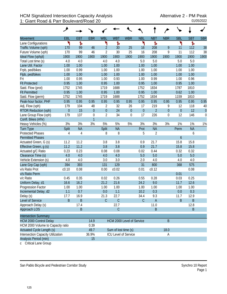|                                   | فر           |            |                  |                  |                           |                  |              |                |                  |                  |            |            |
|-----------------------------------|--------------|------------|------------------|------------------|---------------------------|------------------|--------------|----------------|------------------|------------------|------------|------------|
| <b>Movement</b>                   | EBL          | <b>EBT</b> | <b>EBR</b>       | <b>WBL</b>       | <b>WBT</b>                | <b>WBR</b>       | <b>NBL</b>   | <b>NBT</b>     | <b>NBR</b>       | <b>SBL</b>       | <b>SBT</b> | <b>SBR</b> |
| Lane Configurations               | ኻ            | ħ          |                  | ۲                | Ъ                         |                  | ۲            | Ъ              |                  | ኻ                | Ъ          |            |
| Traffic Volume (vph)              | 170          | 99         | 46               | $\overline{2}$   | 30                        | 25               | 16           | 208            | 9                | 11               | 112        | 38         |
| Future Volume (vph)               | 170          | 99         | 46               | $\overline{2}$   | 30                        | 25               | 16           | 208            | 9                | 11               | 112        | 38         |
| Ideal Flow (vphpl)                | 1900         | 1900       | 1900             | 1900             | 1900                      | 1900             | 1900         | 1900           | 1900             | 1900             | 1900       | 1900       |
| Total Lost time (s)               | 4.0          | 4.0        |                  | 4.0              | 4.0                       |                  | 5.0          | 5.0            |                  | 5.0              | 5.0        |            |
| Lane Util. Factor                 | 1.00         | 1.00       |                  | 1.00             | 1.00                      |                  | 1.00         | 1.00           |                  | 1.00             | 1.00       |            |
| Frpb, ped/bikes                   | 1.00         | 0.99       |                  | 1.00             | 1.00                      |                  | 1.00         | 1.00           |                  | 1.00             | 1.00       |            |
| Flpb, ped/bikes                   | 1.00         | 1.00       |                  | 1.00             | 1.00                      |                  | 1.00         | 1.00           |                  | 1.00             | 1.00       |            |
| Frt                               | 1.00         | 0.95       |                  | 1.00             | 0.93                      |                  | 1.00         | 0.99           |                  | 1.00             | 0.96       |            |
| <b>Flt Protected</b>              | 0.95         | 1.00       |                  | 0.95             | 1.00                      |                  | 0.95         | 1.00           |                  | 0.95             | 1.00       |            |
| Satd. Flow (prot)                 | 1752         | 1745       |                  | 1719             | 1688                      |                  | 1752         | 1834           |                  | 1787             | 1810       |            |
| <b>Flt Permitted</b>              | 0.95         | 1.00       |                  | 0.95             | 1.00                      |                  | 0.95         | 1.00           |                  | 0.62             | 1.00       |            |
| Satd. Flow (perm)                 | 1752         | 1745       |                  | 1719             | 1688                      |                  | 1752         | 1834           |                  | 1159             | 1810       |            |
| Peak-hour factor, PHF             | 0.95         | 0.95       | 0.95             | 0.95             | 0.95                      | 0.95             | 0.95         | 0.95           | 0.95             | 0.95             | 0.95       | 0.95       |
| Adj. Flow (vph)                   | 179          | 104        | 48               | $\overline{2}$   | 32                        | 26               | 17           | 219            | 9                | 12               | 118        | 40         |
| <b>RTOR Reduction (vph)</b>       | $\mathbf{0}$ | 15         | $\mathbf{0}$     | $\boldsymbol{0}$ | 24                        | $\boldsymbol{0}$ | $\theta$     | $\overline{2}$ | $\boldsymbol{0}$ | $\boldsymbol{0}$ | 12         | $\theta$   |
| Lane Group Flow (vph)             | 179          | 137        | $\boldsymbol{0}$ | $\overline{2}$   | 34                        | $\boldsymbol{0}$ | 17           | 226            | $\boldsymbol{0}$ | 12               | 146        | 0          |
| Confl. Bikes (#/hr)               |              |            | $\overline{1}$   |                  |                           |                  |              |                |                  |                  |            |            |
| Heavy Vehicles (%)                | 3%           | 3%         | 3%               | 5%               | 5%                        | 5%               | 3%           | 3%             | 3%               | 1%               | 1%         | 1%         |
| <b>Turn Type</b>                  | <b>Split</b> | <b>NA</b>  |                  | Split            | <b>NA</b>                 |                  | Prot         | <b>NA</b>      |                  | Perm             | <b>NA</b>  |            |
| <b>Protected Phases</b>           | 4            | 4          |                  | 8                | 8                         |                  | 5            | $\overline{2}$ |                  |                  | 6          |            |
| <b>Permitted Phases</b>           |              |            |                  |                  |                           |                  |              |                |                  | 6                |            |            |
| Actuated Green, G (s)             | 11.2         | 11.2       |                  | 3.8              | 3.8                       |                  | 0.9          | 21.7           |                  | 15.8             | 15.8       |            |
| Effective Green, g (s)            | 11.2         | 11.2       |                  | 3.8              | 3.8                       |                  | 0.9          | 21.7           |                  | 15.8             | 15.8       |            |
| Actuated g/C Ratio                | 0.23         | 0.23       |                  | 0.08             | 0.08                      |                  | 0.02         | 0.44           |                  | 0.32             | 0.32       |            |
| Clearance Time (s)                | 4.0          | 4.0        |                  | 4.0              | 4.0                       |                  | 5.0          | 5.0            |                  | 5.0              | 5.0        |            |
| Vehicle Extension (s)             | 4.0          | 4.0        |                  | 3.0              | 3.0                       |                  | 2.0          | 4.0            |                  | 4.0              | 4.0        |            |
| Lane Grp Cap (vph)                | 394          | 393        |                  | 131              | 129                       |                  | 31           | 800            |                  | 368              | 575        |            |
| v/s Ratio Prot                    | c0.10        | 0.08       |                  | 0.00             | c0.02                     |                  | 0.01         | c0.12          |                  |                  | 0.08       |            |
| v/s Ratio Perm                    |              |            |                  |                  |                           |                  |              |                |                  | 0.01             |            |            |
| v/c Ratio                         | 0.45         | 0.35       |                  | 0.02             | 0.26                      |                  | 0.55         | 0.28           |                  | 0.03             | 0.25       |            |
| Uniform Delay, d1                 | 16.6         | 16.2       |                  | 21.2             | 21.6                      |                  | 24.2         | 9.0            |                  | 11.7             | 12.6       |            |
| Progression Factor                | 1.00         | 1.00       |                  | 1.00             | 1.00                      |                  | 1.00         | 1.00           |                  | 1.00             | 1.00       |            |
| Incremental Delay, d2             | 1.1          | 0.7        |                  | 0.0              | 1.1                       |                  | 10.2         | 0.3            |                  | $0.0\,$          | 0.3        |            |
| Delay (s)                         | 17.7         | 16.9       |                  | 21.3             | 22.7                      |                  | 34.4         | 9.3            |                  | 11.7             | 12.9       |            |
| Level of Service                  | B            | $\sf B$    |                  | $\mathsf C$      | $\mathsf C$               |                  | $\mathsf{C}$ | $\mathsf A$    |                  | B                | $\sf B$    |            |
| Approach Delay (s)                |              | 17.4       |                  |                  | 22.7                      |                  |              | 11.0           |                  |                  | 12.8       |            |
| <b>Approach LOS</b>               |              | $\sf B$    |                  |                  | $\mathsf C$               |                  |              | B              |                  |                  | B          |            |
|                                   |              |            |                  |                  |                           |                  |              |                |                  |                  |            |            |
| <b>Intersection Summary</b>       |              |            |                  |                  |                           |                  |              |                |                  |                  |            |            |
| <b>HCM 2000 Control Delay</b>     |              |            | 14.9             |                  | HCM 2000 Level of Service |                  |              |                | B                |                  |            |            |
| HCM 2000 Volume to Capacity ratio |              |            | 0.39             |                  |                           |                  |              |                |                  |                  |            |            |
| <b>Actuated Cycle Length (s)</b>  |              |            | 49.7             |                  | Sum of lost time (s)      |                  |              |                | 18.0             |                  |            |            |
| Intersection Capacity Utilization |              |            | 36.9%            |                  | ICU Level of Service      |                  |              |                | Α                |                  |            |            |
| Analysis Period (min)             |              |            | 15               |                  |                           |                  |              |                |                  |                  |            |            |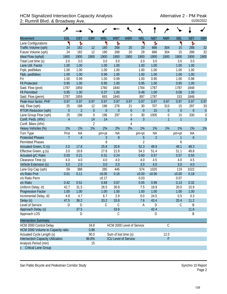## HCM Signalized Intersection Capacity Analysis<br>2: Rumrill Blvd. & Broadway Ave. <br><sup>01/05/2022</sup> 2: Rumrill Blvd. & Broadway Ave.

|                                          | ۶              |                |                  |              |                             |                  |                  |                |                  |              |                |                  |
|------------------------------------------|----------------|----------------|------------------|--------------|-----------------------------|------------------|------------------|----------------|------------------|--------------|----------------|------------------|
| <b>Movement</b>                          | EBL            | <b>EBT</b>     | <b>EBR</b>       | <b>WBL</b>   | <b>WBT</b>                  | <b>WBR</b>       | <b>NBL</b>       | <b>NBT</b>     | <b>NBR</b>       | <b>SBL</b>   | <b>SBT</b>     | <b>SBR</b>       |
| Lane Configurations                      | ۲              | ħ              |                  | ۲            | Ъ                           |                  | ۲                | Ъ              |                  | ۲            | ħ              |                  |
| Traffic Volume (vph)                     | 24             | 182            | 12               | 190          | 268                         | 20               | 29               | 686            | 304              | 15           | 288            | 32               |
| Future Volume (vph)                      | 24             | 182            | 12               | 190          | 268                         | 20               | 29               | 686            | 304              | 15           | 288            | 32               |
| Ideal Flow (vphpl)                       | 1900           | 1900           | 1900             | 1900         | 1900                        | 1900             | 1900             | 1900           | 1900             | 1900         | 1900           | 1900             |
| Total Lost time (s)                      | 3.0            | 3.0            |                  | 3.0          | 3.0                         |                  | 3.0              | 3.0            |                  | 3.0          | 3.0            |                  |
| Lane Util. Factor                        | 1.00           | 1.00           |                  | 1.00         | 1.00                        |                  | 1.00             | 1.00           |                  | 1.00         | 1.00           |                  |
| Frpb, ped/bikes                          | 1.00           | 1.00           |                  | 1.00         | 1.00                        |                  | 1.00             | 1.00           |                  | 1.00         | 1.00           |                  |
| Flpb, ped/bikes                          | 1.00           | 1.00           |                  | 0.99         | 1.00                        |                  | 1.00             | 1.00           |                  | 1.00         | 1.00           |                  |
| Frt                                      | 1.00           | 0.99           |                  | 1.00         | 0.99                        |                  | 1.00             | 0.95           |                  | 1.00         | 0.98           |                  |
| <b>Flt Protected</b>                     | 0.95           | 1.00           |                  | 0.95         | 1.00                        |                  | 0.95             | 1.00           |                  | 0.95         | 1.00           |                  |
| Satd. Flow (prot)                        | 1787           | 1859           |                  | 1760         | 1840                        |                  | 1784             | 1787           |                  | 1787         | 1848           |                  |
| <b>Flt Permitted</b>                     | 0.95           | 1.00           |                  | 0.37         | 1.00                        |                  | 0.48             | 1.00           |                  | 0.08         | 1.00           |                  |
| Satd. Flow (perm)                        | 1787           | 1859           |                  | 693          | 1840                        |                  | 897              | 1787           |                  | 153          | 1848           |                  |
| Peak-hour factor, PHF                    | 0.97           | 0.97           | 0.97             | 0.97         | 0.97                        | 0.97             | 0.97             | 0.97           | 0.97             | 0.97         | 0.97           | 0.97             |
| Adj. Flow (vph)                          | 25             | 188            | 12               | 196          | 276                         | 21               | 30               | 707            | 313              | 15           | 297            | 33               |
| <b>RTOR Reduction (vph)</b>              | $\mathbf{0}$   | $\overline{2}$ | $\mathbf{0}$     | $\mathbf{0}$ | $\overline{0}$              | $\boldsymbol{0}$ | $\boldsymbol{0}$ | 15             | $\boldsymbol{0}$ | $\mathbf 0$  | $\overline{0}$ | $\theta$         |
| Lane Group Flow (vph)                    | 25             | 198            | $\boldsymbol{0}$ | 196          | 297                         | $\boldsymbol{0}$ | 30               | 1005           | $\boldsymbol{0}$ | 15           | 330            | $\boldsymbol{0}$ |
| Confl. Peds. (#/hr)                      | $\overline{4}$ |                | 14               | 14           |                             | $\sqrt{4}$       | $\overline{3}$   |                | $\overline{1}$   | $\mathbf{1}$ |                | $\overline{3}$   |
| Confl. Bikes (#/hr)                      |                |                | $\overline{2}$   |              |                             | 4                |                  |                |                  |              |                |                  |
| Heavy Vehicles (%)                       | 1%             | 1%             | 1%               | 2%           | 2%                          | 2%               | 1%               | 1%             | 1%               | 1%           | 1%             | 1%               |
| Turn Type                                | Prot           | <b>NA</b>      |                  | pm+pt        | <b>NA</b>                   |                  | pm+pt            | <b>NA</b>      |                  | pm+pt        | <b>NA</b>      |                  |
| <b>Protected Phases</b>                  | $\overline{7}$ | $\overline{4}$ |                  | 3            | 8                           |                  | 5                | $\overline{2}$ |                  | 1            | 6              |                  |
| <b>Permitted Phases</b>                  |                |                |                  | 8            |                             |                  | $\overline{2}$   |                |                  | 6            |                |                  |
| Actuated Green, G (s)                    | 2.0            | 17.8           |                  | 25.8         | 20.8                        |                  | 52.3             | 49.9           |                  | 49.1         | 48.3           |                  |
| Effective Green, g (s)                   | 3.0            | 18.8           |                  | 27.8         | 21.8                        |                  | 54.3             | 51.4           |                  | 51.1         | 49.8           |                  |
| Actuated g/C Ratio                       | 0.03           | 0.21           |                  | 0.31         | 0.24                        |                  | 0.60             | 0.57           |                  | 0.57         | 0.55           |                  |
| Clearance Time (s)                       | 4.0            | 4.0            |                  | 4.0          | 4.0                         |                  | 4.0              | 4.5            |                  | 4.0          | 4.5            |                  |
| Vehicle Extension (s)                    | 3.0            | 2.0            |                  | 3.0          | 2.0                         |                  | 3.0              | 4.0            |                  | 3.0          | 4.0            |                  |
| Lane Grp Cap (vph)                       | 59             | 388            |                  | 285          | 445                         |                  | 574              | 1020           |                  | 119          | 1022           |                  |
| v/s Ratio Prot                           | 0.01           | 0.11           |                  | c0.05        | 0.16                        |                  | c0.00            | c0.56          |                  | c0.00        | 0.18           |                  |
| v/s Ratio Perm                           |                |                |                  | c0.17        |                             |                  | 0.03             |                |                  | 0.07         |                |                  |
| v/c Ratio                                | 0.42           | 0.51           |                  | 0.69         | 0.67                        |                  | 0.05             | 0.99           |                  | 0.13         | 0.32           |                  |
| Uniform Delay, d1                        | 42.7           | 31.5           |                  | 26.5         | 30.8                        |                  | 7.5              | 18.9           |                  | 20.0         | 10.9           |                  |
| <b>Progression Factor</b>                | 1.00           | 1.00           |                  | 1.00         | 1.00                        |                  | 1.00             | 1.00           |                  | 1.00         | 1.00           |                  |
| Incremental Delay, d2                    | 4.8            | 4.7            |                  | 6.7          | 2.9                         |                  | 0.0              | 24.5           |                  | 0.5          | 0.3            |                  |
| Delay (s)                                | 47.5           | 36.2           |                  | 33.2         | 33.8                        |                  | 7.6              | 43.4           |                  | 20.4         | 11.2           |                  |
| Level of Service                         | D              | D              |                  | C            | $\mathsf C$                 |                  | Α                | D              |                  | $\mathsf C$  | B              |                  |
| Approach Delay (s)                       |                | 37.5           |                  |              | 33.6                        |                  |                  | 42.4           |                  |              | 11.6           |                  |
| Approach LOS                             |                | D              |                  |              | С                           |                  |                  | D              |                  |              | B              |                  |
| <b>Intersection Summary</b>              |                |                |                  |              |                             |                  |                  |                |                  |              |                |                  |
| HCM 2000 Control Delay                   |                |                | 34.8             |              | HCM 2000 Level of Service   |                  |                  |                | $\mathsf C$      |              |                |                  |
| HCM 2000 Volume to Capacity ratio        |                |                | 0.89             |              |                             |                  |                  |                |                  |              |                |                  |
| Actuated Cycle Length (s)                |                |                | 90.0             |              | Sum of lost time (s)        |                  |                  |                | 12.0             |              |                |                  |
| <b>Intersection Capacity Utilization</b> |                |                | 96.8%            |              | <b>ICU Level of Service</b> |                  |                  |                | F                |              |                |                  |
| Analysis Period (min)                    |                |                | 15               |              |                             |                  |                  |                |                  |              |                |                  |
| c Critical Lane Group                    |                |                |                  |              |                             |                  |                  |                |                  |              |                |                  |

San Pablo Bicycle and Pedestrian Corridor Study Synchro 10 Report

Page 2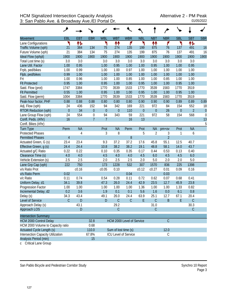| EBL<br><b>EBT</b><br><b>EBR</b><br><b>WBL</b><br><b>WBT</b><br><b>WBR</b><br><b>NBT</b><br><b>NBR</b><br><b>SBL</b><br><b>SBT</b><br><b>SBR</b><br><b>NBL</b><br><b>Movement</b><br>怍<br>۲<br>₩<br>۴<br>٦<br>ተተ<br>۴<br>۲<br>۲<br>怍<br>Lane Configurations<br>21<br>76<br>16<br>Traffic Volume (vph)<br>384<br>134<br>75<br>274<br>135<br>199<br>875<br>137<br>491<br>21<br>384<br>134<br>75<br>135<br>199<br>875<br>137<br>Future Volume (vph)<br>274<br>76<br>491<br>16<br>1900<br>1900<br>1900<br>Ideal Flow (vphpl)<br>1900<br>1900<br>1900<br>1900<br>1900<br>1900<br>1900<br>1900<br>1900 |  |
|-------------------------------------------------------------------------------------------------------------------------------------------------------------------------------------------------------------------------------------------------------------------------------------------------------------------------------------------------------------------------------------------------------------------------------------------------------------------------------------------------------------------------------------------------------------------------------------------------|--|
|                                                                                                                                                                                                                                                                                                                                                                                                                                                                                                                                                                                                 |  |
|                                                                                                                                                                                                                                                                                                                                                                                                                                                                                                                                                                                                 |  |
|                                                                                                                                                                                                                                                                                                                                                                                                                                                                                                                                                                                                 |  |
|                                                                                                                                                                                                                                                                                                                                                                                                                                                                                                                                                                                                 |  |
|                                                                                                                                                                                                                                                                                                                                                                                                                                                                                                                                                                                                 |  |
| 3.0<br>3.0<br>Total Lost time (s)<br>3.0<br>3.0<br>3.0<br>3.0<br>3.0<br>3.0<br>3.0<br>3.0                                                                                                                                                                                                                                                                                                                                                                                                                                                                                                       |  |
| Lane Util. Factor<br>0.95<br>1.00<br>0.95<br>0.95<br>1.00<br>0.95<br>1.00<br>1.00<br>1.00<br>1.00                                                                                                                                                                                                                                                                                                                                                                                                                                                                                               |  |
| 0.99<br>1.00<br>Frpb, ped/bikes<br>1.00<br>1.00<br>1.00<br>0.97<br>1.00<br>1.00<br>1.00<br>1.00                                                                                                                                                                                                                                                                                                                                                                                                                                                                                                 |  |
| 1.00<br>Flpb, ped/bikes<br>0.99<br>1.00<br>1.00<br>1.00<br>1.00<br>1.00<br>1.00<br>1.00<br>1.00                                                                                                                                                                                                                                                                                                                                                                                                                                                                                                 |  |
| 0.96<br>1.00<br>1.00<br>1.00<br>1.00<br>0.85<br>1.00<br>1.00<br>0.85<br>1.00<br>Frt                                                                                                                                                                                                                                                                                                                                                                                                                                                                                                             |  |
| 0.95<br>1.00<br><b>Flt Protected</b><br>0.95<br>1.00<br>1.00<br>0.95<br>1.00<br>1.00<br>0.95<br>1.00                                                                                                                                                                                                                                                                                                                                                                                                                                                                                            |  |
| 3384<br>1770<br>3539<br>1533<br>3539<br>1583<br>1770<br>3519<br>Satd. Flow (prot)<br>1747<br>1770                                                                                                                                                                                                                                                                                                                                                                                                                                                                                               |  |
| <b>Flt Permitted</b><br>0.55<br>1.00<br>0.95<br>1.00<br>1.00<br>0.95<br>1.00<br>1.00<br>0.95<br>1.00                                                                                                                                                                                                                                                                                                                                                                                                                                                                                            |  |
| 3384<br>3539<br>1533<br>3539<br>Satd. Flow (perm)<br>1004<br>1770<br>1770<br>1583<br>1770<br>3519                                                                                                                                                                                                                                                                                                                                                                                                                                                                                               |  |
| 0.80<br>0.90<br>0.89<br>0.89<br>Peak-hour factor, PHF<br>0.88<br>0.88<br>0.88<br>0.80<br>0.80<br>0.90<br>0.90<br>0.89                                                                                                                                                                                                                                                                                                                                                                                                                                                                           |  |
| 169<br>552<br>Adj. Flow (vph)<br>24<br>436<br>152<br>94<br>342<br>221<br>972<br>84<br>154<br>18                                                                                                                                                                                                                                                                                                                                                                                                                                                                                                 |  |
| 34<br>$\overline{2}$<br>$\overline{0}$<br>$\overline{0}$<br>$\mathbf{0}$<br>110<br>$\boldsymbol{0}$<br>$\boldsymbol{0}$<br>26<br>$\mathbf 0$<br><b>RTOR Reduction (vph)</b><br>$\theta$                                                                                                                                                                                                                                                                                                                                                                                                         |  |
| 343<br>24<br>554<br>94<br>59<br>221<br>972<br>58<br>154<br>568<br>Lane Group Flow (vph)<br>$\boldsymbol{0}$                                                                                                                                                                                                                                                                                                                                                                                                                                                                                     |  |
| $\overline{7}$<br>13<br>16<br>$\overline{7}$<br>16<br>13<br>Confl. Peds. (#/hr)                                                                                                                                                                                                                                                                                                                                                                                                                                                                                                                 |  |
| Confl. Bikes (#/hr)                                                                                                                                                                                                                                                                                                                                                                                                                                                                                                                                                                             |  |
| <b>NA</b><br><b>NA</b><br><b>Turn Type</b><br>Prot<br><b>NA</b><br>Prot<br><b>NA</b><br>Prot<br>Perm<br>Perm<br>$pm+ov$                                                                                                                                                                                                                                                                                                                                                                                                                                                                         |  |
| 3<br>8<br>5<br>$\overline{2}$<br><b>Protected Phases</b><br>4<br>3<br>6<br>1                                                                                                                                                                                                                                                                                                                                                                                                                                                                                                                    |  |
| $\overline{2}$<br><b>Permitted Phases</b><br>8<br>4                                                                                                                                                                                                                                                                                                                                                                                                                                                                                                                                             |  |
| 23.4<br>37.2<br>55.1<br>23.4<br>9.3<br>37.2<br>17.6<br>45.8<br>12.5<br>40.7<br>Actuated Green, G (s)                                                                                                                                                                                                                                                                                                                                                                                                                                                                                            |  |
| 24.4<br>10.8<br>38.2<br>38.2<br>19.1<br>14.0<br>43.7<br>24.4<br>48.8<br>58.1<br>Effective Green, g (s)                                                                                                                                                                                                                                                                                                                                                                                                                                                                                          |  |
| Actuated g/C Ratio<br>0.22<br>0.22<br>0.10<br>0.35<br>0.35<br>0.17<br>0.44<br>0.53<br>0.13<br>0.40                                                                                                                                                                                                                                                                                                                                                                                                                                                                                              |  |
| 4.0<br>4.5<br>Clearance Time (s)<br>4.0<br>4.5<br>4.0<br>4.0<br>4.5<br>6.0<br>4.5<br>6.0                                                                                                                                                                                                                                                                                                                                                                                                                                                                                                        |  |
| 2.5<br>2.5<br>Vehicle Extension (s)<br>2.0<br>2.5<br>2.5<br>2.0<br>5.0<br>2.0<br>5.0<br>2.0                                                                                                                                                                                                                                                                                                                                                                                                                                                                                                     |  |
| 222<br>750<br>307<br>173<br>1228<br>532<br>1570<br>225<br>1398<br>836<br>Lane Grp Cap (vph)                                                                                                                                                                                                                                                                                                                                                                                                                                                                                                     |  |
| v/s Ratio Prot<br>c0.27<br>c0.16<br>c0.05<br>0.10<br>c0.12<br>0.01<br>0.09<br>0.16                                                                                                                                                                                                                                                                                                                                                                                                                                                                                                              |  |
| v/s Ratio Perm<br>0.02<br>0.04<br>0.03                                                                                                                                                                                                                                                                                                                                                                                                                                                                                                                                                          |  |
| 0.74<br>v/c Ratio<br>0.11<br>0.54<br>0.28<br>0.11<br>0.62<br>0.07<br>0.68<br>0.41<br>0.72                                                                                                                                                                                                                                                                                                                                                                                                                                                                                                       |  |
| 23.5<br>45.9<br>Uniform Delay, d1<br>34.1<br>39.8<br>47.3<br>26.0<br>24.4<br>42.9<br>12.7<br>23.8                                                                                                                                                                                                                                                                                                                                                                                                                                                                                               |  |
| 1.00<br>1.33<br>Progression Factor<br>1.00<br>1.00<br>1.00<br>1.00<br>1.00<br>1.36<br>1.00<br>0.82                                                                                                                                                                                                                                                                                                                                                                                                                                                                                              |  |
| 0.2<br>3.6<br>5.6<br>0.8<br>Incremental Delay, d2<br>1.9<br>0.1<br>0.1<br>1.6<br>0.0<br>6.1                                                                                                                                                                                                                                                                                                                                                                                                                                                                                                     |  |
| 34.3<br>43.4<br>49.1<br>63.9<br>25.1<br>12.7<br>20.4<br>Delay (s)<br>26.0<br>24.4<br>67.1                                                                                                                                                                                                                                                                                                                                                                                                                                                                                                       |  |
| Level of Service<br>$\mathcal{C}$<br>D<br>$\mathsf C$<br>$\mathsf C$<br>E<br>$\mathsf C$<br>$\mathsf{C}$<br>${\sf D}$<br>B<br>E,                                                                                                                                                                                                                                                                                                                                                                                                                                                                |  |
| Approach Delay (s)<br>29.2<br>31.0<br>30.3<br>43.1                                                                                                                                                                                                                                                                                                                                                                                                                                                                                                                                              |  |
| $\mathsf C$<br>$\mathsf C$<br>$\mathsf C$<br>Approach LOS<br>D                                                                                                                                                                                                                                                                                                                                                                                                                                                                                                                                  |  |
| <b>Intersection Summary</b>                                                                                                                                                                                                                                                                                                                                                                                                                                                                                                                                                                     |  |
| $\mathcal{C}$<br>32.8                                                                                                                                                                                                                                                                                                                                                                                                                                                                                                                                                                           |  |
| <b>HCM 2000 Control Delay</b><br>HCM 2000 Level of Service                                                                                                                                                                                                                                                                                                                                                                                                                                                                                                                                      |  |
| HCM 2000 Volume to Capacity ratio<br>0.68<br><b>Actuated Cycle Length (s)</b><br>110.0<br>12.0                                                                                                                                                                                                                                                                                                                                                                                                                                                                                                  |  |
| Sum of lost time (s)<br><b>Intersection Capacity Utilization</b><br><b>ICU Level of Service</b><br>67.8%<br>C                                                                                                                                                                                                                                                                                                                                                                                                                                                                                   |  |
| Analysis Period (min)<br>15                                                                                                                                                                                                                                                                                                                                                                                                                                                                                                                                                                     |  |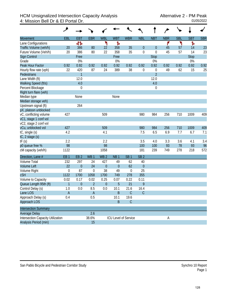## HCM Unsignalized Intersection Capacity Analysis Alternative 2 - PM Peak<br>4: Mission Bell Dr & El Portal Dr. 01/05/2022 4: Mission Bell Dr & El Portal Dr.

|                                          | ۸                         |                  |                 |                  |                      |                  |                  |                  |            |            |             |            |
|------------------------------------------|---------------------------|------------------|-----------------|------------------|----------------------|------------------|------------------|------------------|------------|------------|-------------|------------|
| <b>Movement</b>                          | EBL                       | <b>EBT</b>       | <b>EBR</b>      | <b>WBL</b>       | <b>WBT</b>           | <b>WBR</b>       | <b>NBL</b>       | <b>NBT</b>       | <b>NBR</b> | <b>SBL</b> | <b>SBT</b>  | <b>SBR</b> |
| Lane Configurations                      |                           | 412              |                 | ۳                | Ъ                    |                  |                  |                  | ۴          | ۲          | Ъ           |            |
| Traffic Volume (veh/h)                   | 20                        | 386              | 80              | 22               | 358                  | 35               | $\theta$         | $\theta$         | 45         | 57         | 14          | 23         |
| Future Volume (Veh/h)                    | 20                        | 386              | 80              | 22               | 358                  | 35               | $\mathbf 0$      | $\mathbf 0$      | 45         | 57         | 14          | 23         |
| Sign Control                             |                           | Free             |                 |                  | Free                 |                  |                  | <b>Stop</b>      |            |            | <b>Stop</b> |            |
| Grade                                    |                           | 0%               |                 |                  | 0%                   |                  |                  | 0%               |            |            | 0%          |            |
| Peak Hour Factor                         | 0.92                      | 0.92             | 0.92            | 0.92             | 0.92                 | 0.92             | 0.92             | 0.92             | 0.92       | 0.92       | 0.92        | 0.92       |
| Hourly flow rate (vph)                   | 22                        | 420              | 87              | 24               | 389                  | 38               | $\mathbf 0$      | $\boldsymbol{0}$ | 49         | 62         | 15          | 25         |
| Pedestrians                              |                           | $\mathbf{1}$     |                 |                  |                      |                  |                  | $\overline{2}$   |            |            |             |            |
| Lane Width (ft)                          |                           | 12.0             |                 |                  |                      |                  |                  | 12.0             |            |            |             |            |
| Walking Speed (ft/s)                     |                           | 4.0              |                 |                  |                      |                  |                  | 4.0              |            |            |             |            |
| Percent Blockage                         |                           | $\boldsymbol{0}$ |                 |                  |                      |                  |                  | $\boldsymbol{0}$ |            |            |             |            |
| Right turn flare (veh)                   |                           |                  |                 |                  |                      |                  |                  |                  |            |            |             |            |
| Median type                              |                           | None             |                 |                  | None                 |                  |                  |                  |            |            |             |            |
| Median storage veh)                      |                           |                  |                 |                  |                      |                  |                  |                  |            |            |             |            |
| Upstream signal (ft)                     |                           | 264              |                 |                  |                      |                  |                  |                  |            |            |             |            |
| pX, platoon unblocked                    |                           |                  |                 |                  |                      |                  |                  |                  |            |            |             |            |
| vC, conflicting volume                   | 427                       |                  |                 | 509              |                      |                  | 980              | 984              | 256        | 710        | 1009        | 409        |
| vC1, stage 1 conf vol                    |                           |                  |                 |                  |                      |                  |                  |                  |            |            |             |            |
| vC2, stage 2 conf vol                    |                           |                  |                 |                  |                      |                  |                  |                  |            |            |             |            |
| vCu, unblocked vol                       | 427                       |                  |                 | 509              |                      |                  | 980              | 984              | 256        | 710        | 1009        | 409        |
| tC, single (s)                           | 4.2                       |                  |                 | 4.1              |                      |                  | 7.5              | 6.5              | 6.9        | 7.7        | 6.7         | 7.1        |
| $tC$ , 2 stage $(s)$                     |                           |                  |                 |                  |                      |                  |                  |                  |            |            |             |            |
| tF(s)                                    | 2.2                       |                  |                 | 2.2              |                      |                  | 3.5              | 4.0              | 3.3        | 3.6        | 4.1         | 3.4        |
| p0 queue free %                          | 98                        |                  |                 | 98               |                      |                  | 100              | 100              | 93         | 78         | 93          | 96         |
| cM capacity (veh/h)                      | 1122                      |                  |                 | 1058             |                      |                  | 181              | 239              | 749        | 278        | 218         | 572        |
| Direction, Lane #                        | EB <sub>1</sub>           | EB <sub>2</sub>  | WB <sub>1</sub> | WB <sub>2</sub>  | NB <sub>1</sub>      | SB <sub>1</sub>  | SB <sub>2</sub>  |                  |            |            |             |            |
| Volume Total                             | 232                       | 297              | 24              | 427              | 49                   | 62               | 40               |                  |            |            |             |            |
| <b>Volume Left</b>                       | 22                        | $\boldsymbol{0}$ | 24              | $\boldsymbol{0}$ | $\theta$             | 62               | $\boldsymbol{0}$ |                  |            |            |             |            |
| Volume Right                             | $\boldsymbol{0}$          | 87               | $\mathbf 0$     | 38               | 49                   | $\boldsymbol{0}$ | 25               |                  |            |            |             |            |
| <b>cSH</b>                               | 1122                      | 1700             | 1058            | 1700             | 749                  | 278              | 355              |                  |            |            |             |            |
| Volume to Capacity                       | 0.02                      | 0.17             | 0.02            | 0.25             | 0.07                 | 0.22             | 0.11             |                  |            |            |             |            |
| Queue Length 95th (ft)                   | $\mathbf{1}$              | $\boldsymbol{0}$ | $\overline{2}$  | $\boldsymbol{0}$ | 5                    | 21               | 9                |                  |            |            |             |            |
| Control Delay (s)                        | 1.0                       | 0.0              | 8.5             | 0.0              | 10.1                 | 21.6             | 16.4             |                  |            |            |             |            |
| Lane LOS                                 | $\boldsymbol{\mathsf{A}}$ |                  | $\mathsf{A}$    |                  | B                    | $\mathsf C$      | $\mathsf C$      |                  |            |            |             |            |
| Approach Delay (s)                       | 0.4                       |                  | 0.5             |                  | 10.1                 | 19.6             |                  |                  |            |            |             |            |
| Approach LOS                             |                           |                  |                 |                  | B                    | $\mathsf C$      |                  |                  |            |            |             |            |
| <b>Intersection Summary</b>              |                           |                  |                 |                  |                      |                  |                  |                  |            |            |             |            |
| Average Delay                            |                           |                  | 2.6             |                  |                      |                  |                  |                  |            |            |             |            |
| <b>Intersection Capacity Utilization</b> |                           |                  | 38.6%           |                  | ICU Level of Service |                  |                  |                  | А          |            |             |            |
| Analysis Period (min)                    |                           |                  | 15              |                  |                      |                  |                  |                  |            |            |             |            |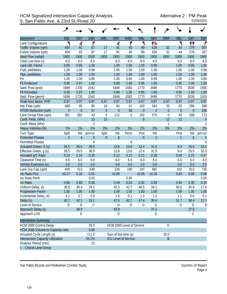## HCM Signalized Intersection Capacity Analysis<br>5: San Pablo Ave. & 23rd St./Road 20 5: San Pablo Ave. & 23rd St./Road 20

|                                          | ۶              |                  |                |                  |                             |            |                  |                |                  |                  |                  |                  |
|------------------------------------------|----------------|------------------|----------------|------------------|-----------------------------|------------|------------------|----------------|------------------|------------------|------------------|------------------|
| <b>Movement</b>                          | EBL            | <b>EBT</b>       | <b>EBR</b>     | <b>WBL</b>       | <b>WBT</b>                  | <b>WBR</b> | <b>NBL</b>       | <b>NBT</b>     | <b>NBR</b>       | <b>SBL</b>       | <b>SBT</b>       | <b>SBR</b>       |
| Lane Configurations                      | ۲              | ची               | ۴              |                  | 4                           | ۴          | ۲                | 怍              |                  | ۲                | ↟↟               | r                |
| Traffic Volume (vph)                     | 454            | 92               | 87             | 17               | 91                          | 40         | 99               | 528            | 32               | 44               | 279              | 357              |
| Future Volume (vph)                      | 454            | 92               | 87             | 17               | 91                          | 40         | 99               | 528            | 32               | 44               | 279              | 357              |
| Ideal Flow (vphpl)                       | 1900           | 1900             | 1900           | 1900             | 1900                        | 1900       | 1900             | 1900           | 1900             | 1900             | 1900             | 1900             |
| Total Lost time (s)                      | 6.0            | 6.0              | 6.0            |                  | 6.0                         | 6.0        | 6.0              | 6.0            |                  | 6.0              | 6.0              | 6.0              |
| Lane Util. Factor                        | 0.95           | 0.95             | 1.00           |                  | 1.00                        | 1.00       | 1.00             | 0.95           |                  | 1.00             | 0.95             | 1.00             |
| Frpb, ped/bikes                          | 1.00           | 1.00             | 0.96           |                  | 1.00                        | 1.00       | 1.00             | 1.00           |                  | 1.00             | 1.00             | 0.98             |
| Flpb, ped/bikes                          | 1.00           | 1.00             | 1.00           |                  | 1.00                        | 1.00       | 1.00             | 1.00           |                  | 1.00             | 1.00             | 1.00             |
| Frt                                      | 1.00           | 1.00             | 0.85           |                  | 1.00                        | 0.85       | 1.00             | 0.99           |                  | 1.00             | 1.00             | 0.85             |
| <b>Flt Protected</b>                     | 0.95           | 0.97             | 1.00           |                  | 0.99                        | 1.00       | 0.95             | 1.00           |                  | 0.95             | 1.00             | 1.00             |
| Satd. Flow (prot)                        | 1698           | 1730             | 1542           |                  | 1848                        | 1583       | 1770             | 3498           |                  | 1770             | 3539             | 1555             |
| <b>Flt Permitted</b>                     | 0.95           | 0.97             | 1.00           |                  | 0.99                        | 1.00       | 0.95             | 1.00           |                  | 0.95             | 1.00             | 1.00             |
| Satd. Flow (perm)                        | 1698           | 1730             | 1542           |                  | 1848                        | 1583       | 1770             | 3498           |                  | 1770             | 3539             | 1555             |
| Peak-hour factor, PHF                    | 0.97           | 0.97             | 0.97           | 0.97             | 0.97                        | 0.97       | 0.97             | 0.97           | 0.97             | 0.97             | 0.97             | 0.97             |
| Adj. Flow (vph)                          | 468            | 95               | 90             | 18               | 94                          | 41         | 102              | 544            | 33               | 45               | 288              | 368              |
| <b>RTOR Reduction (vph)</b>              | $\mathbf{0}$   | $\boldsymbol{0}$ | 47             | $\boldsymbol{0}$ | $\overline{0}$              | 36         | $\boldsymbol{0}$ | $\overline{2}$ | $\overline{0}$   | $\boldsymbol{0}$ | $\boldsymbol{0}$ | 196              |
| Lane Group Flow (vph)                    | 281            | 282              | 43             | $\mathbf 0$      | 112                         | 5          | 102              | 575            | $\boldsymbol{0}$ | 45               | 288              | 172              |
| Confl. Peds. (#/hr)                      |                |                  | 15             | 15               |                             |            | 8                |                | 12               | 12               |                  | $\boldsymbol{8}$ |
| Confl. Bikes (#/hr)                      |                |                  | $\overline{2}$ |                  |                             |            |                  |                | 1                |                  |                  |                  |
| Heavy Vehicles (%)                       | 1%             | 1%               | 1%             | 2%               | 2%                          | 2%         | 2%               | 2%             | 2%               | 2%               | 2%               | 2%               |
| Turn Type                                | Split          | <b>NA</b>        | $pm+ov$        | Split            | <b>NA</b>                   | Perm       | Prot             | <b>NA</b>      |                  | Prot             | <b>NA</b>        | pm+ov            |
| <b>Protected Phases</b>                  | $\overline{4}$ | $\overline{4}$   | 5              | 8                | 8                           |            | 5                | $\overline{2}$ |                  | 1                | $\mathfrak b$    | $\overline{4}$   |
| <b>Permitted Phases</b>                  |                |                  | $\overline{4}$ |                  |                             | 8          |                  |                |                  |                  |                  | 6                |
| Actuated Green, G (s)                    | 26.5           | 26.5             | 38.9           |                  | 13.8                        | 13.8       | 12.4             | 31.5           |                  | 6.4              | 25.5             | 52.0             |
| Effective Green, g (s)                   | 26.5           | 26.5             | 38.9           |                  | 13.8                        | 13.8       | 12.4             | 31.5           |                  | 6.4              | 25.5             | 52.0             |
| Actuated g/C Ratio                       | 0.24           | 0.24             | 0.35           |                  | 0.12                        | 0.12       | 0.11             | 0.28           |                  | 0.06             | 0.23             | 0.47             |
| Clearance Time (s)                       | 6.0            | 6.0              | 6.0            |                  | 6.0                         | 6.0        | 6.0              | 6.0            |                  | 6.0              | 6.0              | 6.0              |
| Vehicle Extension (s)                    | 2.0            | 2.0              | 2.0            |                  | 3.0                         | 3.0        | 2.0              | 5.0            |                  | 2.0              | 5.0              | 2.0              |
| Lane Grp Cap (vph)                       | 405            | 413              | 540            |                  | 229                         | 196        | 197              | 992            |                  | 102              | 813              | 728              |
| v/s Ratio Prot                           | c0.17          | 0.16             | 0.01           |                  | c0.06                       |            | c0.06            | c0.16          |                  | 0.03             | 0.08             | 0.06             |
| v/s Ratio Perm                           |                |                  | 0.02           |                  |                             | 0.00       |                  |                |                  |                  |                  | 0.05             |
| v/c Ratio                                | 0.69           | 0.68             | 0.08           |                  | 0.49                        | 0.03       | 0.52             | 0.58           |                  | 0.44             | 0.35             | 0.24             |
| Uniform Delay, d1                        | 38.5           | 38.4             | 24.1           |                  | 45.3                        | 42.7       | 46.5             | 34.1           |                  | 50.6             | 35.8             | 17.6             |
| <b>Progression Factor</b>                | 1.00           | 1.00             | 1.00           |                  | 1.00                        | 1.00       | 1.00             | 1.00           |                  | 1.00             | 1.00             | 1.00             |
| Incremental Delay, d2                    | 4.1            | 3.7              | 0.0            |                  | 1.6                         | 0.1        | 1.0              | 1.3            |                  | 1.1              | 0.6              | 0.1              |
| Delay (s)                                | 42.7           | 42.1             | 24.1           |                  | 47.0                        | 42.7       | 47.4             | 35.4           |                  | 51.7             | 36.4             | 17.7             |
| Level of Service                         | D              | D                | $\mathsf C$    |                  | D                           | D          | D                | D              |                  | D                | D                | B                |
| Approach Delay (s)                       |                | 39.9             |                |                  | 45.8                        |            |                  | 37.2           |                  |                  | 27.6             |                  |
| Approach LOS                             |                | D                |                |                  | D                           |            |                  | D              |                  |                  | C                |                  |
| <b>Intersection Summary</b>              |                |                  |                |                  |                             |            |                  |                |                  |                  |                  |                  |
| HCM 2000 Control Delay                   |                |                  | 35.5           |                  | HCM 2000 Level of Service   |            |                  |                | D                |                  |                  |                  |
| HCM 2000 Volume to Capacity ratio        |                |                  | 0.60           |                  |                             |            |                  |                |                  |                  |                  |                  |
| Actuated Cycle Length (s)                |                |                  | 111.0          |                  | Sum of lost time (s)        |            |                  |                | 30.0             |                  |                  |                  |
| <b>Intersection Capacity Utilization</b> |                |                  | 56.1%          |                  | <b>ICU Level of Service</b> |            |                  |                | $\mathsf B$      |                  |                  |                  |
| Analysis Period (min)                    |                |                  | 15             |                  |                             |            |                  |                |                  |                  |                  |                  |
| c Critical Lane Group                    |                |                  |                |                  |                             |            |                  |                |                  |                  |                  |                  |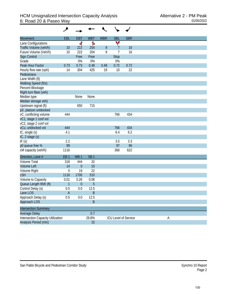| Movement                                 | <b>EBL</b>      | <b>EBT</b>       | <b>WBT</b>      | <b>WBR</b> | <b>SBL</b>     | <b>SBR</b>           |   |
|------------------------------------------|-----------------|------------------|-----------------|------------|----------------|----------------------|---|
| Lane Configurations                      |                 | ৰ                | Ъ               |            | v              |                      |   |
| Traffic Volume (veh/h)                   | 10              | 222              | 204             | 9          | $\overline{7}$ | 16                   |   |
| Future Volume (Veh/h)                    | 10              | 222              | 204             | 9          | $\overline{7}$ | 16                   |   |
| Sign Control                             |                 | Free             | Free            |            | <b>Stop</b>    |                      |   |
| Grade                                    |                 | 0%               | 0%              |            | 0%             |                      |   |
| Peak Hour Factor                         | 0.73            | 0.73             | 0.48            | 0.48       | 0.72           | 0.72                 |   |
| Hourly flow rate (vph)                   | 14              | 304              | 425             | 19         | 10             | 22                   |   |
| Pedestrians                              |                 |                  |                 |            |                |                      |   |
| Lane Width (ft)                          |                 |                  |                 |            |                |                      |   |
| Walking Speed (ft/s)                     |                 |                  |                 |            |                |                      |   |
| Percent Blockage                         |                 |                  |                 |            |                |                      |   |
| Right turn flare (veh)                   |                 |                  |                 |            |                |                      |   |
| Median type                              |                 | None             | None            |            |                |                      |   |
| Median storage veh)                      |                 |                  |                 |            |                |                      |   |
| Upstream signal (ft)                     |                 | 650              | 715             |            |                |                      |   |
| pX, platoon unblocked                    |                 |                  |                 |            |                |                      |   |
| vC, conflicting volume                   | 444             |                  |                 |            | 766            | 434                  |   |
| vC1, stage 1 conf vol                    |                 |                  |                 |            |                |                      |   |
| vC2, stage 2 conf vol                    |                 |                  |                 |            |                |                      |   |
| vCu, unblocked vol                       | 444             |                  |                 |            | 766            | 434                  |   |
| tC, single (s)                           | 4.1             |                  |                 |            | 6.4            | 6.2                  |   |
| tC, 2 stage (s)                          |                 |                  |                 |            |                |                      |   |
| tF(s)                                    | 2.2             |                  |                 |            | 3.5            | 3.3                  |   |
| p0 queue free %                          | 99              |                  |                 |            | 97             | 96                   |   |
| cM capacity (veh/h)                      | 1116            |                  |                 |            | 366            | 622                  |   |
| Direction, Lane #                        | EB <sub>1</sub> | WB <sub>1</sub>  | SB <sub>1</sub> |            |                |                      |   |
| <b>Volume Total</b>                      | 318             | 444              | 32              |            |                |                      |   |
| <b>Volume Left</b>                       | 14              | $\boldsymbol{0}$ | 10              |            |                |                      |   |
| Volume Right                             | $\mathbf 0$     | 19               | 22              |            |                |                      |   |
| <b>cSH</b>                               | 1116            | 1700             | 510             |            |                |                      |   |
| Volume to Capacity                       | 0.01            | 0.26             | 0.06            |            |                |                      |   |
| Queue Length 95th (ft)                   | $\mathbf{1}$    | $\mathbf{0}$     | 5               |            |                |                      |   |
| Control Delay (s)                        | 0.5             | 0.0              | 12.5            |            |                |                      |   |
| Lane LOS                                 | A               |                  | Β               |            |                |                      |   |
| Approach Delay (s)                       | 0.5             | 0.0              | 12.5            |            |                |                      |   |
| Approach LOS                             |                 |                  | $\sf B$         |            |                |                      |   |
| <b>Intersection Summary</b>              |                 |                  |                 |            |                |                      |   |
| Average Delay                            |                 |                  | 0.7             |            |                |                      |   |
| <b>Intersection Capacity Utilization</b> |                 |                  | 29.8%           |            |                | ICU Level of Service | A |
| Analysis Period (min)                    |                 |                  | 15              |            |                |                      |   |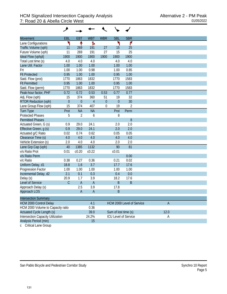| Movement                                 | <b>EBL</b>     | <b>EBT</b>     | <b>WBT</b>     | <b>WBR</b>       | <b>SBL</b>           | <b>SBR</b>                  |                |
|------------------------------------------|----------------|----------------|----------------|------------------|----------------------|-----------------------------|----------------|
| Lane Configurations                      | ۲              |                | Ъ              |                  | ۲                    | ۴                           |                |
| Traffic Volume (vph)                     | 11             | 269            | 191            | 27               | 15                   | 25                          |                |
| Future Volume (vph)                      | 11             | 269            | 191            | 27               | 15                   | 25                          |                |
| Ideal Flow (vphpl)                       | 1900           | 1900           | 1900           | 1900             | 1900                 | 1900                        |                |
| Total Lost time (s)                      | 4.0            | 4.0            | 4.0            |                  | 4.0                  | 4.0                         |                |
| Lane Util. Factor                        | 1.00           | 1.00           | 1.00           |                  | 1.00                 | 1.00                        |                |
| Frt                                      | 1.00           | 1.00           | 0.98           |                  | 1.00                 | 0.85                        |                |
| <b>Flt Protected</b>                     | 0.95           | 1.00           | 1.00           |                  | 0.95                 | 1.00                        |                |
| Satd. Flow (prot)                        | 1770           | 1863           | 1832           |                  | 1770                 | 1583                        |                |
| <b>Flt Permitted</b>                     | 0.95           | 1.00           | 1.00           |                  | 0.95                 | 1.00                        |                |
| Satd. Flow (perm)                        | 1770           | 1863           | 1832           |                  | 1770                 | 1583                        |                |
| Peak-hour factor, PHF                    | 0.72           | 0.72           | 0.53           | 0.53             | 0.77                 | 0.77                        |                |
| Adj. Flow (vph)                          | 15             | 374            | 360            | 51               | 19                   | 32                          |                |
| <b>RTOR Reduction (vph)</b>              | $\overline{0}$ | $\mathbf 0$    | $\overline{4}$ | $\theta$         | $\overline{0}$       | 30                          |                |
| Lane Group Flow (vph)                    | 15             | 374            | 407            | $\boldsymbol{0}$ | 19                   | $\overline{2}$              |                |
| <b>Turn Type</b>                         | Prot           | <b>NA</b>      | <b>NA</b>      |                  | Prot                 | Perm                        |                |
| <b>Protected Phases</b>                  | 5              | $\overline{2}$ | 6              |                  | 8                    |                             |                |
| <b>Permitted Phases</b>                  |                |                |                |                  |                      | 8                           |                |
| Actuated Green, G (s)                    | 0.9            | 29.0           | 24.1           |                  | 2.0                  | 2.0                         |                |
| Effective Green, q (s)                   | 0.9            | 29.0           | 24.1           |                  | 2.0                  | 2.0                         |                |
| Actuated g/C Ratio                       | 0.02           | 0.74           | 0.62           |                  | 0.05                 | 0.05                        |                |
| Clearance Time (s)                       | 4.0            | 4.0            | 4.0            |                  | 4.0                  | 4.0                         |                |
| Vehicle Extension (s)                    | 2.0            | 4.0            | 4.0            |                  | 2.0                  | 2.0                         |                |
| Lane Grp Cap (vph)                       | 40             | 1385           | 1132           |                  | 90                   | 81                          |                |
| v/s Ratio Prot                           | 0.01           | c0.20          | c0.22          |                  | c0.01                |                             |                |
| v/s Ratio Perm                           |                |                |                |                  |                      | 0.00                        |                |
| v/c Ratio                                | 0.38           | 0.27           | 0.36           |                  | 0.21                 | 0.02                        |                |
| Uniform Delay, d1                        | 18.8           | 1.6            | 3.7            |                  | 17.7                 | 17.6                        |                |
| Progression Factor                       | 1.00           | 1.00           | 1.00           |                  | 1.00                 | 1.00                        |                |
| Incremental Delay, d2                    | 2.1            | 0.1            | 0.3            |                  | 0.4                  | 0.0                         |                |
| Delay (s)                                | 20.9           | 1.7            | 3.9            |                  | 18.2                 | 17.6                        |                |
| Level of Service                         | $\mathcal{C}$  | $\mathsf{A}$   | $\overline{A}$ |                  | B                    | $\sf B$                     |                |
| Approach Delay (s)                       |                | 2.5            | 3.9            |                  | 17.8                 |                             |                |
| Approach LOS                             |                | A              | $\overline{A}$ |                  | R                    |                             |                |
| <b>Intersection Summary</b>              |                |                |                |                  |                      |                             |                |
| <b>HCM 2000 Control Delay</b>            |                |                | 4.1            |                  |                      | HCM 2000 Level of Service   | $\overline{A}$ |
| HCM 2000 Volume to Capacity ratio        |                |                | 0.36           |                  |                      |                             |                |
| <b>Actuated Cycle Length (s)</b>         |                |                | 39.0           |                  | Sum of lost time (s) |                             | 12.0           |
| <b>Intersection Capacity Utilization</b> |                |                | 24.2%          |                  |                      | <b>ICU Level of Service</b> | Α              |
| Analysis Period (min)                    |                |                | 15             |                  |                      |                             |                |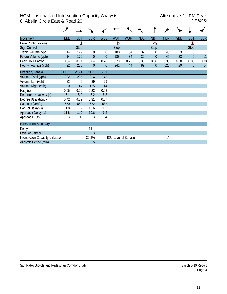## HCM Unsignalized Intersection Capacity Analysis<br>8: Abella Circle East & Road 20<br>01/05/2022 8: Abella Circle East & Road 20

| <b>Movement</b>                          | <b>EBL</b>      | <b>EBT</b>      | <b>EBR</b>      | <b>WBL</b>      | <b>WBT</b> | <b>WBR</b>                  | <b>NBL</b> | <b>NBT</b>     | <b>NBR</b> | <b>SBL</b> | <b>SBT</b>     | <b>SBR</b> |
|------------------------------------------|-----------------|-----------------|-----------------|-----------------|------------|-----------------------------|------------|----------------|------------|------------|----------------|------------|
| Lane Configurations                      |                 | ৰ               |                 |                 | Ъ          |                             |            | Ф              |            |            | Ф              |            |
| Sign Control                             |                 | <b>Stop</b>     |                 |                 | Stop       |                             |            | <b>Stop</b>    |            |            | Stop           |            |
| Traffic Volume (vph)                     | 14              | 179             | $\theta$        | $\theta$        | 188        | 34                          | 32         | $\Omega$       | 45         | 23         | 0              | 11         |
| Future Volume (vph)                      | 14              | 179             | $\overline{0}$  | $\overline{0}$  | 188        | 34                          | 32         | $\overline{0}$ | 45         | 23         | $\overline{0}$ | 11         |
| Peak Hour Factor                         | 0.64            | 0.64            | 0.64            | 0.78            | 0.78       | 0.78                        | 0.36       | 0.36           | 0.36       | 0.80       | 0.80           | 0.80       |
| Hourly flow rate (vph)                   | 22              | 280             | $\theta$        | $\theta$        | 241        | 44                          | 89         | $\theta$       | 125        | 29         | $\theta$       | 14         |
| Direction, Lane #                        | EB <sub>1</sub> | WB <sub>1</sub> | NB <sub>1</sub> | SB <sub>1</sub> |            |                             |            |                |            |            |                |            |
| Volume Total (vph)                       | 302             | 285             | 214             | 43              |            |                             |            |                |            |            |                |            |
| Volume Left (vph)                        | 22              | $\mathbf 0$     | 89              | 29              |            |                             |            |                |            |            |                |            |
| Volume Right (vph)                       | $\overline{0}$  | 44              | 125             | 14              |            |                             |            |                |            |            |                |            |
| Hadj (s)                                 | 0.05            | $-0.06$         | $-0.23$         | $-0.03$         |            |                             |            |                |            |            |                |            |
| Departure Headway (s)                    | 5.1             | 5.0             | 5.2             | 5.8             |            |                             |            |                |            |            |                |            |
| Degree Utilization, x                    | 0.42            | 0.39            | 0.31            | 0.07            |            |                             |            |                |            |            |                |            |
| Capacity (veh/h)                         | 670             | 682             | 622             | 532             |            |                             |            |                |            |            |                |            |
| Control Delay (s)                        | 11.8            | 11.2            | 10.6            | 9.2             |            |                             |            |                |            |            |                |            |
| Approach Delay (s)                       | 11.8            | 11.2            | 10.6            | 9.2             |            |                             |            |                |            |            |                |            |
| Approach LOS                             | B               | B               | B               | Α               |            |                             |            |                |            |            |                |            |
| <b>Intersection Summary</b>              |                 |                 |                 |                 |            |                             |            |                |            |            |                |            |
| Delay                                    |                 |                 | 11.1            |                 |            |                             |            |                |            |            |                |            |
| Level of Service                         |                 |                 | B               |                 |            |                             |            |                |            |            |                |            |
| <b>Intersection Capacity Utilization</b> |                 |                 | 32.3%           |                 |            | <b>ICU Level of Service</b> |            |                | А          |            |                |            |
| Analysis Period (min)                    |                 |                 | 15              |                 |            |                             |            |                |            |            |                |            |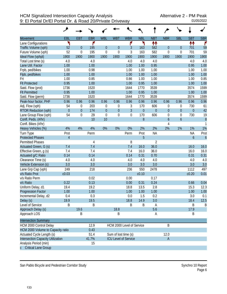|                                   | ۸                |                  |            |             |                      |                             |             |                |                  |                  |                  |                  |
|-----------------------------------|------------------|------------------|------------|-------------|----------------------|-----------------------------|-------------|----------------|------------------|------------------|------------------|------------------|
| <b>Movement</b>                   | EBL              | <b>EBT</b>       | <b>EBR</b> | <b>WBL</b>  | <b>WBT</b>           | <b>WBR</b>                  | <b>NBL</b>  | <b>NBT</b>     | <b>NBR</b>       | <b>SBL</b>       | <b>SBT</b>       | <b>SBR</b>       |
| Lane Configurations               | ٦                |                  | ۴          |             |                      | ۴                           | ኻ           | 忭              |                  |                  | ↟↟               | ۴                |
| Traffic Volume (vph)              | 52               | $\mathbf{0}$     | 195        | $\theta$    | $\overline{0}$       | 3                           | 163         | 582            | $\boldsymbol{0}$ | $\boldsymbol{0}$ | 701              | 59               |
| Future Volume (vph)               | 52               | $\mathbf 0$      | 195        | $\mathbf 0$ | $\mathbf 0$          | $\mathfrak{Z}$              | 163         | 582            | $\mathbf 0$      | $\boldsymbol{0}$ | 701              | 59               |
| Ideal Flow (vphpl)                | 1900             | 1900             | 1900       | 1900        | 1900                 | 1900                        | 1900        | 1900           | 1900             | 1900             | 1900             | 1900             |
| Total Lost time (s)               | 4.0              |                  | 4.0        |             |                      | 4.0                         | 4.0         | 4.0            |                  |                  | 4.0              | 4.0              |
| Lane Util. Factor                 | 1.00             |                  | 1.00       |             |                      | 1.00                        | 1.00        | 0.95           |                  |                  | 0.95             | 1.00             |
| Frpb, ped/bikes                   | 1.00             |                  | 0.98       |             |                      | 1.00                        | 1.00        | 1.00           |                  |                  | 1.00             | 1.00             |
| Flpb, ped/bikes                   | 1.00             |                  | 1.00       |             |                      | 1.00                        | 1.00        | 1.00           |                  |                  | 1.00             | 1.00             |
| Frt                               | 1.00             |                  | 0.85       |             |                      | 0.86                        | 1.00        | 1.00           |                  |                  | 1.00             | 0.85             |
| <b>Flt Protected</b>              | 0.95             |                  | 1.00       |             |                      | 1.00                        | 0.95        | 1.00           |                  |                  | 1.00             | 1.00             |
| Satd. Flow (prot)                 | 1736             |                  | 1520       |             |                      | 1644                        | 1770        | 3539           |                  |                  | 3574             | 1599             |
| <b>Flt Permitted</b>              | 0.95             |                  | 1.00       |             |                      | 1.00                        | 0.95        | 1.00           |                  |                  | 1.00             | 1.00             |
| Satd. Flow (perm)                 | 1736             |                  | 1520       |             |                      | 1644                        | 1770        | 3539           |                  |                  | 3574             | 1599             |
| Peak-hour factor, PHF             | 0.96             | 0.96             | 0.96       | 0.96        | 0.96                 | 0.96                        | 0.96        | 0.96           | 0.96             | 0.96             | 0.96             | 0.96             |
| Adj. Flow (vph)                   | 54               | 0                | 203        | $\mathbf 0$ | $\boldsymbol{0}$     | 3                           | 170         | 606            | $\boldsymbol{0}$ | 0                | 730              | 61               |
| <b>RTOR Reduction (vph)</b>       | $\boldsymbol{0}$ | $\boldsymbol{0}$ | 174        | $\theta$    | $\mathbf 0$          | $\overline{3}$              | $\mathbf 0$ | $\mathbf{0}$   | $\boldsymbol{0}$ | $\boldsymbol{0}$ | $\boldsymbol{0}$ | 42               |
| Lane Group Flow (vph)             | 54               | $\boldsymbol{0}$ | 29         | $\mathbf 0$ | $\overline{0}$       | $\boldsymbol{0}$            | 170         | 606            | $\boldsymbol{0}$ | $\boldsymbol{0}$ | 730              | 19               |
| Confl. Peds. (#/hr)               |                  |                  | 10         | 10          |                      |                             | 8           |                | $\boldsymbol{6}$ | $\boldsymbol{6}$ |                  | $\overline{8}$   |
| Confl. Bikes (#/hr)               |                  |                  |            |             |                      |                             |             |                | 4                |                  |                  | $\mathbf{1}$     |
| Heavy Vehicles (%)                | 4%               | 4%               | 4%         | 0%          | 0%                   | 0%                          | 2%          | 2%             | 2%               | 1%               | 1%               | 1%               |
| Turn Type                         | Prot             |                  | Perm       |             |                      | Perm                        | Prot        | <b>NA</b>      |                  |                  | <b>NA</b>        | Prot             |
| <b>Protected Phases</b>           | $\overline{4}$   |                  |            |             |                      |                             | 5           |                |                  |                  | $\boldsymbol{6}$ | $\boldsymbol{6}$ |
| <b>Permitted Phases</b>           |                  |                  | 4          |             |                      | 8                           |             | $\overline{2}$ |                  |                  |                  |                  |
| Actuated Green, G (s)             | 7.4              |                  | 7.4        |             |                      | 7.4                         | 16.0        | 36.0           |                  |                  | 16.0             | 16.0             |
| Effective Green, g (s)            | 7.4              |                  | 7.4        |             |                      | 7.4                         | 16.0        | 36.0           |                  |                  | 16.0             | 16.0             |
| Actuated g/C Ratio                | 0.14             |                  | 0.14       |             |                      | 0.14                        | 0.31        | 0.70           |                  |                  | 0.31             | 0.31             |
| Clearance Time (s)                | 4.0              |                  | 4.0        |             |                      | 4.0                         | 4.0         | 4.0            |                  |                  | 4.0              | 4.0              |
| Vehicle Extension (s)             | 3.0              |                  | 3.0        |             |                      | 3.0                         | 3.0         | 3.0            |                  |                  | 3.0              | 3.0              |
| Lane Grp Cap (vph)                | 249              |                  | 218        |             |                      | 236                         | 550         | 2478           |                  |                  | 1112             | 497              |
| v/s Ratio Prot                    | c0.03            |                  |            |             |                      |                             | c0.10       |                |                  |                  | c0.20            | 0.01             |
| v/s Ratio Perm                    |                  |                  | 0.02       |             |                      | 0.00                        |             | 0.17           |                  |                  |                  |                  |
| v/c Ratio                         | 0.22             |                  | 0.13       |             |                      | 0.00                        | 0.31        | 0.24           |                  |                  | 0.66             | 0.04             |
| Uniform Delay, d1                 | 19.4             |                  | 19.2       |             |                      | 18.8                        | 13.5        | 2.8            |                  |                  | 15.3             | 12.3             |
| Progression Factor                | 1.00             |                  | 1.00       |             |                      | 1.00                        | 1.00        | 1.00           |                  |                  | 1.00             | 1.00             |
| Incremental Delay, d2             | 0.4              |                  | 0.3        |             |                      | 0.0                         | 1.5         | 0.2            |                  |                  | 3.0              | 0.1              |
| Delay (s)                         | 19.9             |                  | 19.5       |             |                      | 18.8                        | 14.9        | 3.0            |                  |                  | 18.4             | 12.5             |
| Level of Service                  | Β                |                  | B          |             |                      | Β                           | Β           | A              |                  |                  | Β                | B                |
| Approach Delay (s)                |                  | 19.6             |            |             | 18.8                 |                             |             | 5.6            |                  |                  | 17.9             |                  |
| Approach LOS                      |                  | Β                |            |             | Β                    |                             |             | Α              |                  |                  | Β                |                  |
| <b>Intersection Summary</b>       |                  |                  |            |             |                      |                             |             |                |                  |                  |                  |                  |
| HCM 2000 Control Delay            |                  |                  | 12.9       |             |                      | HCM 2000 Level of Service   |             |                | B                |                  |                  |                  |
| HCM 2000 Volume to Capacity ratio |                  |                  | 0.43       |             |                      |                             |             |                |                  |                  |                  |                  |
| Actuated Cycle Length (s)         |                  |                  | 51.4       |             | Sum of lost time (s) |                             |             |                | 12.0             |                  |                  |                  |
| Intersection Capacity Utilization |                  |                  | 41.7%      |             |                      | <b>ICU Level of Service</b> |             |                | $\mathsf A$      |                  |                  |                  |
| Analysis Period (min)             |                  |                  | 15         |             |                      |                             |             |                |                  |                  |                  |                  |
| <b>Critical Lane Group</b>        |                  |                  |            |             |                      |                             |             |                |                  |                  |                  |                  |